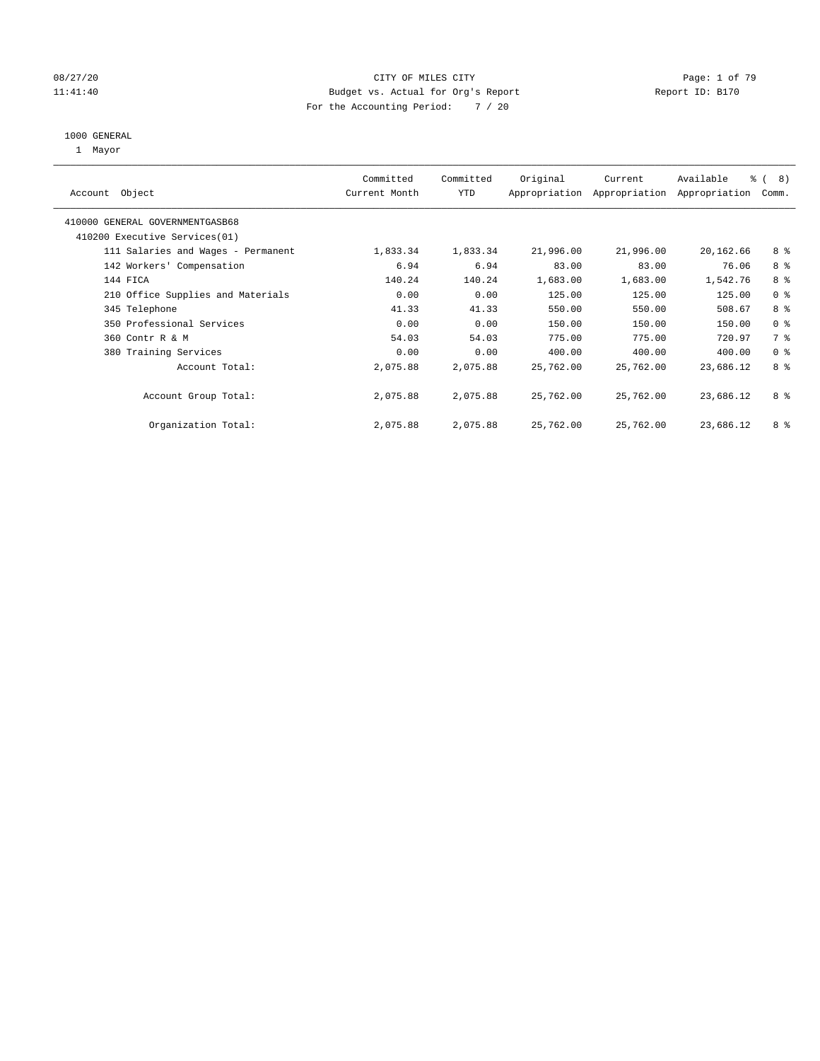#### 08/27/20 Page: 1 of 79 11:41:40 Budget vs. Actual for Org's Report Report ID: B170 For the Accounting Period: 7 / 20

#### 1000 GENERAL

1 Mayor

| Object<br>Account                  | Committed<br>Current Month | Committed<br><b>YTD</b> | Original  | Current<br>Appropriation Appropriation | Available<br>Appropriation | $\frac{6}{6}$ ( 8)<br>Comm. |
|------------------------------------|----------------------------|-------------------------|-----------|----------------------------------------|----------------------------|-----------------------------|
| 410000 GENERAL GOVERNMENTGASB68    |                            |                         |           |                                        |                            |                             |
| 410200 Executive Services (01)     |                            |                         |           |                                        |                            |                             |
| 111 Salaries and Wages - Permanent | 1,833.34                   | 1,833.34                | 21,996.00 | 21,996.00                              | 20,162.66                  | 8 %                         |
| 142 Workers' Compensation          | 6.94                       | 6.94                    | 83.00     | 83.00                                  | 76.06                      | 8 %                         |
| 144 FICA                           | 140.24                     | 140.24                  | 1,683.00  | 1,683.00                               | 1,542.76                   | 8 %                         |
| 210 Office Supplies and Materials  | 0.00                       | 0.00                    | 125.00    | 125.00                                 | 125.00                     | 0 <sup>8</sup>              |
| 345 Telephone                      | 41.33                      | 41.33                   | 550.00    | 550.00                                 | 508.67                     | 8 %                         |
| 350 Professional Services          | 0.00                       | 0.00                    | 150.00    | 150.00                                 | 150.00                     | 0 <sup>8</sup>              |
| 360 Contr R & M                    | 54.03                      | 54.03                   | 775.00    | 775.00                                 | 720.97                     | 7 %                         |
| 380 Training Services              | 0.00                       | 0.00                    | 400.00    | 400.00                                 | 400.00                     | 0 <sup>8</sup>              |
| Account Total:                     | 2,075.88                   | 2,075.88                | 25,762.00 | 25,762.00                              | 23,686.12                  | 8 %                         |
| Account Group Total:               | 2,075.88                   | 2,075.88                | 25,762.00 | 25,762.00                              | 23,686.12                  | 8 %                         |
| Organization Total:                | 2,075.88                   | 2,075.88                | 25,762.00 | 25,762.00                              | 23,686.12                  | 8 %                         |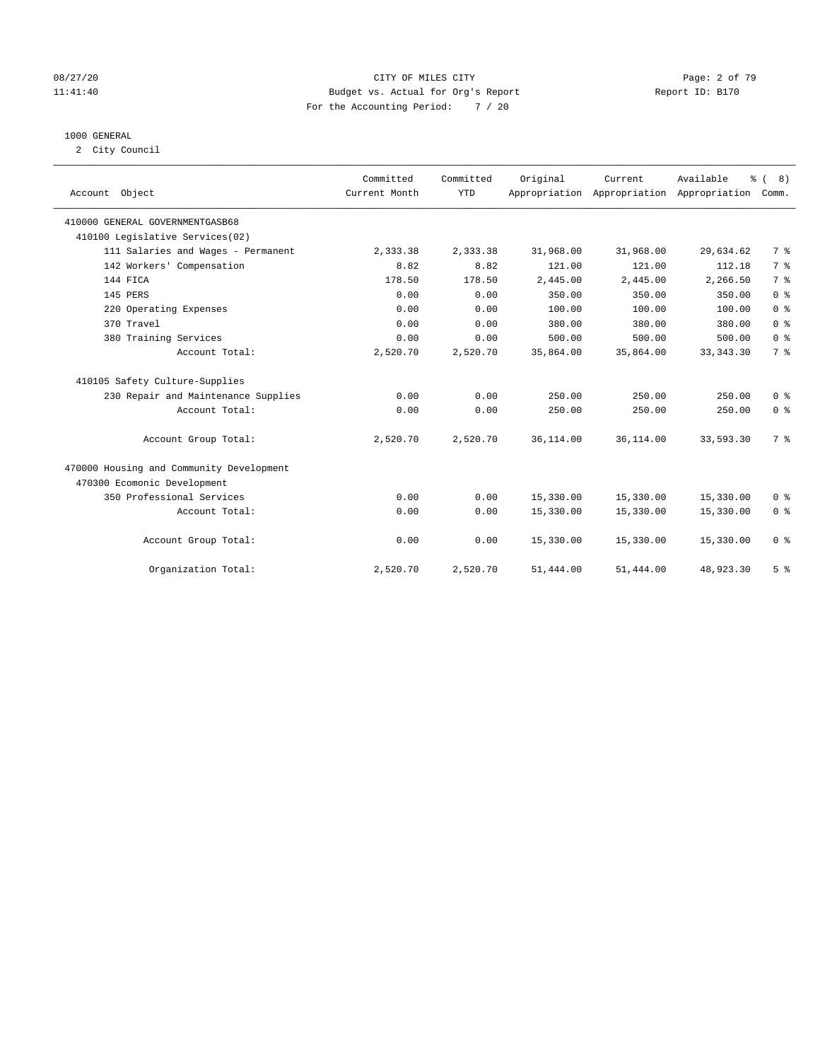#### 08/27/20 CITY OF MILES CITY Page: 2 of 79 11:41:40 Budget vs. Actual for Org's Report Report ID: B170 For the Accounting Period: 7 / 20

#### 1000 GENERAL

2 City Council

| Account Object                           | Committed<br>Current Month | Committed<br><b>YTD</b> | Original  | Current<br>Appropriation Appropriation Appropriation | Available   | % (8)<br>Comm. |
|------------------------------------------|----------------------------|-------------------------|-----------|------------------------------------------------------|-------------|----------------|
|                                          |                            |                         |           |                                                      |             |                |
| 410000 GENERAL GOVERNMENTGASB68          |                            |                         |           |                                                      |             |                |
| 410100 Legislative Services(02)          |                            |                         |           |                                                      |             |                |
| 111 Salaries and Wages - Permanent       | 2,333.38                   | 2,333.38                | 31,968.00 | 31,968.00                                            | 29,634.62   | 7 %            |
| 142 Workers' Compensation                | 8.82                       | 8.82                    | 121.00    | 121.00                                               | 112.18      | 7 <sup>°</sup> |
| 144 FICA                                 | 178.50                     | 178.50                  | 2,445.00  | 2,445.00                                             | 2,266.50    | 7 <sup>°</sup> |
| 145 PERS                                 | 0.00                       | 0.00                    | 350.00    | 350.00                                               | 350.00      | 0 <sup>8</sup> |
| 220 Operating Expenses                   | 0.00                       | 0.00                    | 100.00    | 100.00                                               | 100.00      | 0 <sup>8</sup> |
| 370 Travel                               | 0.00                       | 0.00                    | 380.00    | 380.00                                               | 380.00      | 0 <sup>8</sup> |
| 380 Training Services                    | 0.00                       | 0.00                    | 500.00    | 500.00                                               | 500.00      | 0 <sup>8</sup> |
| Account Total:                           | 2,520.70                   | 2,520.70                | 35,864.00 | 35,864.00                                            | 33, 343. 30 | 7 <sup>°</sup> |
| 410105 Safety Culture-Supplies           |                            |                         |           |                                                      |             |                |
| 230 Repair and Maintenance Supplies      | 0.00                       | 0.00                    | 250.00    | 250.00                                               | 250.00      | 0 <sup>8</sup> |
| Account Total:                           | 0.00                       | 0.00                    | 250.00    | 250.00                                               | 250.00      | 0 <sup>8</sup> |
| Account Group Total:                     | 2,520.70                   | 2,520.70                | 36,114.00 | 36,114.00                                            | 33,593.30   | 7 <sup>°</sup> |
| 470000 Housing and Community Development |                            |                         |           |                                                      |             |                |
| 470300 Ecomonic Development              |                            |                         |           |                                                      |             |                |
| 350 Professional Services                | 0.00                       | 0.00                    | 15,330.00 | 15,330.00                                            | 15,330.00   | 0 <sup>8</sup> |
| Account Total:                           | 0.00                       | 0.00                    | 15,330.00 | 15,330.00                                            | 15,330.00   | 0 <sup>8</sup> |
| Account Group Total:                     | 0.00                       | 0.00                    | 15,330.00 | 15,330.00                                            | 15,330.00   | 0 <sup>8</sup> |
| Organization Total:                      | 2,520.70                   | 2,520.70                | 51,444.00 | 51,444.00                                            | 48,923.30   | 5 <sup>8</sup> |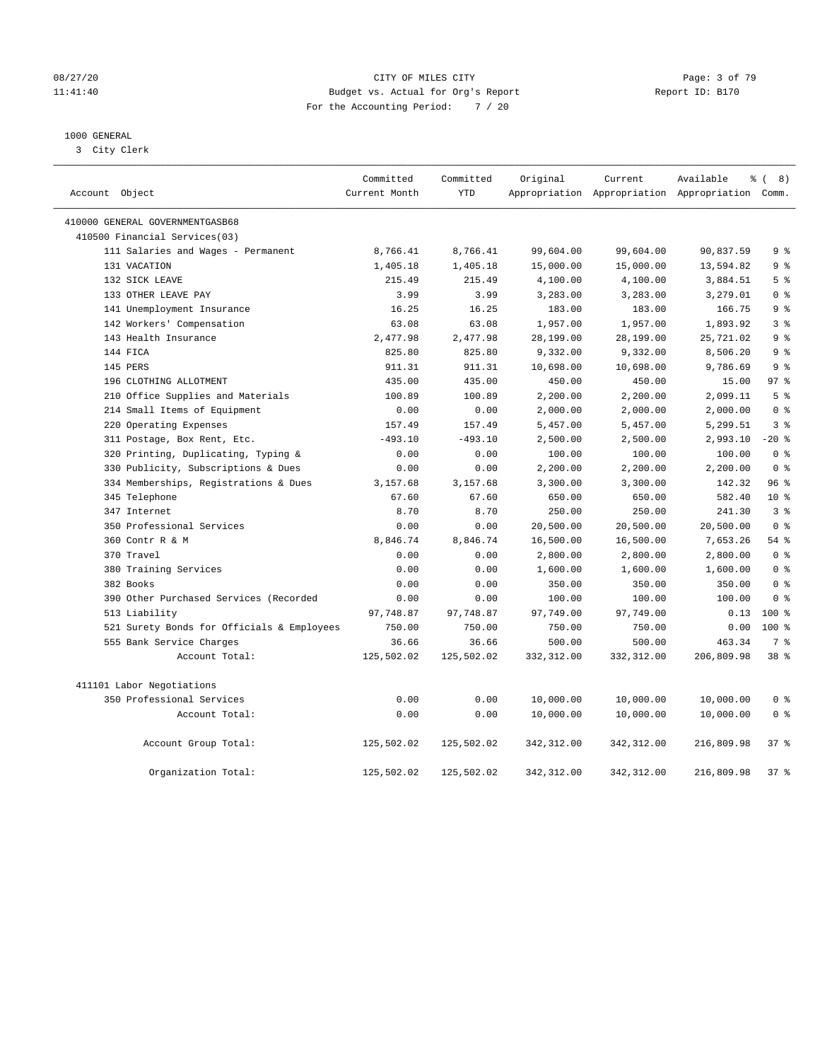#### 08/27/20 CITY OF MILES CITY Page: 3 of 79 11:41:40 Budget vs. Actual for Org's Report Report ID: B170 For the Accounting Period: 7 / 20

#### 1000 GENERAL

3 City Clerk

| Account Object                             | Committed<br>Current Month | Committed<br><b>YTD</b> | Original     | Current      | Available<br>Appropriation Appropriation Appropriation Comm. | $\frac{6}{6}$ ( 8) |
|--------------------------------------------|----------------------------|-------------------------|--------------|--------------|--------------------------------------------------------------|--------------------|
| 410000 GENERAL GOVERNMENTGASB68            |                            |                         |              |              |                                                              |                    |
| 410500 Financial Services(03)              |                            |                         |              |              |                                                              |                    |
| 111 Salaries and Wages - Permanent         | 8,766.41                   | 8,766.41                | 99,604.00    | 99,604.00    | 90,837.59                                                    | 9 <sup>°</sup>     |
| 131 VACATION                               | 1,405.18                   | 1,405.18                | 15,000.00    | 15,000.00    | 13,594.82                                                    | 9 <sup>°</sup>     |
| 132 SICK LEAVE                             | 215.49                     | 215.49                  | 4,100.00     | 4,100.00     | 3,884.51                                                     | 5 <sup>8</sup>     |
| 133 OTHER LEAVE PAY                        | 3.99                       | 3.99                    | 3,283.00     | 3,283.00     | 3,279.01                                                     | 0 <sup>8</sup>     |
| 141 Unemployment Insurance                 | 16.25                      | 16.25                   | 183.00       | 183.00       | 166.75                                                       | 9 <sup>8</sup>     |
| 142 Workers' Compensation                  | 63.08                      | 63.08                   | 1,957.00     | 1,957.00     | 1,893.92                                                     | 3 <sup>°</sup>     |
| 143 Health Insurance                       | 2,477.98                   | 2,477.98                | 28,199.00    | 28,199.00    | 25,721.02                                                    | 9 <sup>°</sup>     |
| 144 FICA                                   | 825.80                     | 825.80                  | 9,332.00     | 9,332.00     | 8,506.20                                                     | 9 <sup>°</sup>     |
| 145 PERS                                   | 911.31                     | 911.31                  | 10,698.00    | 10,698.00    | 9,786.69                                                     | 9 <sub>8</sub>     |
| 196 CLOTHING ALLOTMENT                     | 435.00                     | 435.00                  | 450.00       | 450.00       | 15.00                                                        | 97 <sub>8</sub>    |
| 210 Office Supplies and Materials          | 100.89                     | 100.89                  | 2,200.00     | 2,200.00     | 2,099.11                                                     | 5 <sup>8</sup>     |
| 214 Small Items of Equipment               | 0.00                       | 0.00                    | 2,000.00     | 2,000.00     | 2,000.00                                                     | 0 <sup>8</sup>     |
| 220 Operating Expenses                     | 157.49                     | 157.49                  | 5,457.00     | 5,457.00     | 5,299.51                                                     | 3%                 |
| 311 Postage, Box Rent, Etc.                | $-493.10$                  | $-493.10$               | 2,500.00     | 2,500.00     | 2,993.10                                                     | $-20$ %            |
| 320 Printing, Duplicating, Typing &        | 0.00                       | 0.00                    | 100.00       | 100.00       | 100.00                                                       | 0 <sup>8</sup>     |
| 330 Publicity, Subscriptions & Dues        | 0.00                       | 0.00                    | 2,200.00     | 2,200.00     | 2,200.00                                                     | 0 <sup>8</sup>     |
| 334 Memberships, Registrations & Dues      | 3,157.68                   | 3,157.68                | 3,300.00     | 3,300.00     | 142.32                                                       | 96%                |
| 345 Telephone                              | 67.60                      | 67.60                   | 650.00       | 650.00       | 582.40                                                       | 10 <sup>8</sup>    |
| 347 Internet                               | 8.70                       | 8.70                    | 250.00       | 250.00       | 241.30                                                       | 3 <sup>8</sup>     |
| 350 Professional Services                  | 0.00                       | 0.00                    | 20,500.00    | 20,500.00    | 20,500.00                                                    | 0 <sup>8</sup>     |
| 360 Contr R & M                            | 8,846.74                   | 8,846.74                | 16,500.00    | 16,500.00    | 7,653.26                                                     | 54%                |
| 370 Travel                                 | 0.00                       | 0.00                    | 2,800.00     | 2,800.00     | 2,800.00                                                     | 0 <sup>8</sup>     |
| 380 Training Services                      | 0.00                       | 0.00                    | 1,600.00     | 1,600.00     | 1,600.00                                                     | 0 <sup>8</sup>     |
| 382 Books                                  | 0.00                       | 0.00                    | 350.00       | 350.00       | 350.00                                                       | 0 <sup>8</sup>     |
| 390 Other Purchased Services (Recorded     | 0.00                       | 0.00                    | 100.00       | 100.00       | 100.00                                                       | 0 <sup>8</sup>     |
| 513 Liability                              | 97,748.87                  | 97,748.87               | 97,749.00    | 97,749.00    | 0.13                                                         | 100 <sub>8</sub>   |
| 521 Surety Bonds for Officials & Employees | 750.00                     | 750.00                  | 750.00       | 750.00       | 0.00                                                         | $100*$             |
| 555 Bank Service Charges                   | 36.66                      | 36.66                   | 500.00       | 500.00       | 463.34                                                       | 7 <sup>°</sup>     |
| Account Total:                             | 125,502.02                 | 125,502.02              | 332,312.00   | 332,312.00   | 206,809.98                                                   | 38 %               |
| 411101 Labor Negotiations                  |                            |                         |              |              |                                                              |                    |
| 350 Professional Services                  | 0.00                       | 0.00                    | 10,000.00    | 10,000.00    | 10,000.00                                                    | 0 <sup>8</sup>     |
| Account Total:                             | 0.00                       | 0.00                    | 10,000.00    | 10,000.00    | 10,000.00                                                    | 0 <sup>8</sup>     |
| Account Group Total:                       | 125,502.02                 | 125,502.02              | 342,312.00   | 342,312.00   | 216,809.98                                                   | 37%                |
| Organization Total:                        | 125,502.02                 | 125,502.02              | 342, 312, 00 | 342, 312, 00 | 216,809.98                                                   | 378                |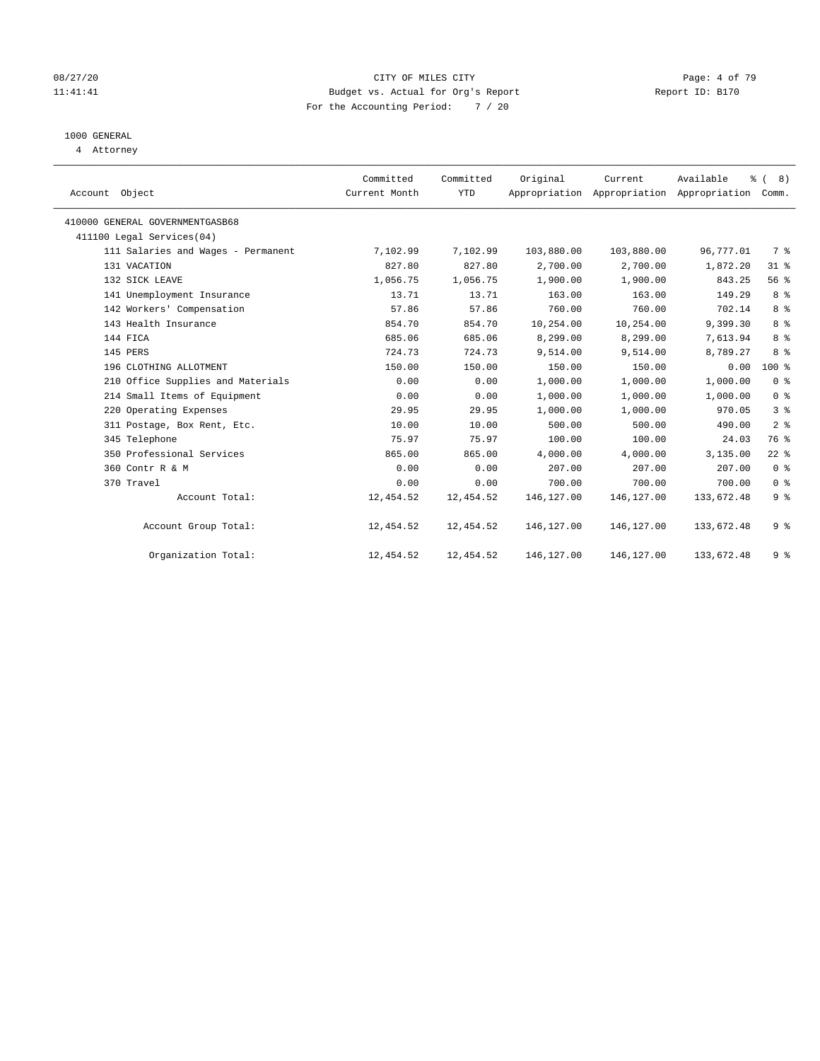#### 08/27/20 CITY OF MILES CITY Page: 4 of 79 11:41:41 Budget vs. Actual for Org's Report Changer Report ID: B170 For the Accounting Period: 7 / 20

#### 1000 GENERAL

4 Attorney

| Account Object |                                    | Committed<br>Current Month | Committed<br><b>YTD</b> | Original   | Current<br>Appropriation Appropriation Appropriation | Available  | $\frac{6}{6}$ ( 8)<br>Comm. |  |
|----------------|------------------------------------|----------------------------|-------------------------|------------|------------------------------------------------------|------------|-----------------------------|--|
|                | 410000 GENERAL GOVERNMENTGASB68    |                            |                         |            |                                                      |            |                             |  |
|                | 411100 Legal Services(04)          |                            |                         |            |                                                      |            |                             |  |
|                | 111 Salaries and Wages - Permanent | 7,102.99                   | 7,102.99                | 103,880.00 | 103,880.00                                           | 96,777.01  | 7 %                         |  |
|                | 131 VACATION                       | 827.80                     | 827.80                  | 2,700.00   | 2,700.00                                             | 1,872.20   | $31$ %                      |  |
|                | 132 SICK LEAVE                     | 1,056.75                   | 1,056.75                | 1,900.00   | 1,900.00                                             | 843.25     | 56 %                        |  |
|                | 141 Unemployment Insurance         | 13.71                      | 13.71                   | 163.00     | 163.00                                               | 149.29     | 8 %                         |  |
|                | 142 Workers' Compensation          | 57.86                      | 57.86                   | 760.00     | 760.00                                               | 702.14     | 8 <sup>°</sup>              |  |
|                | 143 Health Insurance               | 854.70                     | 854.70                  | 10,254.00  | 10,254.00                                            | 9,399.30   | 8 <sup>°</sup>              |  |
|                | 144 FICA                           | 685.06                     | 685.06                  | 8,299.00   | 8,299.00                                             | 7,613.94   | 8 %                         |  |
|                | 145 PERS                           | 724.73                     | 724.73                  | 9,514.00   | 9,514.00                                             | 8,789.27   | 8 %                         |  |
|                | 196 CLOTHING ALLOTMENT             | 150.00                     | 150.00                  | 150.00     | 150.00                                               | 0.00       | $100*$                      |  |
|                | 210 Office Supplies and Materials  | 0.00                       | 0.00                    | 1,000.00   | 1,000.00                                             | 1,000.00   | 0 <sup>8</sup>              |  |
|                | 214 Small Items of Equipment       | 0.00                       | 0.00                    | 1,000.00   | 1,000.00                                             | 1,000.00   | 0 <sup>8</sup>              |  |
|                | 220 Operating Expenses             | 29.95                      | 29.95                   | 1,000.00   | 1,000.00                                             | 970.05     | 3 <sup>°</sup>              |  |
|                | 311 Postage, Box Rent, Etc.        | 10.00                      | 10.00                   | 500.00     | 500.00                                               | 490.00     | 2 <sup>°</sup>              |  |
|                | 345 Telephone                      | 75.97                      | 75.97                   | 100.00     | 100.00                                               | 24.03      | 76 %                        |  |
|                | 350 Professional Services          | 865.00                     | 865.00                  | 4,000.00   | 4,000.00                                             | 3,135.00   | $22$ %                      |  |
|                | 360 Contr R & M                    | 0.00                       | 0.00                    | 207.00     | 207.00                                               | 207.00     | 0 <sup>8</sup>              |  |
|                | 370 Travel                         | 0.00                       | 0.00                    | 700.00     | 700.00                                               | 700.00     | 0 <sup>8</sup>              |  |
|                | Account Total:                     | 12,454.52                  | 12,454.52               | 146,127.00 | 146, 127.00                                          | 133,672.48 | 9 <sup>°</sup>              |  |
|                | Account Group Total:               | 12,454.52                  | 12,454.52               | 146,127.00 | 146,127.00                                           | 133,672.48 | 9 <sup>°</sup>              |  |
|                | Organization Total:                | 12,454.52                  | 12,454.52               | 146,127.00 | 146,127.00                                           | 133,672.48 | 9 <sup>°</sup>              |  |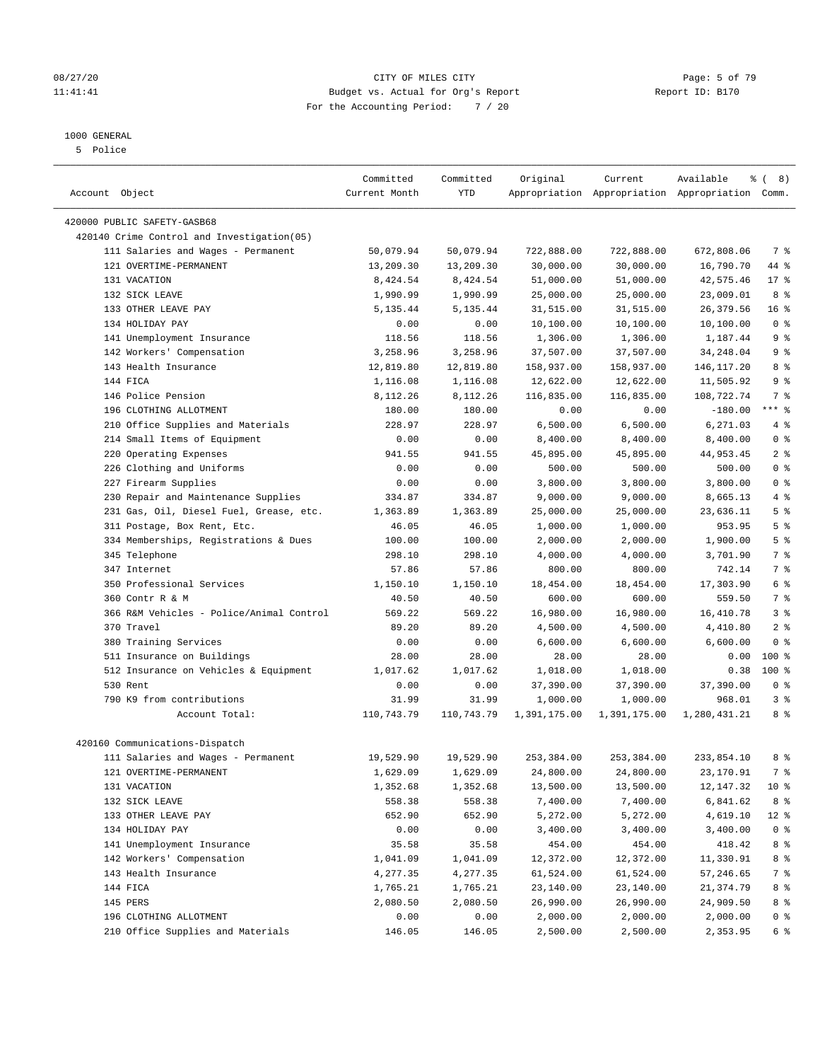#### 08/27/20 Page: 5 of 79 11:41:41 Budget vs. Actual for Org's Report Changer Report ID: B170 For the Accounting Period: 7 / 20

————————————————————————————————————————————————————————————————————————————————————————————————————————————————————————————————————

#### 1000 GENERAL

5 Police

|                                            | Committed     | Committed  | Original     | Current      | Available<br>နွ                                 | 8)<br>$\left($  |
|--------------------------------------------|---------------|------------|--------------|--------------|-------------------------------------------------|-----------------|
| Account Object                             | Current Month | YTD        |              |              | Appropriation Appropriation Appropriation Comm. |                 |
| 420000 PUBLIC SAFETY-GASB68                |               |            |              |              |                                                 |                 |
| 420140 Crime Control and Investigation(05) |               |            |              |              |                                                 |                 |
| 111 Salaries and Wages - Permanent         | 50,079.94     | 50,079.94  | 722,888.00   | 722,888.00   | 672,808.06                                      | 7 %             |
| 121 OVERTIME-PERMANENT                     | 13,209.30     | 13,209.30  | 30,000.00    | 30,000.00    | 16,790.70                                       | 44 %            |
| 131 VACATION                               | 8,424.54      | 8,424.54   | 51,000.00    | 51,000.00    | 42,575.46                                       | $17*$           |
| 132 SICK LEAVE                             | 1,990.99      | 1,990.99   | 25,000.00    | 25,000.00    | 23,009.01                                       | 8 %             |
| 133 OTHER LEAVE PAY                        | 5,135.44      | 5,135.44   | 31,515.00    | 31,515.00    | 26,379.56                                       | 16 <sup>°</sup> |
| 134 HOLIDAY PAY                            | 0.00          | 0.00       | 10,100.00    | 10,100.00    | 10,100.00                                       | 0 <sup>8</sup>  |
| 141 Unemployment Insurance                 | 118.56        | 118.56     | 1,306.00     | 1,306.00     | 1,187.44                                        | 9 <sup>°</sup>  |
| 142 Workers' Compensation                  | 3,258.96      | 3,258.96   | 37,507.00    | 37,507.00    | 34,248.04                                       | 9 <sup>°</sup>  |
| 143 Health Insurance                       | 12,819.80     | 12,819.80  | 158,937.00   | 158,937.00   | 146,117.20                                      | 8 %             |
| 144 FICA                                   | 1,116.08      | 1,116.08   | 12,622.00    | 12,622.00    | 11,505.92                                       | 9 <sup>°</sup>  |
| 146 Police Pension                         | 8,112.26      | 8,112.26   | 116,835.00   | 116,835.00   | 108,722.74                                      | 7 %             |
| 196 CLOTHING ALLOTMENT                     | 180.00        | 180.00     | 0.00         | 0.00         | $-180.00$                                       | $***$ $%$       |
| 210 Office Supplies and Materials          | 228.97        | 228.97     | 6,500.00     | 6,500.00     | 6,271.03                                        | 4 %             |
| 214 Small Items of Equipment               | 0.00          | 0.00       | 8,400.00     | 8,400.00     | 8,400.00                                        | 0 <sup>8</sup>  |
| 220 Operating Expenses                     | 941.55        | 941.55     | 45,895.00    | 45,895.00    | 44,953.45                                       | 2 <sup>°</sup>  |
| 226 Clothing and Uniforms                  | 0.00          | 0.00       | 500.00       | 500.00       | 500.00                                          | 0 <sup>8</sup>  |
| 227 Firearm Supplies                       | 0.00          | 0.00       | 3,800.00     | 3,800.00     | 3,800.00                                        | 0 <sup>8</sup>  |
| 230 Repair and Maintenance Supplies        | 334.87        | 334.87     | 9,000.00     | 9,000.00     | 8,665.13                                        | 4%              |
| 231 Gas, Oil, Diesel Fuel, Grease, etc.    | 1,363.89      | 1,363.89   | 25,000.00    | 25,000.00    | 23,636.11                                       | 5 <sup>°</sup>  |
| 311 Postage, Box Rent, Etc.                | 46.05         | 46.05      | 1,000.00     | 1,000.00     | 953.95                                          | 5 <sup>8</sup>  |
| 334 Memberships, Registrations & Dues      | 100.00        | 100.00     | 2,000.00     | 2,000.00     | 1,900.00                                        | 5 <sup>°</sup>  |
| 345 Telephone                              | 298.10        | 298.10     | 4,000.00     | 4,000.00     | 3,701.90                                        | 7 %             |
| 347 Internet                               | 57.86         | 57.86      | 800.00       | 800.00       | 742.14                                          | 7 %             |
| 350 Professional Services                  | 1,150.10      | 1,150.10   | 18,454.00    | 18,454.00    | 17,303.90                                       | 6 %             |
| 360 Contr R & M                            | 40.50         | 40.50      | 600.00       | 600.00       | 559.50                                          | 7 %             |
| 366 R&M Vehicles - Police/Animal Control   | 569.22        | 569.22     | 16,980.00    | 16,980.00    | 16,410.78                                       | 3%              |
| 370 Travel                                 | 89.20         | 89.20      | 4,500.00     | 4,500.00     | 4,410.80                                        | 2 <sup>°</sup>  |
| 380 Training Services                      | 0.00          | 0.00       | 6,600.00     | 6,600.00     | 6,600.00                                        | 0 <sup>8</sup>  |
| 511 Insurance on Buildings                 | 28.00         | 28.00      | 28.00        | 28.00        | 0.00                                            | $100*$          |
| 512 Insurance on Vehicles & Equipment      | 1,017.62      | 1,017.62   | 1,018.00     | 1,018.00     | 0.38                                            | $100*$          |
| 530 Rent                                   | 0.00          | 0.00       | 37,390.00    | 37,390.00    | 37,390.00                                       | 0 <sup>8</sup>  |
| 790 K9 from contributions                  | 31.99         | 31.99      | 1,000.00     | 1,000.00     | 968.01                                          | 3%              |
| Account Total:                             | 110,743.79    | 110,743.79 | 1,391,175.00 | 1,391,175.00 | 1,280,431.21                                    | 8 %             |
|                                            |               |            |              |              |                                                 |                 |
| 420160 Communications-Dispatch             |               |            |              |              |                                                 |                 |
| 111 Salaries and Wages - Permanent         | 19,529.90     | 19,529.90  | 253,384.00   | 253,384.00   | 233,854.10                                      | 8 %             |
| 121 OVERTIME-PERMANENT                     | 1,629.09      | 1,629.09   | 24,800.00    | 24,800.00    | 23,170.91                                       | 7 %             |
| 131 VACATION                               | 1,352.68      | 1,352.68   | 13,500.00    | 13,500.00    | 12,147.32                                       | 10 <sub>8</sub> |
| 132 SICK LEAVE                             | 558.38        | 558.38     | 7,400.00     | 7,400.00     | 6,841.62                                        | 8 %             |
| 133 OTHER LEAVE PAY                        | 652.90        | 652.90     | 5,272.00     | 5,272.00     | 4,619.10                                        | $12$ %          |
| 134 HOLIDAY PAY                            | 0.00          | 0.00       | 3,400.00     | 3,400.00     | 3,400.00                                        | 0 <sup>8</sup>  |
| 141 Unemployment Insurance                 | 35.58         | 35.58      | 454.00       | 454.00       | 418.42                                          | 8 %             |
| 142 Workers' Compensation                  | 1,041.09      | 1,041.09   | 12,372.00    | 12,372.00    | 11,330.91                                       | 8 %             |
| 143 Health Insurance                       | 4,277.35      | 4,277.35   | 61,524.00    | 61,524.00    | 57,246.65                                       | 7 %             |
| 144 FICA                                   | 1,765.21      | 1,765.21   | 23,140.00    | 23,140.00    | 21,374.79                                       | 8 %             |
| 145 PERS                                   | 2,080.50      | 2,080.50   | 26,990.00    | 26,990.00    | 24,909.50                                       | 8 %             |
| 196 CLOTHING ALLOTMENT                     | 0.00          | 0.00       | 2,000.00     | 2,000.00     | 2,000.00                                        | 0 %             |
| 210 Office Supplies and Materials          | 146.05        | 146.05     | 2,500.00     | 2,500.00     | 2,353.95                                        | 6 %             |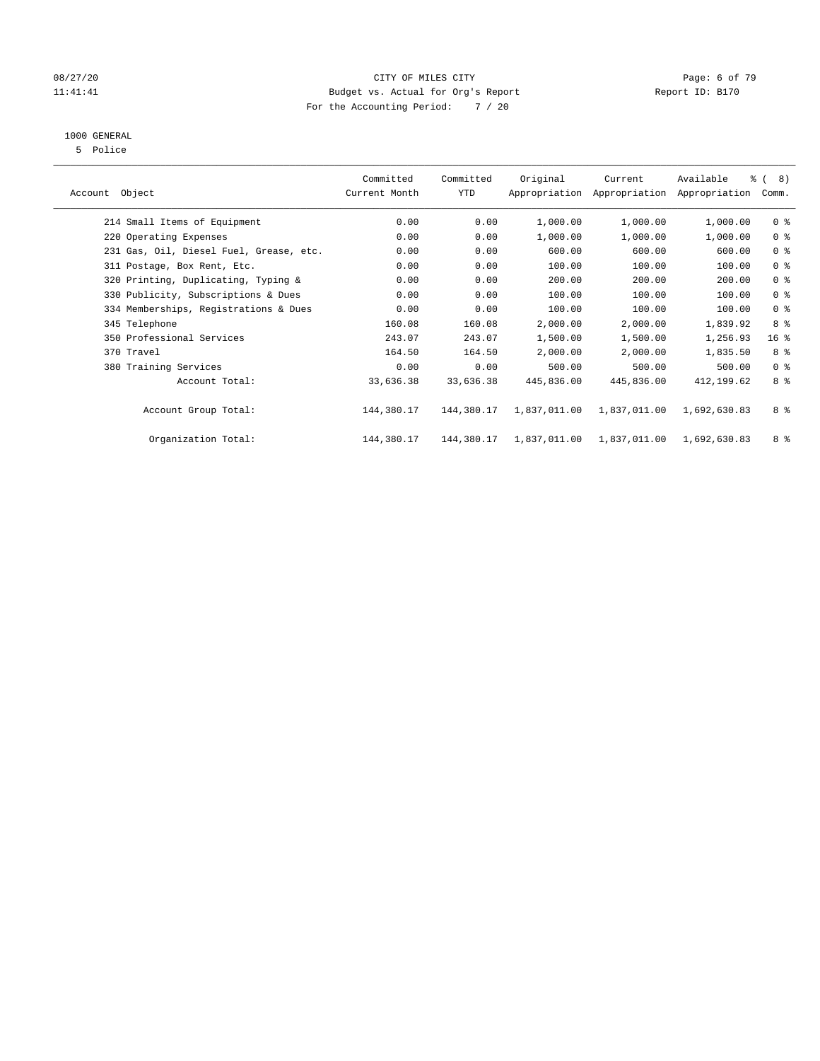#### 08/27/20 Page: 6 of 79 11:41:41 Budget vs. Actual for Org's Report Changer Report ID: B170 For the Accounting Period: 7 / 20

### 1000 GENERAL

5 Police

| Object<br>Account                       | Committed<br>Current Month | Committed<br><b>YTD</b> | Original     | Current<br>Appropriation Appropriation | Available<br>Appropriation | % ( 8)<br>Comm. |
|-----------------------------------------|----------------------------|-------------------------|--------------|----------------------------------------|----------------------------|-----------------|
| 214 Small Items of Equipment            | 0.00                       | 0.00                    | 1,000.00     | 1,000.00                               | 1,000.00                   | 0 <sub>8</sub>  |
| 220 Operating Expenses                  | 0.00                       | 0.00                    | 1,000.00     | 1,000.00                               | 1,000.00                   | 0 <sup>8</sup>  |
| 231 Gas, Oil, Diesel Fuel, Grease, etc. | 0.00                       | 0.00                    | 600.00       | 600.00                                 | 600.00                     | 0 <sup>8</sup>  |
| 311 Postage, Box Rent, Etc.             | 0.00                       | 0.00                    | 100.00       | 100.00                                 | 100.00                     | 0 <sup>8</sup>  |
| 320 Printing, Duplicating, Typing &     | 0.00                       | 0.00                    | 200.00       | 200.00                                 | 200.00                     | 0 <sup>8</sup>  |
| 330 Publicity, Subscriptions & Dues     | 0.00                       | 0.00                    | 100.00       | 100.00                                 | 100.00                     | 0 <sup>8</sup>  |
| 334 Memberships, Registrations & Dues   | 0.00                       | 0.00                    | 100.00       | 100.00                                 | 100.00                     | 0 <sup>8</sup>  |
| 345 Telephone                           | 160.08                     | 160.08                  | 2,000.00     | 2,000.00                               | 1,839.92                   | 8 %             |
| 350 Professional Services               | 243.07                     | 243.07                  | 1,500.00     | 1,500.00                               | 1,256.93                   | 16 <sup>°</sup> |
| 370 Travel                              | 164.50                     | 164.50                  | 2,000.00     | 2,000.00                               | 1,835.50                   | 8 %             |
| 380 Training Services                   | 0.00                       | 0.00                    | 500.00       | 500.00                                 | 500.00                     | 0 <sup>8</sup>  |
| Account Total:                          | 33,636.38                  | 33,636.38               | 445,836.00   | 445,836.00                             | 412,199.62                 | 8 %             |
| Account Group Total:                    | 144,380.17                 | 144,380.17              | 1,837,011.00 | 1,837,011.00                           | 1,692,630.83               | 8 %             |
| Organization Total:                     | 144,380.17                 | 144,380.17              | 1,837,011.00 | 1,837,011.00                           | 1,692,630.83               | 8 %             |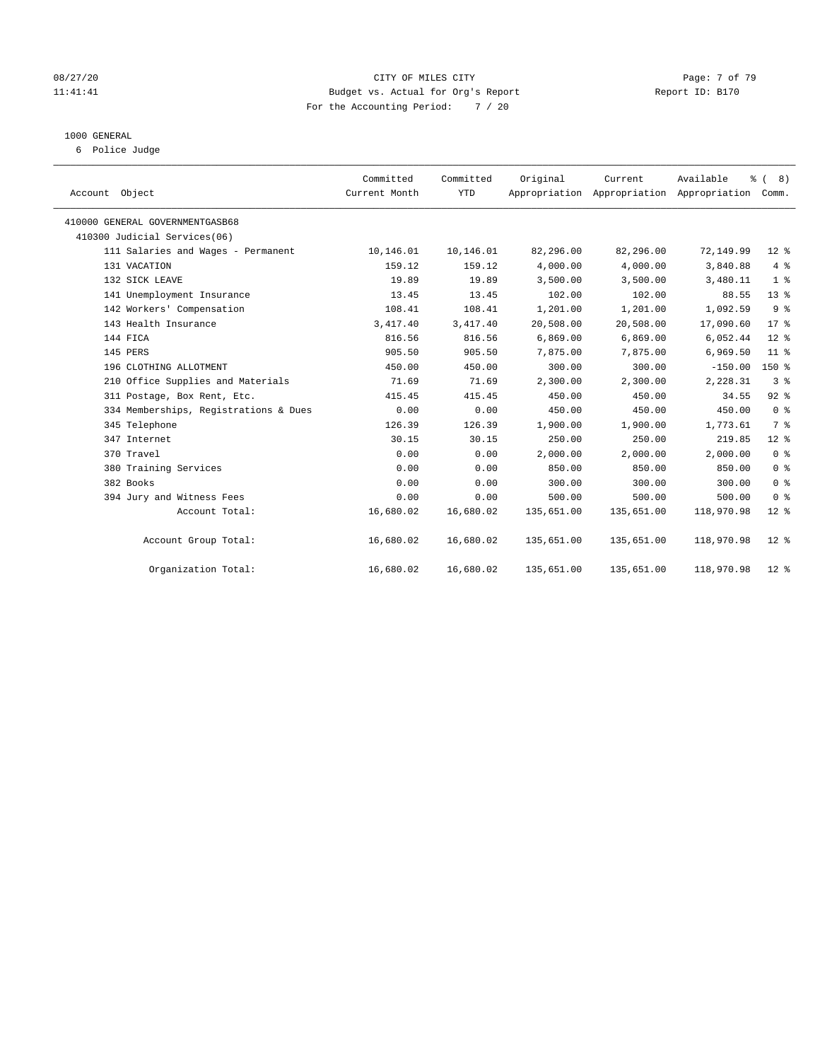#### 08/27/20 **Page: 7 of 79** CITY OF MILES CITY CITY CONTROL Page: 7 of 79 11:41:41 Budget vs. Actual for Org's Report Changer Report ID: B170 For the Accounting Period: 7 / 20

#### 1000 GENERAL

6 Police Judge

|                                       | Committed     | Committed  | Original   | Current                                   | Available  | $\frac{6}{6}$ ( 8) |
|---------------------------------------|---------------|------------|------------|-------------------------------------------|------------|--------------------|
| Account Object                        | Current Month | <b>YTD</b> |            | Appropriation Appropriation Appropriation |            | Comm.              |
| 410000 GENERAL GOVERNMENTGASB68       |               |            |            |                                           |            |                    |
| 410300 Judicial Services(06)          |               |            |            |                                           |            |                    |
| 111 Salaries and Wages - Permanent    | 10,146.01     | 10,146.01  | 82,296.00  | 82,296.00                                 | 72,149.99  | $12*$              |
| 131 VACATION                          | 159.12        | 159.12     | 4,000.00   | 4,000.00                                  | 3,840.88   | 4%                 |
| 132 SICK LEAVE                        | 19.89         | 19.89      | 3,500.00   | 3,500.00                                  | 3,480.11   | 1 <sup>8</sup>     |
| 141 Unemployment Insurance            | 13.45         | 13.45      | 102.00     | 102.00                                    | 88.55      | $13*$              |
| 142 Workers' Compensation             | 108.41        | 108.41     | 1,201.00   | 1,201.00                                  | 1,092.59   | 9 <sup>°</sup>     |
| 143 Health Insurance                  | 3,417.40      | 3,417.40   | 20,508.00  | 20,508.00                                 | 17,090.60  | $17*$              |
| 144 FICA                              | 816.56        | 816.56     | 6,869.00   | 6,869.00                                  | 6,052.44   | $12*$              |
| 145 PERS                              | 905.50        | 905.50     | 7,875.00   | 7,875.00                                  | 6,969.50   | $11$ %             |
| 196 CLOTHING ALLOTMENT                | 450.00        | 450.00     | 300.00     | 300.00                                    | $-150.00$  | 150 %              |
| 210 Office Supplies and Materials     | 71.69         | 71.69      | 2,300.00   | 2,300.00                                  | 2,228.31   | 3 <sup>8</sup>     |
| 311 Postage, Box Rent, Etc.           | 415.45        | 415.45     | 450.00     | 450.00                                    | 34.55      | $92$ $%$           |
| 334 Memberships, Registrations & Dues | 0.00          | 0.00       | 450.00     | 450.00                                    | 450.00     | 0 <sup>8</sup>     |
| 345 Telephone                         | 126.39        | 126.39     | 1,900.00   | 1,900.00                                  | 1,773.61   | 7 <sup>°</sup>     |
| 347 Internet                          | 30.15         | 30.15      | 250.00     | 250.00                                    | 219.85     | $12*$              |
| 370 Travel                            | 0.00          | 0.00       | 2,000.00   | 2,000.00                                  | 2,000.00   | 0 <sup>8</sup>     |
| 380 Training Services                 | 0.00          | 0.00       | 850.00     | 850.00                                    | 850.00     | 0 <sup>8</sup>     |
| 382 Books                             | 0.00          | 0.00       | 300.00     | 300.00                                    | 300.00     | 0 <sup>8</sup>     |
| 394 Jury and Witness Fees             | 0.00          | 0.00       | 500.00     | 500.00                                    | 500.00     | 0 <sup>8</sup>     |
| Account Total:                        | 16,680.02     | 16,680.02  | 135,651.00 | 135,651.00                                | 118,970.98 | $12*$              |
| Account Group Total:                  | 16,680.02     | 16,680.02  | 135,651.00 | 135,651.00                                | 118,970.98 | $12*$              |
| Organization Total:                   | 16,680.02     | 16,680.02  | 135,651.00 | 135,651.00                                | 118,970.98 | $12*$              |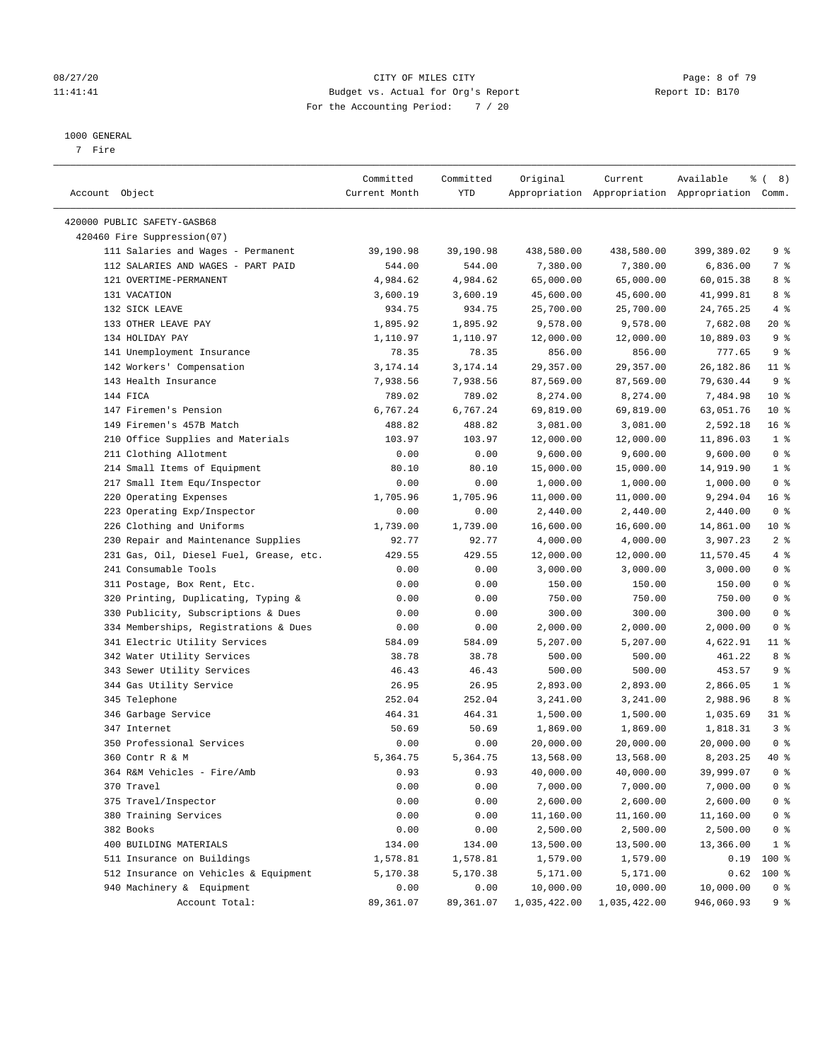#### 08/27/20 CITY OF MILES CITY Page: 8 of 79 11:41:41 Budget vs. Actual for Org's Report Changer Report ID: B170 For the Accounting Period: 7 / 20

————————————————————————————————————————————————————————————————————————————————————————————————————————————————————————————————————

#### 1000 GENERAL

7 Fire

|                                         | Committed     | Committed | Original     | Current               | Available                                       | <sub>රි</sub> ( 8 ) |
|-----------------------------------------|---------------|-----------|--------------|-----------------------|-------------------------------------------------|---------------------|
| Account Object                          | Current Month | YTD       |              |                       | Appropriation Appropriation Appropriation Comm. |                     |
| 420000 PUBLIC SAFETY-GASB68             |               |           |              |                       |                                                 |                     |
| 420460 Fire Suppression(07)             |               |           |              |                       |                                                 |                     |
| 111 Salaries and Wages - Permanent      | 39,190.98     | 39,190.98 | 438,580.00   | 438,580.00            | 399,389.02                                      | 9%                  |
| 112 SALARIES AND WAGES - PART PAID      | 544.00        | 544.00    | 7,380.00     | 7,380.00              | 6,836.00                                        | 7 %                 |
| 121 OVERTIME-PERMANENT                  | 4,984.62      | 4,984.62  | 65,000.00    | 65,000.00             | 60,015.38                                       | 8 %                 |
| 131 VACATION                            |               |           |              |                       |                                                 | 8 %                 |
|                                         | 3,600.19      | 3,600.19  | 45,600.00    | 45,600.00             | 41,999.81                                       |                     |
| 132 SICK LEAVE                          | 934.75        | 934.75    | 25,700.00    | 25,700.00<br>9,578.00 | 24,765.25<br>7,682.08                           | 4%                  |
| 133 OTHER LEAVE PAY<br>134 HOLIDAY PAY  | 1,895.92      | 1,895.92  | 9,578.00     |                       | 10,889.03                                       | $20*$<br>9%         |
|                                         | 1,110.97      | 1,110.97  | 12,000.00    | 12,000.00             |                                                 |                     |
| 141 Unemployment Insurance              | 78.35         | 78.35     | 856.00       | 856.00                | 777.65                                          | 9%                  |
| 142 Workers' Compensation               | 3,174.14      | 3,174.14  | 29,357.00    | 29,357.00             | 26,182.86                                       | $11$ %              |
| 143 Health Insurance                    | 7,938.56      | 7,938.56  | 87,569.00    | 87,569.00             | 79,630.44                                       | 9%                  |
| 144 FICA                                | 789.02        | 789.02    | 8,274.00     | 8,274.00              | 7,484.98                                        | $10*$               |
| 147 Firemen's Pension                   | 6,767.24      | 6,767.24  | 69,819.00    | 69,819.00             | 63,051.76                                       | $10*$               |
| 149 Firemen's 457B Match                | 488.82        | 488.82    | 3,081.00     | 3,081.00              | 2,592.18                                        | 16 <sup>°</sup>     |
| 210 Office Supplies and Materials       | 103.97        | 103.97    | 12,000.00    | 12,000.00             | 11,896.03                                       | 1 <sup>8</sup>      |
| 211 Clothing Allotment                  | 0.00          | 0.00      | 9,600.00     | 9,600.00              | 9,600.00                                        | 0 <sup>8</sup>      |
| 214 Small Items of Equipment            | 80.10         | 80.10     | 15,000.00    | 15,000.00             | 14,919.90                                       | 1 <sup>8</sup>      |
| 217 Small Item Equ/Inspector            | 0.00          | 0.00      | 1,000.00     | 1,000.00              | 1,000.00                                        | 0 <sup>8</sup>      |
| 220 Operating Expenses                  | 1,705.96      | 1,705.96  | 11,000.00    | 11,000.00             | 9,294.04                                        | 16%                 |
| 223 Operating Exp/Inspector             | 0.00          | 0.00      | 2,440.00     | 2,440.00              | 2,440.00                                        | 0 <sup>8</sup>      |
| 226 Clothing and Uniforms               | 1,739.00      | 1,739.00  | 16,600.00    | 16,600.00             | 14,861.00                                       | $10*$               |
| 230 Repair and Maintenance Supplies     | 92.77         | 92.77     | 4,000.00     | 4,000.00              | 3,907.23                                        | 2 <sup>°</sup>      |
| 231 Gas, Oil, Diesel Fuel, Grease, etc. | 429.55        | 429.55    | 12,000.00    | 12,000.00             | 11,570.45                                       | 4%                  |
| 241 Consumable Tools                    | 0.00          | 0.00      | 3,000.00     | 3,000.00              | 3,000.00                                        | 0 <sup>8</sup>      |
| 311 Postage, Box Rent, Etc.             | 0.00          | 0.00      | 150.00       | 150.00                | 150.00                                          | 0 <sup>8</sup>      |
| 320 Printing, Duplicating, Typing &     | 0.00          | 0.00      | 750.00       | 750.00                | 750.00                                          | 0 <sup>8</sup>      |
| 330 Publicity, Subscriptions & Dues     | 0.00          | 0.00      | 300.00       | 300.00                | 300.00                                          | 0 <sup>8</sup>      |
| 334 Memberships, Registrations & Dues   | 0.00          | 0.00      | 2,000.00     | 2,000.00              | 2,000.00                                        | 0 <sup>8</sup>      |
| 341 Electric Utility Services           | 584.09        | 584.09    | 5,207.00     | 5,207.00              | 4,622.91                                        | $11$ %              |
| 342 Water Utility Services              | 38.78         | 38.78     | 500.00       | 500.00                | 461.22                                          | 8 %                 |
| 343 Sewer Utility Services              | 46.43         | 46.43     | 500.00       | 500.00                | 453.57                                          | 9 <sub>8</sub>      |
| 344 Gas Utility Service                 | 26.95         | 26.95     | 2,893.00     | 2,893.00              | 2,866.05                                        | 1 <sup>8</sup>      |
| 345 Telephone                           | 252.04        | 252.04    | 3,241.00     | 3,241.00              | 2,988.96                                        | 8 %                 |
| 346 Garbage Service                     | 464.31        | 464.31    | 1,500.00     | 1,500.00              | 1,035.69                                        | 31 %                |
| 347 Internet                            | 50.69         | 50.69     | 1,869.00     | 1,869.00              | 1,818.31                                        | 3%                  |
| 350 Professional Services               | 0.00          | 0.00      | 20,000.00    | 20,000.00             | 20,000.00                                       | 0 <sup>8</sup>      |
| 360 Contr R & M                         | 5,364.75      | 5,364.75  | 13,568.00    | 13,568.00             | 8,203.25                                        | 40 %                |
| 364 R&M Vehicles - Fire/Amb             | 0.93          | 0.93      | 40,000.00    | 40,000.00             | 39,999.07                                       | 0 <sup>8</sup>      |
| 370 Travel                              | 0.00          | 0.00      | 7,000.00     | 7,000.00              | 7,000.00                                        | 0 <sup>8</sup>      |
| 375 Travel/Inspector                    | 0.00          | 0.00      | 2,600.00     | 2,600.00              | 2,600.00                                        | 0 <sup>8</sup>      |
| 380 Training Services                   | 0.00          | 0.00      | 11,160.00    | 11,160.00             | 11,160.00                                       | 0 <sup>8</sup>      |
| 382 Books                               | 0.00          | 0.00      | 2,500.00     | 2,500.00              | 2,500.00                                        | 0 <sup>8</sup>      |
| 400 BUILDING MATERIALS                  | 134.00        | 134.00    | 13,500.00    | 13,500.00             | 13,366.00                                       | $1$ %               |
| 511 Insurance on Buildings              | 1,578.81      | 1,578.81  | 1,579.00     | 1,579.00              | 0.19                                            | 100 %               |
| 512 Insurance on Vehicles & Equipment   | 5,170.38      | 5,170.38  | 5,171.00     | 5,171.00              | 0.62                                            | 100 %               |
| 940 Machinery & Equipment               | 0.00          | 0.00      | 10,000.00    | 10,000.00             | 10,000.00                                       | 0 <sup>8</sup>      |
| Account Total:                          | 89,361.07     | 89,361.07 | 1,035,422.00 | 1,035,422.00          | 946,060.93                                      | 9%                  |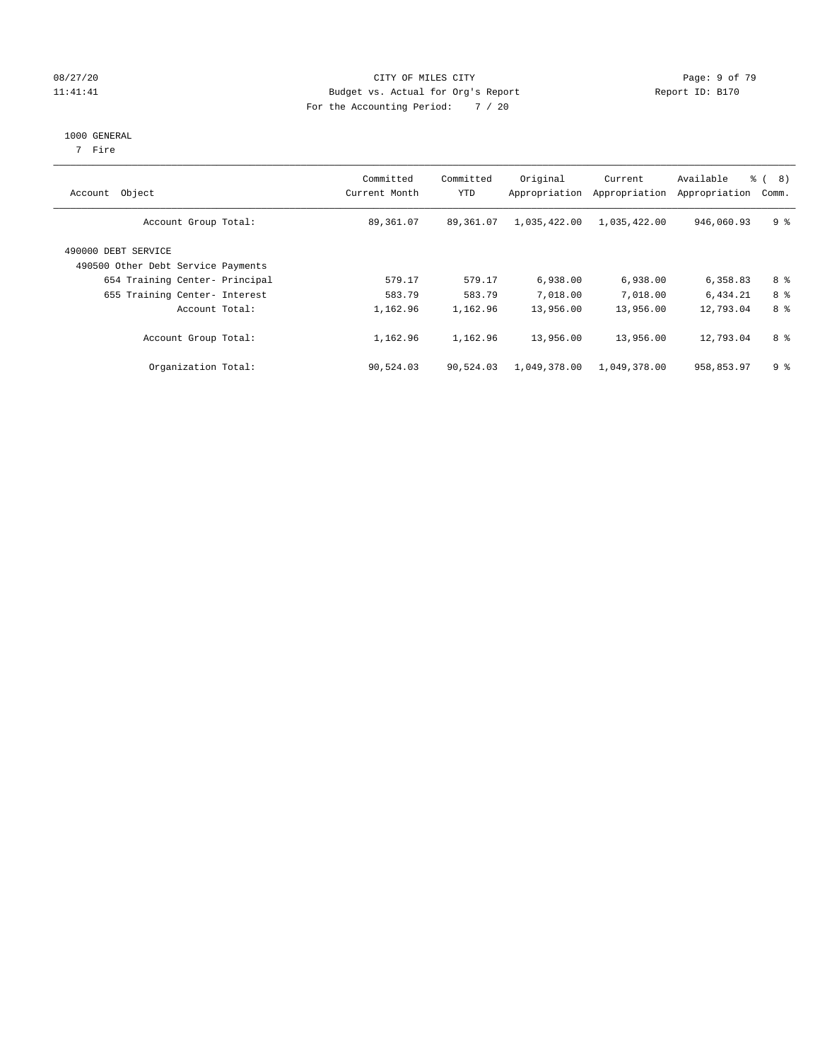#### 08/27/20 CITY OF MILES CITY Page: 9 of 79 11:41:41 Budget vs. Actual for Org's Report Changer Report ID: B170 For the Accounting Period: 7 / 20

#### 1000 GENERAL

7 Fire

| Account Object                                            | Committed<br>Current Month | Committed<br>YTD | Original<br>Appropriation | Current<br>Appropriation | Available<br>Appropriation | $\approx$ (<br>8)<br>Comm. |
|-----------------------------------------------------------|----------------------------|------------------|---------------------------|--------------------------|----------------------------|----------------------------|
| Account Group Total:                                      | 89,361.07                  | 89,361.07        | 1,035,422.00              | 1,035,422.00             | 946,060.93                 | 9 <sup>8</sup>             |
| 490000 DEBT SERVICE<br>490500 Other Debt Service Payments |                            |                  |                           |                          |                            |                            |
| 654 Training Center- Principal                            | 579.17                     | 579.17           | 6,938.00                  | 6,938.00                 | 6,358.83                   | 8 %                        |
| 655 Training Center- Interest                             | 583.79                     | 583.79           | 7,018.00                  | 7,018.00                 | 6,434.21                   | 8 %                        |
| Account Total:                                            | 1,162.96                   | 1,162.96         | 13,956.00                 | 13,956.00                | 12,793.04                  | 8 %                        |
| Account Group Total:                                      | 1,162.96                   | 1,162.96         | 13,956.00                 | 13,956.00                | 12,793.04                  | 8 %                        |
| Organization Total:                                       | 90,524.03                  | 90,524.03        | 1,049,378.00              | 1,049,378.00             | 958,853.97                 | 9 <sup>8</sup>             |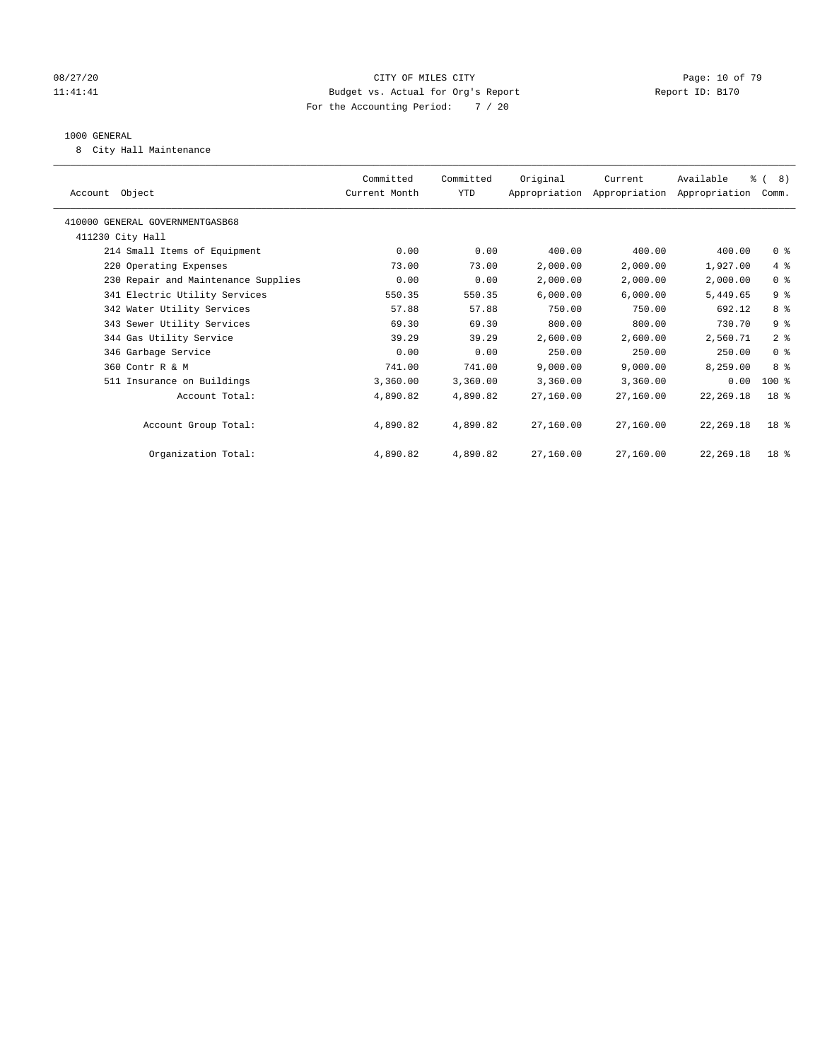#### 08/27/20 Page: 10 of 79 11:41:41 Budget vs. Actual for Org's Report Changer Report ID: B170 For the Accounting Period: 7 / 20

#### 1000 GENERAL

8 City Hall Maintenance

| Account Object                      | Committed<br>Current Month | Committed<br>YTD | Original  | Current<br>Appropriation Appropriation Appropriation | Available   | % ( 8)<br>Comm. |
|-------------------------------------|----------------------------|------------------|-----------|------------------------------------------------------|-------------|-----------------|
| 410000 GENERAL GOVERNMENTGASB68     |                            |                  |           |                                                      |             |                 |
| 411230 City Hall                    |                            |                  |           |                                                      |             |                 |
| 214 Small Items of Equipment        | 0.00                       | 0.00             | 400.00    | 400.00                                               | 400.00      | 0 <sup>8</sup>  |
| 220 Operating Expenses              | 73.00                      | 73.00            | 2,000.00  | 2,000.00                                             | 1,927.00    | 4%              |
| 230 Repair and Maintenance Supplies | 0.00                       | 0.00             | 2,000.00  | 2,000.00                                             | 2,000.00    | 0 <sup>8</sup>  |
| 341 Electric Utility Services       | 550.35                     | 550.35           | 6,000.00  | 6,000.00                                             | 5,449.65    | 9%              |
| 342 Water Utility Services          | 57.88                      | 57.88            | 750.00    | 750.00                                               | 692.12      | 8 %             |
| 343 Sewer Utility Services          | 69.30                      | 69.30            | 800.00    | 800.00                                               | 730.70      | 9%              |
| 344 Gas Utility Service             | 39.29                      | 39.29            | 2,600.00  | 2,600.00                                             | 2,560.71    | 2 <sup>8</sup>  |
| 346 Garbage Service                 | 0.00                       | 0.00             | 250.00    | 250.00                                               | 250.00      | 0 <sup>8</sup>  |
| 360 Contr R & M                     | 741.00                     | 741.00           | 9.000.00  | 9.000.00                                             | 8,259.00    | 8 %             |
| 511 Insurance on Buildings          | 3,360.00                   | 3,360.00         | 3,360.00  | 3,360.00                                             | 0.00        | $100*$          |
| Account Total:                      | 4,890.82                   | 4,890.82         | 27,160.00 | 27,160.00                                            | 22, 269. 18 | 18 <sup>8</sup> |
| Account Group Total:                | 4,890.82                   | 4,890.82         | 27,160.00 | 27,160.00                                            | 22,269.18   | 18 <sup>8</sup> |
| Organization Total:                 | 4,890.82                   | 4,890.82         | 27,160.00 | 27,160.00                                            | 22, 269. 18 | 18 <sup>8</sup> |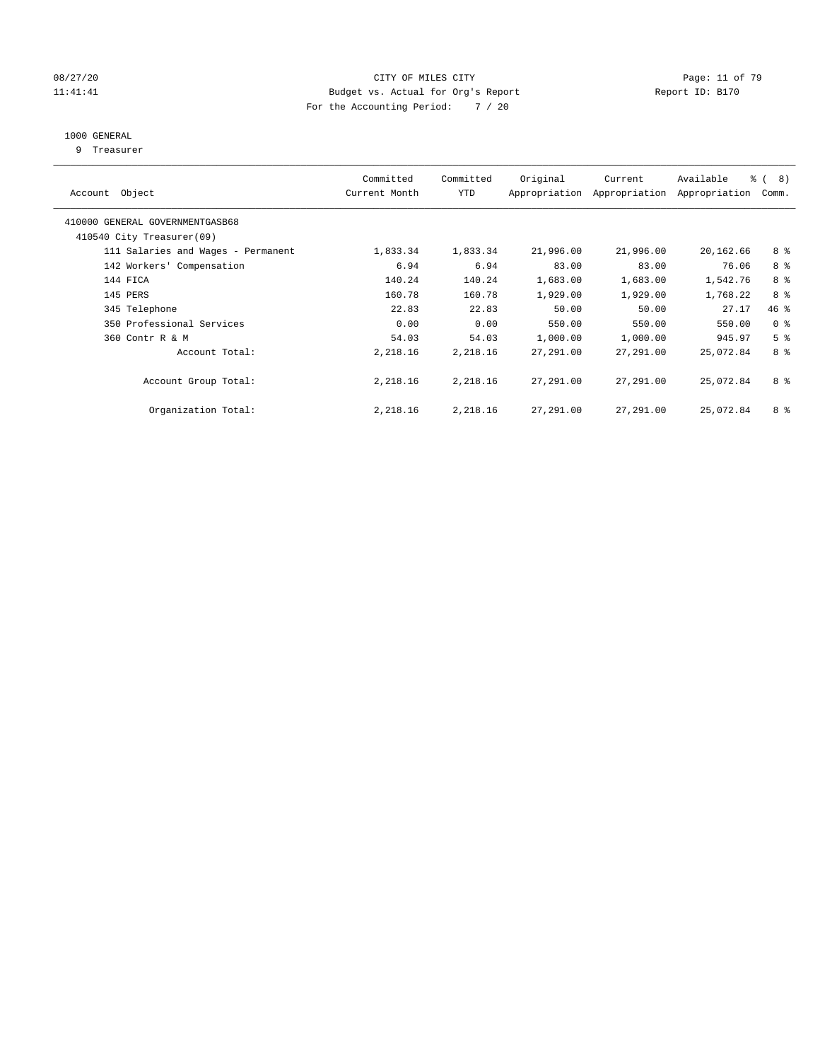#### 08/27/20 Page: 11 of 79 11:41:41 Budget vs. Actual for Org's Report Changer Report ID: B170 For the Accounting Period: 7 / 20

#### 1000 GENERAL

9 Treasurer

| Account Object                                               | Committed<br>Current Month | Committed<br><b>YTD</b> | Original  | Current<br>Appropriation Appropriation | Available<br>Appropriation | $\frac{6}{6}$ ( 8)<br>Comm. |
|--------------------------------------------------------------|----------------------------|-------------------------|-----------|----------------------------------------|----------------------------|-----------------------------|
| 410000 GENERAL GOVERNMENTGASB68<br>410540 City Treasurer(09) |                            |                         |           |                                        |                            |                             |
|                                                              |                            |                         |           |                                        |                            |                             |
| 111 Salaries and Wages - Permanent                           | 1,833.34                   | 1,833.34                | 21,996.00 | 21,996.00                              | 20,162.66                  | 8 %                         |
| 142 Workers' Compensation                                    | 6.94                       | 6.94                    | 83.00     | 83.00                                  | 76.06                      | 8 %                         |
| 144 FICA                                                     | 140.24                     | 140.24                  | 1,683.00  | 1,683.00                               | 1,542.76                   | 8 %                         |
| 145 PERS                                                     | 160.78                     | 160.78                  | 1,929.00  | 1,929.00                               | 1,768.22                   | 8 %                         |
| 345 Telephone                                                | 22.83                      | 22.83                   | 50.00     | 50.00                                  | 27.17                      | 46 %                        |
| 350 Professional Services                                    | 0.00                       | 0.00                    | 550.00    | 550.00                                 | 550.00                     | 0 <sub>8</sub>              |
| 360 Contr R & M                                              | 54.03                      | 54.03                   | 1,000.00  | 1,000.00                               | 945.97                     | 5 <sup>8</sup>              |
| Account Total:                                               | 2,218.16                   | 2,218.16                | 27,291.00 | 27,291.00                              | 25,072.84                  | 8 %                         |
| Account Group Total:                                         | 2,218.16                   | 2,218.16                | 27,291.00 | 27,291.00                              | 25,072.84                  | 8 %                         |
| Organization Total:                                          | 2,218.16                   | 2,218.16                | 27,291.00 | 27,291.00                              | 25,072.84                  | 8 %                         |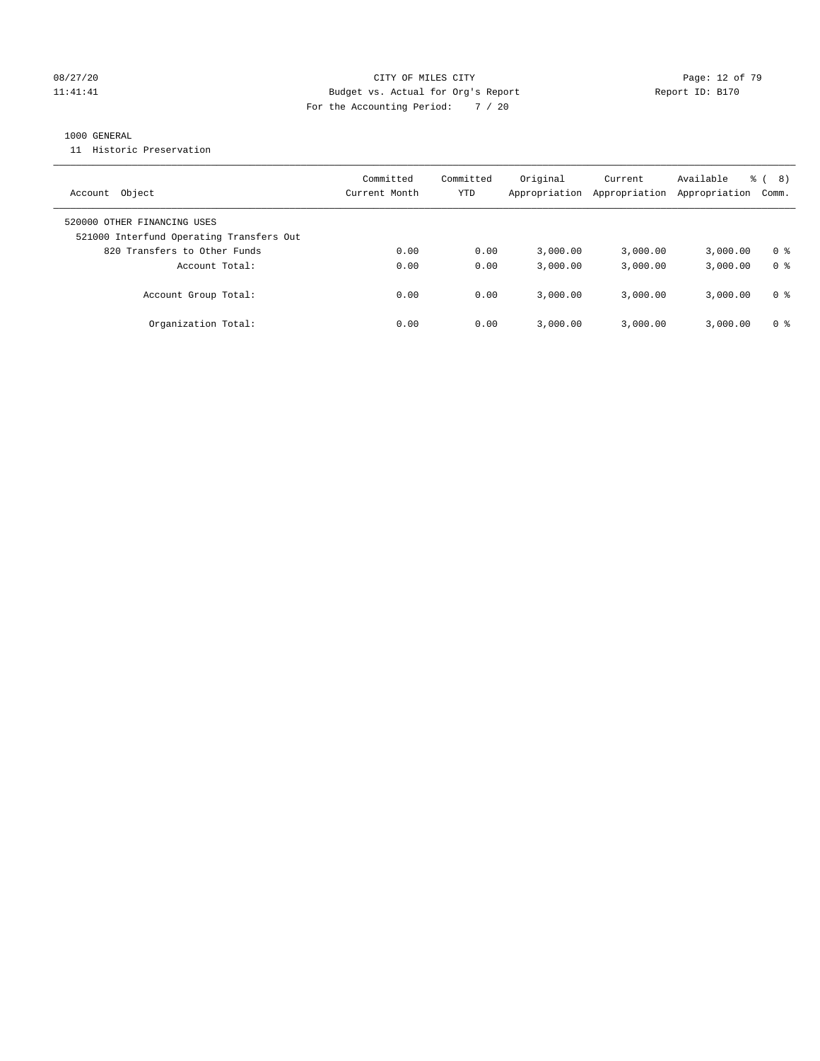#### 08/27/20 Page: 12 of 79 11:41:41 Budget vs. Actual for Org's Report Changer Report ID: B170 For the Accounting Period: 7 / 20

#### 1000 GENERAL

11 Historic Preservation

| Object<br>Account                                                       | Committed<br>Current Month | Committed<br>YTD | Original<br>Appropriation | Current<br>Appropriation | Available<br>Appropriation | 8)<br>응 (<br>Comm. |
|-------------------------------------------------------------------------|----------------------------|------------------|---------------------------|--------------------------|----------------------------|--------------------|
| 520000 OTHER FINANCING USES<br>521000 Interfund Operating Transfers Out |                            |                  |                           |                          |                            |                    |
| 820 Transfers to Other Funds                                            | 0.00                       | 0.00             | 3.000.00                  | 3,000.00                 | 3,000.00                   | 0 %                |
| Account Total:                                                          | 0.00                       | 0.00             | 3,000.00                  | 3,000.00                 | 3,000.00                   | 0 <sup>8</sup>     |
| Account Group Total:                                                    | 0.00                       | 0.00             | 3.000.00                  | 3,000.00                 | 3,000.00                   | 0 %                |
| Organization Total:                                                     | 0.00                       | 0.00             | 3.000.00                  | 3,000.00                 | 3,000.00                   | 0 %                |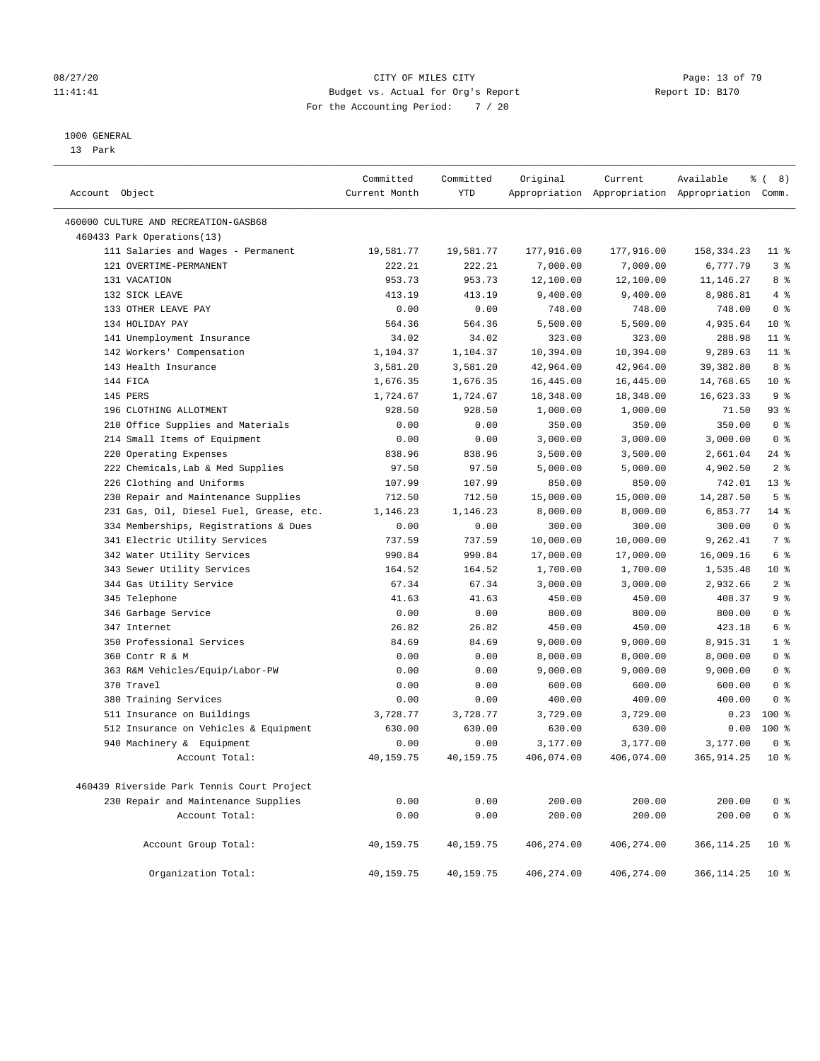#### 08/27/20 Page: 13 of 79 11:41:41 Budget vs. Actual for Org's Report Changer Report ID: B170 For the Accounting Period: 7 / 20

#### 1000 GENERAL

13 Park

| Account Object                             | Committed<br>Current Month | Committed<br>YTD | Original   | Current    | Available<br>Appropriation Appropriation Appropriation Comm. | $\frac{6}{6}$ ( 8) |
|--------------------------------------------|----------------------------|------------------|------------|------------|--------------------------------------------------------------|--------------------|
| 460000 CULTURE AND RECREATION-GASB68       |                            |                  |            |            |                                                              |                    |
| 460433 Park Operations(13)                 |                            |                  |            |            |                                                              |                    |
| 111 Salaries and Wages - Permanent         | 19,581.77                  | 19,581.77        | 177,916.00 | 177,916.00 | 158, 334. 23                                                 | $11$ %             |
| 121 OVERTIME-PERMANENT                     | 222.21                     | 222.21           | 7,000.00   | 7,000.00   | 6,777.79                                                     | 3 <sup>8</sup>     |
| 131 VACATION                               | 953.73                     | 953.73           | 12,100.00  | 12,100.00  | 11,146.27                                                    | 8%                 |
| 132 SICK LEAVE                             | 413.19                     | 413.19           | 9,400.00   | 9,400.00   | 8,986.81                                                     | 4%                 |
| 133 OTHER LEAVE PAY                        | 0.00                       | 0.00             | 748.00     | 748.00     | 748.00                                                       | 0 <sup>8</sup>     |
| 134 HOLIDAY PAY                            | 564.36                     | 564.36           | 5,500.00   | 5,500.00   | 4,935.64                                                     | $10*$              |
| 141 Unemployment Insurance                 | 34.02                      | 34.02            | 323.00     | 323.00     | 288.98                                                       | $11$ %             |
| 142 Workers' Compensation                  | 1,104.37                   | 1,104.37         | 10,394.00  | 10,394.00  | 9,289.63                                                     | $11$ %             |
| 143 Health Insurance                       | 3,581.20                   | 3,581.20         | 42,964.00  | 42,964.00  | 39,382.80                                                    | 8 %                |
| 144 FICA                                   | 1,676.35                   | 1,676.35         | 16,445.00  | 16,445.00  | 14,768.65                                                    | $10*$              |
| 145 PERS                                   | 1,724.67                   | 1,724.67         | 18,348.00  | 18,348.00  | 16,623.33                                                    | 9 <sup>°</sup>     |
| 196 CLOTHING ALLOTMENT                     | 928.50                     | 928.50           | 1,000.00   | 1,000.00   | 71.50                                                        | $93$ $%$           |
| 210 Office Supplies and Materials          | 0.00                       | 0.00             | 350.00     | 350.00     | 350.00                                                       | 0 <sup>8</sup>     |
| 214 Small Items of Equipment               | 0.00                       | 0.00             | 3,000.00   | 3,000.00   | 3,000.00                                                     | 0 <sup>8</sup>     |
| 220 Operating Expenses                     | 838.96                     | 838.96           | 3,500.00   | 3,500.00   | 2,661.04                                                     | $24$ %             |
| 222 Chemicals, Lab & Med Supplies          | 97.50                      | 97.50            | 5,000.00   | 5,000.00   | 4,902.50                                                     | 2 <sup>°</sup>     |
| 226 Clothing and Uniforms                  | 107.99                     | 107.99           | 850.00     | 850.00     | 742.01                                                       | $13*$              |
| 230 Repair and Maintenance Supplies        | 712.50                     | 712.50           | 15,000.00  | 15,000.00  | 14,287.50                                                    | 5 <sup>°</sup>     |
| 231 Gas, Oil, Diesel Fuel, Grease, etc.    | 1,146.23                   | 1,146.23         | 8,000.00   | 8,000.00   | 6,853.77                                                     | $14$ %             |
| 334 Memberships, Registrations & Dues      | 0.00                       | 0.00             | 300.00     | 300.00     | 300.00                                                       | 0 <sup>8</sup>     |
| 341 Electric Utility Services              | 737.59                     | 737.59           | 10,000.00  | 10,000.00  | 9,262.41                                                     | 7 <sup>°</sup>     |
| 342 Water Utility Services                 | 990.84                     | 990.84           | 17,000.00  | 17,000.00  | 16,009.16                                                    | 6 %                |
| 343 Sewer Utility Services                 | 164.52                     | 164.52           | 1,700.00   | 1,700.00   | 1,535.48                                                     | $10*$              |
| 344 Gas Utility Service                    | 67.34                      | 67.34            | 3,000.00   | 3,000.00   | 2,932.66                                                     | 2 <sup>°</sup>     |
| 345 Telephone                              | 41.63                      | 41.63            | 450.00     | 450.00     | 408.37                                                       | 9 <sup>°</sup>     |
| 346 Garbage Service                        | 0.00                       | 0.00             | 800.00     | 800.00     | 800.00                                                       | 0 <sup>8</sup>     |
| 347 Internet                               | 26.82                      | 26.82            | 450.00     | 450.00     | 423.18                                                       | 6 %                |
| 350 Professional Services                  | 84.69                      | 84.69            | 9,000.00   | 9,000.00   | 8,915.31                                                     | 1 <sup>°</sup>     |
| 360 Contr R & M                            | 0.00                       | 0.00             | 8,000.00   | 8,000.00   | 8,000.00                                                     | 0 <sup>8</sup>     |
| 363 R&M Vehicles/Equip/Labor-PW            | 0.00                       | 0.00             | 9,000.00   | 9,000.00   | 9,000.00                                                     | 0 <sup>8</sup>     |
| 370 Travel                                 | 0.00                       | 0.00             | 600.00     | 600.00     | 600.00                                                       | 0 <sup>8</sup>     |
| 380 Training Services                      | 0.00                       | 0.00             | 400.00     | 400.00     | 400.00                                                       | 0 <sup>8</sup>     |
| 511 Insurance on Buildings                 | 3,728.77                   | 3,728.77         | 3,729.00   | 3,729.00   | 0.23                                                         | $100*$             |
| 512 Insurance on Vehicles & Equipment      | 630.00                     | 630.00           | 630.00     | 630.00     | 0.00                                                         | $100*$             |
| 940 Machinery & Equipment                  | 0.00                       | 0.00             | 3,177.00   | 3,177.00   | 3,177.00                                                     | 0 <sup>8</sup>     |
| Account Total:                             | 40,159.75                  | 40,159.75        | 406,074.00 | 406,074.00 | 365, 914.25                                                  | $10*$              |
| 460439 Riverside Park Tennis Court Project |                            |                  |            |            |                                                              |                    |
| 230 Repair and Maintenance Supplies        | 0.00                       | 0.00             | 200.00     | 200.00     | 200.00                                                       | 0 <sup>8</sup>     |
| Account Total:                             | 0.00                       | 0.00             | 200.00     | 200.00     | 200.00                                                       | 0 <sup>°</sup>     |
| Account Group Total:                       | 40,159.75                  | 40,159.75        | 406,274.00 | 406,274.00 | 366, 114.25                                                  | $10*$              |
| Organization Total:                        | 40,159.75                  | 40,159.75        | 406,274.00 | 406,274.00 | 366,114.25                                                   | 10 <sup>8</sup>    |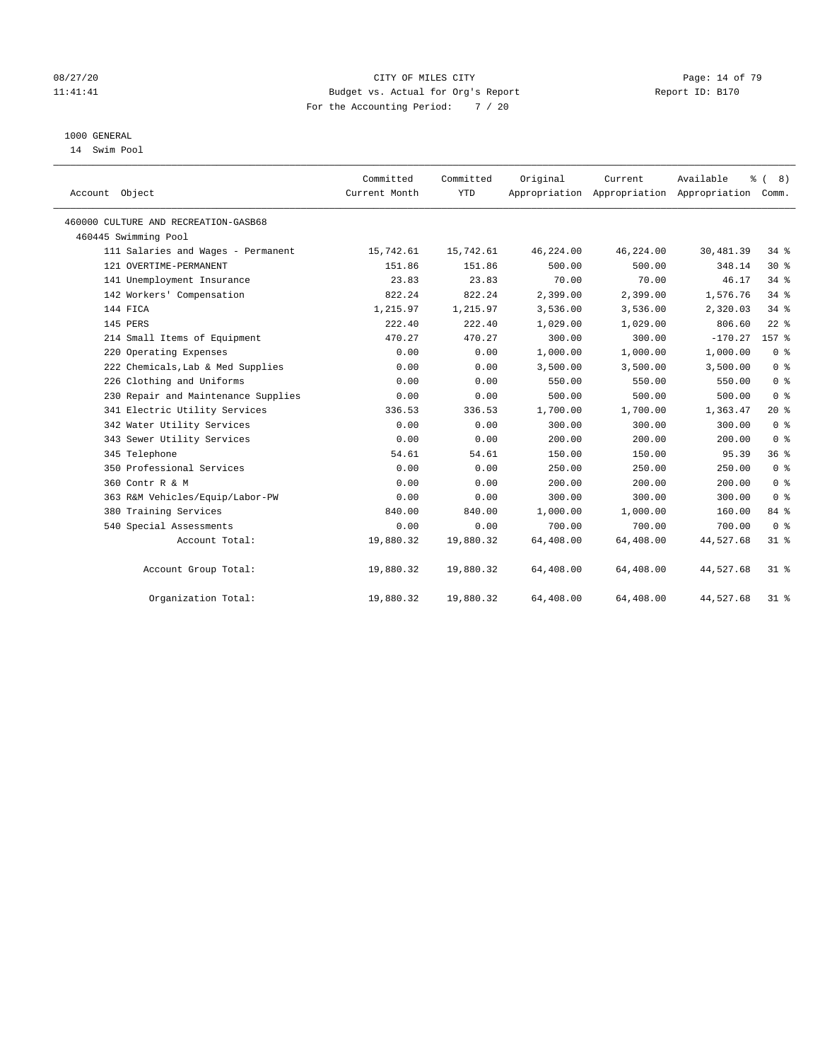#### 08/27/20 Page: 14 of 79 11:41:41 Budget vs. Actual for Org's Report Changer Report ID: B170 For the Accounting Period: 7 / 20

#### 1000 GENERAL

14 Swim Pool

| Account Object                       | Committed<br>Current Month | Committed<br><b>YTD</b> | Original  | Current   | Available<br>ి<br>Appropriation Appropriation Appropriation | (8)<br>Comm.   |
|--------------------------------------|----------------------------|-------------------------|-----------|-----------|-------------------------------------------------------------|----------------|
| 460000 CULTURE AND RECREATION-GASB68 |                            |                         |           |           |                                                             |                |
| 460445 Swimming Pool                 |                            |                         |           |           |                                                             |                |
| 111 Salaries and Wages - Permanent   | 15,742.61                  | 15,742.61               | 46,224.00 | 46,224.00 | 30,481.39                                                   | $34$ $8$       |
| 121 OVERTIME-PERMANENT               | 151.86                     | 151.86                  | 500.00    | 500.00    | 348.14                                                      | $30*$          |
| 141 Unemployment Insurance           | 23.83                      | 23.83                   | 70.00     | 70.00     | 46.17                                                       | $34$ $%$       |
| 142 Workers' Compensation            | 822.24                     | 822.24                  | 2,399.00  | 2,399.00  | 1,576.76                                                    | $34$ $%$       |
| 144 FICA                             | 1,215.97                   | 1,215.97                | 3,536.00  | 3,536.00  | 2,320.03                                                    | 34.8           |
| 145 PERS                             | 222.40                     | 222.40                  | 1,029.00  | 1,029.00  | 806.60                                                      | $22$ %         |
| 214 Small Items of Equipment         | 470.27                     | 470.27                  | 300.00    | 300.00    | $-170.27$                                                   | 157 %          |
| 220 Operating Expenses               | 0.00                       | 0.00                    | 1,000.00  | 1,000.00  | 1,000.00                                                    | 0 <sup>8</sup> |
| 222 Chemicals, Lab & Med Supplies    | 0.00                       | 0.00                    | 3,500.00  | 3,500.00  | 3,500.00                                                    | 0 <sup>8</sup> |
| 226 Clothing and Uniforms            | 0.00                       | 0.00                    | 550.00    | 550.00    | 550.00                                                      | 0 <sup>8</sup> |
| 230 Repair and Maintenance Supplies  | 0.00                       | 0.00                    | 500.00    | 500.00    | 500.00                                                      | 0 <sup>8</sup> |
| 341 Electric Utility Services        | 336.53                     | 336.53                  | 1,700.00  | 1,700.00  | 1,363.47                                                    | $20*$          |
| 342 Water Utility Services           | 0.00                       | 0.00                    | 300.00    | 300.00    | 300.00                                                      | 0 <sup>8</sup> |
| 343 Sewer Utility Services           | 0.00                       | 0.00                    | 200.00    | 200.00    | 200.00                                                      | 0 <sup>8</sup> |
| 345 Telephone                        | 54.61                      | 54.61                   | 150.00    | 150.00    | 95.39                                                       | 36%            |
| 350 Professional Services            | 0.00                       | 0.00                    | 250.00    | 250.00    | 250.00                                                      | 0 <sup>8</sup> |
| 360 Contr R & M                      | 0.00                       | 0.00                    | 200.00    | 200.00    | 200.00                                                      | 0 <sup>8</sup> |
| 363 R&M Vehicles/Equip/Labor-PW      | 0.00                       | 0.00                    | 300.00    | 300.00    | 300.00                                                      | 0 <sup>8</sup> |
| 380 Training Services                | 840.00                     | 840.00                  | 1,000.00  | 1,000.00  | 160.00                                                      | 84 %           |
| 540 Special Assessments              | 0.00                       | 0.00                    | 700.00    | 700.00    | 700.00                                                      | 0 <sup>8</sup> |
| Account Total:                       | 19,880.32                  | 19,880.32               | 64,408.00 | 64,408.00 | 44,527.68                                                   | $31$ %         |
| Account Group Total:                 | 19,880.32                  | 19,880.32               | 64,408.00 | 64,408.00 | 44,527.68                                                   | $31*$          |
| Organization Total:                  | 19,880.32                  | 19,880.32               | 64,408.00 | 64,408.00 | 44,527.68                                                   | $31$ %         |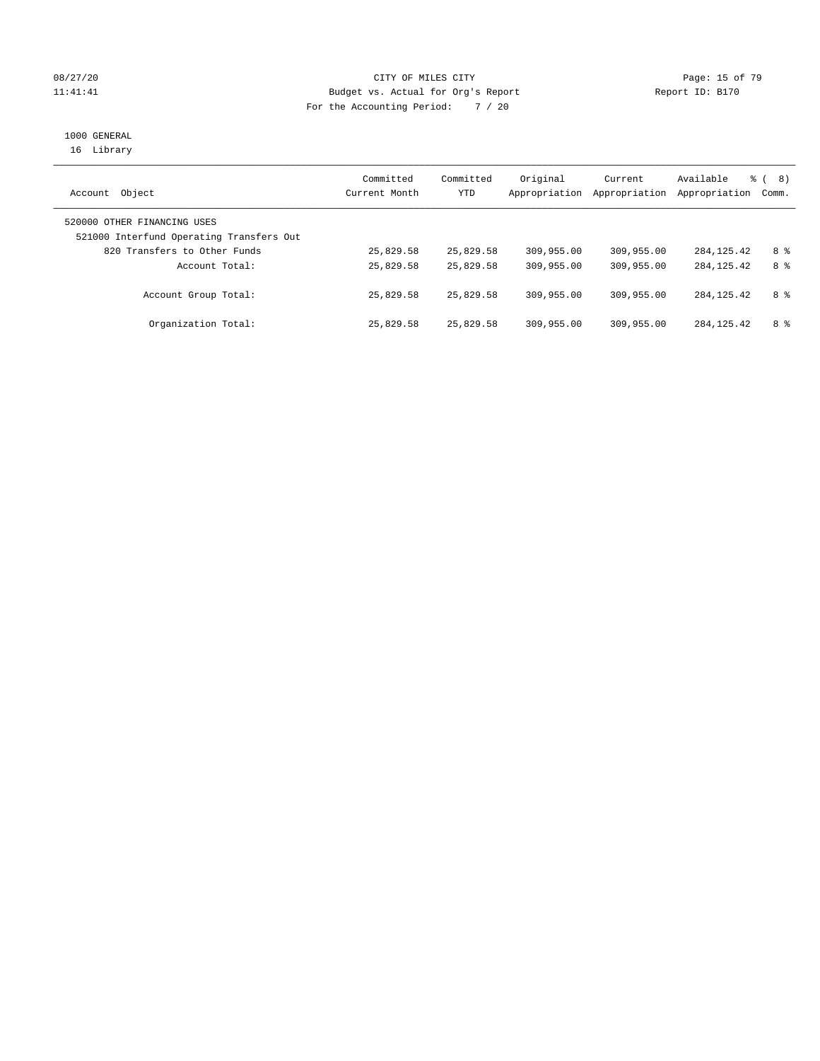#### 08/27/20 Page: 15 of 79 11:41:41 Budget vs. Actual for Org's Report Changer Report ID: B170 For the Accounting Period: 7 / 20

# 1000 GENERAL

16 Library

| Object<br>Account                                                       | Committed<br>Current Month | Committed<br>YTD | Original<br>Appropriation | Current<br>Appropriation | Available<br>Appropriation | ී (<br>8)<br>Comm. |
|-------------------------------------------------------------------------|----------------------------|------------------|---------------------------|--------------------------|----------------------------|--------------------|
| 520000 OTHER FINANCING USES<br>521000 Interfund Operating Transfers Out |                            |                  |                           |                          |                            |                    |
| 820 Transfers to Other Funds                                            | 25,829.58                  | 25,829.58        | 309,955.00                | 309,955.00               | 284, 125, 42               | 8 %                |
| Account Total:                                                          | 25,829.58                  | 25,829.58        | 309,955.00                | 309,955.00               | 284, 125, 42               | 8 %                |
| Account Group Total:                                                    | 25,829.58                  | 25,829.58        | 309,955.00                | 309,955.00               | 284, 125. 42               | 8 %                |
| Organization Total:                                                     | 25,829.58                  | 25,829.58        | 309,955.00                | 309,955.00               | 284, 125, 42               | 8 %                |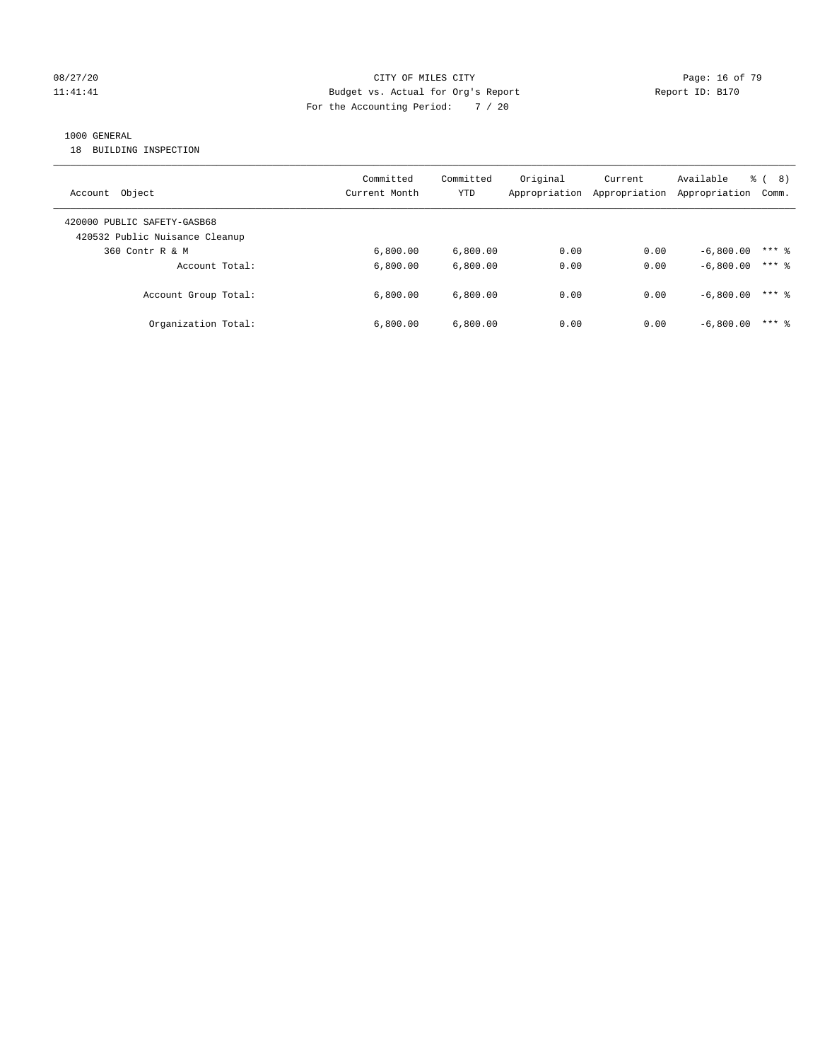#### 08/27/20 Page: 16 of 79 11:41:41 Budget vs. Actual for Org's Report Changer Report ID: B170 For the Accounting Period: 7 / 20

#### 1000 GENERAL

18 BUILDING INSPECTION

| Object<br>Account                                             | Committed<br>Current Month | Committed<br>YTD | Original<br>Appropriation | Current<br>Appropriation | Available<br>Appropriation | ී (<br>8)<br>Comm. |
|---------------------------------------------------------------|----------------------------|------------------|---------------------------|--------------------------|----------------------------|--------------------|
| 420000 PUBLIC SAFETY-GASB68<br>420532 Public Nuisance Cleanup |                            |                  |                           |                          |                            |                    |
| 360 Contr R & M                                               | 6.800.00                   | 6.800.00         | 0.00                      | 0.00                     | $-6.800.00$                | $***$ 8            |
| Account Total:                                                | 6,800.00                   | 6.800.00         | 0.00                      | 0.00                     | $-6,800.00$                | $***$ 2            |
| Account Group Total:                                          | 6.800.00                   | 6.800.00         | 0.00                      | 0.00                     | $-6.800.00$                | $***$ 2            |
| Organization Total:                                           | 6.800.00                   | 6.800.00         | 0.00                      | 0.00                     | $-6.800.00$                | $***$ 2            |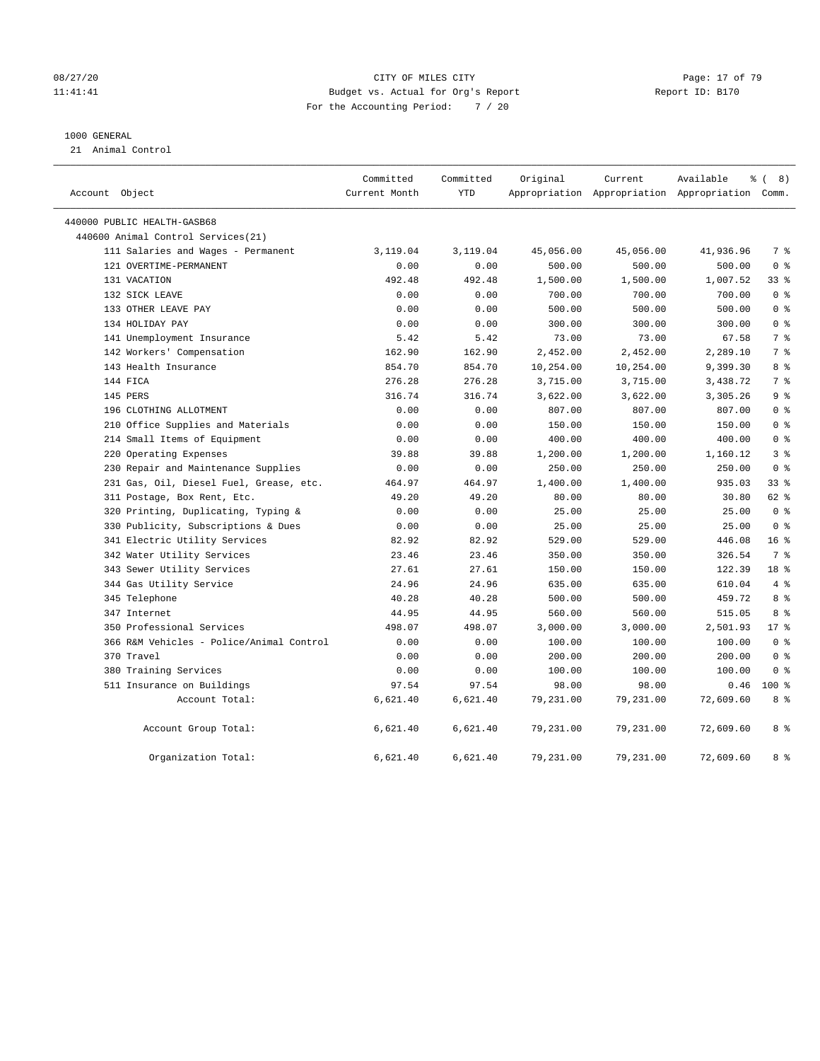#### 08/27/20 Page: 17 of 79 11:41:41 Budget vs. Actual for Org's Report Changer Report ID: B170 For the Accounting Period: 7 / 20

#### 1000 GENERAL

21 Animal Control

| Account Object                           | Committed<br>Current Month | Committed<br>YTD | Original  | Current   | Available<br>Appropriation Appropriation Appropriation Comm. | <sub>ර</sub> ි ( 8 ) |
|------------------------------------------|----------------------------|------------------|-----------|-----------|--------------------------------------------------------------|----------------------|
| 440000 PUBLIC HEALTH-GASB68              |                            |                  |           |           |                                                              |                      |
| 440600 Animal Control Services(21)       |                            |                  |           |           |                                                              |                      |
| 111 Salaries and Wages - Permanent       | 3,119.04                   | 3,119.04         | 45,056.00 | 45,056.00 | 41,936.96                                                    | 7 %                  |
| 121 OVERTIME-PERMANENT                   | 0.00                       | 0.00             | 500.00    | 500.00    | 500.00                                                       | 0 <sup>8</sup>       |
| 131 VACATION                             | 492.48                     | 492.48           | 1,500.00  | 1,500.00  | 1,007.52                                                     | $33$ $%$             |
| 132 SICK LEAVE                           | 0.00                       | 0.00             | 700.00    | 700.00    | 700.00                                                       | 0 <sup>8</sup>       |
| 133 OTHER LEAVE PAY                      | 0.00                       | 0.00             | 500.00    | 500.00    | 500.00                                                       | 0 <sup>8</sup>       |
| 134 HOLIDAY PAY                          | 0.00                       | 0.00             | 300.00    | 300.00    | 300.00                                                       | 0 <sup>8</sup>       |
| 141 Unemployment Insurance               | 5.42                       | 5.42             | 73.00     | 73.00     | 67.58                                                        | 7 %                  |
| 142 Workers' Compensation                | 162.90                     | 162.90           | 2,452.00  | 2,452.00  | 2,289.10                                                     | 7 <sup>°</sup>       |
| 143 Health Insurance                     | 854.70                     | 854.70           | 10,254.00 | 10,254.00 | 9,399.30                                                     | 8 %                  |
| 144 FICA                                 | 276.28                     | 276.28           | 3,715.00  | 3,715.00  | 3,438.72                                                     | 7 %                  |
| 145 PERS                                 | 316.74                     | 316.74           | 3,622.00  | 3,622.00  | 3,305.26                                                     | 9 <sup>°</sup>       |
| 196 CLOTHING ALLOTMENT                   | 0.00                       | 0.00             | 807.00    | 807.00    | 807.00                                                       | 0 <sup>8</sup>       |
| 210 Office Supplies and Materials        | 0.00                       | 0.00             | 150.00    | 150.00    | 150.00                                                       | 0 <sup>8</sup>       |
| 214 Small Items of Equipment             | 0.00                       | 0.00             | 400.00    | 400.00    | 400.00                                                       | 0 <sup>8</sup>       |
| 220 Operating Expenses                   | 39.88                      | 39.88            | 1,200.00  | 1,200.00  | 1,160.12                                                     | 3 <sup>°</sup>       |
| 230 Repair and Maintenance Supplies      | 0.00                       | 0.00             | 250.00    | 250.00    | 250.00                                                       | 0 <sup>8</sup>       |
| 231 Gas, Oil, Diesel Fuel, Grease, etc.  | 464.97                     | 464.97           | 1,400.00  | 1,400.00  | 935.03                                                       | $33$ $%$             |
| 311 Postage, Box Rent, Etc.              | 49.20                      | 49.20            | 80.00     | 80.00     | 30.80                                                        | 62 %                 |
| 320 Printing, Duplicating, Typing &      | 0.00                       | 0.00             | 25.00     | 25.00     | 25.00                                                        | 0 <sup>8</sup>       |
| 330 Publicity, Subscriptions & Dues      | 0.00                       | 0.00             | 25.00     | 25.00     | 25.00                                                        | 0 <sup>8</sup>       |
| 341 Electric Utility Services            | 82.92                      | 82.92            | 529.00    | 529.00    | 446.08                                                       | 16 <sup>°</sup>      |
| 342 Water Utility Services               | 23.46                      | 23.46            | 350.00    | 350.00    | 326.54                                                       | 7 %                  |
| 343 Sewer Utility Services               | 27.61                      | 27.61            | 150.00    | 150.00    | 122.39                                                       | 18 %                 |
| 344 Gas Utility Service                  | 24.96                      | 24.96            | 635.00    | 635.00    | 610.04                                                       | 4%                   |
| 345 Telephone                            | 40.28                      | 40.28            | 500.00    | 500.00    | 459.72                                                       | 8 %                  |
| 347 Internet                             | 44.95                      | 44.95            | 560.00    | 560.00    | 515.05                                                       | 8 %                  |
| 350 Professional Services                | 498.07                     | 498.07           | 3,000.00  | 3,000.00  | 2,501.93                                                     | $17*$                |
| 366 R&M Vehicles - Police/Animal Control | 0.00                       | 0.00             | 100.00    | 100.00    | 100.00                                                       | 0 <sup>8</sup>       |
| 370 Travel                               | 0.00                       | 0.00             | 200.00    | 200.00    | 200.00                                                       | 0 <sup>8</sup>       |
| 380 Training Services                    | 0.00                       | 0.00             | 100.00    | 100.00    | 100.00                                                       | 0 <sup>8</sup>       |
| 511 Insurance on Buildings               | 97.54                      | 97.54            | 98.00     | 98.00     | 0.46                                                         | $100*$               |
| Account Total:                           | 6,621.40                   | 6,621.40         | 79,231.00 | 79,231.00 | 72,609.60                                                    | 8 %                  |
| Account Group Total:                     | 6,621.40                   | 6,621.40         | 79,231.00 | 79,231.00 | 72,609.60                                                    | 8 %                  |
| Organization Total:                      | 6,621.40                   | 6,621.40         | 79,231.00 | 79,231.00 | 72,609.60                                                    | 8 %                  |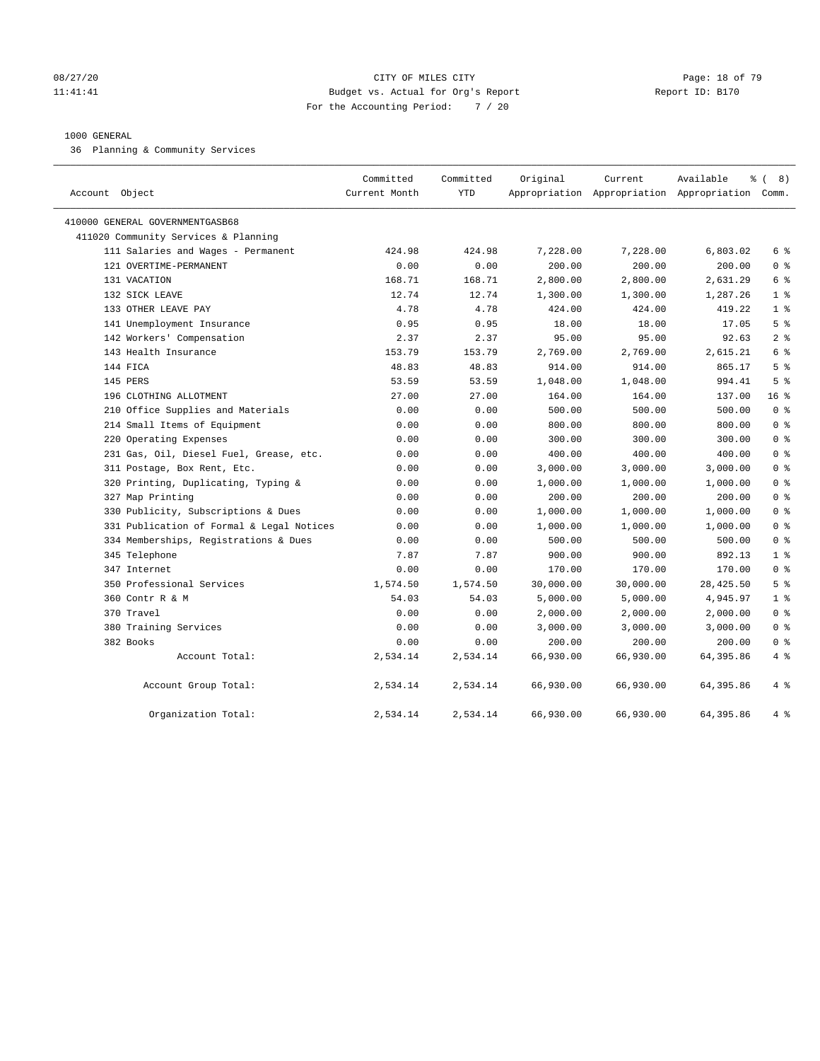#### 08/27/20 Page: 18 of 79 11:41:41 Budget vs. Actual for Org's Report Changer Report ID: B170 For the Accounting Period: 7 / 20

#### 1000 GENERAL

36 Planning & Community Services

| Account Object                            | Committed<br>Current Month | Committed<br><b>YTD</b> | Original  | Current   | Available<br>Appropriation Appropriation Appropriation Comm. | % (8)           |
|-------------------------------------------|----------------------------|-------------------------|-----------|-----------|--------------------------------------------------------------|-----------------|
| 410000 GENERAL GOVERNMENTGASB68           |                            |                         |           |           |                                                              |                 |
| 411020 Community Services & Planning      |                            |                         |           |           |                                                              |                 |
| 111 Salaries and Wages - Permanent        | 424.98                     | 424.98                  | 7,228.00  | 7,228.00  | 6,803.02                                                     | 6 %             |
| 121 OVERTIME-PERMANENT                    | 0.00                       | 0.00                    | 200.00    | 200.00    | 200.00                                                       | 0 <sup>8</sup>  |
| 131 VACATION                              | 168.71                     | 168.71                  | 2,800.00  | 2,800.00  | 2,631.29                                                     | 6 %             |
| 132 SICK LEAVE                            | 12.74                      | 12.74                   | 1,300.00  | 1,300.00  | 1,287.26                                                     | 1 <sup>8</sup>  |
| 133 OTHER LEAVE PAY                       | 4.78                       | 4.78                    | 424.00    | 424.00    | 419.22                                                       | 1 <sup>8</sup>  |
| 141 Unemployment Insurance                | 0.95                       | 0.95                    | 18.00     | 18.00     | 17.05                                                        | 5 <sup>8</sup>  |
| 142 Workers' Compensation                 | 2.37                       | 2.37                    | 95.00     | 95.00     | 92.63                                                        | 2 <sup>°</sup>  |
| 143 Health Insurance                      | 153.79                     | 153.79                  | 2,769.00  | 2,769.00  | 2,615.21                                                     | 6 %             |
| 144 FICA                                  | 48.83                      | 48.83                   | 914.00    | 914.00    | 865.17                                                       | 5 <sup>8</sup>  |
| 145 PERS                                  | 53.59                      | 53.59                   | 1,048.00  | 1,048.00  | 994.41                                                       | 5 <sup>8</sup>  |
| 196 CLOTHING ALLOTMENT                    | 27.00                      | 27.00                   | 164.00    | 164.00    | 137.00                                                       | 16 <sup>°</sup> |
| 210 Office Supplies and Materials         | 0.00                       | 0.00                    | 500.00    | 500.00    | 500.00                                                       | 0 <sup>8</sup>  |
| 214 Small Items of Equipment              | 0.00                       | 0.00                    | 800.00    | 800.00    | 800.00                                                       | 0 <sup>8</sup>  |
| 220 Operating Expenses                    | 0.00                       | 0.00                    | 300.00    | 300.00    | 300.00                                                       | 0 <sup>8</sup>  |
| 231 Gas, Oil, Diesel Fuel, Grease, etc.   | 0.00                       | 0.00                    | 400.00    | 400.00    | 400.00                                                       | 0 <sup>8</sup>  |
| 311 Postage, Box Rent, Etc.               | 0.00                       | 0.00                    | 3,000.00  | 3,000.00  | 3,000.00                                                     | 0 <sup>8</sup>  |
| 320 Printing, Duplicating, Typing &       | 0.00                       | 0.00                    | 1,000.00  | 1,000.00  | 1,000.00                                                     | 0 <sup>8</sup>  |
| 327 Map Printing                          | 0.00                       | 0.00                    | 200.00    | 200.00    | 200.00                                                       | 0 <sup>8</sup>  |
| 330 Publicity, Subscriptions & Dues       | 0.00                       | 0.00                    | 1,000.00  | 1,000.00  | 1,000.00                                                     | 0 <sup>8</sup>  |
| 331 Publication of Formal & Legal Notices | 0.00                       | 0.00                    | 1,000.00  | 1,000.00  | 1,000.00                                                     | 0 <sup>8</sup>  |
| 334 Memberships, Registrations & Dues     | 0.00                       | 0.00                    | 500.00    | 500.00    | 500.00                                                       | 0 <sup>8</sup>  |
| 345 Telephone                             | 7.87                       | 7.87                    | 900.00    | 900.00    | 892.13                                                       | 1 <sup>°</sup>  |
| 347 Internet                              | 0.00                       | 0.00                    | 170.00    | 170.00    | 170.00                                                       | 0 <sup>8</sup>  |
| 350 Professional Services                 | 1,574.50                   | 1,574.50                | 30,000.00 | 30,000.00 | 28, 425.50                                                   | 5 <sup>8</sup>  |
| 360 Contr R & M                           | 54.03                      | 54.03                   | 5,000.00  | 5,000.00  | 4,945.97                                                     | 1 <sup>8</sup>  |
| 370 Travel                                | 0.00                       | 0.00                    | 2,000.00  | 2,000.00  | 2,000.00                                                     | 0 <sup>8</sup>  |
| 380 Training Services                     | 0.00                       | 0.00                    | 3,000.00  | 3,000.00  | 3,000.00                                                     | 0 <sup>8</sup>  |
| 382 Books                                 | 0.00                       | 0.00                    | 200.00    | 200.00    | 200.00                                                       | 0 <sup>8</sup>  |
| Account Total:                            | 2,534.14                   | 2,534.14                | 66,930.00 | 66,930.00 | 64,395.86                                                    | 4%              |
| Account Group Total:                      | 2,534.14                   | 2,534.14                | 66,930.00 | 66,930.00 | 64,395.86                                                    | 4%              |
| Organization Total:                       | 2,534.14                   | 2,534.14                | 66,930.00 | 66,930.00 | 64,395.86                                                    | 4%              |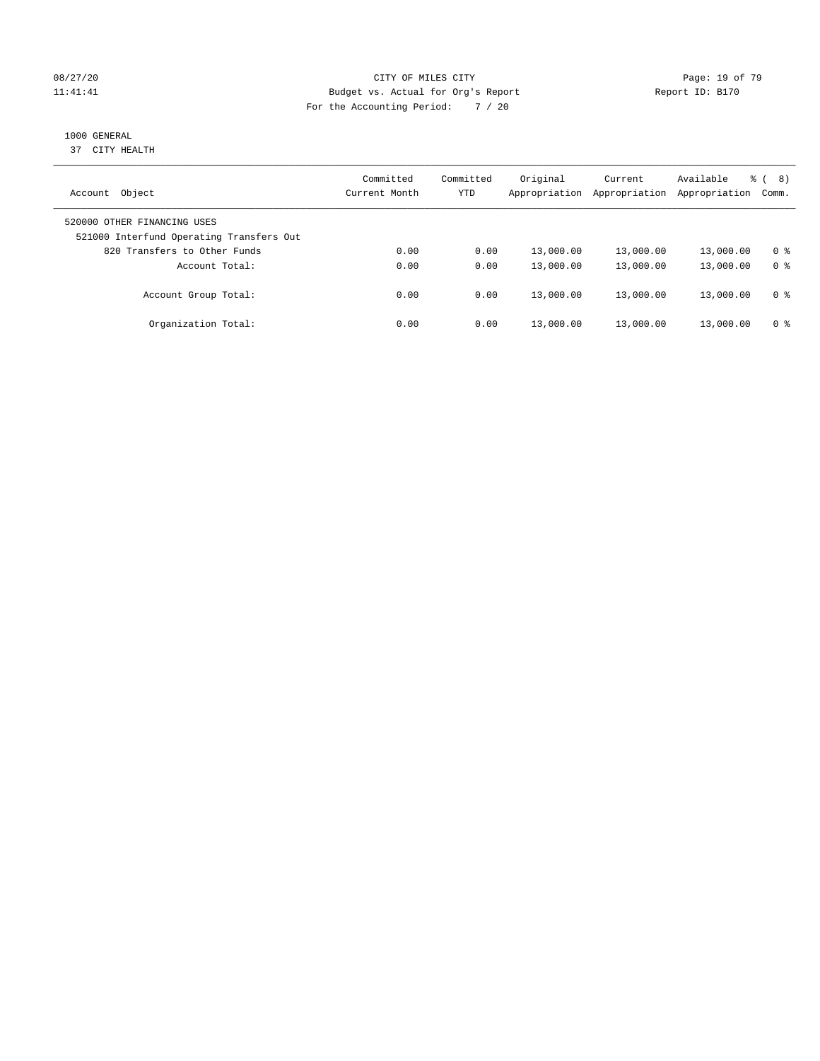#### 08/27/20 Page: 19 of 79 11:41:41 Budget vs. Actual for Org's Report Changer Report ID: B170 For the Accounting Period: 7 / 20

#### 1000 GENERAL

37 CITY HEALTH

| Object<br>Account                                                       | Committed<br>Current Month | Committed<br>YTD | Original<br>Appropriation | Current<br>Appropriation | Available<br>Appropriation | ී (<br>8)<br>Comm. |
|-------------------------------------------------------------------------|----------------------------|------------------|---------------------------|--------------------------|----------------------------|--------------------|
| 520000 OTHER FINANCING USES<br>521000 Interfund Operating Transfers Out |                            |                  |                           |                          |                            |                    |
| 820 Transfers to Other Funds                                            | 0.00                       | 0.00             | 13,000.00                 | 13,000.00                | 13,000.00                  | 0 %                |
| Account Total:                                                          | 0.00                       | 0.00             | 13,000.00                 | 13,000.00                | 13,000.00                  | 0 <sup>8</sup>     |
| Account Group Total:                                                    | 0.00                       | 0.00             | 13,000.00                 | 13,000.00                | 13,000.00                  | 0 %                |
| Organization Total:                                                     | 0.00                       | 0.00             | 13,000.00                 | 13,000.00                | 13,000.00                  | 0 %                |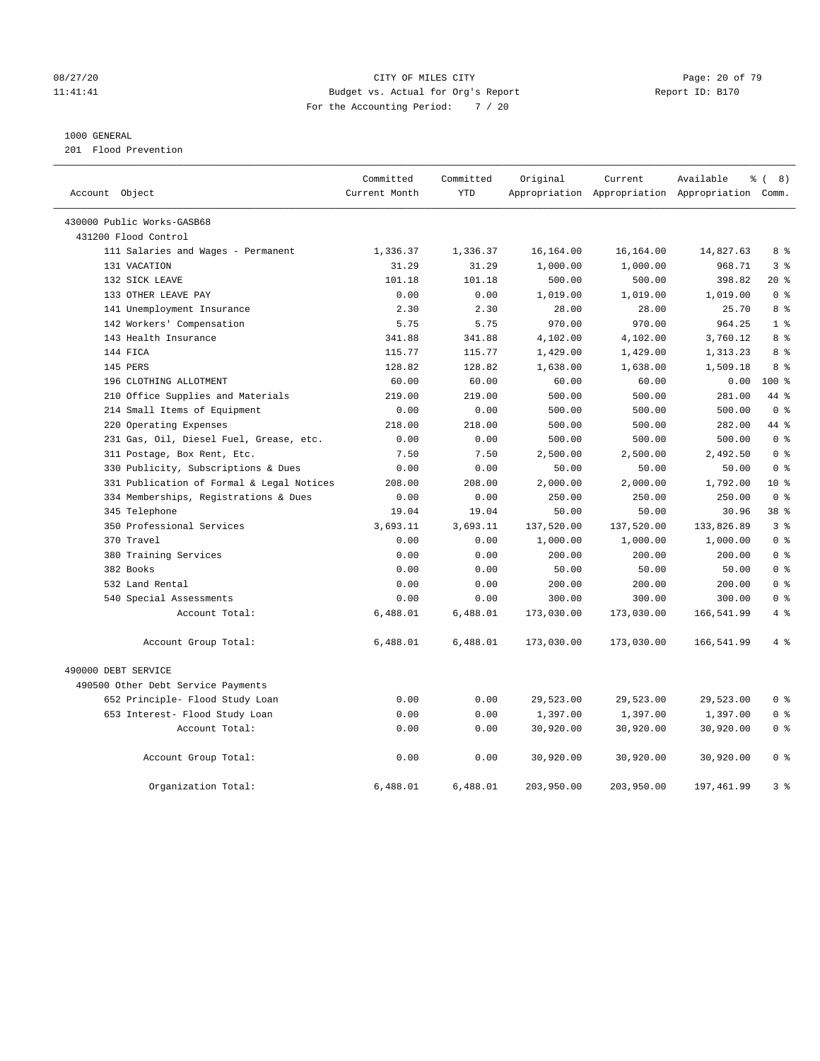#### 08/27/20 Page: 20 of 79 11:41:41 Budget vs. Actual for Org's Report Changer Report ID: B170 For the Accounting Period: 7 / 20

#### 1000 GENERAL

201 Flood Prevention

| Account Object |                                           | Committed<br>Current Month | Committed<br><b>YTD</b> | Original   | Current    | Available<br>Appropriation Appropriation Appropriation | $\frac{6}{6}$ ( 8)<br>Comm. |
|----------------|-------------------------------------------|----------------------------|-------------------------|------------|------------|--------------------------------------------------------|-----------------------------|
|                |                                           |                            |                         |            |            |                                                        |                             |
|                | 430000 Public Works-GASB68                |                            |                         |            |            |                                                        |                             |
|                | 431200 Flood Control                      |                            |                         |            |            |                                                        |                             |
|                | 111 Salaries and Wages - Permanent        | 1,336.37                   | 1,336.37                | 16,164.00  | 16,164.00  | 14,827.63                                              | 8 %                         |
|                | 131 VACATION                              | 31.29                      | 31.29                   | 1,000.00   | 1,000.00   | 968.71                                                 | 3 <sup>8</sup>              |
|                | 132 SICK LEAVE                            | 101.18                     | 101.18                  | 500.00     | 500.00     | 398.82                                                 | $20*$                       |
|                | 133 OTHER LEAVE PAY                       | 0.00                       | 0.00                    | 1,019.00   | 1,019.00   | 1,019.00                                               | 0 <sup>8</sup>              |
|                | 141 Unemployment Insurance                | 2.30                       | 2.30                    | 28.00      | 28.00      | 25.70                                                  | 8 %                         |
|                | 142 Workers' Compensation                 | 5.75                       | 5.75                    | 970.00     | 970.00     | 964.25                                                 | 1 <sup>°</sup>              |
|                | 143 Health Insurance                      | 341.88                     | 341.88                  | 4,102.00   | 4,102.00   | 3,760.12                                               | 8 <sup>8</sup>              |
|                | 144 FICA                                  | 115.77                     | 115.77                  | 1,429.00   | 1,429.00   | 1,313.23                                               | 8 %                         |
|                | 145 PERS                                  | 128.82                     | 128.82                  | 1,638.00   | 1,638.00   | 1,509.18                                               | 8 <sup>8</sup>              |
|                | 196 CLOTHING ALLOTMENT                    | 60.00                      | 60.00                   | 60.00      | 60.00      | 0.00                                                   | $100*$                      |
|                | 210 Office Supplies and Materials         | 219.00                     | 219.00                  | 500.00     | 500.00     | 281.00                                                 | 44 %                        |
|                | 214 Small Items of Equipment              | 0.00                       | 0.00                    | 500.00     | 500.00     | 500.00                                                 | 0 <sup>8</sup>              |
|                | 220 Operating Expenses                    | 218.00                     | 218.00                  | 500.00     | 500.00     | 282.00                                                 | 44 %                        |
|                | 231 Gas, Oil, Diesel Fuel, Grease, etc.   | 0.00                       | 0.00                    | 500.00     | 500.00     | 500.00                                                 | 0 <sup>8</sup>              |
|                | 311 Postage, Box Rent, Etc.               | 7.50                       | 7.50                    | 2,500.00   | 2,500.00   | 2,492.50                                               | 0 <sup>8</sup>              |
|                | 330 Publicity, Subscriptions & Dues       | 0.00                       | 0.00                    | 50.00      | 50.00      | 50.00                                                  | 0 <sup>8</sup>              |
|                | 331 Publication of Formal & Legal Notices | 208.00                     | 208.00                  | 2,000.00   | 2,000.00   | 1,792.00                                               | $10*$                       |
|                | 334 Memberships, Registrations & Dues     | 0.00                       | 0.00                    | 250.00     | 250.00     | 250.00                                                 | 0 <sup>8</sup>              |
|                | 345 Telephone                             | 19.04                      | 19.04                   | 50.00      | 50.00      | 30.96                                                  | 38 %                        |
|                | 350 Professional Services                 | 3,693.11                   | 3,693.11                | 137,520.00 | 137,520.00 | 133,826.89                                             | 3 <sup>8</sup>              |
|                | 370 Travel                                | 0.00                       | 0.00                    | 1,000.00   | 1,000.00   | 1,000.00                                               | 0 <sup>8</sup>              |
|                | 380 Training Services                     | 0.00                       | 0.00                    | 200.00     | 200.00     | 200.00                                                 | 0 <sup>8</sup>              |
|                | 382 Books                                 | 0.00                       | 0.00                    | 50.00      | 50.00      | 50.00                                                  | 0 <sup>8</sup>              |
|                | 532 Land Rental                           | 0.00                       | 0.00                    | 200.00     | 200.00     | 200.00                                                 | 0 <sup>8</sup>              |
|                | 540 Special Assessments                   | 0.00                       | 0.00                    | 300.00     | 300.00     | 300.00                                                 | 0 <sup>8</sup>              |
|                | Account Total:                            | 6,488.01                   | 6,488.01                | 173,030.00 | 173,030.00 | 166,541.99                                             | 4%                          |
|                | Account Group Total:                      | 6,488.01                   | 6,488.01                | 173,030.00 | 173,030.00 | 166,541.99                                             | 4%                          |
|                | 490000 DEBT SERVICE                       |                            |                         |            |            |                                                        |                             |
|                | 490500 Other Debt Service Payments        |                            |                         |            |            |                                                        |                             |
|                | 652 Principle- Flood Study Loan           | 0.00                       | 0.00                    | 29,523.00  | 29,523.00  | 29,523.00                                              | 0 <sup>8</sup>              |
|                | 653 Interest- Flood Study Loan            | 0.00                       | 0.00                    | 1,397.00   | 1,397.00   | 1,397.00                                               | 0 <sup>8</sup>              |
|                | Account Total:                            | 0.00                       | 0.00                    | 30,920.00  | 30,920.00  | 30,920.00                                              | 0 <sup>8</sup>              |
|                | Account Group Total:                      | 0.00                       | 0.00                    | 30,920.00  | 30,920.00  | 30,920.00                                              | 0 <sup>8</sup>              |
|                | Organization Total:                       | 6,488.01                   | 6,488.01                | 203,950.00 | 203,950.00 | 197,461.99                                             | 3 <sup>8</sup>              |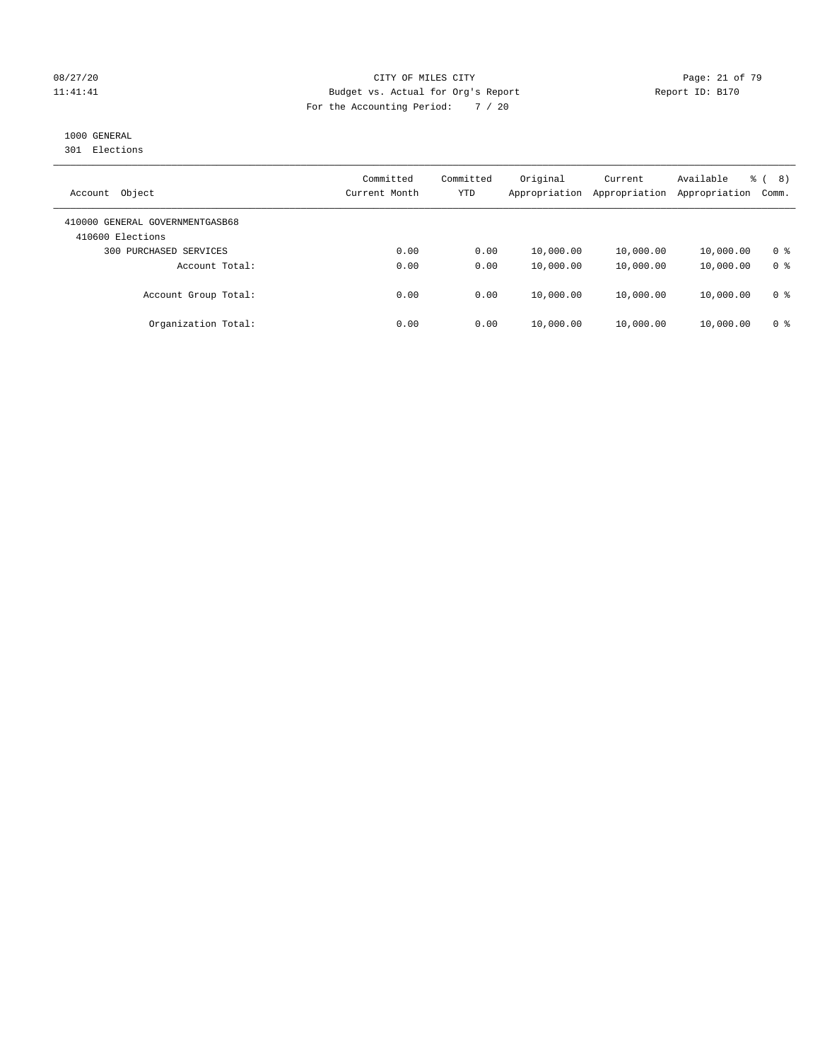#### 08/27/20 Page: 21 of 79 11:41:41 Budget vs. Actual for Org's Report Changer Report ID: B170 For the Accounting Period: 7 / 20

### 1000 GENERAL

301 Elections

| Object<br>Account                                   | Committed<br>Current Month | Committed<br>YTD | Original<br>Appropriation | Current<br>Appropriation | Available<br>Appropriation | 응 (<br>8)<br>Comm. |
|-----------------------------------------------------|----------------------------|------------------|---------------------------|--------------------------|----------------------------|--------------------|
| 410000 GENERAL GOVERNMENTGASB68<br>410600 Elections |                            |                  |                           |                          |                            |                    |
| 300 PURCHASED SERVICES                              | 0.00                       | 0.00             | 10,000.00                 | 10,000.00                | 10,000.00                  | 0 <sup>8</sup>     |
| Account Total:                                      | 0.00                       | 0.00             | 10,000.00                 | 10,000.00                | 10,000.00                  | 0 <sup>8</sup>     |
| Account Group Total:                                | 0.00                       | 0.00             | 10,000.00                 | 10,000.00                | 10,000.00                  | 0 <sup>8</sup>     |
| Organization Total:                                 | 0.00                       | 0.00             | 10,000.00                 | 10,000.00                | 10,000.00                  | 0 <sup>8</sup>     |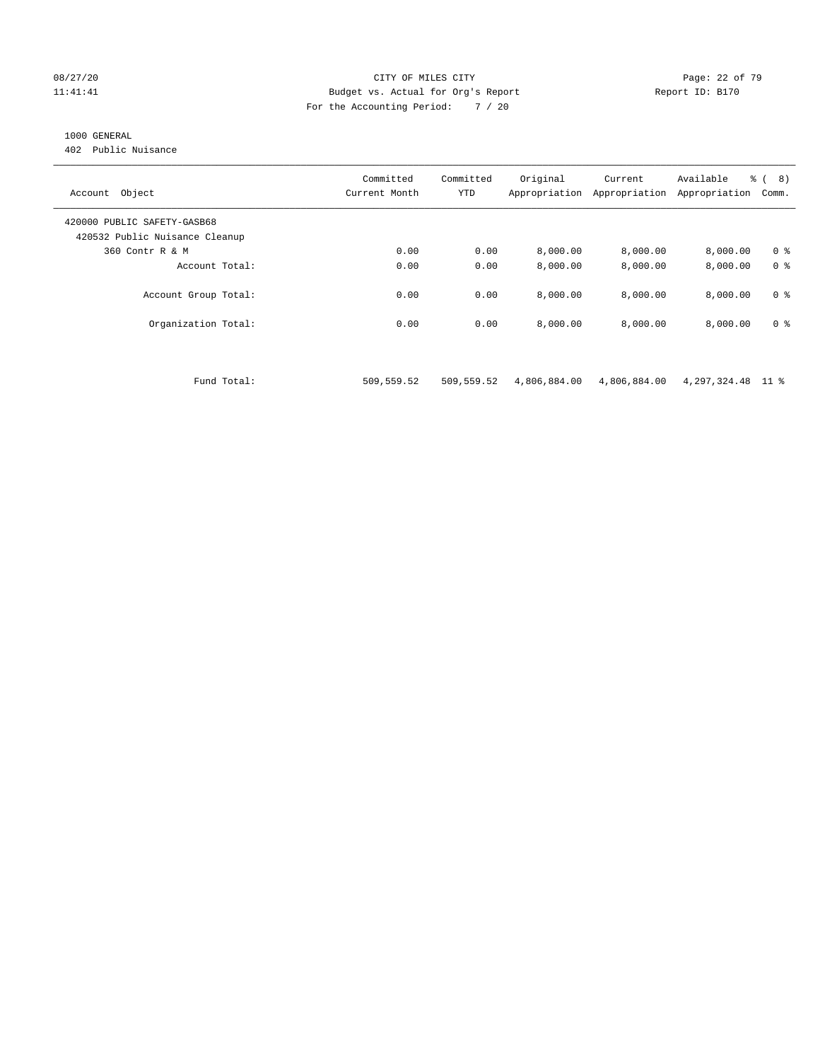#### 08/27/20 Page: 22 of 79 11:41:41 Budget vs. Actual for Org's Report Report ID: B170 For the Accounting Period: 7 / 20

#### 1000 GENERAL

402 Public Nuisance

| Object<br>Account                                             | Committed<br>Current Month | Committed<br><b>YTD</b> | Original<br>Appropriation | Current<br>Appropriation | Available<br>Appropriation | % (8)<br>Comm. |
|---------------------------------------------------------------|----------------------------|-------------------------|---------------------------|--------------------------|----------------------------|----------------|
| 420000 PUBLIC SAFETY-GASB68<br>420532 Public Nuisance Cleanup |                            |                         |                           |                          |                            |                |
| 360 Contr R & M                                               | 0.00                       | 0.00                    | 8,000.00                  | 8,000.00                 | 8.000.00                   | 0 <sup>8</sup> |
| Account Total:                                                | 0.00                       | 0.00                    | 8,000.00                  | 8,000.00                 | 8,000.00                   | 0 <sup>8</sup> |
| Account Group Total:                                          | 0.00                       | 0.00                    | 8,000.00                  | 8,000.00                 | 8.000.00                   | 0 <sup>8</sup> |
| Organization Total:                                           | 0.00                       | 0.00                    | 8,000.00                  | 8.000.00                 | 8,000.00                   | 0 <sup>8</sup> |

Fund Total: 509,559.52 509,559.52 4,806,884.00 4,806,884.00 4,297,324.48 11 %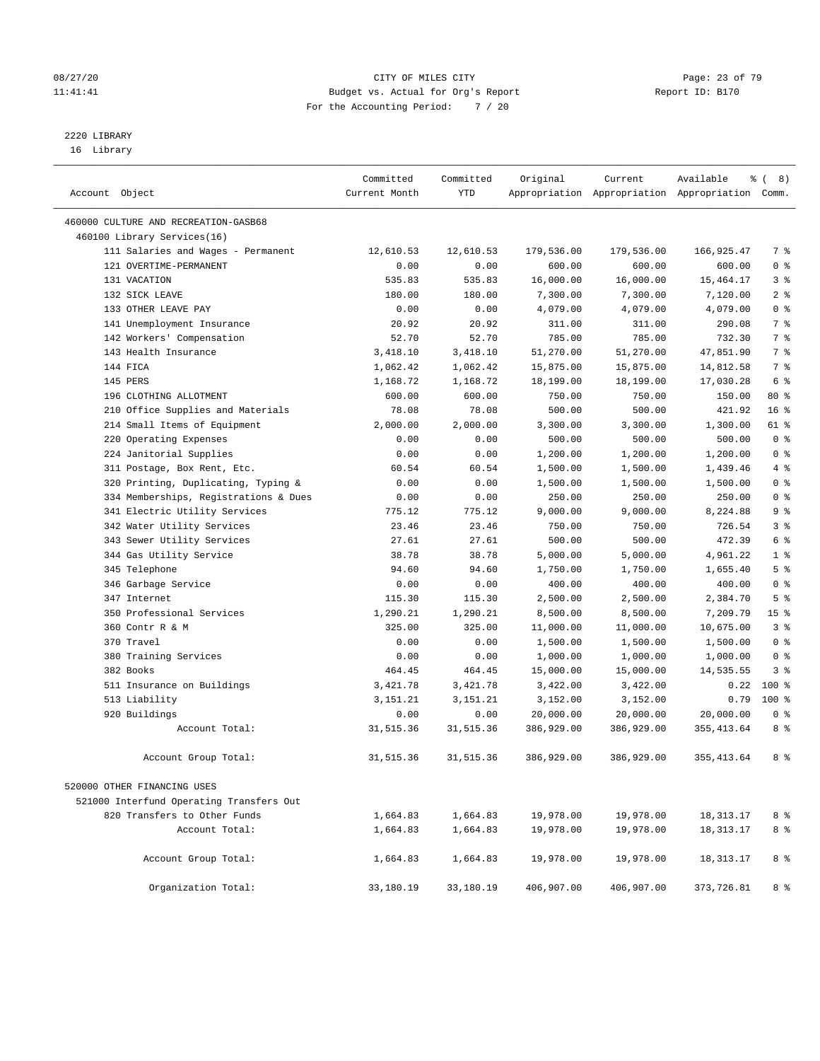#### 08/27/20 Page: 23 of 79 11:41:41 Budget vs. Actual for Org's Report Changer Report ID: B170 For the Accounting Period: 7 / 20

————————————————————————————————————————————————————————————————————————————————————————————————————————————————————————————————————

# 2220 LIBRARY

16 Library

|                |                                          | Committed     | Committed  | Original   | Current    | Available<br>န့                                 | $\left($<br>8)  |
|----------------|------------------------------------------|---------------|------------|------------|------------|-------------------------------------------------|-----------------|
| Account Object |                                          | Current Month | <b>YTD</b> |            |            | Appropriation Appropriation Appropriation Comm. |                 |
|                | 460000 CULTURE AND RECREATION-GASB68     |               |            |            |            |                                                 |                 |
|                | 460100 Library Services(16)              |               |            |            |            |                                                 |                 |
|                | 111 Salaries and Wages - Permanent       | 12,610.53     | 12,610.53  | 179,536.00 | 179,536.00 | 166,925.47                                      | 7 %             |
|                | 121 OVERTIME-PERMANENT                   | 0.00          | 0.00       | 600.00     | 600.00     | 600.00                                          | 0 <sup>8</sup>  |
|                | 131 VACATION                             | 535.83        | 535.83     | 16,000.00  | 16,000.00  | 15,464.17                                       | 3 %             |
|                | 132 SICK LEAVE                           | 180.00        | 180.00     | 7,300.00   | 7,300.00   | 7,120.00                                        | 2 <sup>8</sup>  |
|                | 133 OTHER LEAVE PAY                      | 0.00          | 0.00       | 4,079.00   | 4,079.00   | 4,079.00                                        | 0 <sup>8</sup>  |
|                | 141 Unemployment Insurance               | 20.92         | 20.92      | 311.00     | 311.00     | 290.08                                          | 7 <sup>°</sup>  |
|                | 142 Workers' Compensation                | 52.70         | 52.70      | 785.00     | 785.00     | 732.30                                          | 7 <sup>°</sup>  |
|                | 143 Health Insurance                     | 3,418.10      | 3,418.10   | 51,270.00  | 51,270.00  | 47,851.90                                       | 7 %             |
|                | 144 FICA                                 | 1,062.42      | 1,062.42   | 15,875.00  | 15,875.00  | 14,812.58                                       | 7 <sup>°</sup>  |
|                | 145 PERS                                 | 1,168.72      | 1,168.72   | 18,199.00  | 18,199.00  | 17,030.28                                       | 6 %             |
|                | 196 CLOTHING ALLOTMENT                   | 600.00        | 600.00     | 750.00     | 750.00     | 150.00                                          | 80 %            |
|                | 210 Office Supplies and Materials        | 78.08         | 78.08      | 500.00     | 500.00     | 421.92                                          | 16 <sup>°</sup> |
|                | 214 Small Items of Equipment             | 2,000.00      | 2,000.00   | 3,300.00   | 3,300.00   | 1,300.00                                        | 61 %            |
|                | 220 Operating Expenses                   | 0.00          | 0.00       | 500.00     | 500.00     | 500.00                                          | 0 <sup>8</sup>  |
|                | 224 Janitorial Supplies                  | 0.00          | 0.00       | 1,200.00   | 1,200.00   | 1,200.00                                        | 0 <sup>8</sup>  |
|                | 311 Postage, Box Rent, Etc.              | 60.54         | 60.54      | 1,500.00   | 1,500.00   | 1,439.46                                        | 4%              |
|                | 320 Printing, Duplicating, Typing &      | 0.00          | 0.00       | 1,500.00   | 1,500.00   | 1,500.00                                        | 0 <sup>8</sup>  |
|                | 334 Memberships, Registrations & Dues    | 0.00          | 0.00       | 250.00     | 250.00     | 250.00                                          | 0 <sup>8</sup>  |
|                | 341 Electric Utility Services            | 775.12        | 775.12     | 9,000.00   | 9,000.00   | 8,224.88                                        | 9 <sup>°</sup>  |
|                | 342 Water Utility Services               | 23.46         | 23.46      | 750.00     | 750.00     | 726.54                                          | 3 <sup>8</sup>  |
|                | 343 Sewer Utility Services               | 27.61         | 27.61      | 500.00     | 500.00     | 472.39                                          | 6 %             |
|                | 344 Gas Utility Service                  | 38.78         | 38.78      | 5,000.00   | 5,000.00   | 4,961.22                                        | 1 <sup>°</sup>  |
|                | 345 Telephone                            | 94.60         | 94.60      | 1,750.00   | 1,750.00   | 1,655.40                                        | 5 <sup>°</sup>  |
|                | 346 Garbage Service                      | 0.00          | 0.00       | 400.00     | 400.00     | 400.00                                          | 0 <sup>8</sup>  |
|                | 347 Internet                             | 115.30        | 115.30     | 2,500.00   | 2,500.00   | 2,384.70                                        | 5 <sup>8</sup>  |
|                | 350 Professional Services                | 1,290.21      | 1,290.21   | 8,500.00   | 8,500.00   | 7,209.79                                        | 15 <sup>°</sup> |
|                | 360 Contr R & M                          | 325.00        | 325.00     | 11,000.00  | 11,000.00  | 10,675.00                                       | 3 <sup>8</sup>  |
|                | 370 Travel                               | 0.00          | 0.00       | 1,500.00   | 1,500.00   | 1,500.00                                        | 0 <sup>8</sup>  |
|                | 380 Training Services                    | 0.00          | 0.00       | 1,000.00   | 1,000.00   | 1,000.00                                        | 0 <sup>8</sup>  |
|                | 382 Books                                | 464.45        | 464.45     | 15,000.00  | 15,000.00  | 14,535.55                                       | 3 <sup>8</sup>  |
|                | 511 Insurance on Buildings               | 3,421.78      | 3,421.78   | 3,422.00   | 3,422.00   | 0.22                                            | $100*$          |
|                | 513 Liability                            | 3,151.21      | 3,151.21   | 3,152.00   | 3,152.00   | 0.79                                            | $100*$          |
|                | 920 Buildings                            | 0.00          | 0.00       | 20,000.00  | 20,000.00  | 20,000.00                                       | 0 <sup>8</sup>  |
|                | Account Total:                           | 31, 515.36    | 31,515.36  | 386,929.00 | 386,929.00 | 355, 413.64                                     | 8 %             |
|                | Account Group Total:                     | 31, 515.36    | 31,515.36  | 386,929.00 | 386,929.00 | 355, 413.64                                     | 8 %             |
|                | 520000 OTHER FINANCING USES              |               |            |            |            |                                                 |                 |
|                | 521000 Interfund Operating Transfers Out |               |            |            |            |                                                 |                 |
|                | 820 Transfers to Other Funds             | 1,664.83      | 1,664.83   | 19,978.00  | 19,978.00  | 18,313.17                                       | 8 %             |
|                | Account Total:                           | 1,664.83      | 1,664.83   | 19,978.00  | 19,978.00  | 18, 313. 17                                     | 8 %             |
|                | Account Group Total:                     | 1,664.83      | 1,664.83   | 19,978.00  | 19,978.00  | 18, 313. 17                                     | 8 %             |
|                | Organization Total:                      | 33,180.19     | 33,180.19  | 406,907.00 | 406,907.00 | 373,726.81                                      | 8 %             |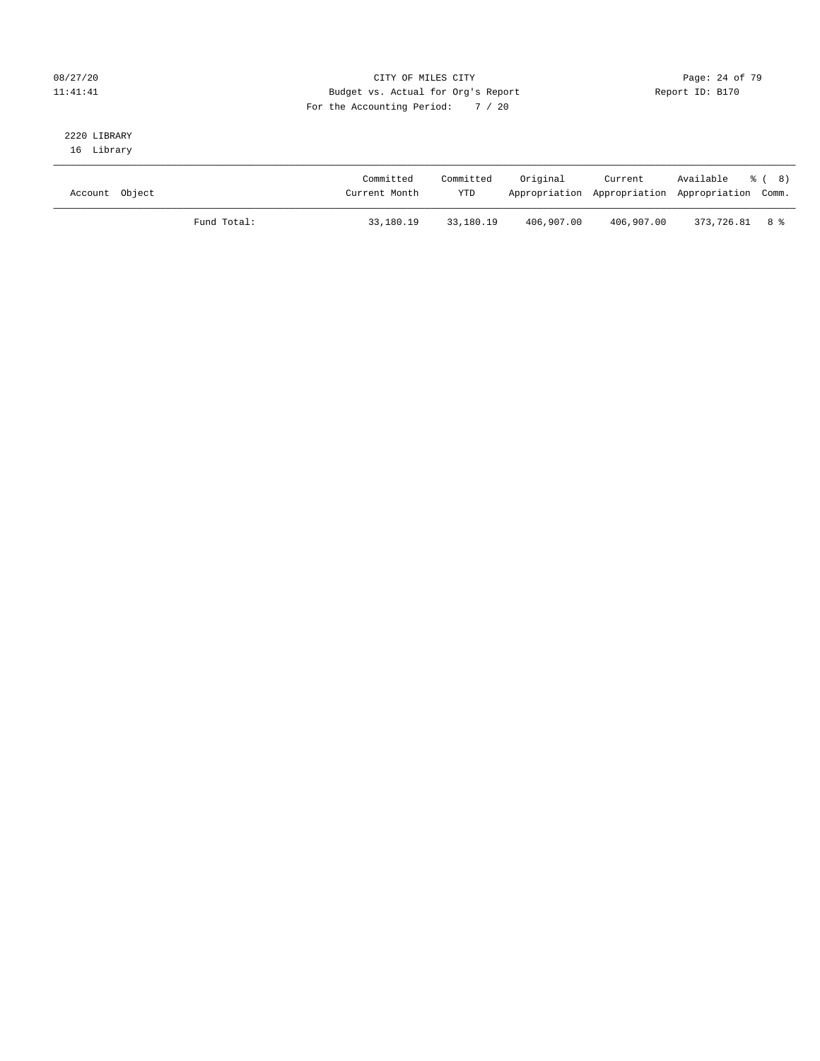#### 08/27/20 Page: 24 of 79 11:41:41 Budget vs. Actual for Org's Report Changer Report ID: B170 For the Accounting Period: 7 / 20

# 2220 LIBRARY

16 Library

| Account Object |             | Committed<br>Current Month | Committed<br><b>YTD</b> | Original   | Current    | Available % (8)<br>Appropriation Appropriation Appropriation Comm. |  |
|----------------|-------------|----------------------------|-------------------------|------------|------------|--------------------------------------------------------------------|--|
|                | Fund Total: | 33,180.19                  | 33,180.19               | 406,907.00 | 406,907.00 | 373,726.81 8 %                                                     |  |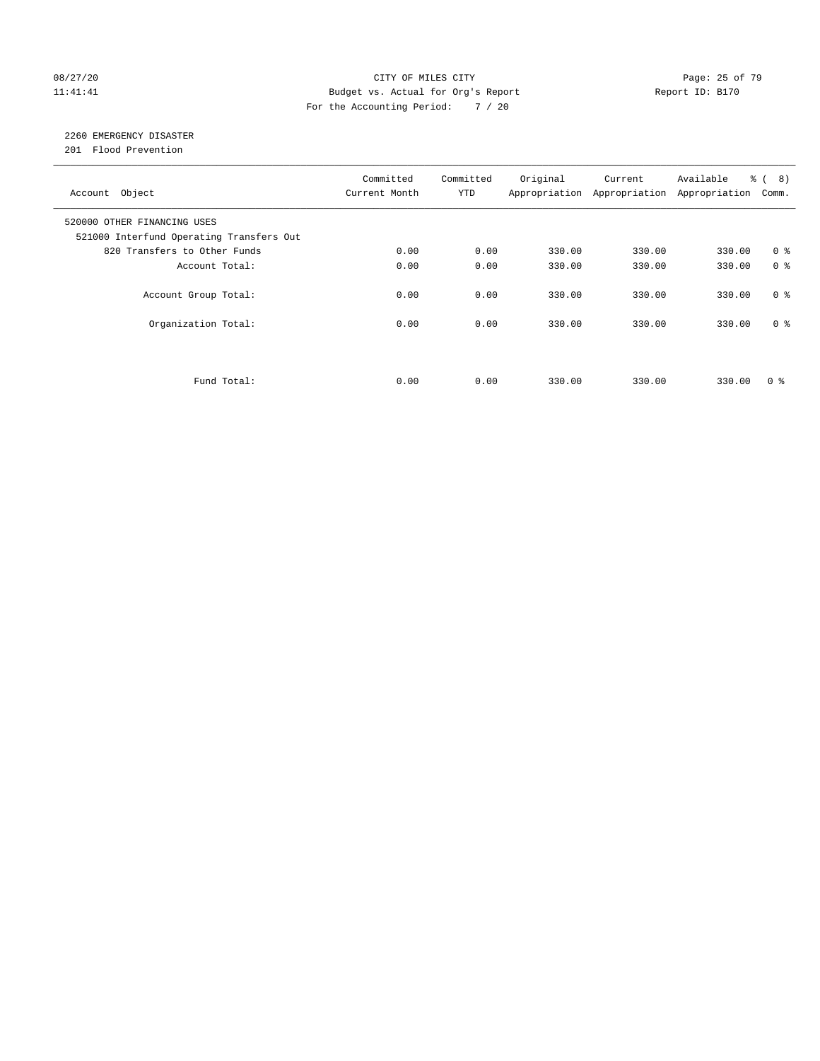#### 08/27/20 Page: 25 of 79 11:41:41 Budget vs. Actual for Org's Report Changer Report ID: B170 For the Accounting Period: 7 / 20

### 2260 EMERGENCY DISASTER

201 Flood Prevention

| Account Object                                                          | Committed<br>Current Month | Committed<br><b>YTD</b> | Original | Current<br>Appropriation Appropriation | Available<br>Appropriation | $\frac{6}{6}$ ( 8)<br>Comm. |
|-------------------------------------------------------------------------|----------------------------|-------------------------|----------|----------------------------------------|----------------------------|-----------------------------|
| 520000 OTHER FINANCING USES<br>521000 Interfund Operating Transfers Out |                            |                         |          |                                        |                            |                             |
| 820 Transfers to Other Funds                                            | 0.00                       | 0.00                    | 330.00   | 330.00                                 | 330.00                     | 0 <sup>8</sup>              |
| Account Total:                                                          | 0.00                       | 0.00                    | 330.00   | 330.00                                 | 330.00                     | 0 <sup>8</sup>              |
| Account Group Total:                                                    | 0.00                       | 0.00                    | 330.00   | 330.00                                 | 330.00                     | 0 <sup>8</sup>              |
| Organization Total:                                                     | 0.00                       | 0.00                    | 330.00   | 330.00                                 | 330.00                     | 0 <sup>8</sup>              |
|                                                                         |                            |                         |          |                                        |                            |                             |
| Fund Total:                                                             | 0.00                       | 0.00                    | 330.00   | 330.00                                 | 330.00                     | 0 %                         |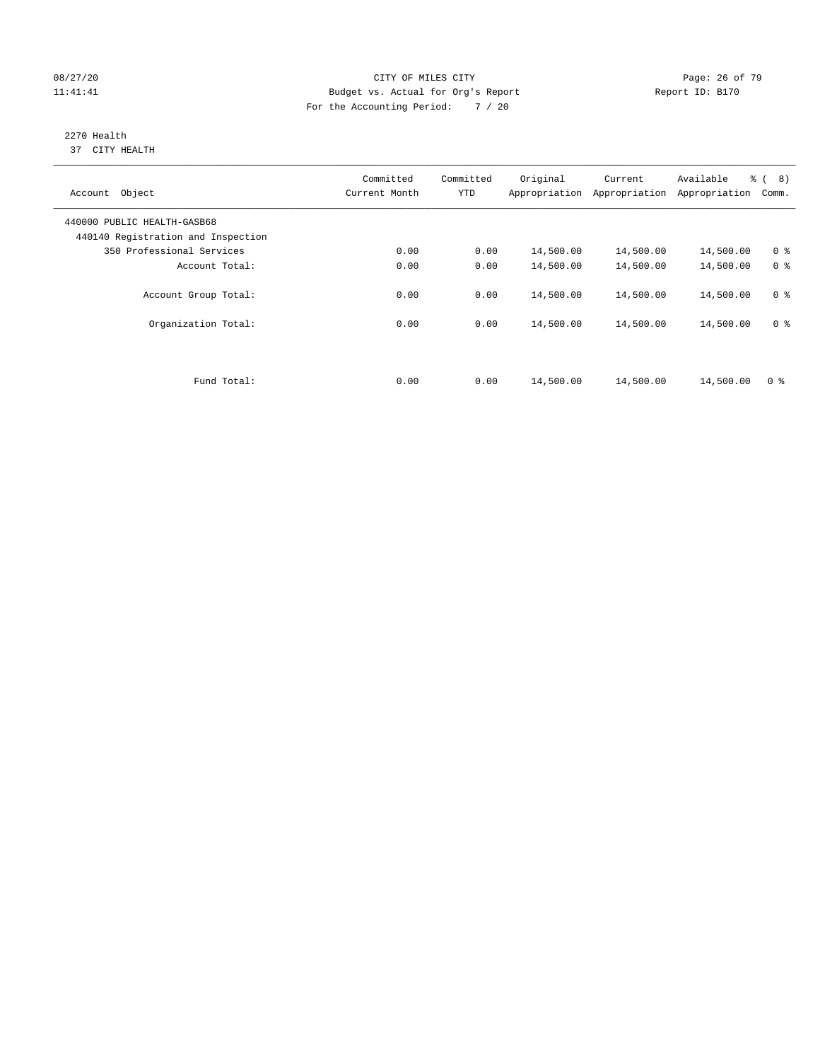#### 08/27/20 Page: 26 of 79 11:41:41 Budget vs. Actual for Org's Report Changer Report ID: B170 For the Accounting Period: 7 / 20

#### 2270 Health 37 CITY HEALTH

| Object<br>Account                                                 | Committed<br>Current Month | Committed<br><b>YTD</b> | Original<br>Appropriation | Current<br>Appropriation | Available<br>Appropriation | $\frac{6}{6}$ ( 8)<br>Comm. |
|-------------------------------------------------------------------|----------------------------|-------------------------|---------------------------|--------------------------|----------------------------|-----------------------------|
| 440000 PUBLIC HEALTH-GASB68<br>440140 Registration and Inspection |                            |                         |                           |                          |                            |                             |
| 350 Professional Services                                         | 0.00                       | 0.00                    | 14,500.00                 | 14,500.00                | 14,500.00                  | 0 <sup>8</sup>              |
| Account Total:                                                    | 0.00                       | 0.00                    | 14,500.00                 | 14,500.00                | 14,500.00                  | 0 <sup>8</sup>              |
| Account Group Total:                                              | 0.00                       | 0.00                    | 14,500.00                 | 14,500.00                | 14,500.00                  | 0 <sup>8</sup>              |
| Organization Total:                                               | 0.00                       | 0.00                    | 14,500.00                 | 14,500.00                | 14,500.00                  | 0 <sup>8</sup>              |
| Fund Total:                                                       | 0.00                       | 0.00                    | 14,500.00                 | 14,500.00                | 14,500.00                  | 0 <sup>8</sup>              |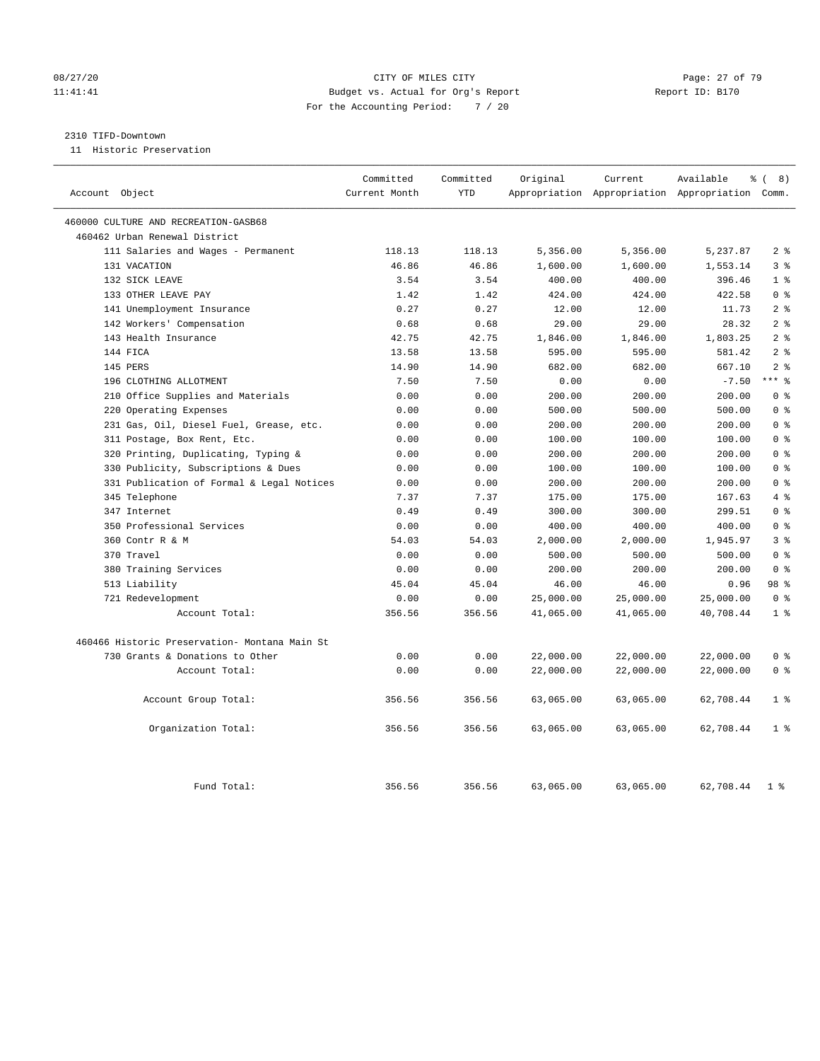#### 08/27/20 Page: 27 of 79 11:41:41 Budget vs. Actual for Org's Report Report ID: B170 For the Accounting Period: 7 / 20

#### 2310 TIFD-Downtown

11 Historic Preservation

| Account Object                                    | Committed<br>Current Month | Committed<br><b>YTD</b> | Original  | Current   | Available<br>Appropriation Appropriation Appropriation | ී (<br>8)<br>Comm.               |
|---------------------------------------------------|----------------------------|-------------------------|-----------|-----------|--------------------------------------------------------|----------------------------------|
|                                                   |                            |                         |           |           |                                                        |                                  |
| 460000 CULTURE AND RECREATION-GASB68              |                            |                         |           |           |                                                        |                                  |
| 460462 Urban Renewal District                     |                            |                         |           |           |                                                        |                                  |
| 111 Salaries and Wages - Permanent                | 118.13                     | 118.13                  | 5,356.00  | 5,356.00  | 5,237.87                                               | 2 <sup>°</sup>                   |
| 131 VACATION                                      | 46.86                      | 46.86                   | 1,600.00  | 1,600.00  | 1,553.14                                               | 3 <sup>8</sup>                   |
| 132 SICK LEAVE                                    | 3.54                       | 3.54                    | 400.00    | 400.00    | 396.46                                                 | 1 <sup>8</sup>                   |
| 133 OTHER LEAVE PAY                               | 1.42                       | 1.42                    | 424.00    | 424.00    | 422.58                                                 | 0 <sup>8</sup><br>2 <sup>°</sup> |
| 141 Unemployment Insurance                        | 0.27                       | 0.27                    | 12.00     | 12.00     | 11.73                                                  |                                  |
| 142 Workers' Compensation<br>143 Health Insurance | 0.68                       | 0.68                    | 29.00     | 29.00     | 28.32                                                  | 2 <sup>8</sup><br>2 <sup>8</sup> |
|                                                   | 42.75                      | 42.75                   | 1,846.00  | 1,846.00  | 1,803.25                                               | 2 <sup>8</sup>                   |
| 144 FICA                                          | 13.58                      | 13.58                   | 595.00    | 595.00    | 581.42                                                 |                                  |
| 145 PERS                                          | 14.90                      | 14.90                   | 682.00    | 682.00    | 667.10                                                 | 2 <sup>°</sup><br>$***$ $%$      |
| 196 CLOTHING ALLOTMENT                            | 7.50                       | 7.50                    | 0.00      | 0.00      | $-7.50$                                                |                                  |
| 210 Office Supplies and Materials                 | 0.00                       | 0.00                    | 200.00    | 200.00    | 200.00                                                 | 0 <sup>8</sup>                   |
| 220 Operating Expenses                            | 0.00                       | 0.00                    | 500.00    | 500.00    | 500.00                                                 | 0 <sup>8</sup>                   |
| 231 Gas, Oil, Diesel Fuel, Grease, etc.           | 0.00                       | 0.00                    | 200.00    | 200.00    | 200.00                                                 | 0 <sup>8</sup>                   |
| 311 Postage, Box Rent, Etc.                       | 0.00                       | 0.00                    | 100.00    | 100.00    | 100.00                                                 | 0 <sup>8</sup>                   |
| 320 Printing, Duplicating, Typing &               | 0.00                       | 0.00                    | 200.00    | 200.00    | 200.00                                                 | 0 <sup>8</sup>                   |
| 330 Publicity, Subscriptions & Dues               | 0.00                       | 0.00                    | 100.00    | 100.00    | 100.00                                                 | 0 <sup>8</sup>                   |
| 331 Publication of Formal & Legal Notices         | 0.00                       | 0.00                    | 200.00    | 200.00    | 200.00                                                 | 0 <sup>8</sup>                   |
| 345 Telephone                                     | 7.37                       | 7.37                    | 175.00    | 175.00    | 167.63                                                 | 4%                               |
| 347 Internet                                      | 0.49                       | 0.49                    | 300.00    | 300.00    | 299.51                                                 | 0 <sup>8</sup>                   |
| 350 Professional Services                         | 0.00                       | 0.00                    | 400.00    | 400.00    | 400.00                                                 | 0 <sup>8</sup>                   |
| 360 Contr R & M                                   | 54.03                      | 54.03                   | 2,000.00  | 2,000.00  | 1,945.97                                               | 3 <sup>°</sup>                   |
| 370 Travel                                        | 0.00                       | 0.00                    | 500.00    | 500.00    | 500.00                                                 | 0 <sup>8</sup>                   |
| 380 Training Services                             | 0.00                       | 0.00                    | 200.00    | 200.00    | 200.00                                                 | 0 <sup>8</sup>                   |
| 513 Liability                                     | 45.04                      | 45.04                   | 46.00     | 46.00     | 0.96                                                   | 98 %                             |
| 721 Redevelopment                                 | 0.00                       | 0.00                    | 25,000.00 | 25,000.00 | 25,000.00                                              | 0 <sup>8</sup>                   |
| Account Total:                                    | 356.56                     | 356.56                  | 41,065.00 | 41,065.00 | 40,708.44                                              | 1 <sup>°</sup>                   |
| 460466 Historic Preservation- Montana Main St     |                            |                         |           |           |                                                        |                                  |
| 730 Grants & Donations to Other                   | 0.00                       | 0.00                    | 22,000.00 | 22,000.00 | 22,000.00                                              | 0 <sup>8</sup>                   |
| Account Total:                                    | 0.00                       | 0.00                    | 22,000.00 | 22,000.00 | 22,000.00                                              | 0 <sup>8</sup>                   |
| Account Group Total:                              | 356.56                     | 356.56                  | 63,065.00 | 63,065.00 | 62,708.44                                              | 1 <sup>8</sup>                   |
| Organization Total:                               | 356.56                     | 356.56                  | 63,065.00 | 63,065.00 | 62,708.44                                              | 1 <sup>°</sup>                   |
| Fund Total:                                       | 356.56                     | 356.56                  | 63,065.00 | 63,065.00 | 62,708.44                                              | 1 <sup>8</sup>                   |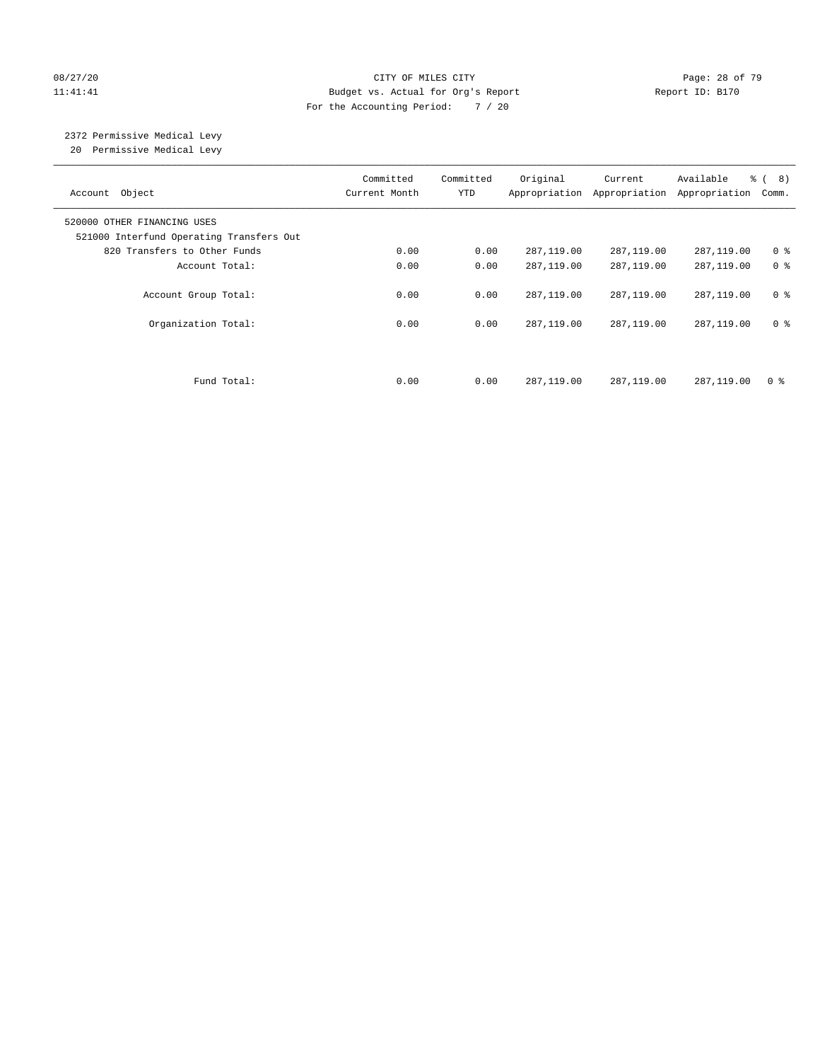#### 08/27/20 Page: 28 of 79 11:41:41 Budget vs. Actual for Org's Report Changer Report ID: B170 For the Accounting Period: 7 / 20

# 2372 Permissive Medical Levy

20 Permissive Medical Levy

| Account Object                                                          | Current Month | Committed<br><b>YTD</b> | Original<br>Appropriation Appropriation | Current      | Available<br>Appropriation | % (8)<br>Comm. |
|-------------------------------------------------------------------------|---------------|-------------------------|-----------------------------------------|--------------|----------------------------|----------------|
| 520000 OTHER FINANCING USES<br>521000 Interfund Operating Transfers Out |               |                         |                                         |              |                            |                |
| 820 Transfers to Other Funds                                            | 0.00          | 0.00                    | 287,119.00                              | 287,119.00   | 287,119.00                 | 0 <sup>8</sup> |
| Account Total:                                                          | 0.00          | 0.00                    | 287,119.00                              | 287,119.00   | 287,119.00                 | 0 <sup>8</sup> |
| Account Group Total:                                                    | 0.00          | 0.00                    | 287,119.00                              | 287,119.00   | 287,119.00                 | 0 <sup>8</sup> |
| Organization Total:                                                     | 0.00          | 0.00                    | 287,119.00                              | 287,119.00   | 287,119.00                 | 0 <sup>8</sup> |
| Fund Total:                                                             | 0.00          | 0.00                    | 287, 119, 00                            | 287, 119, 00 | 287,119.00                 | 0 <sup>8</sup> |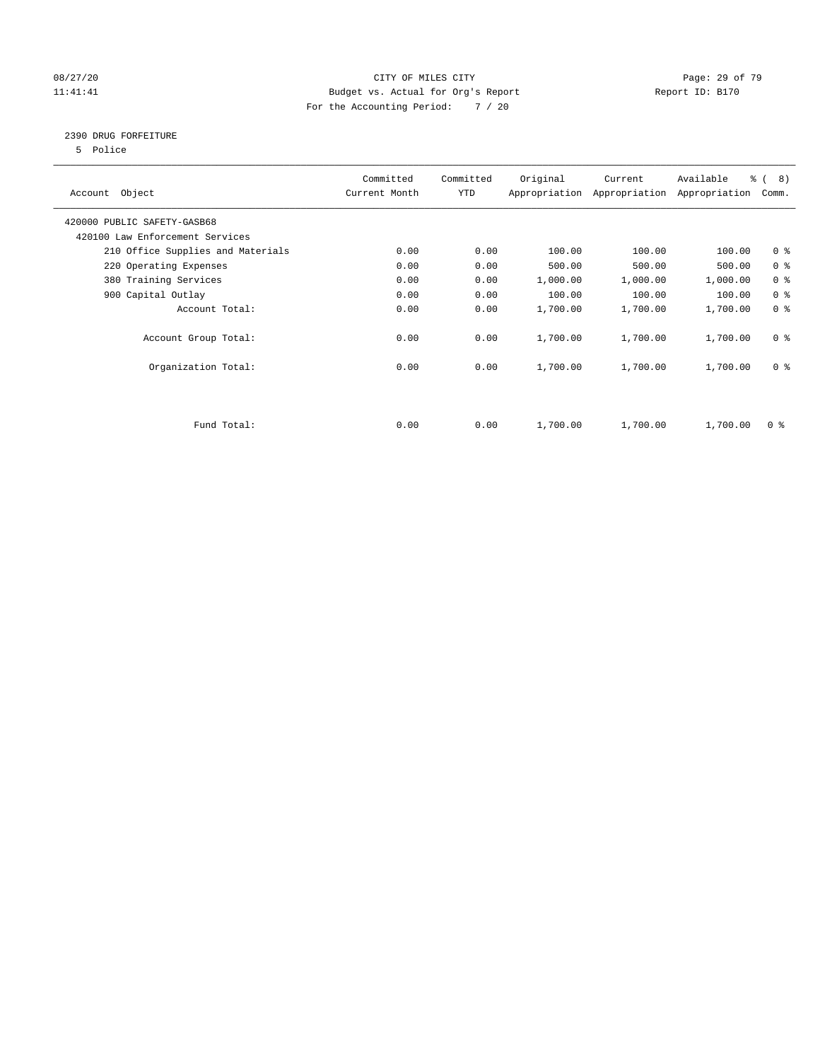#### 08/27/20 Page: 29 of 79 11:41:41 Budget vs. Actual for Org's Report Changer Report ID: B170 For the Accounting Period: 7 / 20

#### 2390 DRUG FORFEITURE

5 Police

| Account Object                    | Committed<br>Current Month | Committed<br>YTD | Original | Current<br>Appropriation Appropriation | Available<br>Appropriation | $\frac{6}{6}$ ( 8)<br>Comm. |
|-----------------------------------|----------------------------|------------------|----------|----------------------------------------|----------------------------|-----------------------------|
| 420000 PUBLIC SAFETY-GASB68       |                            |                  |          |                                        |                            |                             |
| 420100 Law Enforcement Services   |                            |                  |          |                                        |                            |                             |
| 210 Office Supplies and Materials | 0.00                       | 0.00             | 100.00   | 100.00                                 | 100.00                     | 0 <sub>8</sub>              |
| 220 Operating Expenses            | 0.00                       | 0.00             | 500.00   | 500.00                                 | 500.00                     | 0 <sup>8</sup>              |
| 380 Training Services             | 0.00                       | 0.00             | 1,000.00 | 1,000.00                               | 1,000.00                   | 0 <sup>8</sup>              |
| 900 Capital Outlay                | 0.00                       | 0.00             | 100.00   | 100.00                                 | 100.00                     | 0 <sup>8</sup>              |
| Account Total:                    | 0.00                       | 0.00             | 1,700.00 | 1,700.00                               | 1,700.00                   | 0 <sup>8</sup>              |
| Account Group Total:              | 0.00                       | 0.00             | 1,700.00 | 1,700.00                               | 1,700.00                   | 0 <sup>8</sup>              |
| Organization Total:               | 0.00                       | 0.00             | 1,700.00 | 1,700.00                               | 1,700.00                   | 0 <sup>8</sup>              |
|                                   |                            |                  |          |                                        |                            |                             |
| Fund Total:                       | 0.00                       | 0.00             | 1,700.00 | 1,700.00                               | 1,700.00                   | 0 %                         |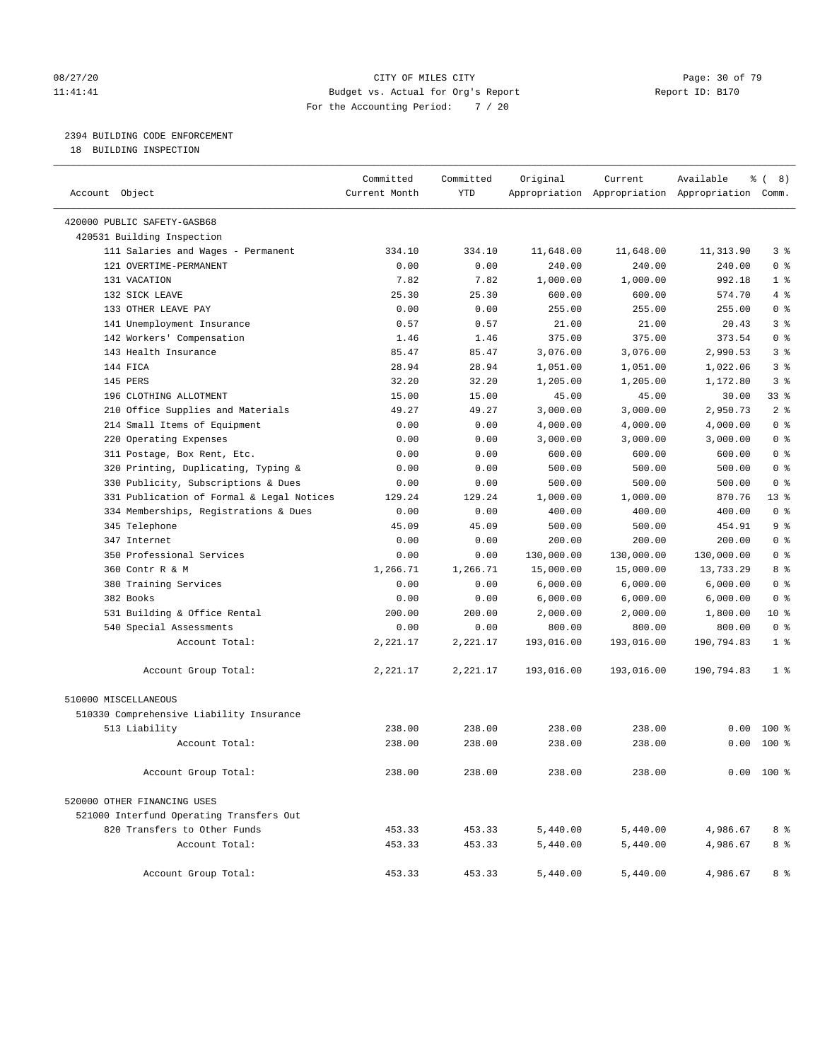#### 08/27/20 Page: 30 of 79 11:41:41 Budget vs. Actual for Org's Report Changer Report ID: B170 For the Accounting Period: 7 / 20

————————————————————————————————————————————————————————————————————————————————————————————————————————————————————————————————————

#### 2394 BUILDING CODE ENFORCEMENT

18 BUILDING INSPECTION

|                                           | Committed     | Committed  | Original   | Current    | Available                                       | ී (<br>8)      |
|-------------------------------------------|---------------|------------|------------|------------|-------------------------------------------------|----------------|
| Account Object                            | Current Month | <b>YTD</b> |            |            | Appropriation Appropriation Appropriation Comm. |                |
| 420000 PUBLIC SAFETY-GASB68               |               |            |            |            |                                                 |                |
| 420531 Building Inspection                |               |            |            |            |                                                 |                |
| 111 Salaries and Wages - Permanent        | 334.10        | 334.10     | 11,648.00  | 11,648.00  | 11,313.90                                       | 3 %            |
| 121 OVERTIME-PERMANENT                    | 0.00          | 0.00       | 240.00     | 240.00     | 240.00                                          | 0 <sup>8</sup> |
| 131 VACATION                              | 7.82          | 7.82       | 1,000.00   | 1,000.00   | 992.18                                          | 1 %            |
| 132 SICK LEAVE                            | 25.30         | 25.30      | 600.00     | 600.00     | 574.70                                          | 4%             |
| 133 OTHER LEAVE PAY                       | 0.00          | 0.00       | 255.00     | 255.00     | 255.00                                          | 0 <sup>8</sup> |
| 141 Unemployment Insurance                | 0.57          | 0.57       | 21.00      | 21.00      | 20.43                                           | 3 <sup>°</sup> |
| 142 Workers' Compensation                 | 1.46          | 1.46       | 375.00     | 375.00     | 373.54                                          | 0 <sup>8</sup> |
| 143 Health Insurance                      | 85.47         | 85.47      | 3,076.00   | 3,076.00   | 2,990.53                                        | 3%             |
| 144 FICA                                  | 28.94         | 28.94      | 1,051.00   | 1,051.00   | 1,022.06                                        | 3%             |
| 145 PERS                                  | 32.20         | 32.20      | 1,205.00   | 1,205.00   | 1,172.80                                        | 3 <sup>°</sup> |
| 196 CLOTHING ALLOTMENT                    | 15.00         | 15.00      | 45.00      | 45.00      | 30.00                                           | 33 %           |
| 210 Office Supplies and Materials         | 49.27         | 49.27      | 3,000.00   | 3,000.00   | 2,950.73                                        | 2 <sup>8</sup> |
| 214 Small Items of Equipment              | 0.00          | 0.00       | 4,000.00   | 4,000.00   | 4,000.00                                        | 0 <sup>8</sup> |
| 220 Operating Expenses                    | 0.00          | 0.00       | 3,000.00   | 3,000.00   | 3,000.00                                        | 0 <sup>8</sup> |
| 311 Postage, Box Rent, Etc.               | 0.00          | 0.00       | 600.00     | 600.00     | 600.00                                          | 0 <sup>8</sup> |
| 320 Printing, Duplicating, Typing &       | 0.00          | 0.00       | 500.00     | 500.00     | 500.00                                          | 0 <sup>8</sup> |
| 330 Publicity, Subscriptions & Dues       | 0.00          | 0.00       | 500.00     | 500.00     | 500.00                                          | 0 <sup>8</sup> |
| 331 Publication of Formal & Legal Notices | 129.24        | 129.24     | 1,000.00   | 1,000.00   | 870.76                                          | $13*$          |
| 334 Memberships, Registrations & Dues     | 0.00          | 0.00       | 400.00     | 400.00     | 400.00                                          | 0 <sup>8</sup> |
| 345 Telephone                             | 45.09         | 45.09      | 500.00     | 500.00     | 454.91                                          | 9 <sup>°</sup> |
| 347 Internet                              | 0.00          | 0.00       | 200.00     | 200.00     | 200.00                                          | 0 <sup>8</sup> |
| 350 Professional Services                 | 0.00          | 0.00       | 130,000.00 | 130,000.00 | 130,000.00                                      | 0 <sup>8</sup> |
| 360 Contr R & M                           | 1,266.71      | 1,266.71   | 15,000.00  | 15,000.00  | 13,733.29                                       | 8 %            |
| 380 Training Services                     | 0.00          | 0.00       | 6,000.00   | 6,000.00   | 6,000.00                                        | 0 <sup>8</sup> |
| 382 Books                                 | 0.00          | 0.00       | 6,000.00   | 6,000.00   | 6,000.00                                        | 0 <sup>8</sup> |
| 531 Building & Office Rental              | 200.00        | 200.00     | 2,000.00   | 2,000.00   | 1,800.00                                        | $10*$          |
| 540 Special Assessments                   | 0.00          | 0.00       | 800.00     | 800.00     | 800.00                                          | 0 <sup>8</sup> |
| Account Total:                            | 2,221.17      | 2,221.17   | 193,016.00 | 193,016.00 | 190,794.83                                      | 1 <sup>°</sup> |
| Account Group Total:                      | 2,221.17      | 2,221.17   | 193,016.00 | 193,016.00 | 190,794.83                                      | $1 \circ$      |
| 510000 MISCELLANEOUS                      |               |            |            |            |                                                 |                |
| 510330 Comprehensive Liability Insurance  |               |            |            |            |                                                 |                |
| 513 Liability                             | 238.00        | 238.00     | 238.00     | 238.00     |                                                 | $0.00$ 100 %   |
| Account Total:                            | 238.00        | 238.00     | 238.00     | 238.00     |                                                 | $0.00$ 100 %   |
| Account Group Total:                      | 238.00        | 238.00     | 238.00     | 238.00     |                                                 | $0.00 100$ %   |
| 520000 OTHER FINANCING USES               |               |            |            |            |                                                 |                |
| 521000 Interfund Operating Transfers Out  |               |            |            |            |                                                 |                |
| 820 Transfers to Other Funds              | 453.33        | 453.33     | 5,440.00   | 5,440.00   | 4,986.67                                        | 8 %            |
| Account Total:                            | 453.33        | 453.33     | 5,440.00   | 5,440.00   | 4,986.67                                        | 8 %            |
| Account Group Total:                      | 453.33        | 453.33     | 5,440.00   | 5,440.00   | 4,986.67                                        | 8 %            |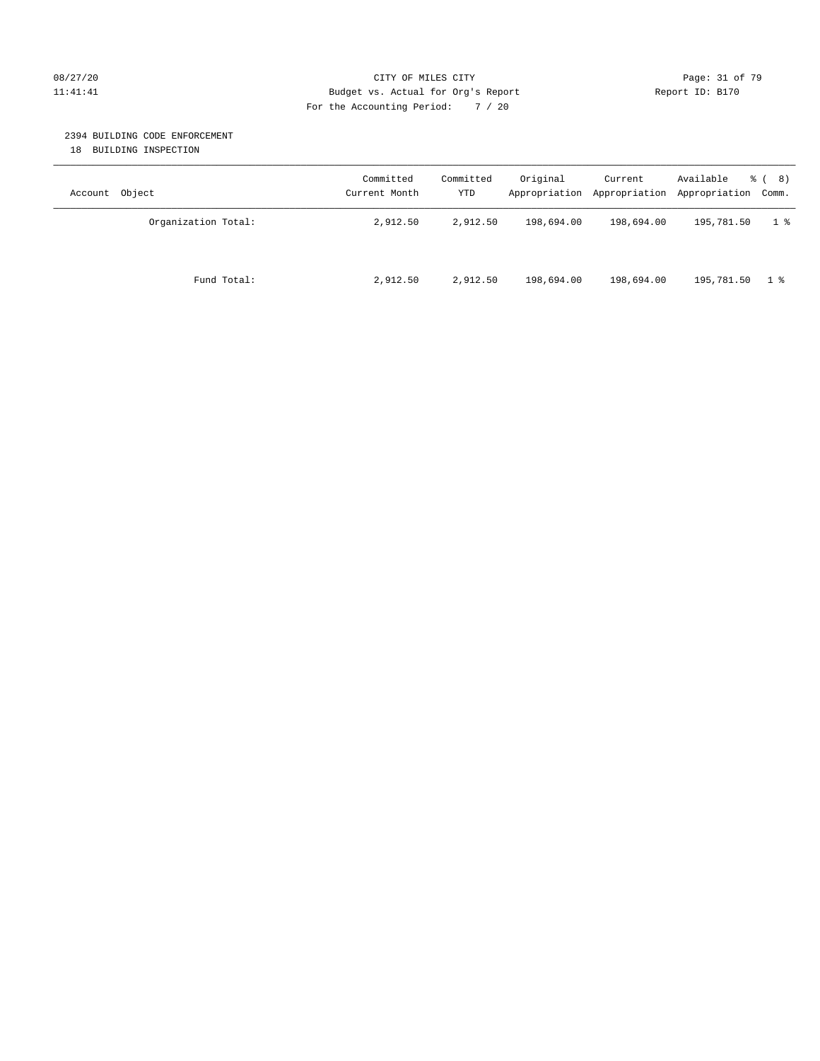#### 08/27/20 Page: 31 of 79 11:41:41 Budget vs. Actual for Org's Report Changer Report ID: B170 For the Accounting Period: 7 / 20

#### 2394 BUILDING CODE ENFORCEMENT

18 BUILDING INSPECTION

| Account Object      | Committed<br>Current Month | Committed<br>YTD | Original   | Current<br>Appropriation Appropriation | Available<br>Appropriation Comm. | <sub>රී</sub> ( 8 ) |
|---------------------|----------------------------|------------------|------------|----------------------------------------|----------------------------------|---------------------|
| Organization Total: | 2,912.50                   | 2,912.50         | 198,694.00 | 198,694.00                             | 195,781.50                       | $1 \text{ }$        |
| Fund Total:         | 2,912.50                   | 2,912.50         | 198,694.00 | 198,694.00                             | 195,781.50                       | 18                  |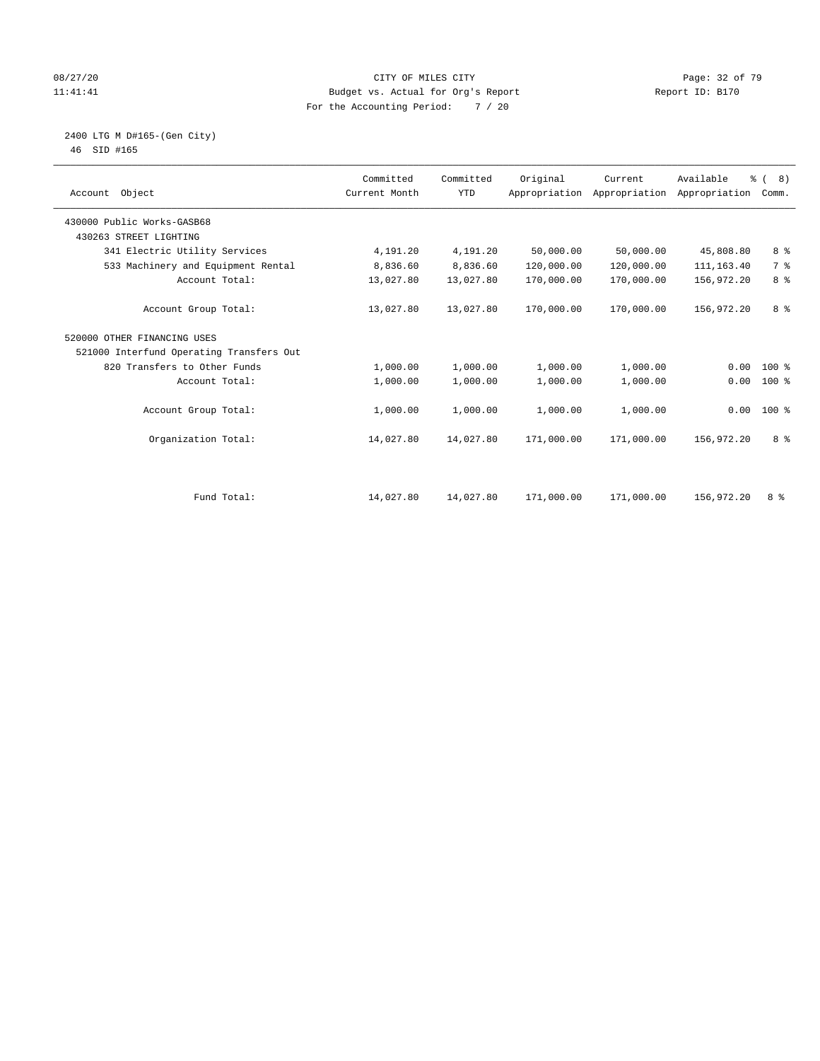#### 08/27/20 Page: 32 of 79 11:41:41 Budget vs. Actual for Org's Report Changer Report ID: B170 For the Accounting Period: 7 / 20

# 2400 LTG M D#165-(Gen City)

| 46 | SID #165 |  |
|----|----------|--|
|    |          |  |

| Account Object                           | Committed<br>Current Month | Committed<br><b>YTD</b> | Original   | Current<br>Appropriation Appropriation | Available<br>Appropriation | $\frac{6}{6}$ ( 8)<br>Comm. |
|------------------------------------------|----------------------------|-------------------------|------------|----------------------------------------|----------------------------|-----------------------------|
| 430000 Public Works-GASB68               |                            |                         |            |                                        |                            |                             |
| 430263 STREET LIGHTING                   |                            |                         |            |                                        |                            |                             |
| 341 Electric Utility Services            | 4,191.20                   | 4,191.20                | 50,000.00  | 50,000.00                              | 45,808.80                  | 8 %                         |
| 533 Machinery and Equipment Rental       | 8,836.60                   | 8,836.60                | 120,000.00 | 120,000.00                             | 111, 163.40                | 7 %                         |
| Account Total:                           | 13,027.80                  | 13,027.80               | 170,000.00 | 170,000.00                             | 156,972.20                 | 8 <sup>°</sup>              |
| Account Group Total:                     | 13,027.80                  | 13,027.80               | 170,000.00 | 170,000.00                             | 156,972.20                 | 8 %                         |
| 520000 OTHER FINANCING USES              |                            |                         |            |                                        |                            |                             |
| 521000 Interfund Operating Transfers Out |                            |                         |            |                                        |                            |                             |
| 820 Transfers to Other Funds             | 1,000.00                   | 1,000.00                | 1,000.00   | 1,000.00                               | 0.00                       | 100 %                       |
| Account Total:                           | 1,000.00                   | 1,000.00                | 1,000.00   | 1,000.00                               | 0.00                       | 100 %                       |
| Account Group Total:                     | 1,000.00                   | 1,000.00                | 1,000.00   | 1,000.00                               | 0.00                       | $100*$                      |
| Organization Total:                      | 14,027.80                  | 14,027.80               | 171,000.00 | 171,000.00                             | 156,972.20                 | 8 %                         |
|                                          |                            |                         |            |                                        |                            |                             |
| Fund Total:                              | 14,027.80                  | 14,027.80               | 171,000.00 | 171,000.00                             | 156,972.20                 | 8 %                         |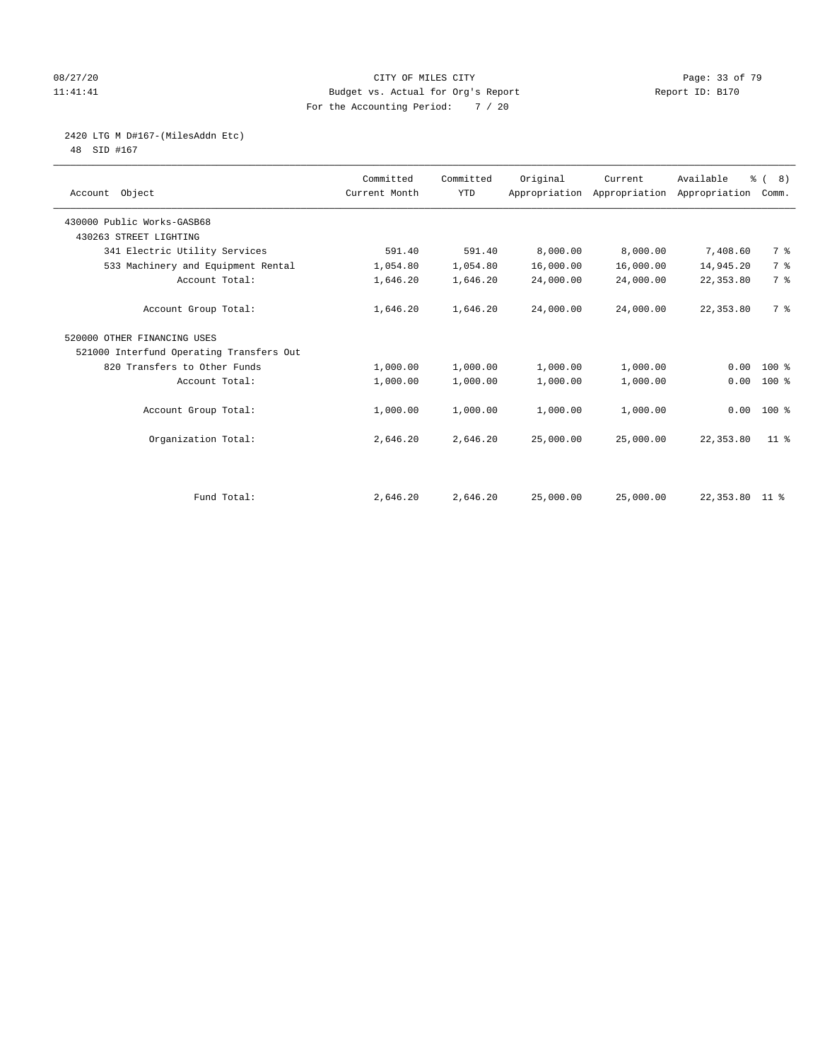#### 08/27/20 Page: 33 of 79 11:41:41 Budget vs. Actual for Org's Report Changer Report ID: B170 For the Accounting Period: 7 / 20

# 2420 LTG M D#167-(MilesAddn Etc)

48 SID #167

| Object<br>Account                        | Committed<br>Current Month | Committed<br><b>YTD</b> | Original  | Current<br>Appropriation Appropriation | Available<br>Appropriation | $\frac{6}{6}$ ( 8)<br>Comm. |  |
|------------------------------------------|----------------------------|-------------------------|-----------|----------------------------------------|----------------------------|-----------------------------|--|
| 430000 Public Works-GASB68               |                            |                         |           |                                        |                            |                             |  |
| 430263 STREET LIGHTING                   |                            |                         |           |                                        |                            |                             |  |
| 341 Electric Utility Services            | 591.40                     | 591.40                  | 8,000.00  | 8,000.00                               | 7,408.60                   | 7 %                         |  |
| 533 Machinery and Equipment Rental       | 1,054.80                   | 1,054.80                | 16,000.00 | 16,000.00                              | 14,945.20                  | 7 <sup>°</sup>              |  |
| Account Total:                           | 1,646.20                   | 1,646.20                | 24,000.00 | 24,000.00                              | 22, 353.80                 | 7 <sup>°</sup>              |  |
| Account Group Total:                     | 1,646.20                   | 1,646.20                | 24,000.00 | 24,000.00                              | 22, 353.80                 | 7 %                         |  |
| 520000 OTHER FINANCING USES              |                            |                         |           |                                        |                            |                             |  |
| 521000 Interfund Operating Transfers Out |                            |                         |           |                                        |                            |                             |  |
| 820 Transfers to Other Funds             | 1,000.00                   | 1,000.00                | 1,000.00  | 1,000.00                               | 0.00                       | $100$ %                     |  |
| Account Total:                           | 1,000.00                   | 1,000.00                | 1,000.00  | 1,000.00                               | 0.00                       | $100$ %                     |  |
| Account Group Total:                     | 1,000.00                   | 1,000.00                | 1,000.00  | 1,000.00                               | 0.00                       | $100*$                      |  |
| Organization Total:                      | 2,646.20                   | 2,646.20                | 25,000.00 | 25,000.00                              | 22, 353.80                 | $11$ %                      |  |
|                                          |                            |                         |           |                                        |                            |                             |  |
| Fund Total:                              | 2,646.20                   | 2,646.20                | 25,000.00 | 25,000.00                              | 22,353.80 11 %             |                             |  |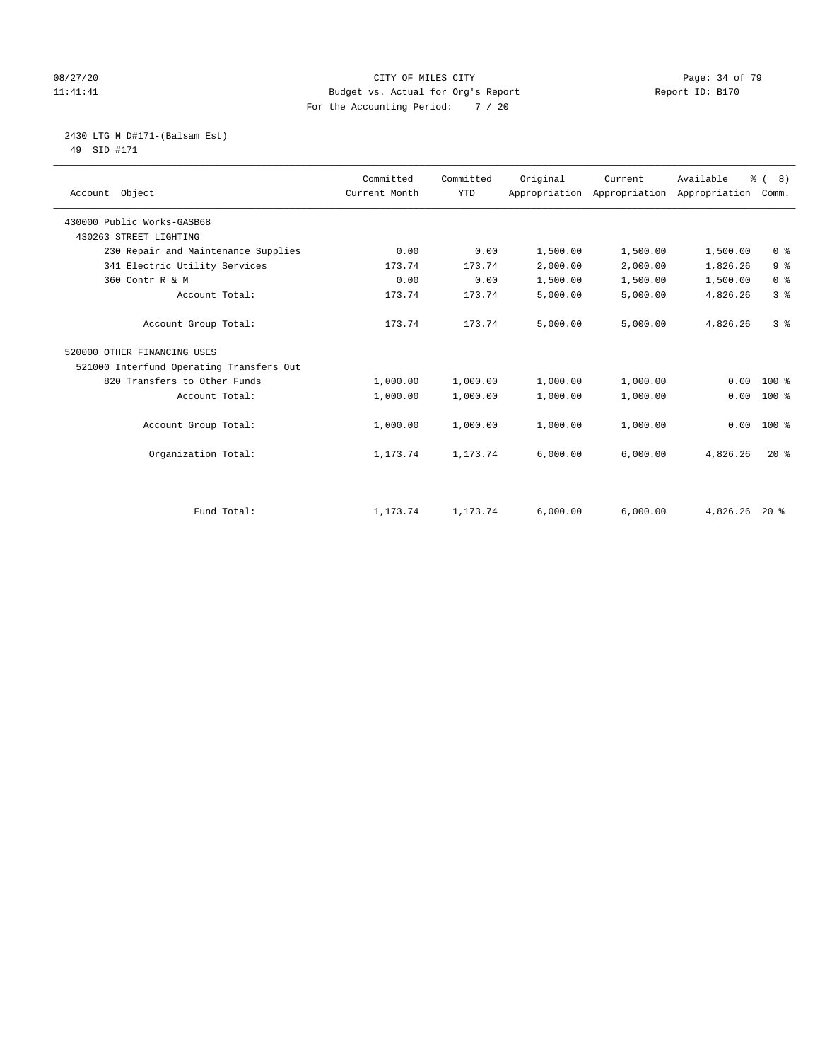#### 08/27/20 Page: 34 of 79 11:41:41 Budget vs. Actual for Org's Report Changer Report ID: B170 For the Accounting Period: 7 / 20

# 2430 LTG M D#171-(Balsam Est)

49 SID #171

| Account Object                           | Committed<br>Current Month | Committed<br><b>YTD</b> | Original | Current<br>Appropriation Appropriation | Available<br>Appropriation | % (8)<br>Comm. |
|------------------------------------------|----------------------------|-------------------------|----------|----------------------------------------|----------------------------|----------------|
| 430000 Public Works-GASB68               |                            |                         |          |                                        |                            |                |
| 430263 STREET LIGHTING                   |                            |                         |          |                                        |                            |                |
| 230 Repair and Maintenance Supplies      | 0.00                       | 0.00                    | 1,500.00 | 1,500.00                               | 1,500.00                   | 0 <sup>8</sup> |
| 341 Electric Utility Services            | 173.74                     | 173.74                  | 2,000.00 | 2,000.00                               | 1,826.26                   | 9 <sup>°</sup> |
| 360 Contr R & M                          | 0.00                       | 0.00                    | 1,500.00 | 1,500.00                               | 1,500.00                   | 0 <sup>8</sup> |
| Account Total:                           | 173.74                     | 173.74                  | 5,000.00 | 5,000.00                               | 4,826.26                   | 3 <sup>8</sup> |
| Account Group Total:                     | 173.74                     | 173.74                  | 5,000.00 | 5,000.00                               | 4,826.26                   | 3 <sup>8</sup> |
| 520000 OTHER FINANCING USES              |                            |                         |          |                                        |                            |                |
| 521000 Interfund Operating Transfers Out |                            |                         |          |                                        |                            |                |
| 820 Transfers to Other Funds             | 1,000.00                   | 1,000.00                | 1,000.00 | 1,000.00                               | 0.00                       | $100$ %        |
| Account Total:                           | 1,000.00                   | 1,000.00                | 1,000.00 | 1,000.00                               | 0.00                       | 100 %          |
| Account Group Total:                     | 1,000.00                   | 1,000.00                | 1,000.00 | 1,000.00                               | 0.00                       | $100*$         |
| Organization Total:                      | 1,173.74                   | 1,173.74                | 6,000.00 | 6,000.00                               | 4,826.26                   | $20*$          |
|                                          |                            |                         |          |                                        |                            |                |
| Fund Total:                              | 1,173.74                   | 1,173.74                | 6,000.00 | 6,000.00                               | 4,826.26                   | $20*$          |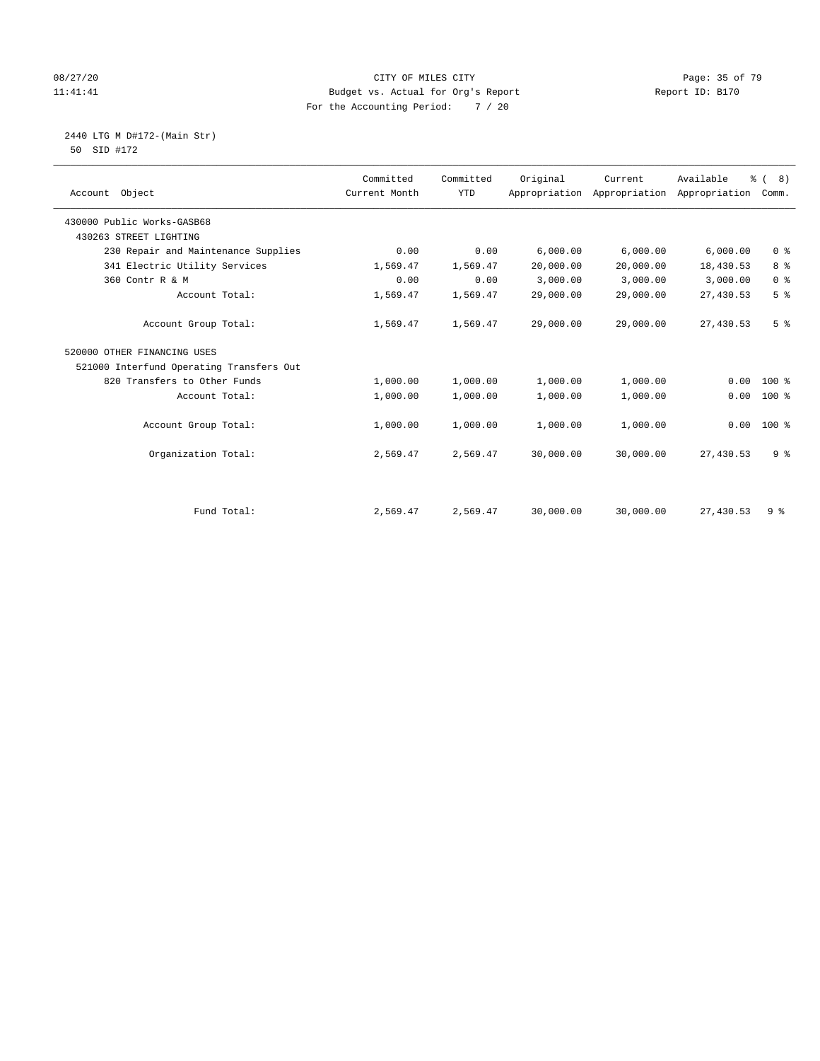#### 08/27/20 Page: 35 of 79 11:41:41 Budget vs. Actual for Org's Report Changer Report ID: B170 For the Accounting Period: 7 / 20

 2440 LTG M D#172-(Main Str) 50 SID #172

| Account Object                           | Committed<br>Current Month | Committed<br><b>YTD</b> | Original  | Current<br>Appropriation Appropriation | Available<br>Appropriation | $\frac{6}{6}$ ( 8)<br>Comm. |
|------------------------------------------|----------------------------|-------------------------|-----------|----------------------------------------|----------------------------|-----------------------------|
| 430000 Public Works-GASB68               |                            |                         |           |                                        |                            |                             |
| 430263 STREET LIGHTING                   |                            |                         |           |                                        |                            |                             |
| 230 Repair and Maintenance Supplies      | 0.00                       | 0.00                    | 6,000.00  | 6,000.00                               | 6,000.00                   | 0 <sup>8</sup>              |
| 341 Electric Utility Services            | 1,569.47                   | 1,569.47                | 20,000.00 | 20,000.00                              | 18,430.53                  | 8 <sup>°</sup>              |
| 360 Contr R & M                          | 0.00                       | 0.00                    | 3,000.00  | 3,000.00                               | 3,000.00                   | 0 <sup>8</sup>              |
| Account Total:                           | 1,569.47                   | 1,569.47                | 29,000.00 | 29,000.00                              | 27,430.53                  | 5 <sup>°</sup>              |
| Account Group Total:                     | 1,569.47                   | 1,569.47                | 29,000.00 | 29,000.00                              | 27,430.53                  | 5 <sup>°</sup>              |
| 520000 OTHER FINANCING USES              |                            |                         |           |                                        |                            |                             |
| 521000 Interfund Operating Transfers Out |                            |                         |           |                                        |                            |                             |
| 820 Transfers to Other Funds             | 1,000.00                   | 1,000.00                | 1,000.00  | 1,000.00                               | 0.00                       | $100$ %                     |
| Account Total:                           | 1,000.00                   | 1,000.00                | 1,000.00  | 1,000.00                               | 0.00                       | $100$ %                     |
| Account Group Total:                     | 1,000.00                   | 1,000.00                | 1,000.00  | 1,000.00                               | 0.00                       | $100$ %                     |
| Organization Total:                      | 2,569.47                   | 2,569.47                | 30,000.00 | 30,000.00                              | 27,430.53                  | 9 <sup>°</sup>              |
|                                          |                            |                         |           |                                        |                            |                             |
| Fund Total:                              | 2,569.47                   | 2,569.47                | 30,000.00 | 30,000.00                              | 27,430.53                  | 9 %                         |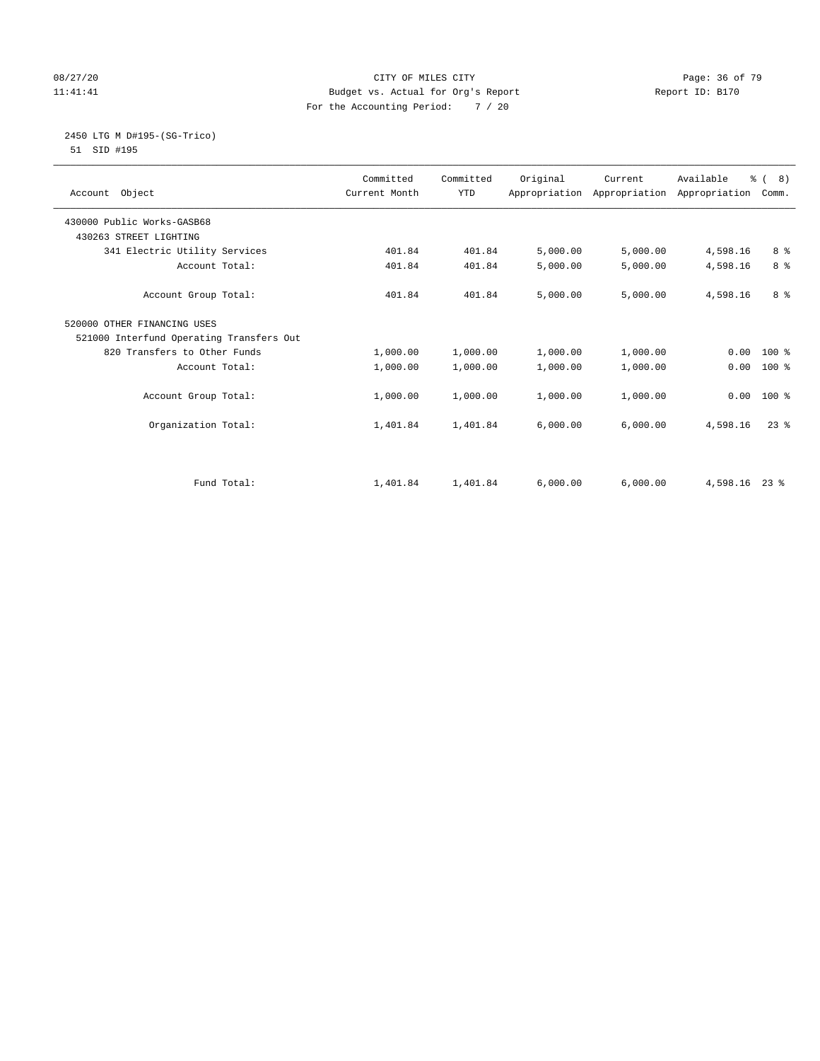#### 08/27/20 Page: 36 of 79 11:41:41 Budget vs. Actual for Org's Report Changer Report ID: B170 For the Accounting Period: 7 / 20

# 2450 LTG M D#195-(SG-Trico)

51 SID #195

| Account Object                           | Committed<br>Current Month | Committed<br><b>YTD</b> | Original | Current<br>Appropriation Appropriation Appropriation | Available | $\frac{6}{6}$ ( 8)<br>Comm. |
|------------------------------------------|----------------------------|-------------------------|----------|------------------------------------------------------|-----------|-----------------------------|
| 430000 Public Works-GASB68               |                            |                         |          |                                                      |           |                             |
| 430263 STREET LIGHTING                   |                            |                         |          |                                                      |           |                             |
| 341 Electric Utility Services            | 401.84                     | 401.84                  | 5,000.00 | 5,000.00                                             | 4,598.16  | 8 %                         |
| Account Total:                           | 401.84                     | 401.84                  | 5,000.00 | 5,000.00                                             | 4,598.16  | 8 %                         |
| Account Group Total:                     | 401.84                     | 401.84                  | 5,000.00 | 5,000.00                                             | 4,598.16  | 8 %                         |
| 520000 OTHER FINANCING USES              |                            |                         |          |                                                      |           |                             |
| 521000 Interfund Operating Transfers Out |                            |                         |          |                                                      |           |                             |
| 820 Transfers to Other Funds             | 1,000.00                   | 1,000.00                | 1,000.00 | 1,000.00                                             | 0.00      | $100*$                      |
| Account Total:                           | 1,000.00                   | 1,000.00                | 1,000.00 | 1,000.00                                             | 0.00      | $100*$                      |
| Account Group Total:                     | 1,000.00                   | 1,000.00                | 1,000.00 | 1,000.00                                             | 0.00      | $100*$                      |
| Organization Total:                      | 1,401.84                   | 1,401.84                | 6,000.00 | 6,000.00                                             | 4,598.16  | $23$ $%$                    |
|                                          |                            |                         |          |                                                      |           |                             |
| Fund Total:                              | 1,401.84                   | 1,401.84                | 6,000.00 | 6,000.00                                             | 4,598.16  | $23$ $\frac{6}{3}$          |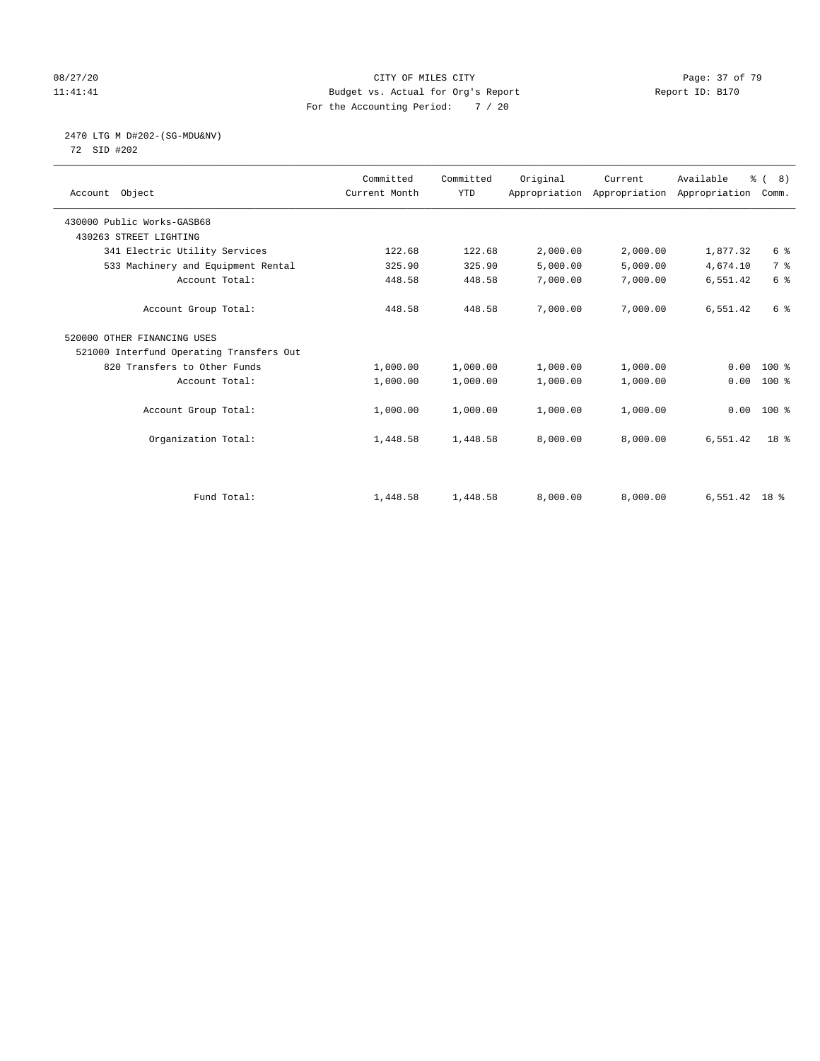#### 08/27/20 Page: 37 of 79 11:41:41 Budget vs. Actual for Org's Report Changer Report ID: B170 For the Accounting Period: 7 / 20

# 2470 LTG M D#202-(SG-MDU&NV)

72 SID #202

| Account Object                           | Committed<br>Current Month | Committed<br><b>YTD</b> | Original | Current<br>Appropriation Appropriation | Available<br>Appropriation | $\frac{6}{6}$ ( 8)<br>Comm. |
|------------------------------------------|----------------------------|-------------------------|----------|----------------------------------------|----------------------------|-----------------------------|
| 430000 Public Works-GASB68               |                            |                         |          |                                        |                            |                             |
| 430263 STREET LIGHTING                   |                            |                         |          |                                        |                            |                             |
| 341 Electric Utility Services            | 122.68                     | 122.68                  | 2,000.00 | 2,000.00                               | 1,877.32                   | 6 %                         |
| 533 Machinery and Equipment Rental       | 325.90                     | 325.90                  | 5,000.00 | 5,000.00                               | 4,674.10                   | 7 %                         |
| Account Total:                           | 448.58                     | 448.58                  | 7,000.00 | 7,000.00                               | 6,551.42                   | 6 <sup>°</sup>              |
| Account Group Total:                     | 448.58                     | 448.58                  | 7,000.00 | 7,000.00                               | 6,551.42                   | 6 %                         |
| 520000 OTHER FINANCING USES              |                            |                         |          |                                        |                            |                             |
| 521000 Interfund Operating Transfers Out |                            |                         |          |                                        |                            |                             |
| 820 Transfers to Other Funds             | 1,000.00                   | 1,000.00                | 1,000.00 | 1,000.00                               | 0.00                       | $100*$                      |
| Account Total:                           | 1,000.00                   | 1,000.00                | 1,000.00 | 1,000.00                               | 0.00                       | 100 %                       |
| Account Group Total:                     | 1,000.00                   | 1,000.00                | 1,000.00 | 1,000.00                               | 0.00                       | $100*$                      |
| Organization Total:                      | 1,448.58                   | 1,448.58                | 8,000.00 | 8,000.00                               | 6,551.42                   | 18 <sup>8</sup>             |
|                                          |                            |                         |          |                                        |                            |                             |
| Fund Total:                              | 1,448.58                   | 1,448.58                | 8,000.00 | 8,000.00                               | $6,551.42$ 18 %            |                             |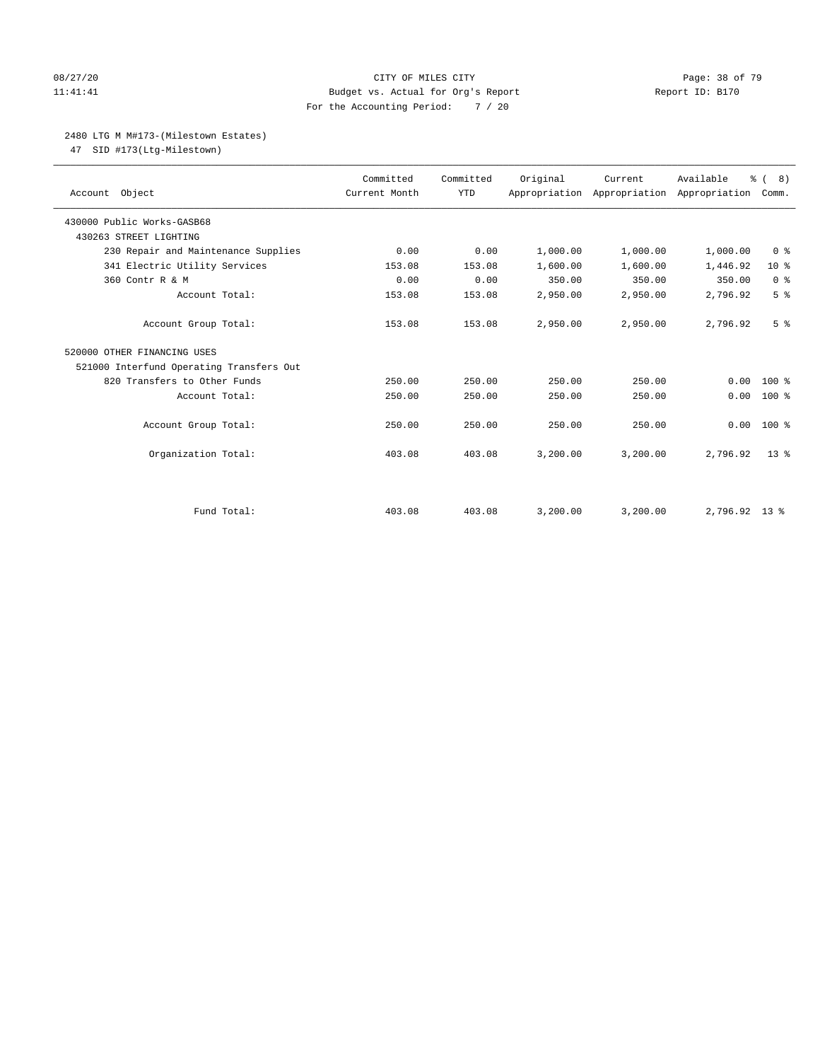#### 08/27/20 **Page: 38 of 79** CITY OF MILES CITY **CITY Page: 38 of 79** 11:41:41 Budget vs. Actual for Org's Report Changer Report ID: B170 For the Accounting Period: 7 / 20

#### 2480 LTG M M#173-(Milestown Estates)

47 SID #173(Ltg-Milestown)

| Account Object                           | Committed<br>Current Month | Committed<br><b>YTD</b> | Original | Current<br>Appropriation Appropriation | Available<br>Appropriation | % (8)<br>Comm.  |
|------------------------------------------|----------------------------|-------------------------|----------|----------------------------------------|----------------------------|-----------------|
| 430000 Public Works-GASB68               |                            |                         |          |                                        |                            |                 |
| 430263 STREET LIGHTING                   |                            |                         |          |                                        |                            |                 |
| 230 Repair and Maintenance Supplies      | 0.00                       | 0.00                    | 1,000.00 | 1,000.00                               | 1,000.00                   | 0 <sup>8</sup>  |
| 341 Electric Utility Services            | 153.08                     | 153.08                  | 1,600.00 | 1,600.00                               | 1,446.92                   | 10 <sup>8</sup> |
| 360 Contr R & M                          | 0.00                       | 0.00                    | 350.00   | 350.00                                 | 350.00                     | 0 <sup>8</sup>  |
| Account Total:                           | 153.08                     | 153.08                  | 2,950.00 | 2,950.00                               | 2,796.92                   | 5 <sup>°</sup>  |
| Account Group Total:                     | 153.08                     | 153.08                  | 2,950.00 | 2,950.00                               | 2,796.92                   | 5 <sup>8</sup>  |
| 520000 OTHER FINANCING USES              |                            |                         |          |                                        |                            |                 |
| 521000 Interfund Operating Transfers Out |                            |                         |          |                                        |                            |                 |
| 820 Transfers to Other Funds             | 250.00                     | 250.00                  | 250.00   | 250.00                                 | 0.00                       | 100 %           |
| Account Total:                           | 250.00                     | 250.00                  | 250.00   | 250.00                                 | 0.00                       | $100*$          |
| Account Group Total:                     | 250.00                     | 250.00                  | 250.00   | 250.00                                 | 0.00                       | $100*$          |
| Organization Total:                      | 403.08                     | 403.08                  | 3,200.00 | 3.200.00                               | 2,796.92                   | 13 <sup>8</sup> |
|                                          |                            |                         |          |                                        |                            |                 |
| Fund Total:                              | 403.08                     | 403.08                  | 3,200.00 | 3,200.00                               | 2,796.92 13 %              |                 |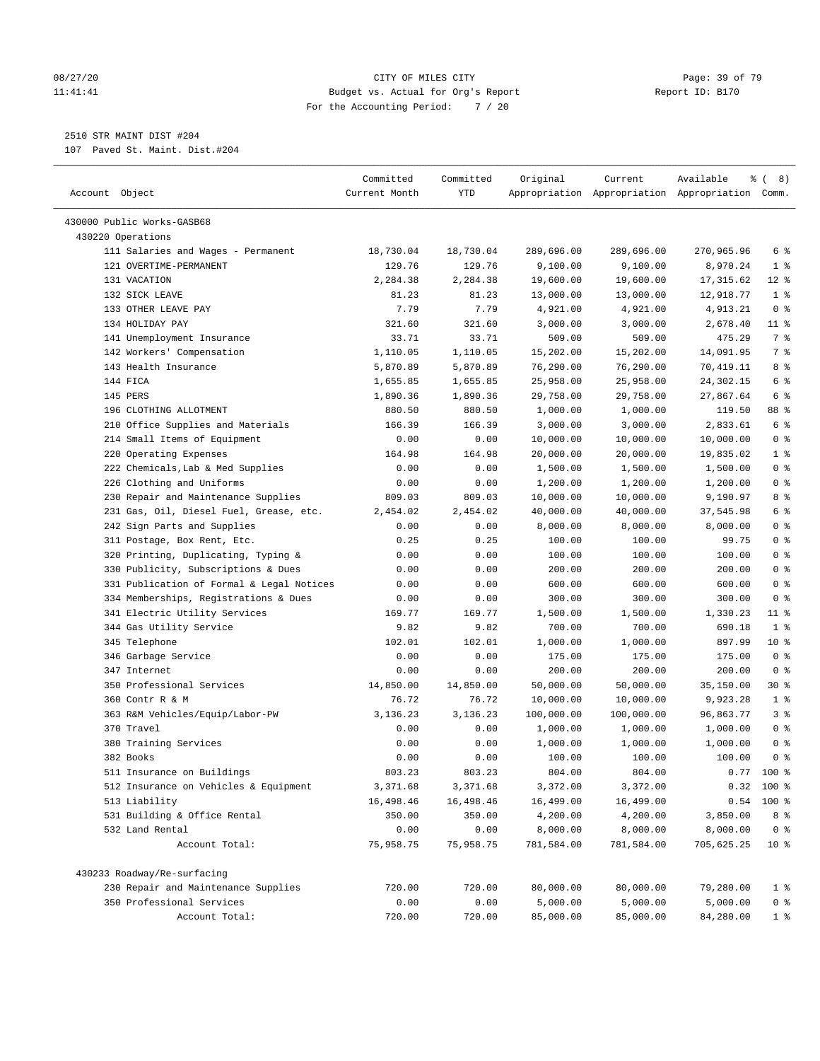#### 08/27/20 Page: 39 of 79 11:41:41 Budget vs. Actual for Org's Report Report ID: B170 For the Accounting Period: 7 / 20

————————————————————————————————————————————————————————————————————————————————————————————————————————————————————————————————————

2510 STR MAINT DIST #204

107 Paved St. Maint. Dist.#204

|                                                              | Committed           | Committed           | Original               | Current                | Available                                       | ී (<br>8)      |
|--------------------------------------------------------------|---------------------|---------------------|------------------------|------------------------|-------------------------------------------------|----------------|
| Account Object                                               | Current Month       | YTD                 |                        |                        | Appropriation Appropriation Appropriation Comm. |                |
|                                                              |                     |                     |                        |                        |                                                 |                |
| 430000 Public Works-GASB68<br>430220 Operations              |                     |                     |                        |                        |                                                 |                |
|                                                              |                     |                     |                        |                        |                                                 | 6 %            |
| 111 Salaries and Wages - Permanent<br>121 OVERTIME-PERMANENT | 18,730.04<br>129.76 | 18,730.04<br>129.76 | 289,696.00<br>9,100.00 | 289,696.00<br>9,100.00 | 270,965.96<br>8,970.24                          | 1 <sup>°</sup> |
| 131 VACATION                                                 | 2,284.38            | 2,284.38            | 19,600.00              | 19,600.00              | 17,315.62                                       | $12$ %         |
| 132 SICK LEAVE                                               | 81.23               | 81.23               | 13,000.00              | 13,000.00              | 12,918.77                                       | 1 <sup>8</sup> |
| 133 OTHER LEAVE PAY                                          | 7.79                | 7.79                | 4,921.00               | 4,921.00               | 4,913.21                                        | 0 <sup>8</sup> |
| 134 HOLIDAY PAY                                              | 321.60              | 321.60              | 3,000.00               | 3,000.00               | 2,678.40                                        | $11$ %         |
| 141 Unemployment Insurance                                   | 33.71               | 33.71               | 509.00                 | 509.00                 | 475.29                                          | 7%             |
| 142 Workers' Compensation                                    | 1,110.05            | 1,110.05            | 15,202.00              | 15,202.00              | 14,091.95                                       | 7 %            |
| 143 Health Insurance                                         | 5,870.89            | 5,870.89            | 76,290.00              | 76,290.00              | 70,419.11                                       | 8 %            |
| 144 FICA                                                     | 1,655.85            | 1,655.85            | 25,958.00              | 25,958.00              | 24,302.15                                       | 6 %            |
| 145 PERS                                                     | 1,890.36            | 1,890.36            | 29,758.00              | 29,758.00              | 27,867.64                                       | 6 %            |
| 196 CLOTHING ALLOTMENT                                       | 880.50              | 880.50              | 1,000.00               | 1,000.00               | 119.50                                          | 88 %           |
| 210 Office Supplies and Materials                            | 166.39              | 166.39              | 3,000.00               | 3,000.00               | 2,833.61                                        | 6 <sup>°</sup> |
| 214 Small Items of Equipment                                 | 0.00                | 0.00                | 10,000.00              | 10,000.00              | 10,000.00                                       | 0 <sup>8</sup> |
| 220 Operating Expenses                                       | 164.98              | 164.98              | 20,000.00              | 20,000.00              | 19,835.02                                       | 1 <sup>°</sup> |
| 222 Chemicals, Lab & Med Supplies                            | 0.00                | 0.00                | 1,500.00               | 1,500.00               | 1,500.00                                        | 0 <sup>8</sup> |
| 226 Clothing and Uniforms                                    | 0.00                | 0.00                | 1,200.00               | 1,200.00               | 1,200.00                                        | 0 <sup>8</sup> |
| 230 Repair and Maintenance Supplies                          | 809.03              | 809.03              | 10,000.00              | 10,000.00              | 9,190.97                                        | 8 %            |
| 231 Gas, Oil, Diesel Fuel, Grease, etc.                      | 2,454.02            | 2,454.02            | 40,000.00              | 40,000.00              | 37,545.98                                       | 6 %            |
| 242 Sign Parts and Supplies                                  | 0.00                | 0.00                | 8,000.00               | 8,000.00               | 8,000.00                                        | 0 <sup>8</sup> |
| 311 Postage, Box Rent, Etc.                                  | 0.25                | 0.25                | 100.00                 | 100.00                 | 99.75                                           | 0 <sup>8</sup> |
| 320 Printing, Duplicating, Typing &                          | 0.00                | 0.00                | 100.00                 | 100.00                 | 100.00                                          | 0 <sup>8</sup> |
| 330 Publicity, Subscriptions & Dues                          | 0.00                | 0.00                | 200.00                 | 200.00                 | 200.00                                          | 0 <sup>8</sup> |
| 331 Publication of Formal & Legal Notices                    | 0.00                | 0.00                | 600.00                 | 600.00                 | 600.00                                          | 0 <sup>8</sup> |
| 334 Memberships, Registrations & Dues                        | 0.00                | 0.00                | 300.00                 | 300.00                 | 300.00                                          | 0 <sup>8</sup> |
| 341 Electric Utility Services                                | 169.77              | 169.77              | 1,500.00               | 1,500.00               | 1,330.23                                        | $11$ %         |
| 344 Gas Utility Service                                      | 9.82                | 9.82                | 700.00                 | 700.00                 | 690.18                                          | 1 <sup>°</sup> |
| 345 Telephone                                                | 102.01              | 102.01              | 1,000.00               | 1,000.00               | 897.99                                          | $10*$          |
| 346 Garbage Service                                          | 0.00                | 0.00                | 175.00                 | 175.00                 | 175.00                                          | 0 <sup>8</sup> |
| 347 Internet                                                 | 0.00                | 0.00                | 200.00                 | 200.00                 | 200.00                                          | 0 <sup>8</sup> |
| 350 Professional Services                                    | 14,850.00           | 14,850.00           | 50,000.00              | 50,000.00              | 35,150.00                                       | 30 %           |
| 360 Contr R & M                                              | 76.72               | 76.72               | 10,000.00              | 10,000.00              | 9,923.28                                        | 1 <sup>8</sup> |
| 363 R&M Vehicles/Equip/Labor-PW                              | 3,136.23            | 3,136.23            | 100,000.00             | 100,000.00             | 96,863.77                                       | 3 <sup>°</sup> |
| 370 Travel                                                   | 0.00                | 0.00                | 1,000.00               | 1,000.00               | 1,000.00                                        | 0 <sup>8</sup> |
| 380 Training Services                                        | 0.00                | 0.00                | 1,000.00               | 1,000.00               | 1,000.00                                        | 0 <sup>8</sup> |
| 382 Books                                                    | 0.00                | 0.00                | 100.00                 | 100.00                 | 100.00                                          | 0 <sup>8</sup> |
| 511 Insurance on Buildings                                   | 803.23              | 803.23              | 804.00                 | 804.00                 | 0.77                                            | 100 %          |
| 512 Insurance on Vehicles & Equipment                        | 3,371.68            | 3,371.68            | 3,372.00               | 3,372.00               |                                                 | $0.32$ 100 %   |
| 513 Liability                                                | 16,498.46           | 16,498.46           | 16,499.00              | 16,499.00              | 0.54                                            | 100 %          |
| 531 Building & Office Rental                                 | 350.00              | 350.00              | 4,200.00               | 4,200.00               | 3,850.00                                        | $8 - 8$        |
| 532 Land Rental                                              | 0.00                | 0.00                | 8,000.00               | 8,000.00               | 8,000.00                                        | 0 <sup>8</sup> |
| Account Total:                                               | 75,958.75           | 75,958.75           | 781,584.00             | 781,584.00             | 705,625.25                                      | $10*$          |
| 430233 Roadway/Re-surfacing                                  |                     |                     |                        |                        |                                                 |                |
| 230 Repair and Maintenance Supplies                          | 720.00              | 720.00              | 80,000.00              | 80,000.00              | 79,280.00                                       | $1$ %          |
| 350 Professional Services                                    | 0.00                | 0.00                | 5,000.00               | 5,000.00               | 5,000.00                                        | $0$ %          |
| Account Total:                                               | 720.00              | 720.00              | 85,000.00              | 85,000.00              | 84,280.00                                       | $1 \degree$    |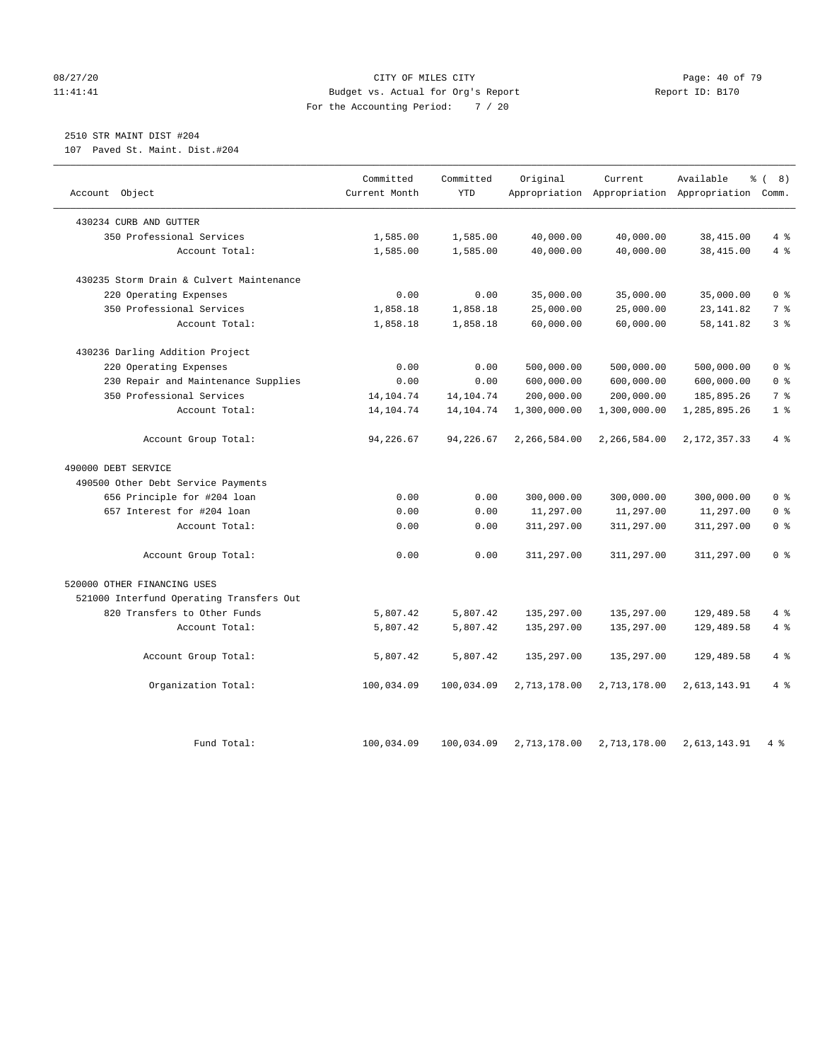#### 08/27/20 Page: 40 of 79 11:41:41 Budget vs. Actual for Org's Report Report ID: B170 For the Accounting Period: 7 / 20

## 2510 STR MAINT DIST #204

107 Paved St. Maint. Dist.#204

|                                          | Committed     | Committed   | Original     | Current      | Available                                 | % (8)          |
|------------------------------------------|---------------|-------------|--------------|--------------|-------------------------------------------|----------------|
| Account Object                           | Current Month | <b>YTD</b>  |              |              | Appropriation Appropriation Appropriation | Comm.          |
| 430234 CURB AND GUTTER                   |               |             |              |              |                                           |                |
| 350 Professional Services                | 1,585.00      | 1,585.00    | 40,000.00    | 40,000.00    | 38,415.00                                 | 4%             |
| Account Total:                           | 1,585.00      | 1,585.00    | 40,000.00    | 40,000.00    | 38,415.00                                 | 4%             |
| 430235 Storm Drain & Culvert Maintenance |               |             |              |              |                                           |                |
| 220 Operating Expenses                   | 0.00          | 0.00        | 35,000.00    | 35,000.00    | 35,000.00                                 | 0 <sup>8</sup> |
| 350 Professional Services                | 1,858.18      | 1,858.18    | 25,000.00    | 25,000.00    | 23, 141.82                                | 7%             |
| Account Total:                           | 1,858.18      | 1,858.18    | 60,000.00    | 60,000.00    | 58, 141.82                                | 3 <sup>8</sup> |
| 430236 Darling Addition Project          |               |             |              |              |                                           |                |
| 220 Operating Expenses                   | 0.00          | 0.00        | 500,000.00   | 500,000.00   | 500,000.00                                | 0 <sup>8</sup> |
| 230 Repair and Maintenance Supplies      | 0.00          | 0.00        | 600,000.00   | 600,000.00   | 600,000.00                                | 0 <sup>8</sup> |
| 350 Professional Services                | 14, 104. 74   | 14, 104. 74 | 200,000.00   | 200,000.00   | 185,895.26                                | 7 <sup>°</sup> |
| Account Total:                           | 14,104.74     | 14,104.74   | 1,300,000.00 | 1,300,000.00 | 1,285,895.26                              | 1 <sup>°</sup> |
| Account Group Total:                     | 94,226.67     | 94,226.67   | 2,266,584.00 | 2,266,584.00 | 2, 172, 357. 33                           | $4\degree$     |
| 490000 DEBT SERVICE                      |               |             |              |              |                                           |                |
| 490500 Other Debt Service Payments       |               |             |              |              |                                           |                |
| 656 Principle for #204 loan              | 0.00          | 0.00        | 300,000.00   | 300,000.00   | 300,000.00                                | 0 <sup>8</sup> |
| 657 Interest for #204 loan               | 0.00          | 0.00        | 11,297.00    | 11,297.00    | 11,297.00                                 | 0 <sup>8</sup> |
| Account Total:                           | 0.00          | 0.00        | 311,297.00   | 311,297.00   | 311,297.00                                | 0 <sup>8</sup> |
| Account Group Total:                     | 0.00          | 0.00        | 311,297.00   | 311,297.00   | 311,297.00                                | 0 <sup>8</sup> |
| 520000 OTHER FINANCING USES              |               |             |              |              |                                           |                |
| 521000 Interfund Operating Transfers Out |               |             |              |              |                                           |                |
| 820 Transfers to Other Funds             | 5,807.42      | 5,807.42    | 135,297.00   | 135,297.00   | 129,489.58                                | 4%             |
| Account Total:                           | 5,807.42      | 5,807.42    | 135,297.00   | 135,297.00   | 129,489.58                                | 4%             |
| Account Group Total:                     | 5,807.42      | 5,807.42    | 135,297.00   | 135,297.00   | 129,489.58                                | 4%             |
| Organization Total:                      | 100,034.09    | 100,034.09  | 2,713,178.00 | 2,713,178.00 | 2,613,143.91                              | 4%             |
|                                          |               |             |              |              |                                           |                |
| Fund Total:                              | 100,034.09    | 100,034.09  | 2,713,178.00 | 2,713,178.00 | 2,613,143.91                              | 4%             |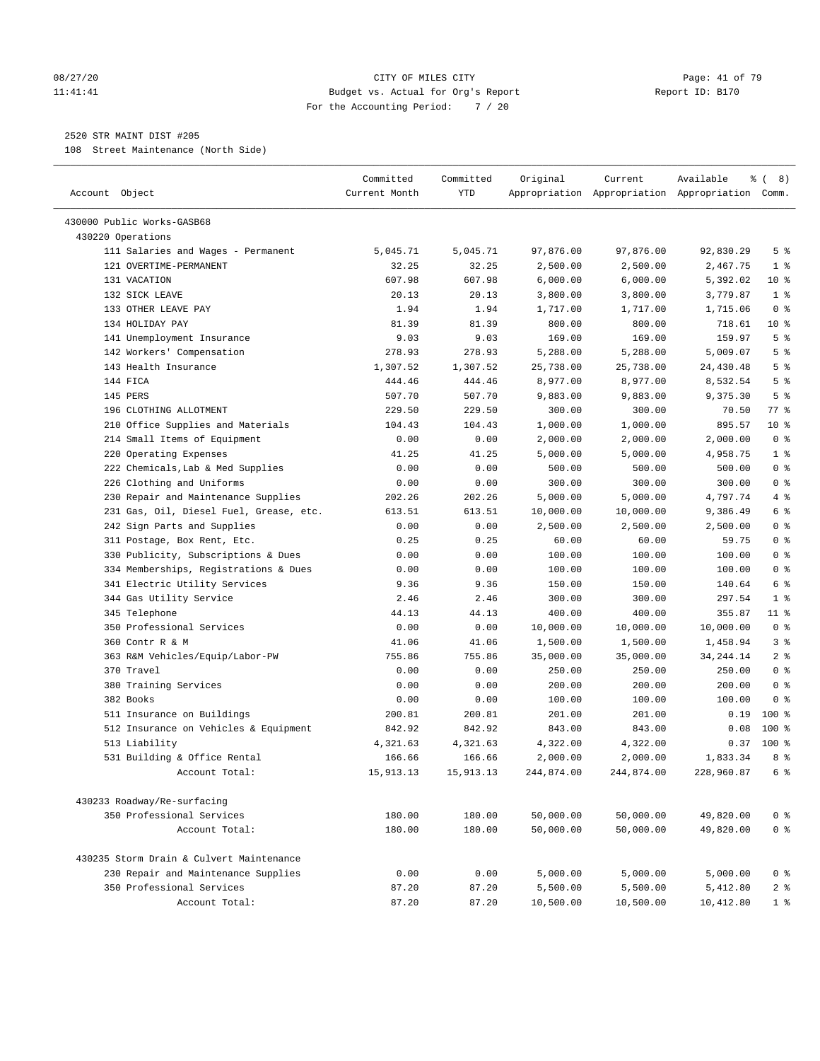#### 08/27/20 Page: 41 of 79 11:41:41 Budget vs. Actual for Org's Report Report ID: B170 For the Accounting Period: 7 / 20

————————————————————————————————————————————————————————————————————————————————————————————————————————————————————————————————————

#### 2520 STR MAINT DIST #205

108 Street Maintenance (North Side)

|                                          | Committed           | Committed  | Original   | Current    | Available                                       | ී (<br>8)       |
|------------------------------------------|---------------------|------------|------------|------------|-------------------------------------------------|-----------------|
| Account Object                           | Current Month       | <b>YTD</b> |            |            | Appropriation Appropriation Appropriation Comm. |                 |
| 430000 Public Works-GASB68               |                     |            |            |            |                                                 |                 |
| 430220 Operations                        |                     |            |            |            |                                                 |                 |
| 111 Salaries and Wages - Permanent       | 5,045.71            | 5,045.71   | 97,876.00  | 97,876.00  | 92,830.29                                       | 5 <sup>8</sup>  |
| 121 OVERTIME-PERMANENT                   | 32.25               | 32.25      | 2,500.00   | 2,500.00   | 2,467.75                                        | 1 <sup>°</sup>  |
| 131 VACATION                             | 607.98              | 607.98     | 6,000.00   | 6,000.00   | 5,392.02                                        | $10*$           |
| 132 SICK LEAVE                           | 20.13               | 20.13      | 3,800.00   | 3,800.00   | 3,779.87                                        | 1 <sup>8</sup>  |
| 133 OTHER LEAVE PAY                      | 1.94                | 1.94       | 1,717.00   | 1,717.00   | 1,715.06                                        | 0 <sup>8</sup>  |
| 134 HOLIDAY PAY                          | 81.39               | 81.39      | 800.00     | 800.00     | 718.61                                          | 10 <sub>8</sub> |
| 141 Unemployment Insurance               | 9.03                | 9.03       | 169.00     | 169.00     | 159.97                                          | 5 <sup>°</sup>  |
| 142 Workers' Compensation                | 278.93              | 278.93     | 5,288.00   | 5,288.00   | 5,009.07                                        | 5 <sup>°</sup>  |
| 143 Health Insurance                     | 1,307.52            | 1,307.52   | 25,738.00  | 25,738.00  | 24,430.48                                       | 5 <sup>°</sup>  |
| 144 FICA                                 | 444.46              | 444.46     | 8,977.00   | 8,977.00   | 8,532.54                                        | 5 <sup>°</sup>  |
| 145 PERS                                 | 507.70              | 507.70     | 9,883.00   | 9,883.00   | 9,375.30                                        | 5 <sup>°</sup>  |
| 196 CLOTHING ALLOTMENT                   | 229.50              | 229.50     | 300.00     | 300.00     | 70.50                                           | 77.8            |
| 210 Office Supplies and Materials        | 104.43              | 104.43     | 1,000.00   | 1,000.00   | 895.57                                          | $10*$           |
| 214 Small Items of Equipment             | 0.00                | 0.00       | 2,000.00   | 2,000.00   | 2,000.00                                        | 0 <sup>8</sup>  |
| 220 Operating Expenses                   | 41.25               | 41.25      | 5,000.00   | 5,000.00   | 4,958.75                                        | 1 <sup>°</sup>  |
| 222 Chemicals, Lab & Med Supplies        | 0.00                | 0.00       | 500.00     | 500.00     | 500.00                                          | 0 <sup>8</sup>  |
| 226 Clothing and Uniforms                | 0.00                | 0.00       | 300.00     | 300.00     | 300.00                                          | 0 <sup>8</sup>  |
| 230 Repair and Maintenance Supplies      | 202.26              | 202.26     | 5,000.00   | 5,000.00   | 4,797.74                                        | 4%              |
| 231 Gas, Oil, Diesel Fuel, Grease, etc.  | 613.51              | 613.51     | 10,000.00  | 10,000.00  | 9,386.49                                        | 6 %             |
| 242 Sign Parts and Supplies              | 0.00                | 0.00       | 2,500.00   | 2,500.00   | 2,500.00                                        | 0 <sup>8</sup>  |
| 311 Postage, Box Rent, Etc.              | 0.25                | 0.25       | 60.00      | 60.00      | 59.75                                           | 0 <sup>8</sup>  |
| 330 Publicity, Subscriptions & Dues      | 0.00                | 0.00       | 100.00     | 100.00     | 100.00                                          | 0 <sup>8</sup>  |
| 334 Memberships, Registrations & Dues    | 0.00                | 0.00       | 100.00     | 100.00     | 100.00                                          | 0 <sup>8</sup>  |
| 341 Electric Utility Services            | 9.36                | 9.36       | 150.00     | 150.00     | 140.64                                          | 6 %             |
| 344 Gas Utility Service                  | 2.46                | 2.46       | 300.00     | 300.00     | 297.54                                          | 1 <sup>°</sup>  |
| 345 Telephone                            | 44.13               | 44.13      | 400.00     | 400.00     | 355.87                                          | $11$ %          |
| 350 Professional Services                | 0.00                | 0.00       | 10,000.00  | 10,000.00  | 10,000.00                                       | 0 <sup>8</sup>  |
| 360 Contr R & M                          | 41.06               | 41.06      | 1,500.00   | 1,500.00   | 1,458.94                                        | 3 <sup>°</sup>  |
| 363 R&M Vehicles/Equip/Labor-PW          | 755.86              | 755.86     | 35,000.00  | 35,000.00  | 34, 244. 14                                     | 2 <sup>°</sup>  |
| 370 Travel                               | 0.00                | 0.00       | 250.00     | 250.00     | 250.00                                          | 0 <sup>8</sup>  |
| 380 Training Services                    | 0.00                | 0.00       | 200.00     | 200.00     | 200.00                                          | 0 <sup>8</sup>  |
| 382 Books                                | 0.00                | 0.00       | 100.00     | 100.00     | 100.00                                          | 0 <sup>8</sup>  |
| 511 Insurance on Buildings               | 200.81              | 200.81     | 201.00     | 201.00     | 0.19                                            | $100*$          |
| 512 Insurance on Vehicles & Equipment    | 842.92              | 842.92     | 843.00     | 843.00     | 0.08                                            | $100$ %         |
| 513 Liability                            | 4,321.63            | 4,321.63   | 4,322.00   | 4,322.00   | 0.37                                            | 100 %           |
|                                          |                     |            |            | 2,000.00   |                                                 | 8 %             |
| 531 Building & Office Rental             | 166.66<br>15,913.13 | 166.66     | 2,000.00   | 244,874.00 | 1,833.34<br>228,960.87                          | 6 %             |
| Account Total:                           |                     | 15,913.13  | 244,874.00 |            |                                                 |                 |
| 430233 Roadway/Re-surfacing              |                     |            |            |            |                                                 |                 |
| 350 Professional Services                | 180.00              | 180.00     | 50,000.00  | 50,000.00  | 49,820.00                                       | 0 <sup>8</sup>  |
| Account Total:                           | 180.00              | 180.00     | 50,000.00  | 50,000.00  | 49,820.00                                       | 0 <sup>8</sup>  |
|                                          |                     |            |            |            |                                                 |                 |
| 430235 Storm Drain & Culvert Maintenance |                     |            |            |            |                                                 |                 |
| 230 Repair and Maintenance Supplies      | 0.00                | 0.00       | 5,000.00   | 5,000.00   | 5,000.00                                        | 0 <sup>8</sup>  |
| 350 Professional Services                | 87.20               | 87.20      | 5,500.00   | 5,500.00   | 5,412.80                                        | 2 <sup>8</sup>  |
| Account Total:                           | 87.20               | 87.20      | 10,500.00  | 10,500.00  | 10,412.80                                       | 1 <sup>8</sup>  |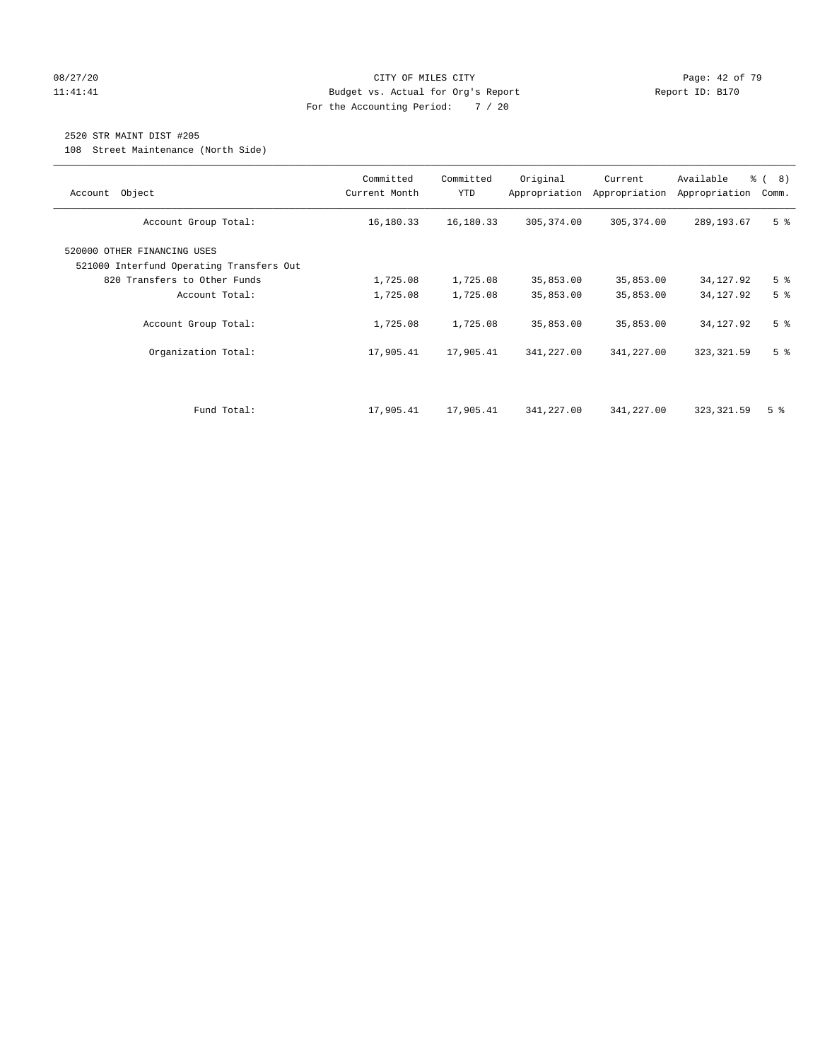#### 08/27/20 Page: 42 of 79 11:41:41 Budget vs. Actual for Org's Report Changer Report ID: B170 For the Accounting Period: 7 / 20

## 2520 STR MAINT DIST #205

108 Street Maintenance (North Side)

| Account Object                                                          | Committed<br>Current Month | Committed<br><b>YTD</b> | Original<br>Appropriation | Current<br>Appropriation | Available<br>Appropriation | % (8)<br>Comm. |
|-------------------------------------------------------------------------|----------------------------|-------------------------|---------------------------|--------------------------|----------------------------|----------------|
| Account Group Total:                                                    | 16,180.33                  | 16,180.33               | 305,374.00                | 305, 374.00              | 289, 193.67                | 5 <sup>8</sup> |
| 520000 OTHER FINANCING USES<br>521000 Interfund Operating Transfers Out |                            |                         |                           |                          |                            |                |
| 820 Transfers to Other Funds                                            | 1,725.08                   | 1,725.08                | 35,853.00                 | 35,853.00                | 34,127.92                  | 5 <sup>8</sup> |
| Account Total:                                                          | 1,725.08                   | 1,725.08                | 35,853.00                 | 35,853.00                | 34, 127.92                 | 5 <sup>8</sup> |
| Account Group Total:                                                    | 1,725.08                   | 1,725.08                | 35,853.00                 | 35,853.00                | 34,127.92                  | 5 <sup>8</sup> |
| Organization Total:                                                     | 17,905.41                  | 17,905.41               | 341,227.00                | 341,227.00               | 323, 321.59                | 5 <sup>8</sup> |
|                                                                         |                            |                         |                           |                          |                            |                |
| Fund Total:                                                             | 17,905.41                  | 17,905.41               | 341,227.00                | 341,227.00               | 323, 321.59                | 5 <sup>8</sup> |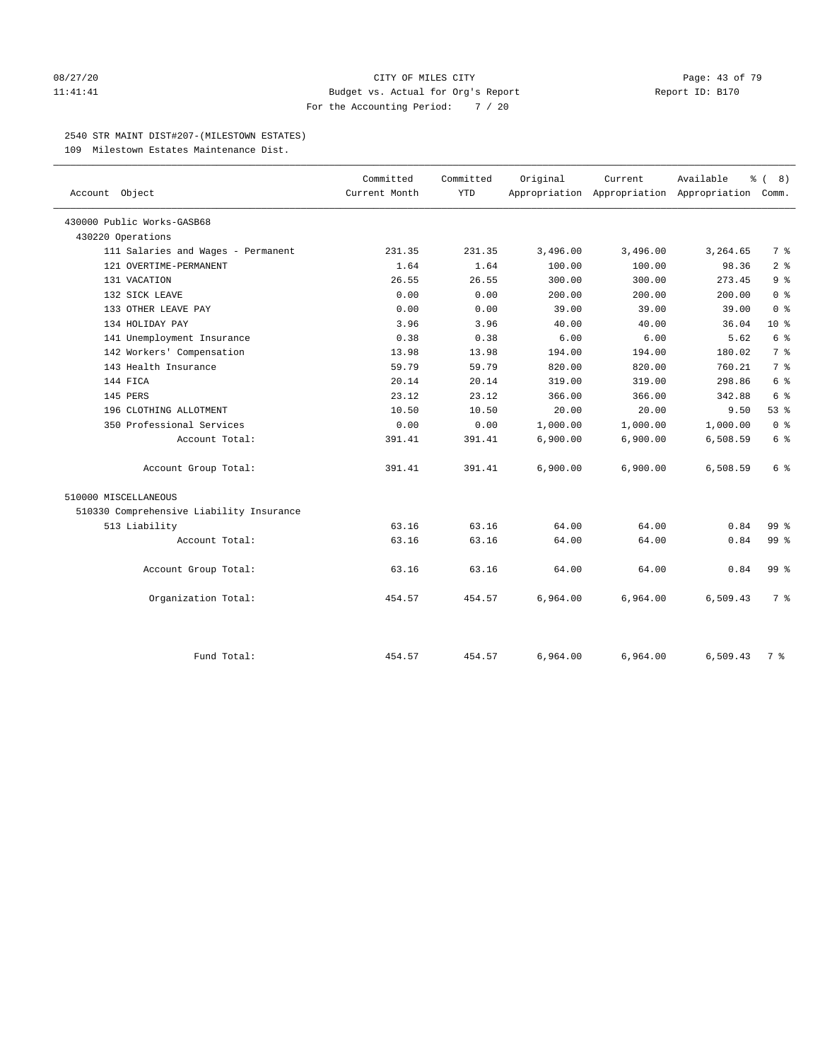#### 08/27/20 Page: 43 of 79 11:41:41 Budget vs. Actual for Org's Report Report ID: B170 For the Accounting Period: 7 / 20

#### 2540 STR MAINT DIST#207-(MILESTOWN ESTATES)

109 Milestown Estates Maintenance Dist.

| Account Object                           | Committed<br>Current Month | Committed<br><b>YTD</b> | Original | Current<br>Appropriation Appropriation Appropriation Comm. | Available<br>န့ | 8)<br>$\sqrt{ }$ |
|------------------------------------------|----------------------------|-------------------------|----------|------------------------------------------------------------|-----------------|------------------|
| 430000 Public Works-GASB68               |                            |                         |          |                                                            |                 |                  |
| 430220 Operations                        |                            |                         |          |                                                            |                 |                  |
| 111 Salaries and Wages - Permanent       | 231.35                     | 231.35                  | 3,496.00 | 3,496.00                                                   | 3,264.65        | 7 %              |
| 121 OVERTIME-PERMANENT                   | 1.64                       | 1.64                    | 100.00   | 100.00                                                     | 98.36           | 2 <sup>8</sup>   |
| 131 VACATION                             | 26.55                      | 26.55                   | 300.00   | 300.00                                                     | 273.45          | 9 <sup>°</sup>   |
| 132 SICK LEAVE                           | 0.00                       | 0.00                    | 200.00   | 200.00                                                     | 200.00          | 0 <sup>8</sup>   |
| 133 OTHER LEAVE PAY                      | 0.00                       | 0.00                    | 39.00    | 39.00                                                      | 39.00           | 0 <sup>8</sup>   |
| 134 HOLIDAY PAY                          | 3.96                       | 3.96                    | 40.00    | 40.00                                                      | 36.04           | $10*$            |
| 141 Unemployment Insurance               | 0.38                       | 0.38                    | 6.00     | 6.00                                                       | 5.62            | 6 <sup>°</sup>   |
| 142 Workers' Compensation                | 13.98                      | 13.98                   | 194.00   | 194.00                                                     | 180.02          | 7 <sup>°</sup>   |
| 143 Health Insurance                     | 59.79                      | 59.79                   | 820.00   | 820.00                                                     | 760.21          | 7 <sup>°</sup>   |
| 144 FICA                                 | 20.14                      | 20.14                   | 319.00   | 319.00                                                     | 298.86          | 6 %              |
| 145 PERS                                 | 23.12                      | 23.12                   | 366.00   | 366.00                                                     | 342.88          | 6 %              |
| 196 CLOTHING ALLOTMENT                   | 10.50                      | 10.50                   | 20.00    | 20.00                                                      | 9.50            | 53 %             |
| 350 Professional Services                | 0.00                       | 0.00                    | 1,000.00 | 1,000.00                                                   | 1,000.00        | 0 <sup>8</sup>   |
| Account Total:                           | 391.41                     | 391.41                  | 6,900.00 | 6,900.00                                                   | 6,508.59        | 6 %              |
| Account Group Total:                     | 391.41                     | 391.41                  | 6,900.00 | 6,900.00                                                   | 6,508.59        | 6 %              |
| 510000 MISCELLANEOUS                     |                            |                         |          |                                                            |                 |                  |
| 510330 Comprehensive Liability Insurance |                            |                         |          |                                                            |                 |                  |
| 513 Liability                            | 63.16                      | 63.16                   | 64.00    | 64.00                                                      | 0.84            | 99 <sub>8</sub>  |
| Account Total:                           | 63.16                      | 63.16                   | 64.00    | 64.00                                                      | 0.84            | 99 %             |
| Account Group Total:                     | 63.16                      | 63.16                   | 64.00    | 64.00                                                      | 0.84            | 99 <sub>8</sub>  |
| Organization Total:                      | 454.57                     | 454.57                  | 6,964.00 | 6,964.00                                                   | 6,509.43        | 7 %              |
| Fund Total:                              | 454.57                     | 454.57                  | 6,964.00 | 6,964.00                                                   | 6,509.43        | 7 %              |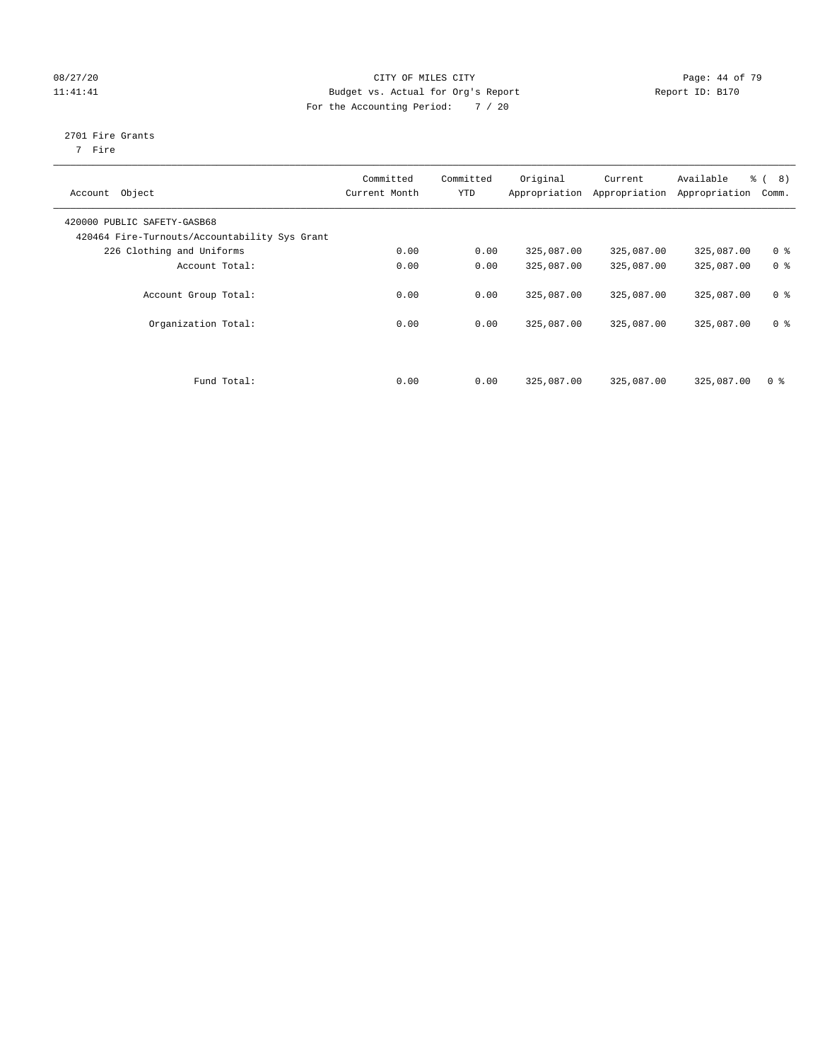#### 08/27/20 Page: 44 of 79 11:41:41 Budget vs. Actual for Org's Report Changer Report ID: B170 For the Accounting Period: 7 / 20

## 2701 Fire Grants

7 Fire

| Object<br>Account                                                            | Committed<br>Current Month | Committed<br><b>YTD</b> | Original<br>Appropriation | Current<br>Appropriation | Available<br>Appropriation | $\frac{6}{6}$ ( 8)<br>Comm. |
|------------------------------------------------------------------------------|----------------------------|-------------------------|---------------------------|--------------------------|----------------------------|-----------------------------|
| 420000 PUBLIC SAFETY-GASB68<br>420464 Fire-Turnouts/Accountability Sys Grant |                            |                         |                           |                          |                            |                             |
| 226 Clothing and Uniforms                                                    | 0.00                       | 0.00                    | 325,087.00                | 325,087.00               | 325,087.00                 | 0 <sup>8</sup>              |
| Account Total:                                                               | 0.00                       | 0.00                    | 325,087.00                | 325,087.00               | 325,087.00                 | 0 <sup>8</sup>              |
| Account Group Total:                                                         | 0.00                       | 0.00                    | 325,087.00                | 325,087.00               | 325,087.00                 | 0 <sup>8</sup>              |
| Organization Total:                                                          | 0.00                       | 0.00                    | 325,087.00                | 325,087.00               | 325,087.00                 | 0 <sup>8</sup>              |
| Fund Total:                                                                  | 0.00                       | 0.00                    | 325,087.00                | 325,087.00               | 325,087.00                 | 0 <sup>8</sup>              |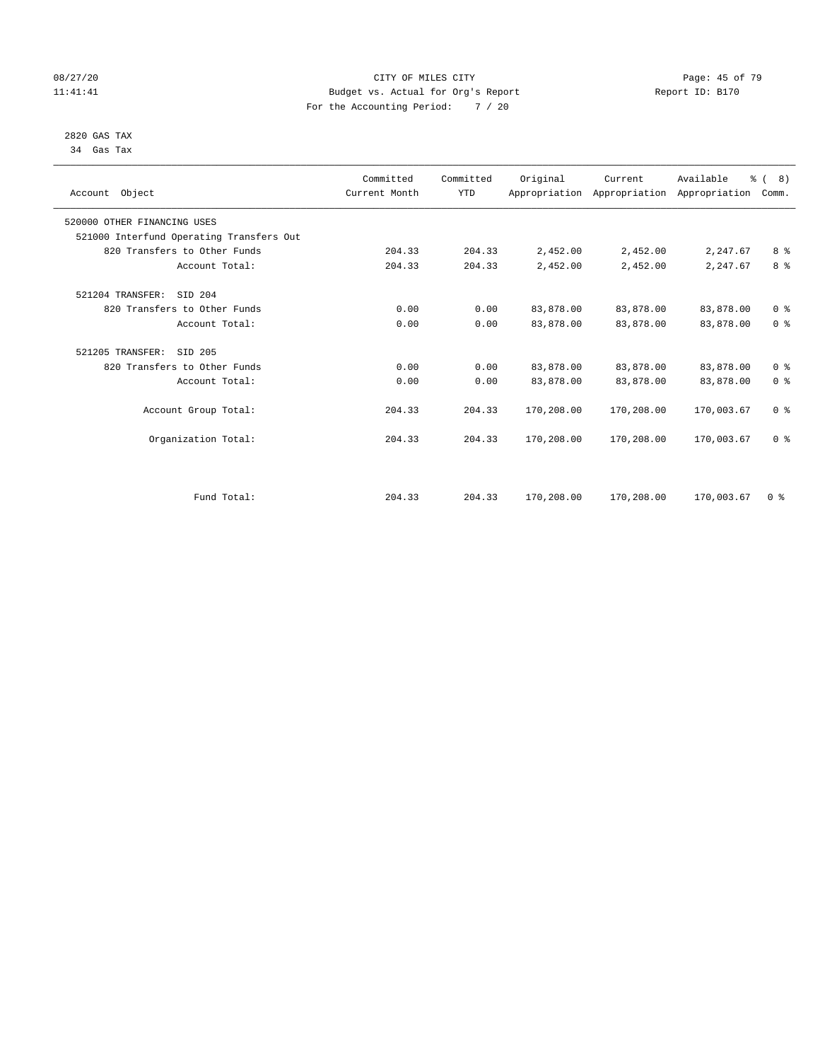#### 08/27/20 Page: 45 of 79 11:41:41 Budget vs. Actual for Org's Report Changer Report ID: B170 For the Accounting Period: 7 / 20

#### 2820 GAS TAX 34 Gas Tax

| Account Object              |                                          | Committed<br>Current Month | Committed<br><b>YTD</b> | Original   | Current<br>Appropriation Appropriation Appropriation | Available  | $\frac{6}{6}$ ( 8)<br>Comm. |
|-----------------------------|------------------------------------------|----------------------------|-------------------------|------------|------------------------------------------------------|------------|-----------------------------|
| 520000 OTHER FINANCING USES |                                          |                            |                         |            |                                                      |            |                             |
|                             | 521000 Interfund Operating Transfers Out |                            |                         |            |                                                      |            |                             |
|                             | 820 Transfers to Other Funds             | 204.33                     | 204.33                  | 2,452.00   | 2,452.00                                             | 2,247.67   | 8 <sup>8</sup>              |
|                             | Account Total:                           | 204.33                     | 204.33                  | 2,452.00   | 2,452.00                                             | 2,247.67   | 8 <sup>°</sup>              |
| 521204 TRANSFER:            | SID 204                                  |                            |                         |            |                                                      |            |                             |
|                             | 820 Transfers to Other Funds             | 0.00                       | 0.00                    | 83,878.00  | 83,878.00                                            | 83,878.00  | 0 <sup>8</sup>              |
|                             | Account Total:                           | 0.00                       | 0.00                    | 83,878.00  | 83,878.00                                            | 83,878.00  | 0 <sup>8</sup>              |
| 521205 TRANSFER:            | SID 205                                  |                            |                         |            |                                                      |            |                             |
|                             | 820 Transfers to Other Funds             | 0.00                       | 0.00                    | 83,878.00  | 83,878.00                                            | 83,878.00  | 0 <sup>8</sup>              |
|                             | Account Total:                           | 0.00                       | 0.00                    | 83,878.00  | 83,878.00                                            | 83,878.00  | 0 <sup>8</sup>              |
|                             | Account Group Total:                     | 204.33                     | 204.33                  | 170,208.00 | 170,208.00                                           | 170,003.67 | 0 <sup>8</sup>              |
|                             | Organization Total:                      | 204.33                     | 204.33                  | 170,208.00 | 170,208.00                                           | 170,003.67 | 0 <sup>8</sup>              |
|                             |                                          |                            |                         |            |                                                      |            |                             |
|                             | Fund Total:                              | 204.33                     | 204.33                  | 170,208.00 | 170,208.00                                           | 170,003.67 | 0 <sup>8</sup>              |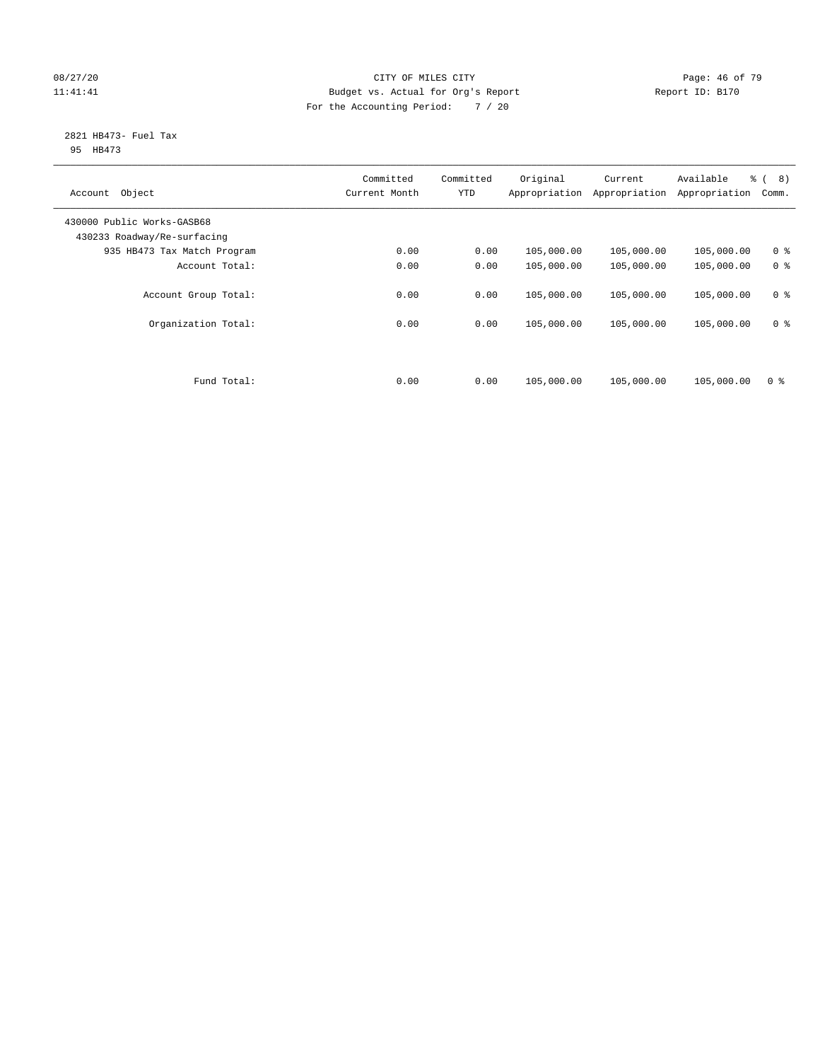#### 08/27/20 Page: 46 of 79 11:41:41 Budget vs. Actual for Org's Report Changer Report ID: B170 For the Accounting Period: 7 / 20

#### 2821 HB473- Fuel Tax 95 HB473

| Object<br>Account                                         | Committed<br>Current Month | Committed<br><b>YTD</b> | Original<br>Appropriation | Current<br>Appropriation | Available<br>Appropriation | $\frac{6}{6}$ ( 8)<br>Comm. |
|-----------------------------------------------------------|----------------------------|-------------------------|---------------------------|--------------------------|----------------------------|-----------------------------|
| 430000 Public Works-GASB68<br>430233 Roadway/Re-surfacing |                            |                         |                           |                          |                            |                             |
| 935 HB473 Tax Match Program                               | 0.00                       | 0.00                    | 105,000.00                | 105,000.00               | 105,000.00                 | 0 <sup>8</sup>              |
| Account Total:                                            | 0.00                       | 0.00                    | 105,000.00                | 105,000.00               | 105,000.00                 | 0 <sup>8</sup>              |
| Account Group Total:                                      | 0.00                       | 0.00                    | 105,000.00                | 105,000.00               | 105,000.00                 | 0 <sup>8</sup>              |
| Organization Total:                                       | 0.00                       | 0.00                    | 105,000.00                | 105,000.00               | 105,000.00                 | 0 <sup>8</sup>              |
|                                                           |                            |                         |                           |                          |                            |                             |
| Fund Total:                                               | 0.00                       | 0.00                    | 105,000.00                | 105,000.00               | 105,000.00                 | 0 <sup>8</sup>              |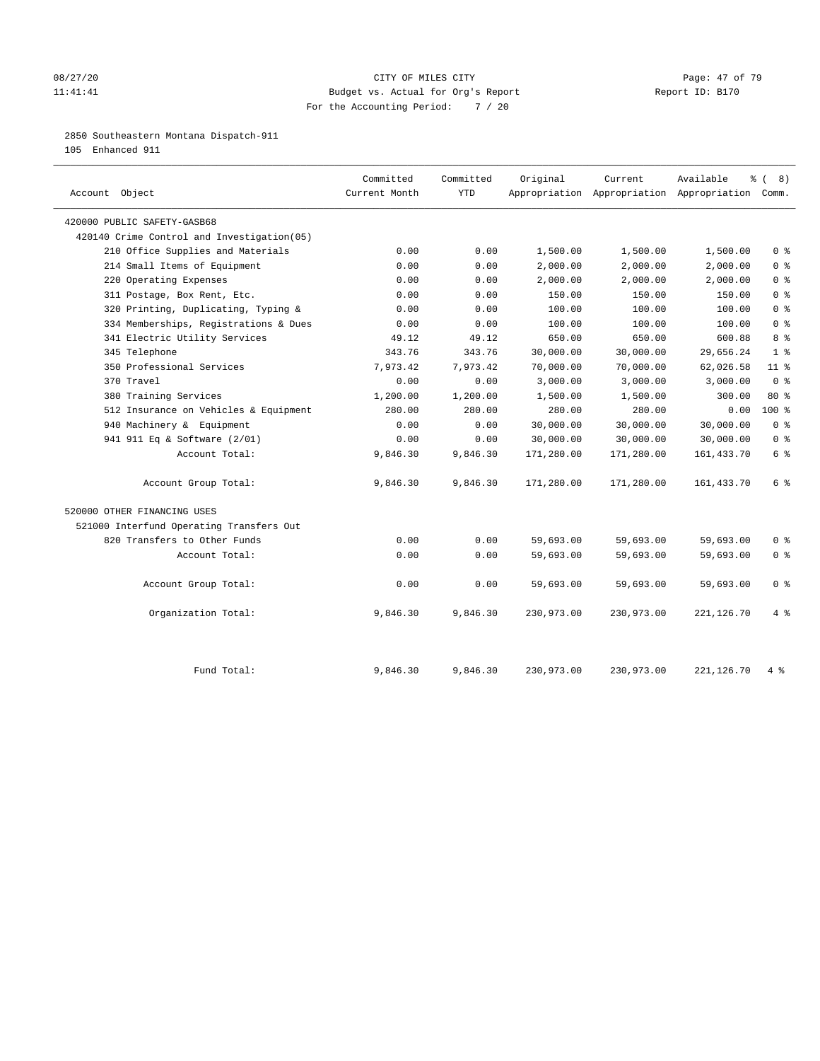#### 08/27/20 Page: 47 of 79 11:41:41 Budget vs. Actual for Org's Report Changer Report ID: B170 For the Accounting Period: 7 / 20

#### 2850 Southeastern Montana Dispatch-911

105 Enhanced 911

| Account Object                              | Committed<br>Current Month | Committed<br><b>YTD</b> | Original   | Current    | Available<br>Appropriation Appropriation Appropriation Comm. | 8)<br>ႜ<br>$\sqrt{ }$              |
|---------------------------------------------|----------------------------|-------------------------|------------|------------|--------------------------------------------------------------|------------------------------------|
| 420000 PUBLIC SAFETY-GASB68                 |                            |                         |            |            |                                                              |                                    |
| 420140 Crime Control and Investigation (05) |                            |                         |            |            |                                                              |                                    |
| 210 Office Supplies and Materials           | 0.00                       | 0.00                    | 1,500.00   | 1,500.00   | 1,500.00                                                     | 0 <sup>8</sup>                     |
| 214 Small Items of Equipment                | 0.00                       | 0.00                    | 2,000.00   | 2,000.00   | 2,000.00                                                     | 0 <sup>8</sup>                     |
| 220 Operating Expenses                      | 0.00                       | 0.00                    | 2,000.00   | 2,000.00   | 2,000.00                                                     | 0 <sup>8</sup>                     |
| 311 Postage, Box Rent, Etc.                 | 0.00                       | 0.00                    | 150.00     | 150.00     | 150.00                                                       | 0 <sup>8</sup>                     |
| 320 Printing, Duplicating, Typing &         | 0.00                       | 0.00                    | 100.00     | 100.00     | 100.00                                                       | 0 <sup>8</sup>                     |
| 334 Memberships, Registrations & Dues       | 0.00                       | 0.00                    | 100.00     | 100.00     | 100.00                                                       | 0 <sup>8</sup>                     |
| 341 Electric Utility Services               | 49.12                      | 49.12                   | 650.00     | 650.00     | 600.88                                                       | 8 %                                |
| 345 Telephone                               | 343.76                     | 343.76                  | 30,000.00  | 30,000.00  | 29,656.24                                                    | 1 <sup>8</sup>                     |
| 350 Professional Services                   | 7,973.42                   | 7,973.42                | 70,000.00  | 70,000.00  | 62,026.58                                                    | 11 <sup>°</sup>                    |
| 370 Travel                                  | 0.00                       | 0.00                    | 3,000.00   | 3,000.00   | 3,000.00                                                     | 0 <sup>8</sup>                     |
| 380 Training Services                       | 1,200.00                   | 1,200.00                | 1,500.00   | 1,500.00   | 300.00                                                       | $80*$                              |
| 512 Insurance on Vehicles & Equipment       | 280.00                     | 280.00                  | 280.00     | 280.00     | 0.00                                                         | $100*$                             |
| 940 Machinery & Equipment                   | 0.00                       | 0.00                    | 30,000.00  | 30,000.00  | 30,000.00                                                    | 0 <sup>8</sup>                     |
| 941 911 Eq & Software (2/01)                | 0.00                       | 0.00                    | 30,000.00  | 30,000.00  | 30,000.00                                                    | 0 <sup>8</sup>                     |
| Account Total:                              | 9,846.30                   | 9,846.30                | 171,280.00 | 171,280.00 | 161, 433.70                                                  | 6 %                                |
| Account Group Total:                        | 9,846.30                   | 9,846.30                | 171,280.00 | 171,280.00 | 161, 433.70                                                  | $6 \text{ }$ $\text{ }$ $\text{ }$ |
| 520000 OTHER FINANCING USES                 |                            |                         |            |            |                                                              |                                    |
| 521000 Interfund Operating Transfers Out    |                            |                         |            |            |                                                              |                                    |
| 820 Transfers to Other Funds                | 0.00                       | 0.00                    | 59,693.00  | 59,693.00  | 59,693.00                                                    | 0 <sup>8</sup>                     |
| Account Total:                              | 0.00                       | 0.00                    | 59,693.00  | 59,693.00  | 59,693.00                                                    | 0 <sup>8</sup>                     |
| Account Group Total:                        | 0.00                       | 0.00                    | 59,693.00  | 59,693.00  | 59,693.00                                                    | 0 <sup>8</sup>                     |
| Organization Total:                         | 9,846.30                   | 9,846.30                | 230,973.00 | 230,973.00 | 221,126.70                                                   | 4%                                 |
| Fund Total:                                 | 9,846.30                   | 9,846.30                | 230,973.00 | 230,973.00 | 221, 126.70                                                  | $4 \text{ }$                       |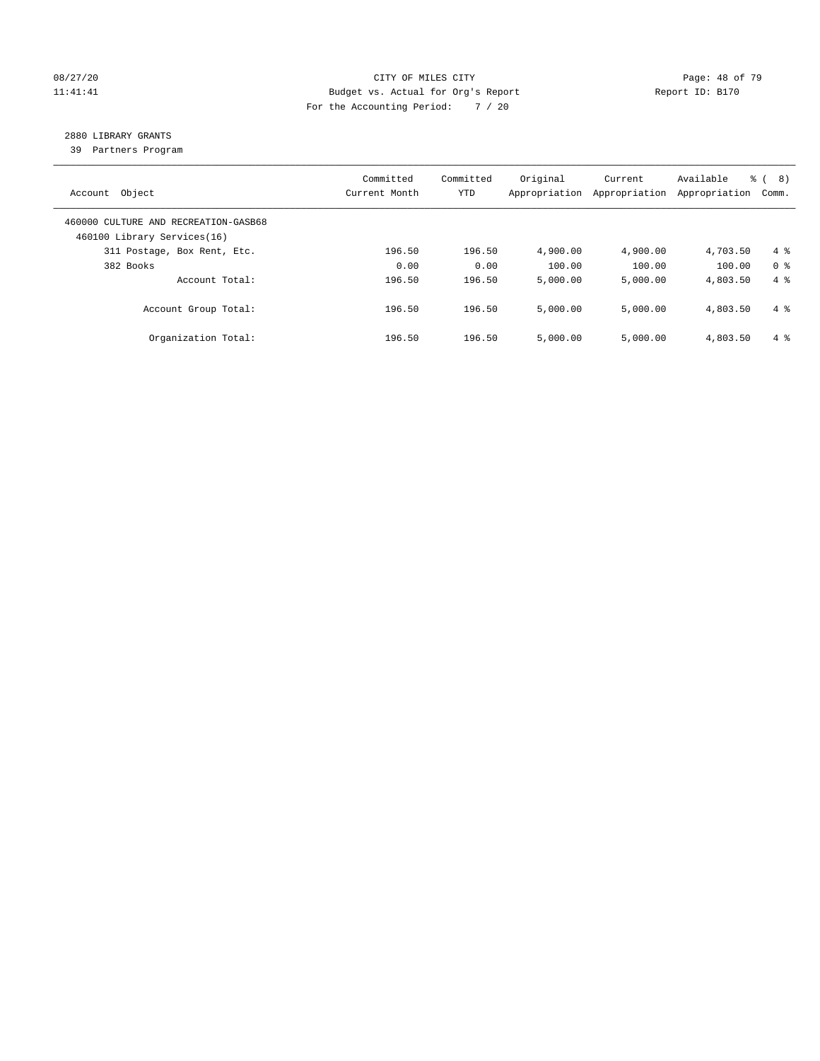#### 08/27/20 Page: 48 of 79 11:41:41 Budget vs. Actual for Org's Report Changer Report ID: B170 For the Accounting Period: 7 / 20

## 2880 LIBRARY GRANTS

39 Partners Program

| Account Object                                                      | Committed<br>Current Month | Committed<br><b>YTD</b> | Original<br>Appropriation | Current<br>Appropriation | Available<br>Appropriation | % ( 8 )<br>Comm. |
|---------------------------------------------------------------------|----------------------------|-------------------------|---------------------------|--------------------------|----------------------------|------------------|
| 460000 CULTURE AND RECREATION-GASB68<br>460100 Library Services(16) |                            |                         |                           |                          |                            |                  |
| 311 Postage, Box Rent, Etc.                                         | 196.50                     | 196.50                  | 4,900.00                  | 4,900.00                 | 4,703.50                   | $4 \text{ }$     |
| 382 Books                                                           | 0.00                       | 0.00                    | 100.00                    | 100.00                   | 100.00                     | 0 <sup>8</sup>   |
| Account Total:                                                      | 196.50                     | 196.50                  | 5,000.00                  | 5,000.00                 | 4,803.50                   | $4 \text{ }$     |
| Account Group Total:                                                | 196.50                     | 196.50                  | 5.000.00                  | 5,000.00                 | 4,803.50                   | $4\degree$       |
| Organization Total:                                                 | 196.50                     | 196.50                  | 5.000.00                  | 5,000.00                 | 4,803.50                   | $4\degree$       |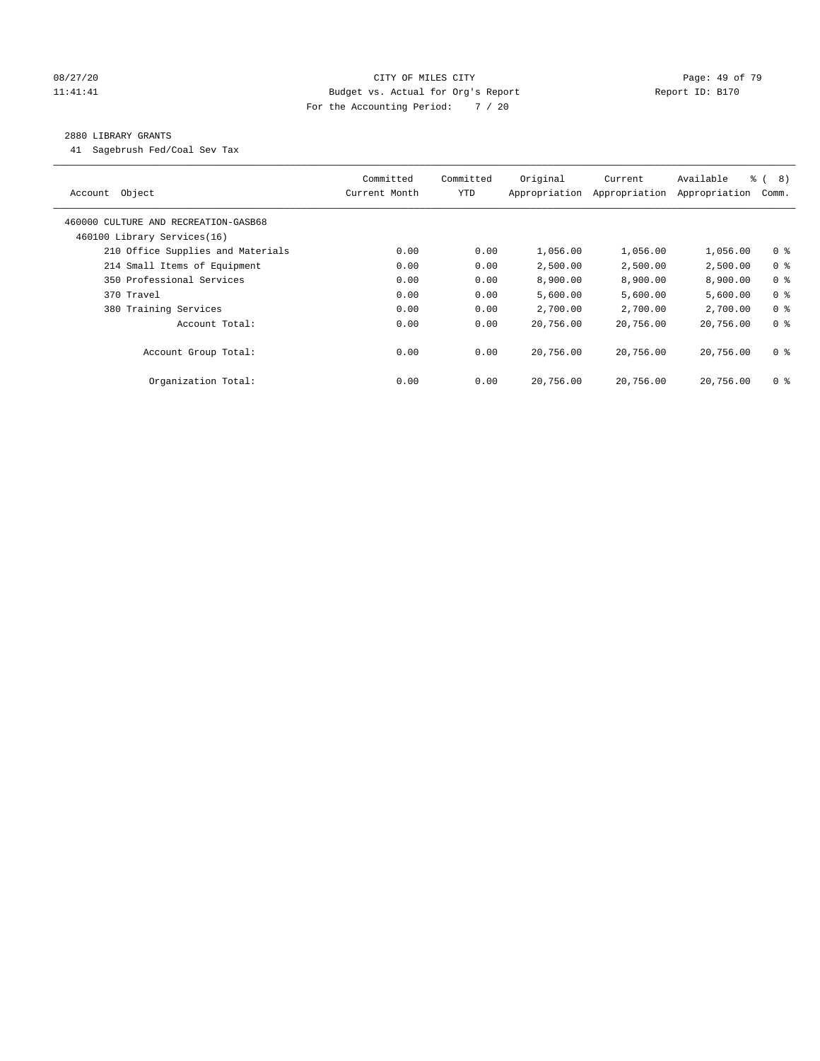#### 08/27/20 Page: 49 of 79 11:41:41 Budget vs. Actual for Org's Report Changer Report ID: B170 For the Accounting Period: 7 / 20

#### 2880 LIBRARY GRANTS

41 Sagebrush Fed/Coal Sev Tax

| Object<br>Account                    | Committed<br>Current Month | Committed<br><b>YTD</b> | Original<br>Appropriation | Current<br>Appropriation | Available<br>Appropriation | $\frac{6}{6}$ ( 8)<br>Comm. |
|--------------------------------------|----------------------------|-------------------------|---------------------------|--------------------------|----------------------------|-----------------------------|
| 460000 CULTURE AND RECREATION-GASB68 |                            |                         |                           |                          |                            |                             |
| 460100 Library Services(16)          |                            |                         |                           |                          |                            |                             |
| 210 Office Supplies and Materials    | 0.00                       | 0.00                    | 1,056.00                  | 1,056.00                 | 1,056.00                   | 0 <sub>8</sub>              |
| 214 Small Items of Equipment         | 0.00                       | 0.00                    | 2,500.00                  | 2,500.00                 | 2,500.00                   | 0 <sup>8</sup>              |
| 350 Professional Services            | 0.00                       | 0.00                    | 8,900.00                  | 8,900.00                 | 8,900.00                   | 0 <sup>8</sup>              |
| 370 Travel                           | 0.00                       | 0.00                    | 5,600.00                  | 5,600.00                 | 5,600.00                   | 0 <sup>8</sup>              |
| 380 Training Services                | 0.00                       | 0.00                    | 2,700.00                  | 2,700.00                 | 2,700.00                   | 0 <sup>8</sup>              |
| Account Total:                       | 0.00                       | 0.00                    | 20,756.00                 | 20,756.00                | 20,756.00                  | 0 <sup>8</sup>              |
| Account Group Total:                 | 0.00                       | 0.00                    | 20,756.00                 | 20,756.00                | 20,756.00                  | 0 <sup>8</sup>              |
| Organization Total:                  | 0.00                       | 0.00                    | 20,756.00                 | 20,756.00                | 20,756.00                  | 0 %                         |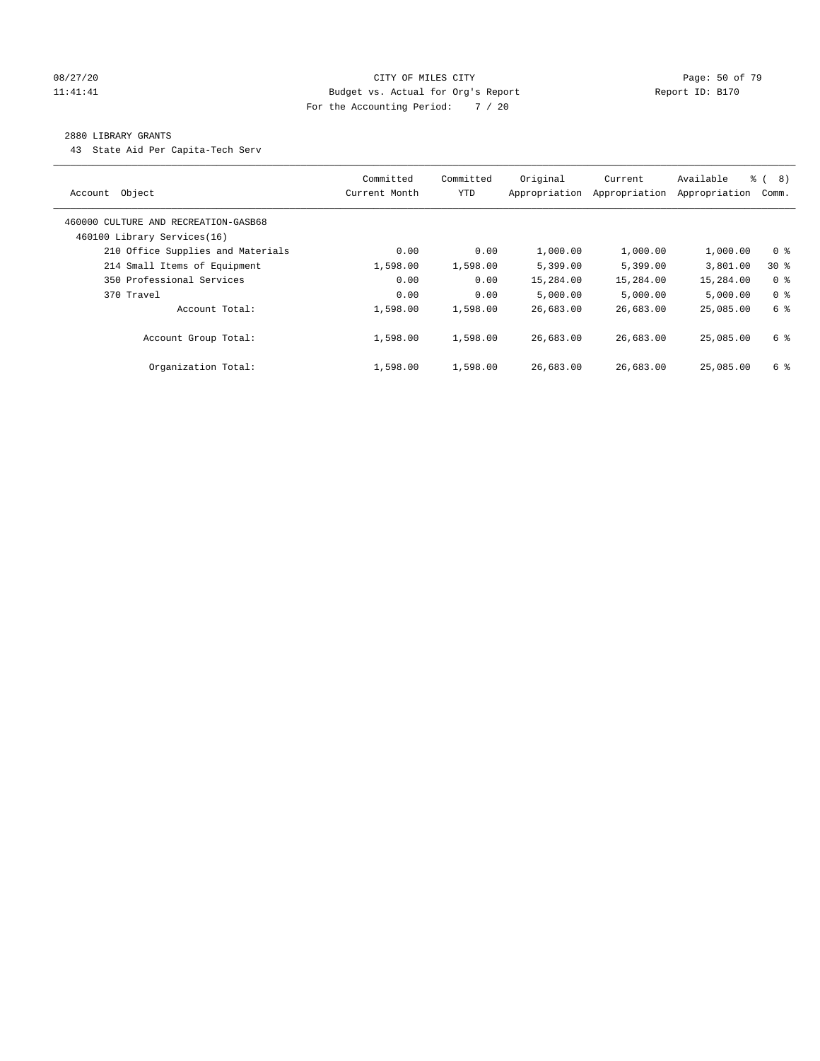#### 08/27/20 Page: 50 of 79 11:41:41 Budget vs. Actual for Org's Report Changer Report ID: B170 For the Accounting Period: 7 / 20

#### 2880 LIBRARY GRANTS

43 State Aid Per Capita-Tech Serv

| Object<br>Account                                                | Committed<br>Current Month | Committed<br><b>YTD</b> | Original<br>Appropriation | Current<br>Appropriation | Available<br>Appropriation | $\frac{6}{6}$<br>8)<br>Comm. |
|------------------------------------------------------------------|----------------------------|-------------------------|---------------------------|--------------------------|----------------------------|------------------------------|
| 460000 CULTURE AND RECREATION-GASB68                             |                            |                         |                           |                          |                            |                              |
| 460100 Library Services(16)<br>210 Office Supplies and Materials | 0.00                       | 0.00                    | 1,000.00                  | 1,000.00                 | 1,000.00                   | 0 <sup>8</sup>               |
| 214 Small Items of Equipment                                     | 1,598.00                   | 1,598.00                | 5,399.00                  | 5,399.00                 | 3,801.00                   | $30*$                        |
| 350 Professional Services                                        | 0.00                       | 0.00                    | 15,284.00                 | 15,284.00                | 15,284.00                  | 0 <sup>8</sup>               |
| 370 Travel                                                       | 0.00                       | 0.00                    | 5.000.00                  | 5.000.00                 | 5.000.00                   | 0 <sup>8</sup>               |
| Account Total:                                                   | 1,598.00                   | 1,598.00                | 26,683.00                 | 26,683.00                | 25,085,00                  | 6 %                          |
| Account Group Total:                                             | 1,598.00                   | 1,598.00                | 26,683.00                 | 26,683.00                | 25,085,00                  | 6 %                          |
| Organization Total:                                              | 1,598.00                   | 1,598.00                | 26,683.00                 | 26,683.00                | 25,085,00                  | 6 %                          |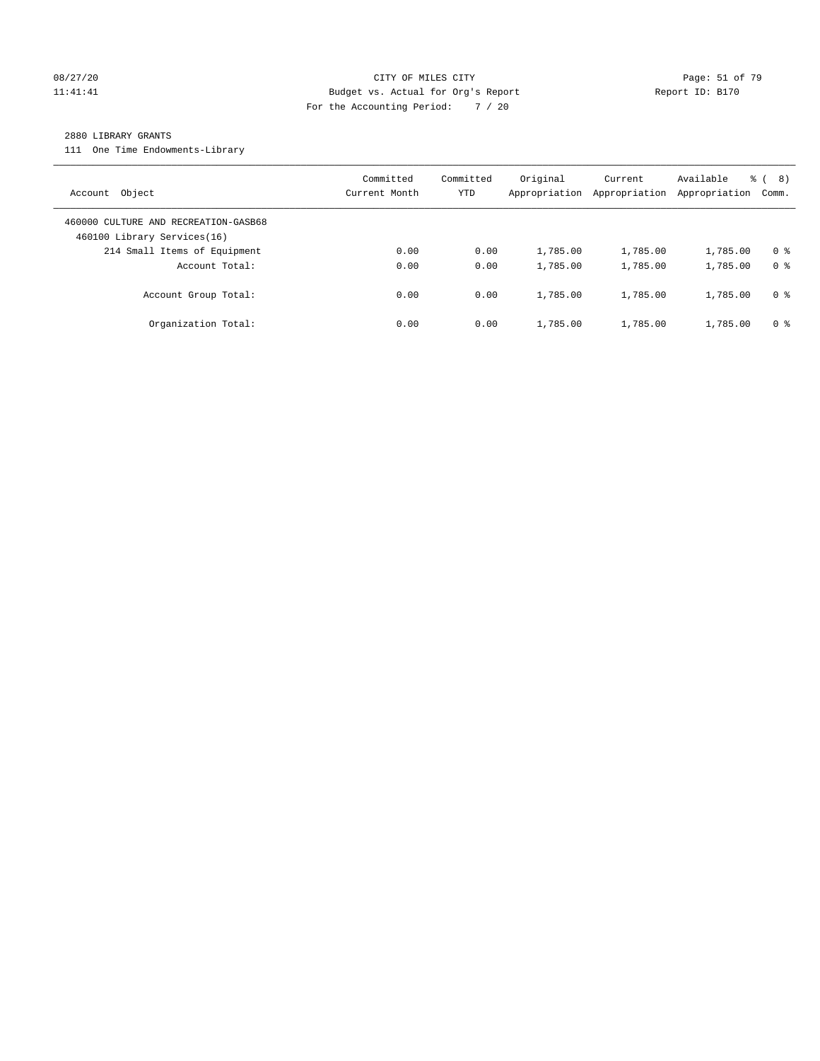#### 08/27/20 Page: 51 of 79 11:41:41 Budget vs. Actual for Org's Report Changer Report ID: B170 For the Accounting Period: 7 / 20

#### 2880 LIBRARY GRANTS

111 One Time Endowments-Library

| Object<br>Account                                                   | Committed<br>Current Month | Committed<br>YTD | Original<br>Appropriation | Current<br>Appropriation | Available<br>Appropriation | 8)<br>ී (<br>Comm. |
|---------------------------------------------------------------------|----------------------------|------------------|---------------------------|--------------------------|----------------------------|--------------------|
| 460000 CULTURE AND RECREATION-GASB68<br>460100 Library Services(16) |                            |                  |                           |                          |                            |                    |
| 214 Small Items of Equipment                                        | 0.00                       | 0.00             | 1,785.00                  | 1,785.00                 | 1,785.00                   | 0 <sup>8</sup>     |
| Account Total:                                                      | 0.00                       | 0.00             | 1,785.00                  | 1,785.00                 | 1,785.00                   | 0 <sup>8</sup>     |
| Account Group Total:                                                | 0.00                       | 0.00             | 1,785.00                  | 1,785.00                 | 1,785.00                   | 0 %                |
| Organization Total:                                                 | 0.00                       | 0.00             | 1,785.00                  | 1,785.00                 | 1,785.00                   | 0 %                |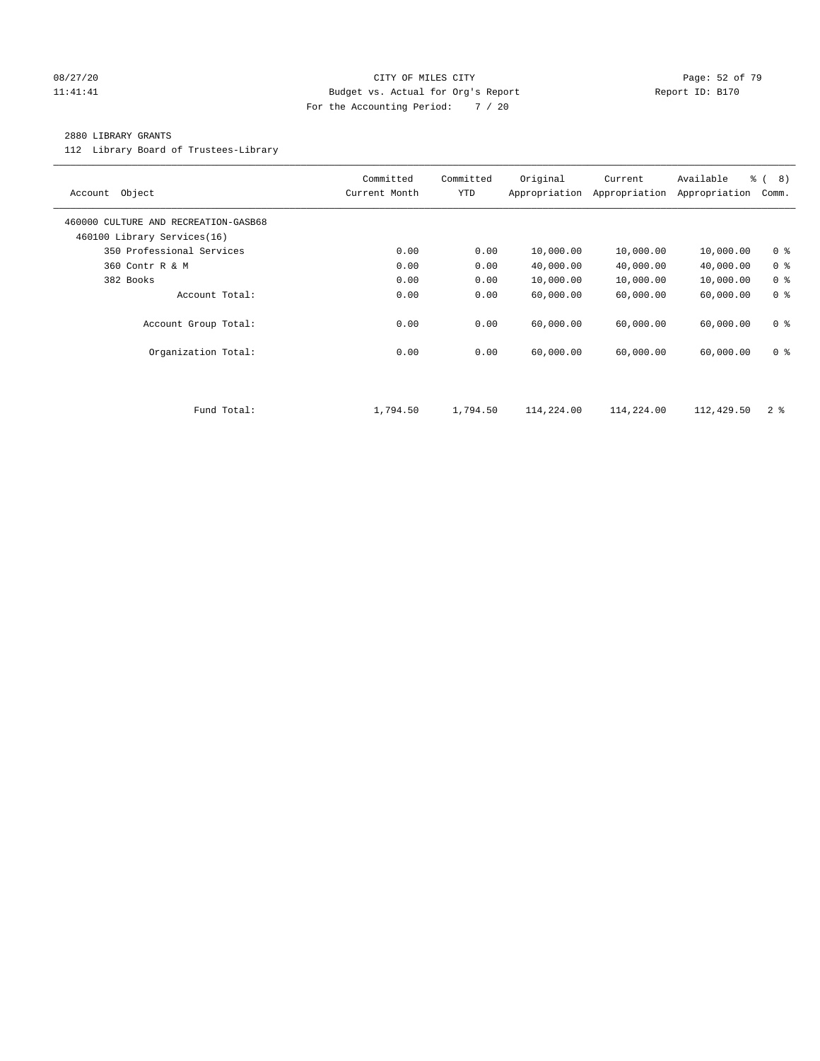#### 08/27/20 Page: 52 of 79 11:41:41 Budget vs. Actual for Org's Report Changer Report ID: B170 For the Accounting Period: 7 / 20

#### 2880 LIBRARY GRANTS

112 Library Board of Trustees-Library

| Object<br>Account                                                   | Committed<br>Current Month | Committed<br><b>YTD</b> | Original<br>Appropriation | Current<br>Appropriation | Available<br>Appropriation | $\frac{6}{6}$ ( 8)<br>Comm. |
|---------------------------------------------------------------------|----------------------------|-------------------------|---------------------------|--------------------------|----------------------------|-----------------------------|
| 460000 CULTURE AND RECREATION-GASB68<br>460100 Library Services(16) |                            |                         |                           |                          |                            |                             |
| 350 Professional Services                                           | 0.00                       | 0.00                    | 10,000.00                 | 10,000.00                | 10,000.00                  | 0 <sup>8</sup>              |
| 360 Contr R & M                                                     | 0.00                       | 0.00                    | 40,000.00                 | 40,000.00                | 40,000.00                  | 0 <sup>8</sup>              |
| 382 Books                                                           | 0.00                       | 0.00                    | 10,000.00                 | 10,000.00                | 10,000.00                  | 0 <sup>8</sup>              |
| Account Total:                                                      | 0.00                       | 0.00                    | 60,000.00                 | 60,000.00                | 60,000.00                  | 0 <sup>8</sup>              |
| Account Group Total:                                                | 0.00                       | 0.00                    | 60,000.00                 | 60,000.00                | 60,000.00                  | 0 <sub>8</sub>              |
| Organization Total:                                                 | 0.00                       | 0.00                    | 60,000.00                 | 60,000.00                | 60,000.00                  | 0 <sup>8</sup>              |
|                                                                     |                            |                         |                           |                          |                            |                             |
| Fund Total:                                                         | 1,794.50                   | 1,794.50                | 114,224.00                | 114,224.00               | 112,429.50                 | 2 <sub>8</sub>              |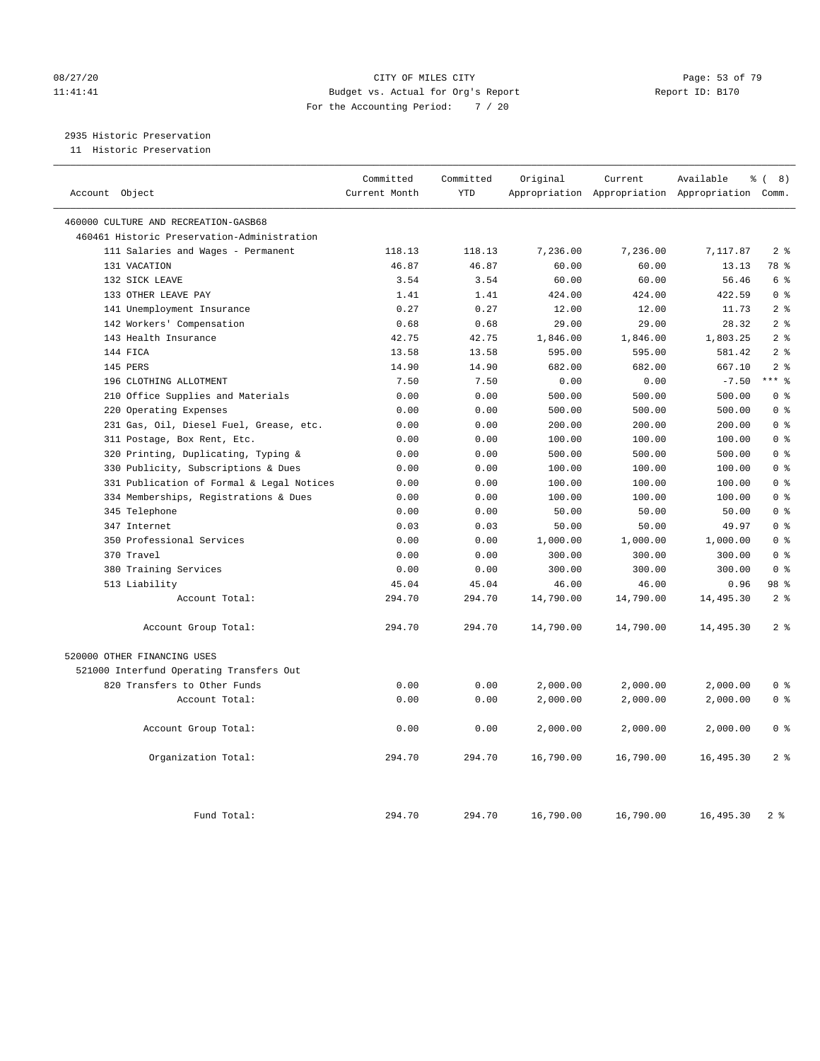#### 08/27/20 Page: 53 of 79 11:41:41 Budget vs. Actual for Org's Report Changer Report ID: B170 For the Accounting Period: 7 / 20

2935 Historic Preservation

11 Historic Preservation

| Account Object                              | Committed<br>Current Month | Committed<br><b>YTD</b> | Original  | Current   | Available<br>Appropriation Appropriation Appropriation Comm. | <u>ေ</u> (<br>8) |
|---------------------------------------------|----------------------------|-------------------------|-----------|-----------|--------------------------------------------------------------|------------------|
| 460000 CULTURE AND RECREATION-GASB68        |                            |                         |           |           |                                                              |                  |
| 460461 Historic Preservation-Administration |                            |                         |           |           |                                                              |                  |
| 111 Salaries and Wages - Permanent          | 118.13                     | 118.13                  | 7,236.00  | 7,236.00  | 7,117.87                                                     | 2 <sup>8</sup>   |
| 131 VACATION                                | 46.87                      | 46.87                   | 60.00     | 60.00     | 13.13                                                        | 78 %             |
| 132 SICK LEAVE                              | 3.54                       | 3.54                    | 60.00     | 60.00     | 56.46                                                        | 6 %              |
| 133 OTHER LEAVE PAY                         | 1.41                       | 1.41                    | 424.00    | 424.00    | 422.59                                                       | 0 <sup>8</sup>   |
| 141 Unemployment Insurance                  | 0.27                       | 0.27                    | 12.00     | 12.00     | 11.73                                                        | 2 <sup>°</sup>   |
| 142 Workers' Compensation                   | 0.68                       | 0.68                    | 29.00     | 29.00     | 28.32                                                        | 2 <sup>8</sup>   |
| 143 Health Insurance                        | 42.75                      | 42.75                   | 1,846.00  | 1,846.00  | 1,803.25                                                     | 2 <sup>°</sup>   |
| 144 FICA                                    | 13.58                      | 13.58                   | 595.00    | 595.00    | 581.42                                                       | 2 <sup>8</sup>   |
| 145 PERS                                    | 14.90                      | 14.90                   | 682.00    | 682.00    | 667.10                                                       | 2 <sub>8</sub>   |
| 196 CLOTHING ALLOTMENT                      | 7.50                       | 7.50                    | 0.00      | 0.00      | $-7.50$                                                      | $***$ $%$        |
| 210 Office Supplies and Materials           | 0.00                       | 0.00                    | 500.00    | 500.00    | 500.00                                                       | 0 <sup>8</sup>   |
| 220 Operating Expenses                      | 0.00                       | 0.00                    | 500.00    | 500.00    | 500.00                                                       | 0 <sup>8</sup>   |
| 231 Gas, Oil, Diesel Fuel, Grease, etc.     | 0.00                       | 0.00                    | 200.00    | 200.00    | 200.00                                                       | 0 <sup>8</sup>   |
| 311 Postage, Box Rent, Etc.                 | 0.00                       | 0.00                    | 100.00    | 100.00    | 100.00                                                       | 0 <sup>8</sup>   |
| 320 Printing, Duplicating, Typing &         | 0.00                       | 0.00                    | 500.00    | 500.00    | 500.00                                                       | 0 <sup>8</sup>   |
| 330 Publicity, Subscriptions & Dues         | 0.00                       | 0.00                    | 100.00    | 100.00    | 100.00                                                       | 0 <sup>8</sup>   |
| 331 Publication of Formal & Legal Notices   | 0.00                       | 0.00                    | 100.00    | 100.00    | 100.00                                                       | 0 <sup>8</sup>   |
| 334 Memberships, Registrations & Dues       | 0.00                       | 0.00                    | 100.00    | 100.00    | 100.00                                                       | 0 <sup>8</sup>   |
| 345 Telephone                               | 0.00                       | 0.00                    | 50.00     | 50.00     | 50.00                                                        | 0 <sup>8</sup>   |
| 347 Internet                                | 0.03                       | 0.03                    | 50.00     | 50.00     | 49.97                                                        | 0 <sup>8</sup>   |
| 350 Professional Services                   | 0.00                       | 0.00                    | 1,000.00  | 1,000.00  | 1,000.00                                                     | 0 <sup>8</sup>   |
| 370 Travel                                  | 0.00                       | 0.00                    | 300.00    | 300.00    | 300.00                                                       | 0 <sup>8</sup>   |
| 380 Training Services                       | 0.00                       | 0.00                    | 300.00    | 300.00    | 300.00                                                       | 0 <sup>8</sup>   |
| 513 Liability                               | 45.04                      | 45.04                   | 46.00     | 46.00     | 0.96                                                         | 98 %             |
| Account Total:                              | 294.70                     | 294.70                  | 14,790.00 | 14,790.00 | 14,495.30                                                    | 2 <sup>°</sup>   |
| Account Group Total:                        | 294.70                     | 294.70                  | 14,790.00 | 14,790.00 | 14,495.30                                                    | 2 <sup>°</sup>   |
| 520000 OTHER FINANCING USES                 |                            |                         |           |           |                                                              |                  |
| 521000 Interfund Operating Transfers Out    |                            |                         |           |           |                                                              |                  |
| 820 Transfers to Other Funds                | 0.00                       | 0.00                    | 2,000.00  | 2,000.00  | 2,000.00                                                     | 0 <sup>8</sup>   |
| Account Total:                              | 0.00                       | 0.00                    | 2,000.00  | 2,000.00  | 2,000.00                                                     | 0 <sup>8</sup>   |
| Account Group Total:                        | 0.00                       | 0.00                    | 2,000.00  | 2,000.00  | 2,000.00                                                     | 0 <sup>8</sup>   |
| Organization Total:                         | 294.70                     | 294.70                  | 16,790.00 | 16,790.00 | 16,495.30                                                    | 2 <sup>8</sup>   |
| Fund Total:                                 | 294.70                     | 294.70                  | 16,790.00 | 16,790.00 | 16,495.30                                                    | 2 <sup>8</sup>   |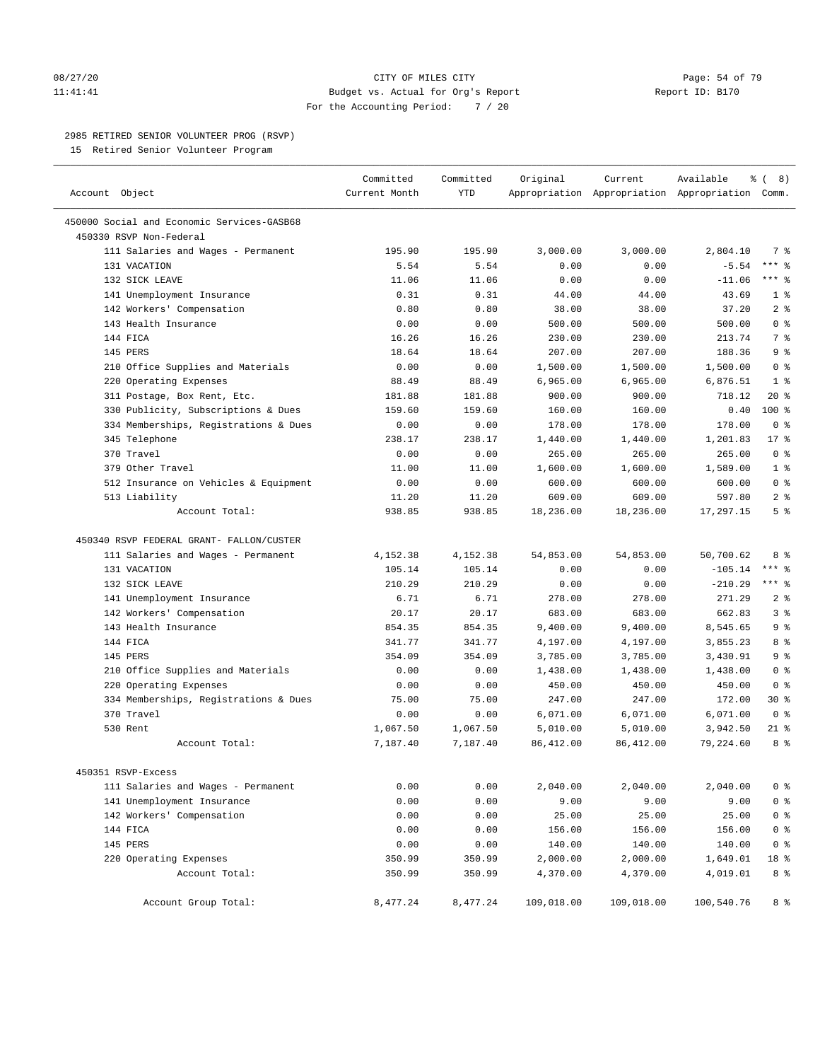#### 08/27/20 **CITY OF MILES CITY CONSUMING THE CONSUMING PAGE:** 54 of 79 11:41:41 Budget vs. Actual for Org's Report Changer Report ID: B170 For the Accounting Period: 7 / 20

————————————————————————————————————————————————————————————————————————————————————————————————————————————————————————————————————

#### 2985 RETIRED SENIOR VOLUNTEER PROG (RSVP)

15 Retired Senior Volunteer Program

|                                                                  | Committed     | Committed    | Original   | Current    | Available                                       | ී (<br>8)                        |
|------------------------------------------------------------------|---------------|--------------|------------|------------|-------------------------------------------------|----------------------------------|
| Account Object                                                   | Current Month | <b>YTD</b>   |            |            | Appropriation Appropriation Appropriation Comm. |                                  |
| 450000 Social and Economic Services-GASB68                       |               |              |            |            |                                                 |                                  |
| 450330 RSVP Non-Federal                                          |               |              |            |            |                                                 |                                  |
| 111 Salaries and Wages - Permanent                               | 195.90        | 195.90       | 3,000.00   | 3,000.00   | 2,804.10                                        | 7 %                              |
| 131 VACATION                                                     | 5.54          | 5.54         | 0.00       | 0.00       | $-5.54$                                         | $***$ $-$                        |
| 132 SICK LEAVE                                                   | 11.06         | 11.06        | 0.00       | 0.00       | $-11.06$                                        | $***$ $-$                        |
| 141 Unemployment Insurance                                       | 0.31          | 0.31         | 44.00      | 44.00      | 43.69                                           | 1 <sup>°</sup>                   |
| 142 Workers' Compensation                                        | 0.80          | 0.80         | 38.00      | 38.00      | 37.20                                           | 2 <sup>8</sup>                   |
| 143 Health Insurance                                             | 0.00          | 0.00         | 500.00     | 500.00     | 500.00                                          | 0 <sup>8</sup>                   |
| 144 FICA                                                         | 16.26         | 16.26        | 230.00     | 230.00     | 213.74                                          | 7 <sup>8</sup>                   |
| 145 PERS                                                         | 18.64         | 18.64        | 207.00     | 207.00     | 188.36                                          | 9 <sup>°</sup>                   |
| 210 Office Supplies and Materials                                | 0.00          | 0.00         | 1,500.00   | 1,500.00   | 1,500.00                                        | 0 <sup>8</sup>                   |
| 220 Operating Expenses                                           | 88.49         | 88.49        | 6,965.00   | 6,965.00   | 6,876.51                                        | 1 <sup>8</sup>                   |
| 311 Postage, Box Rent, Etc.                                      | 181.88        | 181.88       | 900.00     | 900.00     | 718.12                                          | $20*$                            |
| 330 Publicity, Subscriptions & Dues                              | 159.60        | 159.60       | 160.00     | 160.00     | 0.40                                            | $100*$                           |
| 334 Memberships, Registrations & Dues                            | 0.00          | 0.00         | 178.00     | 178.00     | 178.00                                          | 0 <sup>8</sup>                   |
| 345 Telephone                                                    | 238.17        | 238.17       | 1,440.00   | 1,440.00   | 1,201.83                                        | $17*$                            |
| 370 Travel                                                       | 0.00          | 0.00         | 265.00     | 265.00     | 265.00                                          | 0 <sup>8</sup>                   |
| 379 Other Travel                                                 | 11.00         | 11.00        | 1,600.00   | 1,600.00   | 1,589.00                                        | 1 <sup>°</sup>                   |
| 512 Insurance on Vehicles & Equipment                            | 0.00          | 0.00         | 600.00     | 600.00     | 600.00                                          | 0 <sup>8</sup>                   |
| 513 Liability                                                    | 11.20         | 11.20        | 609.00     | 609.00     | 597.80                                          | 2 <sup>°</sup>                   |
| Account Total:                                                   | 938.85        | 938.85       | 18,236.00  | 18,236.00  | 17,297.15                                       | 5 <sup>8</sup>                   |
|                                                                  |               |              |            |            |                                                 |                                  |
| 450340 RSVP FEDERAL GRANT- FALLON/CUSTER                         |               |              |            |            |                                                 |                                  |
| 111 Salaries and Wages - Permanent                               | 4,152.38      | 4,152.38     | 54,853.00  | 54,853.00  | 50,700.62                                       | 8 %                              |
| 131 VACATION                                                     | 105.14        | 105.14       | 0.00       | 0.00       | $-105.14$                                       | $***$ $-$                        |
| 132 SICK LEAVE                                                   | 210.29        | 210.29       | 0.00       | 0.00       | $-210.29$                                       | $***$ $%$                        |
| 141 Unemployment Insurance                                       | 6.71          | 6.71         | 278.00     | 278.00     | 271.29                                          | 2 <sup>8</sup>                   |
| 142 Workers' Compensation                                        | 20.17         | 20.17        | 683.00     | 683.00     | 662.83                                          | 3%                               |
| 143 Health Insurance                                             | 854.35        | 854.35       | 9,400.00   | 9,400.00   | 8,545.65                                        | 9%                               |
| 144 FICA                                                         | 341.77        | 341.77       | 4,197.00   | 4,197.00   | 3,855.23                                        | 8 %                              |
| 145 PERS                                                         | 354.09        | 354.09       | 3,785.00   | 3,785.00   | 3,430.91                                        | 9 <sup>°</sup>                   |
| 210 Office Supplies and Materials                                | 0.00          | 0.00         | 1,438.00   | 1,438.00   | 1,438.00                                        | 0 <sup>8</sup>                   |
| 220 Operating Expenses                                           | 0.00          | 0.00         | 450.00     | 450.00     | 450.00                                          | 0 <sup>8</sup>                   |
| 334 Memberships, Registrations & Dues                            | 75.00         | 75.00        | 247.00     | 247.00     | 172.00                                          | $30*$                            |
| 370 Travel                                                       | 0.00          | 0.00         | 6,071.00   | 6,071.00   | 6,071.00                                        | 0 <sup>8</sup>                   |
| 530 Rent                                                         | 1,067.50      | 1,067.50     | 5,010.00   | 5,010.00   | 3,942.50                                        | 21 %                             |
| Account Total:                                                   | 7,187.40      | 7,187.40     | 86,412.00  | 86,412.00  | 79,224.60                                       | 8 %                              |
| 450351 RSVP-Excess                                               |               |              |            |            |                                                 |                                  |
|                                                                  |               |              |            |            |                                                 |                                  |
| 111 Salaries and Wages - Permanent<br>141 Unemployment Insurance | 0.00          | 0.00<br>0.00 | 2,040.00   | 2,040.00   | 2,040.00                                        | 0 <sup>8</sup><br>0 <sup>°</sup> |
|                                                                  | 0.00          |              | 9.00       | 9.00       | 9.00                                            |                                  |
| 142 Workers' Compensation                                        | 0.00          | 0.00         | 25.00      | 25.00      | 25.00                                           | 0 <sup>°</sup>                   |
| 144 FICA                                                         | 0.00          | 0.00         | 156.00     | 156.00     | 156.00                                          | 0 <sup>8</sup>                   |
| 145 PERS                                                         | 0.00          | 0.00         | 140.00     | 140.00     | 140.00                                          | 0 <sup>8</sup>                   |
| 220 Operating Expenses                                           | 350.99        | 350.99       | 2,000.00   | 2,000.00   | 1,649.01                                        | 18 %                             |
| Account Total:                                                   | 350.99        | 350.99       | 4,370.00   | 4,370.00   | 4,019.01                                        | 8 %                              |
| Account Group Total:                                             | 8,477.24      | 8,477.24     | 109,018.00 | 109,018.00 | 100,540.76                                      | 8 %                              |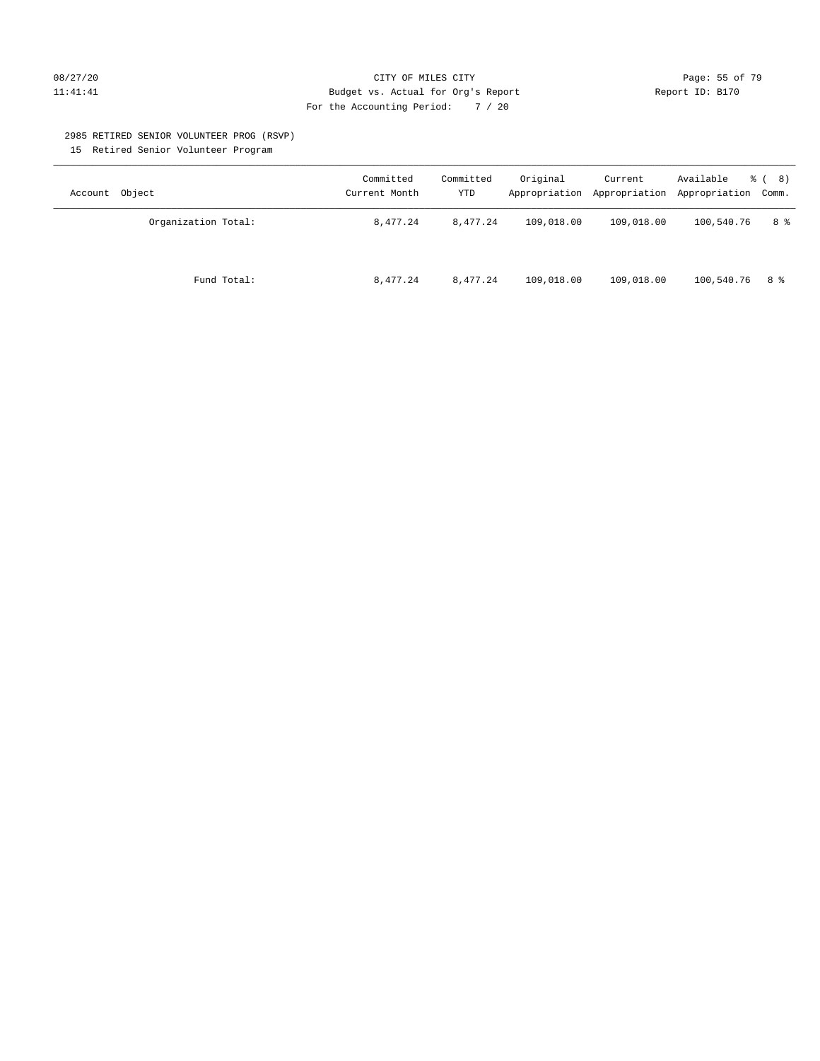#### 08/27/20 Page: 55 of 79 11:41:41 Budget vs. Actual for Org's Report Changer Report ID: B170 For the Accounting Period: 7 / 20

#### 2985 RETIRED SENIOR VOLUNTEER PROG (RSVP)

15 Retired Senior Volunteer Program

| Account Object      | Committed<br>Current Month | Committed<br>YTD | Original   | Current    | Available<br>Appropriation Appropriation Appropriation Comm. | <sub>රී</sub> ( 8 ) |
|---------------------|----------------------------|------------------|------------|------------|--------------------------------------------------------------|---------------------|
| Organization Total: | 8,477.24                   | 8,477.24         | 109,018.00 | 109,018.00 | 100,540.76                                                   | 8 %                 |
| Fund Total:         | 8,477.24                   | 8,477.24         | 109,018.00 | 109,018.00 | 100,540.76                                                   | 8 දි                |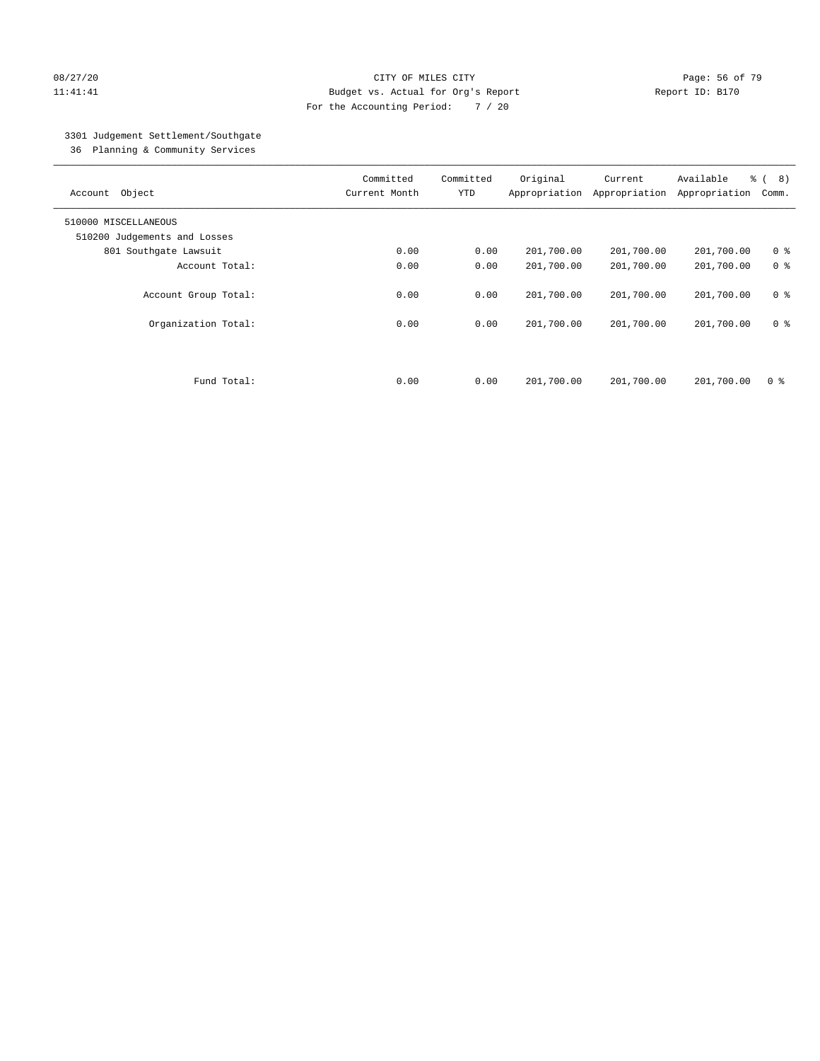#### 08/27/20 **Page: 56 of 79** CITY OF MILES CITY **CITY Page: 56 of 79** 11:41:41 Budget vs. Actual for Org's Report Changer Report ID: B170 For the Accounting Period: 7 / 20

## 3301 Judgement Settlement/Southgate

36 Planning & Community Services

| Object<br>Account            | Committed<br>Current Month | Committed<br><b>YTD</b> | Original<br>Appropriation | Current<br>Appropriation | Available<br>Appropriation | $\frac{6}{6}$ ( 8)<br>Comm. |
|------------------------------|----------------------------|-------------------------|---------------------------|--------------------------|----------------------------|-----------------------------|
| 510000 MISCELLANEOUS         |                            |                         |                           |                          |                            |                             |
| 510200 Judgements and Losses |                            |                         |                           |                          |                            |                             |
| 801 Southgate Lawsuit        | 0.00                       | 0.00                    | 201,700.00                | 201,700.00               | 201,700.00                 | 0 <sup>8</sup>              |
| Account Total:               | 0.00                       | 0.00                    | 201,700.00                | 201,700.00               | 201,700.00                 | 0 <sup>8</sup>              |
| Account Group Total:         | 0.00                       | 0.00                    | 201,700.00                | 201,700.00               | 201,700.00                 | 0 <sup>8</sup>              |
| Organization Total:          | 0.00                       | 0.00                    | 201,700.00                | 201,700.00               | 201,700.00                 | 0 <sup>8</sup>              |
| Fund Total:                  | 0.00                       | 0.00                    | 201,700.00                | 201,700.00               | 201,700.00                 | 0 %                         |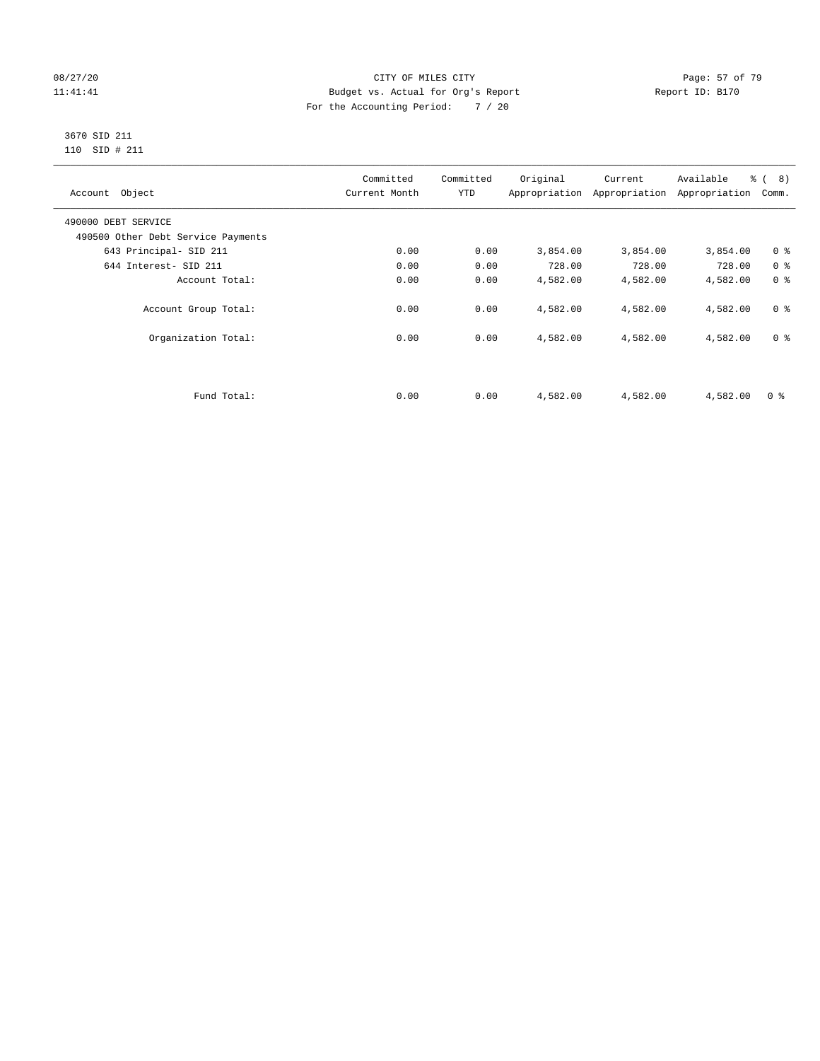#### 08/27/20 Page: 57 of 79 11:41:41 Budget vs. Actual for Org's Report Changer Report ID: B170 For the Accounting Period: 7 / 20

#### 3670 SID 211 110 SID # 211

| Account Object                     | Committed<br>Current Month | Committed<br><b>YTD</b> | Original | Current<br>Appropriation Appropriation | Available<br>Appropriation | % ( 8 )<br>Comm. |
|------------------------------------|----------------------------|-------------------------|----------|----------------------------------------|----------------------------|------------------|
| 490000 DEBT SERVICE                |                            |                         |          |                                        |                            |                  |
| 490500 Other Debt Service Payments |                            |                         |          |                                        |                            |                  |
| 643 Principal- SID 211             | 0.00                       | 0.00                    | 3,854.00 | 3,854.00                               | 3,854.00                   | 0 <sup>8</sup>   |
| 644 Interest- SID 211              | 0.00                       | 0.00                    | 728.00   | 728.00                                 | 728.00                     | 0 <sup>8</sup>   |
| Account Total:                     | 0.00                       | 0.00                    | 4,582.00 | 4,582.00                               | 4,582.00                   | 0 <sup>8</sup>   |
| Account Group Total:               | 0.00                       | 0.00                    | 4,582.00 | 4,582.00                               | 4,582.00                   | 0 <sup>8</sup>   |
| Organization Total:                | 0.00                       | 0.00                    | 4,582.00 | 4,582.00                               | 4,582.00                   | 0 <sup>8</sup>   |
|                                    |                            |                         |          |                                        |                            |                  |
| Fund Total:                        | 0.00                       | 0.00                    | 4,582.00 | 4,582.00                               | 4,582.00                   | 0 <sup>8</sup>   |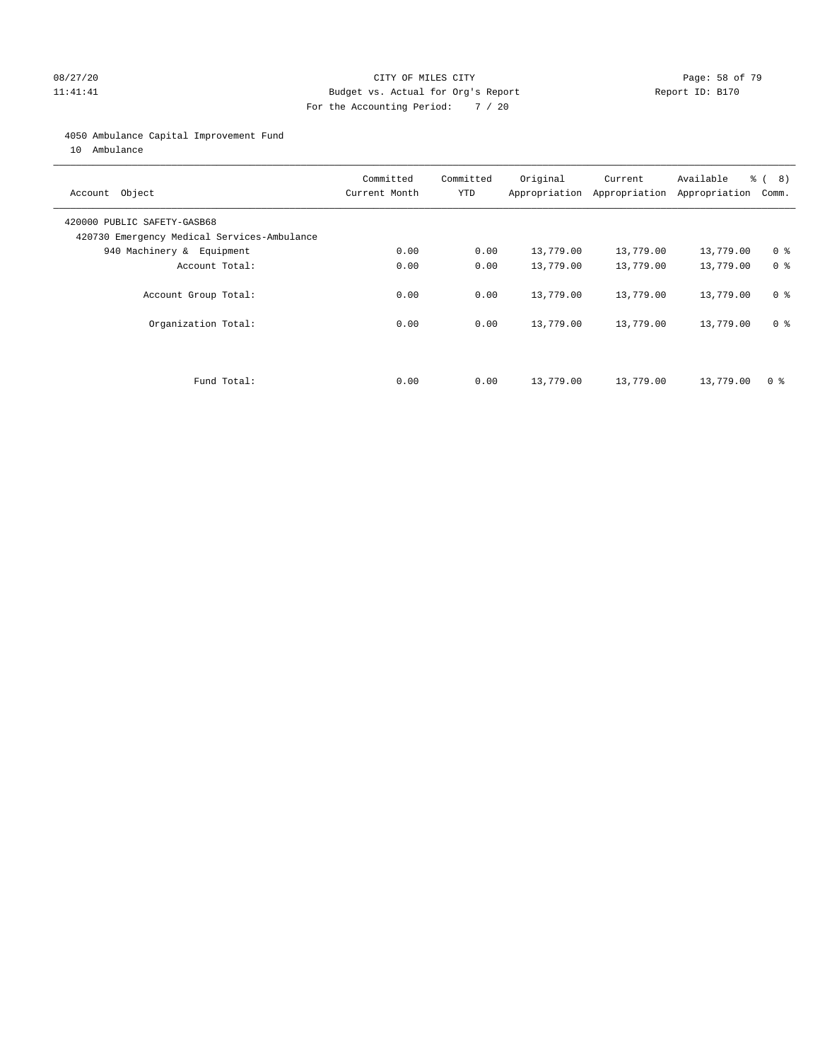#### 08/27/20 Page: 58 of 79 11:41:41 Budget vs. Actual for Org's Report Changer Report ID: B170 For the Accounting Period: 7 / 20

#### 4050 Ambulance Capital Improvement Fund

10 Ambulance

| Account Object                                                             | Committed<br>Current Month | Committed<br><b>YTD</b> | Original  | Current<br>Appropriation Appropriation | Available<br>Appropriation | % ( 8 )<br>Comm. |
|----------------------------------------------------------------------------|----------------------------|-------------------------|-----------|----------------------------------------|----------------------------|------------------|
| 420000 PUBLIC SAFETY-GASB68<br>420730 Emergency Medical Services-Ambulance |                            |                         |           |                                        |                            |                  |
| 940 Machinery & Equipment                                                  | 0.00                       | 0.00                    | 13,779.00 | 13,779.00                              | 13,779.00                  | 0 <sup>8</sup>   |
| Account Total:                                                             | 0.00                       | 0.00                    | 13,779.00 | 13,779.00                              | 13,779.00                  | 0 <sup>8</sup>   |
| Account Group Total:                                                       | 0.00                       | 0.00                    | 13,779.00 | 13,779.00                              | 13,779.00                  | 0 <sup>8</sup>   |
| Organization Total:                                                        | 0.00                       | 0.00                    | 13,779.00 | 13,779.00                              | 13,779.00                  | 0 <sup>8</sup>   |
| Fund Total:                                                                | 0.00                       | 0.00                    | 13,779.00 | 13,779.00                              | 13,779.00                  | 0 %              |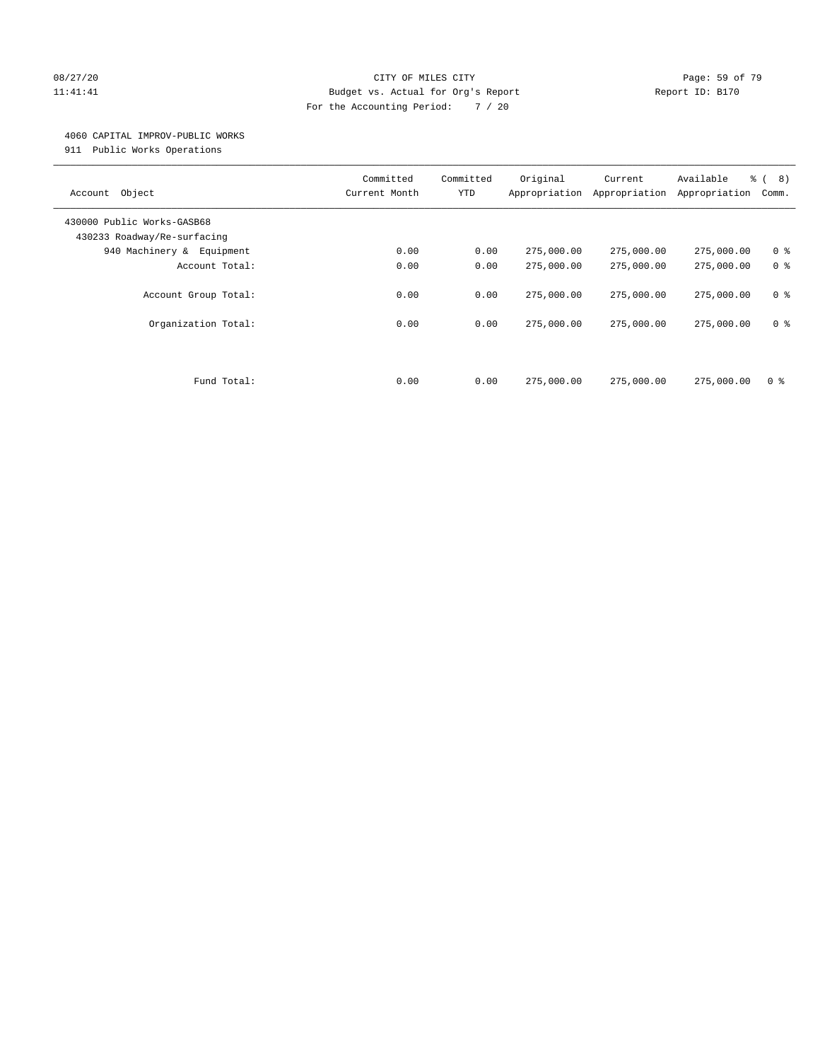#### 08/27/20 **Page: 59 of 79** CITY OF MILES CITY **CITY Page: 59 of 79** 11:41:41 Budget vs. Actual for Org's Report Changer Report ID: B170 For the Accounting Period: 7 / 20

#### 4060 CAPITAL IMPROV-PUBLIC WORKS

911 Public Works Operations

| Object<br>Account                                         | Committed<br>Current Month | Committed<br><b>YTD</b> | Original<br>Appropriation | Current<br>Appropriation | Available<br>Appropriation | $\frac{6}{6}$ ( 8)<br>Comm.      |
|-----------------------------------------------------------|----------------------------|-------------------------|---------------------------|--------------------------|----------------------------|----------------------------------|
| 430000 Public Works-GASB68<br>430233 Roadway/Re-surfacing |                            |                         |                           |                          |                            |                                  |
| 940 Machinery & Equipment                                 | 0.00                       | 0.00                    | 275,000.00                | 275,000.00               | 275,000.00                 | 0 <sup>8</sup>                   |
| Account Total:                                            | 0.00                       | 0.00                    | 275,000.00                | 275,000.00               | 275,000.00                 | 0 <sup>8</sup>                   |
| Account Group Total:<br>Organization Total:               | 0.00<br>0.00               | 0.00<br>0.00            | 275,000.00<br>275,000.00  | 275,000.00<br>275,000.00 | 275,000.00<br>275,000.00   | 0 <sup>8</sup><br>0 <sup>8</sup> |
| Fund Total:                                               | 0.00                       | 0.00                    | 275,000.00                | 275,000.00               | 275,000.00                 | 0 %                              |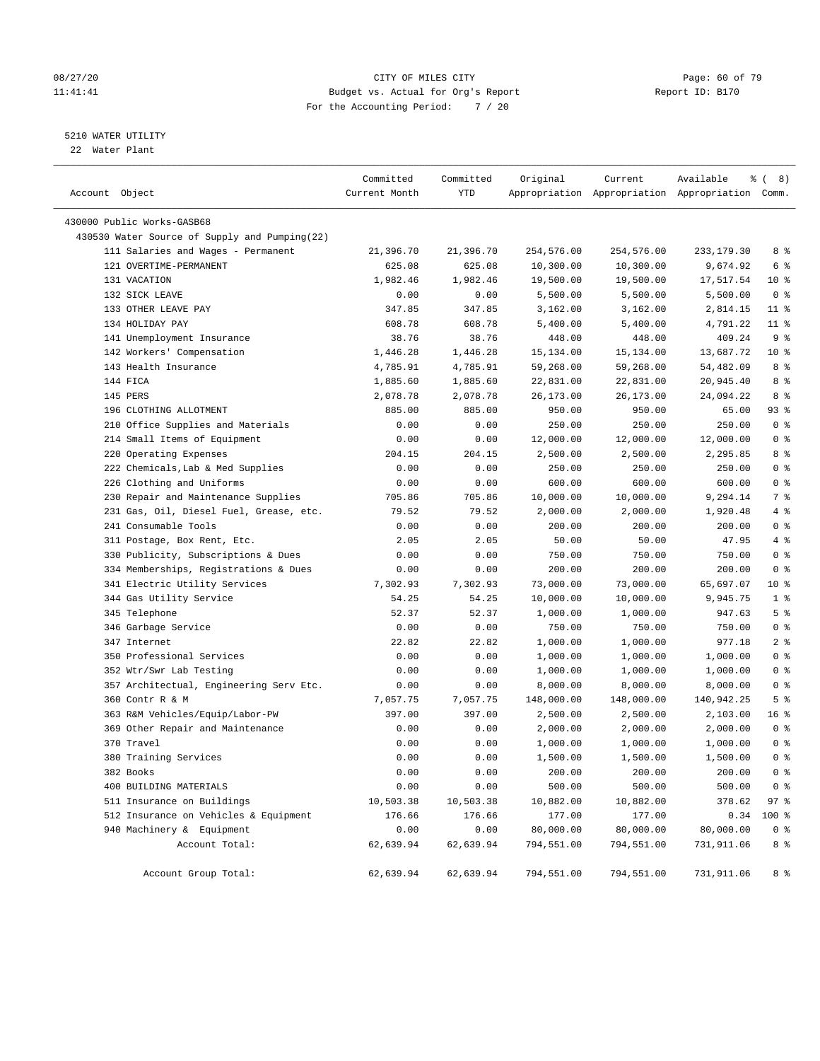#### 08/27/20 Page: 60 of 79 11:41:41 Budget vs. Actual for Org's Report Changer Report ID: B170 For the Accounting Period: 7 / 20

#### 5210 WATER UTILITY

22 Water Plant

| Account Object                                | Committed<br>Current Month | Committed<br>YTD | Original   | Current    | Available<br>Appropriation Appropriation Appropriation Comm. | <sub>රි</sub> ( 8 ) |
|-----------------------------------------------|----------------------------|------------------|------------|------------|--------------------------------------------------------------|---------------------|
| 430000 Public Works-GASB68                    |                            |                  |            |            |                                                              |                     |
| 430530 Water Source of Supply and Pumping(22) |                            |                  |            |            |                                                              |                     |
| 111 Salaries and Wages - Permanent            | 21,396.70                  | 21,396.70        | 254,576.00 | 254,576.00 | 233, 179.30                                                  | 8 %                 |
| 121 OVERTIME-PERMANENT                        | 625.08                     | 625.08           | 10,300.00  | 10,300.00  | 9,674.92                                                     | 6 %                 |
| 131 VACATION                                  | 1,982.46                   | 1,982.46         | 19,500.00  | 19,500.00  | 17,517.54                                                    | $10*$               |
| 132 SICK LEAVE                                | 0.00                       | 0.00             | 5,500.00   | 5,500.00   | 5,500.00                                                     | 0 <sup>8</sup>      |
| 133 OTHER LEAVE PAY                           | 347.85                     | 347.85           | 3,162.00   | 3,162.00   | 2,814.15                                                     | $11$ %              |
| 134 HOLIDAY PAY                               | 608.78                     | 608.78           | 5,400.00   | 5,400.00   | 4,791.22                                                     | $11$ %              |
| 141 Unemployment Insurance                    | 38.76                      | 38.76            | 448.00     | 448.00     | 409.24                                                       | 9 <sup>°</sup>      |
| 142 Workers' Compensation                     | 1,446.28                   | 1,446.28         | 15,134.00  | 15,134.00  | 13,687.72                                                    | $10*$               |
| 143 Health Insurance                          | 4,785.91                   | 4,785.91         | 59,268.00  | 59,268.00  | 54,482.09                                                    | 8 %                 |
| 144 FICA                                      | 1,885.60                   | 1,885.60         | 22,831.00  | 22,831.00  | 20,945.40                                                    | 8 %                 |
| 145 PERS                                      | 2,078.78                   | 2,078.78         | 26,173.00  | 26,173.00  | 24,094.22                                                    | 8 %                 |
| 196 CLOTHING ALLOTMENT                        | 885.00                     | 885.00           | 950.00     | 950.00     | 65.00                                                        | 93%                 |
| 210 Office Supplies and Materials             | 0.00                       | 0.00             | 250.00     | 250.00     | 250.00                                                       | 0 <sup>8</sup>      |
| 214 Small Items of Equipment                  | 0.00                       | 0.00             | 12,000.00  | 12,000.00  | 12,000.00                                                    | 0 <sup>8</sup>      |
| 220 Operating Expenses                        | 204.15                     | 204.15           | 2,500.00   | 2,500.00   | 2,295.85                                                     | 8 %                 |
| 222 Chemicals, Lab & Med Supplies             | 0.00                       | 0.00             | 250.00     | 250.00     | 250.00                                                       | 0 <sup>8</sup>      |
| 226 Clothing and Uniforms                     | 0.00                       | 0.00             | 600.00     | 600.00     | 600.00                                                       | 0 <sup>8</sup>      |
| 230 Repair and Maintenance Supplies           | 705.86                     | 705.86           | 10,000.00  | 10,000.00  | 9,294.14                                                     | 7 %                 |
| 231 Gas, Oil, Diesel Fuel, Grease, etc.       | 79.52                      | 79.52            | 2,000.00   | 2,000.00   | 1,920.48                                                     | 4%                  |
| 241 Consumable Tools                          | 0.00                       | 0.00             | 200.00     | 200.00     | 200.00                                                       | 0 <sup>8</sup>      |
| 311 Postage, Box Rent, Etc.                   | 2.05                       | 2.05             | 50.00      | 50.00      | 47.95                                                        | 4%                  |
| 330 Publicity, Subscriptions & Dues           | 0.00                       | 0.00             | 750.00     | 750.00     | 750.00                                                       | 0 <sup>8</sup>      |
| 334 Memberships, Registrations & Dues         | 0.00                       | 0.00             | 200.00     | 200.00     | 200.00                                                       | 0 <sup>8</sup>      |
| 341 Electric Utility Services                 | 7,302.93                   | 7,302.93         | 73,000.00  | 73,000.00  | 65,697.07                                                    | $10*$               |
| 344 Gas Utility Service                       | 54.25                      | 54.25            | 10,000.00  | 10,000.00  | 9,945.75                                                     | 1 <sup>°</sup>      |
| 345 Telephone                                 | 52.37                      | 52.37            | 1,000.00   | 1,000.00   | 947.63                                                       | 5 <sup>°</sup>      |
| 346 Garbage Service                           | 0.00                       | 0.00             | 750.00     | 750.00     | 750.00                                                       | 0 <sup>8</sup>      |
| 347 Internet                                  | 22.82                      | 22.82            | 1,000.00   | 1,000.00   | 977.18                                                       | 2 <sup>°</sup>      |
| 350 Professional Services                     | 0.00                       | 0.00             | 1,000.00   | 1,000.00   | 1,000.00                                                     | 0 <sup>8</sup>      |
| 352 Wtr/Swr Lab Testing                       | 0.00                       | 0.00             | 1,000.00   | 1,000.00   | 1,000.00                                                     | 0 <sup>8</sup>      |
| 357 Architectual, Engineering Serv Etc.       | 0.00                       | 0.00             | 8,000.00   | 8,000.00   | 8,000.00                                                     | 0 <sup>8</sup>      |
| 360 Contr R & M                               | 7,057.75                   | 7,057.75         | 148,000.00 | 148,000.00 | 140,942.25                                                   | 5 <sup>°</sup>      |
| 363 R&M Vehicles/Equip/Labor-PW               | 397.00                     | 397.00           | 2,500.00   | 2,500.00   | 2,103.00                                                     | 16 <sup>°</sup>     |
| 369 Other Repair and Maintenance              | 0.00                       | 0.00             | 2,000.00   | 2,000.00   | 2,000.00                                                     | 0 <sup>8</sup>      |
| 370 Travel                                    | 0.00                       | 0.00             | 1,000.00   | 1,000.00   | 1,000.00                                                     | 0 <sup>8</sup>      |
| 380 Training Services                         | 0.00                       | 0.00             | 1,500.00   | 1,500.00   | 1,500.00                                                     | 0 <sup>8</sup>      |
| 382 Books                                     | 0.00                       | 0.00             | 200.00     | 200.00     | 200.00                                                       | 0 <sup>8</sup>      |
| 400 BUILDING MATERIALS                        | 0.00                       | 0.00             | 500.00     | 500.00     | 500.00                                                       | 0 <sup>8</sup>      |
| 511 Insurance on Buildings                    | 10,503.38                  | 10,503.38        | 10,882.00  | 10,882.00  | 378.62                                                       | 97%                 |
| 512 Insurance on Vehicles & Equipment         | 176.66                     | 176.66           | 177.00     | 177.00     | 0.34                                                         | 100 %               |
| 940 Machinery & Equipment                     | 0.00                       | 0.00             | 80,000.00  | 80,000.00  | 80,000.00                                                    | $0$ %               |
| Account Total:                                | 62,639.94                  | 62,639.94        | 794,551.00 | 794,551.00 | 731,911.06                                                   | 8 %                 |
| Account Group Total:                          | 62,639.94                  | 62,639.94        | 794,551.00 | 794,551.00 | 731,911.06                                                   | 8 %                 |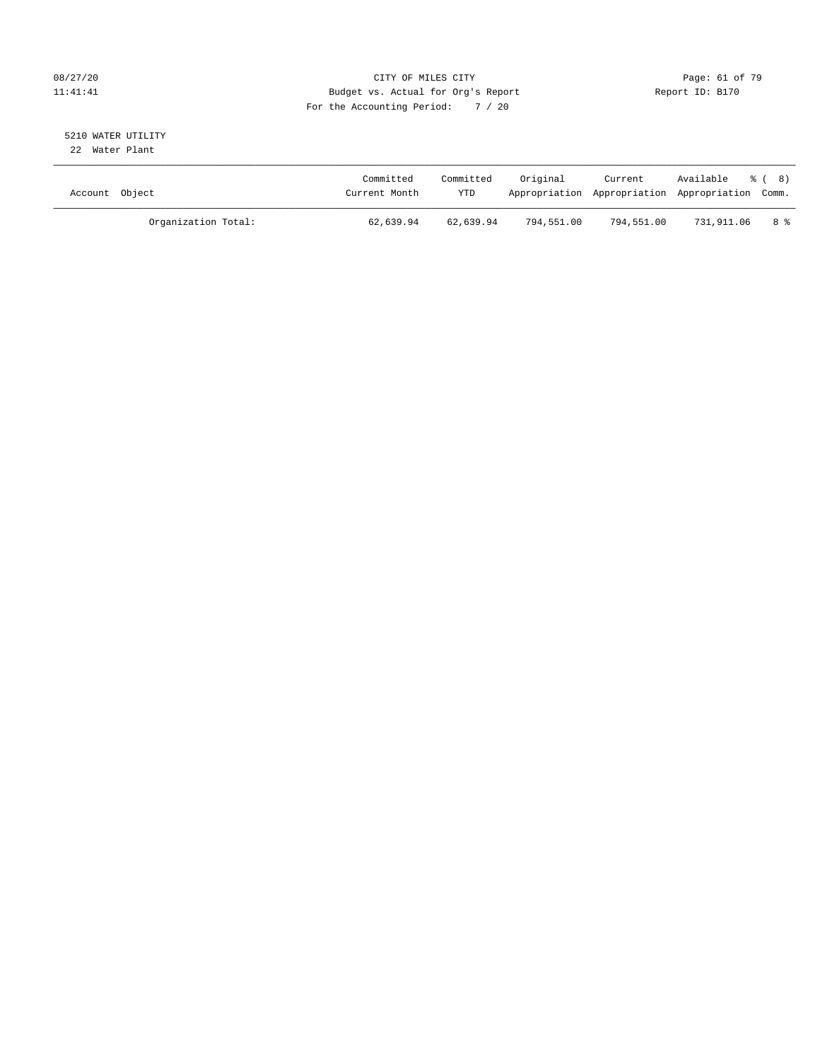#### 08/27/20 Page: 61 of 79 11:41:41 Budget vs. Actual for Org's Report Changer Report ID: B170 For the Accounting Period: 7 / 20

# 5210 WATER UTILITY

22 Water Plant

| Account Object |                     | Committed<br>Current Month | Committed<br>YTD | Original   | Current    | Available % (8)<br>Appropriation Appropriation Appropriation Comm. |      |
|----------------|---------------------|----------------------------|------------------|------------|------------|--------------------------------------------------------------------|------|
|                | Organization Total: | 62,639.94                  | 62,639.94        | 794,551.00 | 794,551.00 | 731,911.06                                                         | 8 දි |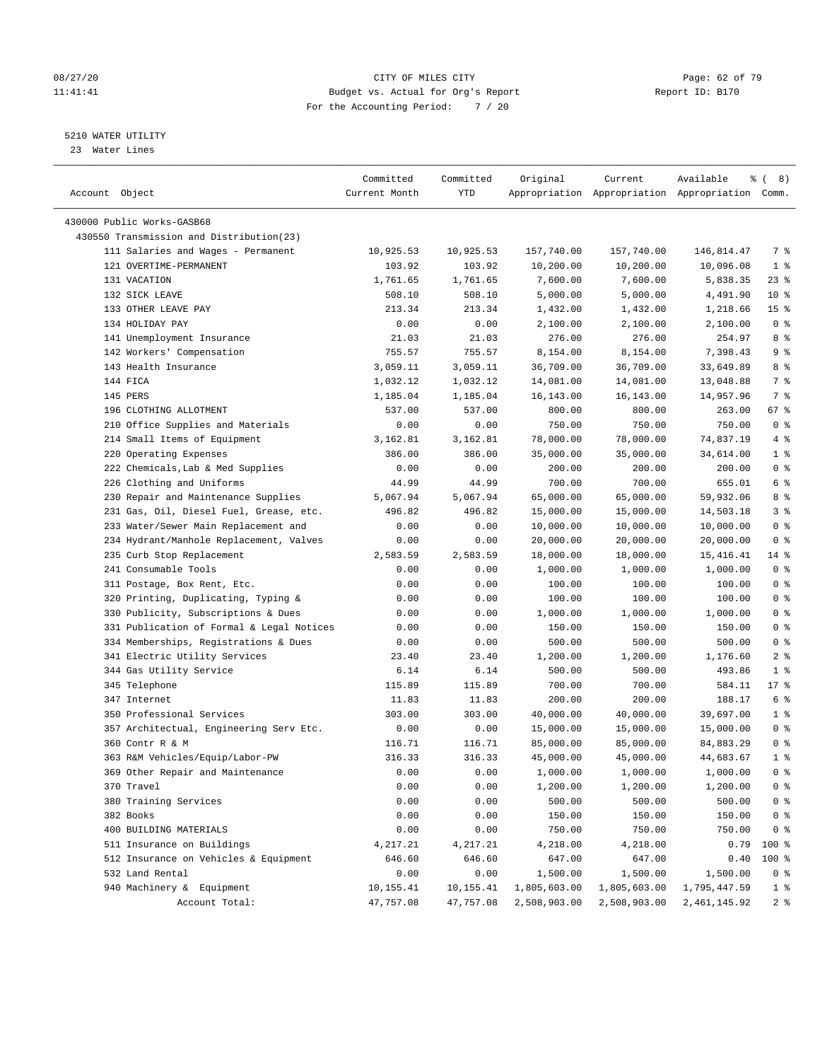#### 08/27/20 Page: 62 of 79 11:41:41 Budget vs. Actual for Org's Report Report ID: B170 For the Accounting Period: 7 / 20

————————————————————————————————————————————————————————————————————————————————————————————————————————————————————————————————————

#### 5210 WATER UTILITY

23 Water Lines

|                                           | Committed     | Committed           | Original     | Current                                         | Available<br>နွ | 8)<br>$\left($  |
|-------------------------------------------|---------------|---------------------|--------------|-------------------------------------------------|-----------------|-----------------|
| Account Object                            | Current Month | YTD                 |              | Appropriation Appropriation Appropriation Comm. |                 |                 |
| 430000 Public Works-GASB68                |               |                     |              |                                                 |                 |                 |
| 430550 Transmission and Distribution(23)  |               |                     |              |                                                 |                 |                 |
|                                           |               |                     |              |                                                 |                 | 7 %             |
| 111 Salaries and Wages - Permanent        | 10,925.53     | 10,925.53<br>103.92 | 157,740.00   | 157,740.00                                      | 146,814.47      |                 |
| 121 OVERTIME-PERMANENT                    | 103.92        |                     | 10,200.00    | 10,200.00                                       | 10,096.08       | $1$ %           |
| 131 VACATION                              | 1,761.65      | 1,761.65            | 7,600.00     | 7,600.00                                        | 5,838.35        | $23$ %          |
| 132 SICK LEAVE                            | 508.10        | 508.10              | 5,000.00     | 5,000.00                                        | 4,491.90        | $10*$           |
| 133 OTHER LEAVE PAY                       | 213.34        | 213.34              | 1,432.00     | 1,432.00                                        | 1,218.66        | 15 <sup>°</sup> |
| 134 HOLIDAY PAY                           | 0.00          | 0.00                | 2,100.00     | 2,100.00                                        | 2,100.00        | 0 <sup>8</sup>  |
| 141 Unemployment Insurance                | 21.03         | 21.03               | 276.00       | 276.00                                          | 254.97          | 8 %             |
| 142 Workers' Compensation                 | 755.57        | 755.57              | 8,154.00     | 8,154.00                                        | 7,398.43        | 9%              |
| 143 Health Insurance                      | 3,059.11      | 3,059.11            | 36,709.00    | 36,709.00                                       | 33,649.89       | 8 %             |
| 144 FICA                                  | 1,032.12      | 1,032.12            | 14,081.00    | 14,081.00                                       | 13,048.88       | 7 %             |
| 145 PERS                                  | 1,185.04      | 1,185.04            | 16,143.00    | 16,143.00                                       | 14,957.96       | 7 %             |
| 196 CLOTHING ALLOTMENT                    | 537.00        | 537.00              | 800.00       | 800.00                                          | 263.00          | 67 %            |
| 210 Office Supplies and Materials         | 0.00          | 0.00                | 750.00       | 750.00                                          | 750.00          | 0 <sup>8</sup>  |
| 214 Small Items of Equipment              | 3,162.81      | 3,162.81            | 78,000.00    | 78,000.00                                       | 74,837.19       | 4%              |
| 220 Operating Expenses                    | 386.00        | 386.00              | 35,000.00    | 35,000.00                                       | 34,614.00       | 1 <sup>°</sup>  |
| 222 Chemicals, Lab & Med Supplies         | 0.00          | 0.00                | 200.00       | 200.00                                          | 200.00          | 0 <sup>8</sup>  |
| 226 Clothing and Uniforms                 | 44.99         | 44.99               | 700.00       | 700.00                                          | 655.01          | 6 %             |
| 230 Repair and Maintenance Supplies       | 5,067.94      | 5,067.94            | 65,000.00    | 65,000.00                                       | 59,932.06       | 8%              |
| 231 Gas, Oil, Diesel Fuel, Grease, etc.   | 496.82        | 496.82              | 15,000.00    | 15,000.00                                       | 14,503.18       | 3 %             |
| 233 Water/Sewer Main Replacement and      | 0.00          | 0.00                | 10,000.00    | 10,000.00                                       | 10,000.00       | 0 <sup>8</sup>  |
| 234 Hydrant/Manhole Replacement, Valves   | 0.00          | 0.00                | 20,000.00    | 20,000.00                                       | 20,000.00       | 0 <sup>8</sup>  |
| 235 Curb Stop Replacement                 | 2,583.59      | 2,583.59            | 18,000.00    | 18,000.00                                       | 15,416.41       | $14$ %          |
| 241 Consumable Tools                      | 0.00          | 0.00                | 1,000.00     | 1,000.00                                        | 1,000.00        | 0 <sup>8</sup>  |
| 311 Postage, Box Rent, Etc.               | 0.00          | 0.00                | 100.00       | 100.00                                          | 100.00          | 0 <sup>8</sup>  |
| 320 Printing, Duplicating, Typing &       | 0.00          | 0.00                | 100.00       | 100.00                                          | 100.00          | 0 <sup>8</sup>  |
| 330 Publicity, Subscriptions & Dues       | 0.00          | 0.00                | 1,000.00     | 1,000.00                                        | 1,000.00        | 0 <sup>°</sup>  |
| 331 Publication of Formal & Legal Notices | 0.00          | 0.00                | 150.00       | 150.00                                          | 150.00          | 0 <sup>8</sup>  |
| 334 Memberships, Registrations & Dues     | 0.00          | 0.00                | 500.00       | 500.00                                          | 500.00          | 0 <sup>8</sup>  |
| 341 Electric Utility Services             | 23.40         | 23.40               | 1,200.00     | 1,200.00                                        | 1,176.60        | 2 <sup>°</sup>  |
| 344 Gas Utility Service                   | 6.14          | 6.14                | 500.00       | 500.00                                          | 493.86          | 1 <sup>°</sup>  |
| 345 Telephone                             | 115.89        | 115.89              | 700.00       | 700.00                                          | 584.11          | $17$ %          |
| 347 Internet                              | 11.83         | 11.83               | 200.00       | 200.00                                          | 188.17          | 6 %             |
| 350 Professional Services                 | 303.00        | 303.00              | 40,000.00    | 40,000.00                                       | 39,697.00       | 1 <sup>8</sup>  |
| 357 Architectual, Engineering Serv Etc.   | 0.00          | 0.00                | 15,000.00    | 15,000.00                                       | 15,000.00       | 0 <sup>8</sup>  |
| 360 Contr R & M                           | 116.71        | 116.71              | 85,000.00    | 85,000.00                                       | 84,883.29       | 0 <sup>8</sup>  |
| 363 R&M Vehicles/Equip/Labor-PW           | 316.33        | 316.33              | 45,000.00    | 45,000.00                                       | 44,683.67       | 1 <sup>°</sup>  |
| 369 Other Repair and Maintenance          | 0.00          | 0.00                | 1,000.00     | 1,000.00                                        | 1,000.00        | 0 <sup>8</sup>  |
| 370 Travel                                | 0.00          | 0.00                | 1,200.00     | 1,200.00                                        | 1,200.00        | 0 <sup>8</sup>  |
| 380 Training Services                     | 0.00          | 0.00                | 500.00       | 500.00                                          | 500.00          | 0 <sup>8</sup>  |
| 382 Books                                 | 0.00          | 0.00                | 150.00       | 150.00                                          | 150.00          | 0 <sup>8</sup>  |
| 400 BUILDING MATERIALS                    | 0.00          | 0.00                | 750.00       | 750.00                                          | 750.00          | $0$ %           |
| 511 Insurance on Buildings                | 4,217.21      | 4,217.21            | 4,218.00     | 4,218.00                                        | 0.79            | 100 %           |
| 512 Insurance on Vehicles & Equipment     | 646.60        | 646.60              | 647.00       | 647.00                                          | 0.40            | 100 %           |
| 532 Land Rental                           | 0.00          | 0.00                | 1,500.00     | 1,500.00                                        | 1,500.00        | $0$ %           |
| 940 Machinery & Equipment                 | 10,155.41     | 10,155.41           | 1,805,603.00 | 1,805,603.00                                    | 1,795,447.59    | 1 <sup>8</sup>  |
| Account Total:                            | 47,757.08     | 47,757.08           | 2,508,903.00 | 2,508,903.00                                    | 2,461,145.92    | 2 <sup>8</sup>  |
|                                           |               |                     |              |                                                 |                 |                 |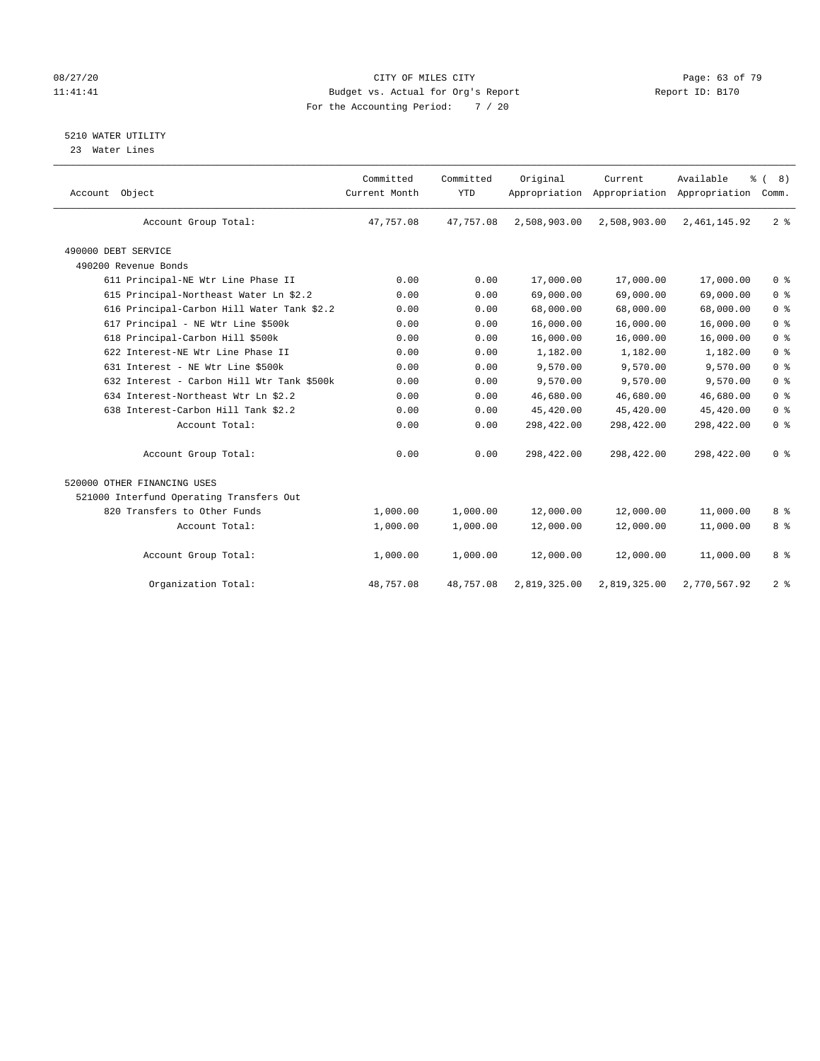#### 08/27/20 Page: 63 of 79 11:41:41 Budget vs. Actual for Org's Report Changer Report ID: B170 For the Accounting Period: 7 / 20

5210 WATER UTILITY

23 Water Lines

| Account Object                             | Committed<br>Current Month | Committed<br><b>YTD</b> | Original     | Current<br>Appropriation Appropriation Appropriation | Available      | $\frac{6}{6}$ ( 8)<br>Comm. |
|--------------------------------------------|----------------------------|-------------------------|--------------|------------------------------------------------------|----------------|-----------------------------|
| Account Group Total:                       | 47.757.08                  | 47,757.08               | 2,508,903.00 | 2,508,903.00                                         | 2, 461, 145.92 | 2 <sup>8</sup>              |
| 490000 DEBT SERVICE                        |                            |                         |              |                                                      |                |                             |
| 490200 Revenue Bonds                       |                            |                         |              |                                                      |                |                             |
| 611 Principal-NE Wtr Line Phase II         | 0.00                       | 0.00                    | 17,000.00    | 17,000.00                                            | 17,000.00      | 0 <sup>8</sup>              |
| 615 Principal-Northeast Water Ln \$2.2     | 0.00                       | 0.00                    | 69,000.00    | 69,000.00                                            | 69,000.00      | 0 <sup>8</sup>              |
| 616 Principal-Carbon Hill Water Tank \$2.2 | 0.00                       | 0.00                    | 68,000.00    | 68,000.00                                            | 68,000.00      | 0 <sup>8</sup>              |
| 617 Principal - NE Wtr Line \$500k         | 0.00                       | 0.00                    | 16,000.00    | 16,000.00                                            | 16,000.00      | 0 <sup>8</sup>              |
| 618 Principal-Carbon Hill \$500k           | 0.00                       | 0.00                    | 16,000.00    | 16,000.00                                            | 16,000.00      | 0 <sup>8</sup>              |
| 622 Interest-NE Wtr Line Phase II          | 0.00                       | 0.00                    | 1,182.00     | 1,182.00                                             | 1,182.00       | 0 <sup>8</sup>              |
| 631 Interest - NE Wtr Line \$500k          | 0.00                       | 0.00                    | 9,570.00     | 9,570.00                                             | 9,570.00       | 0 <sup>8</sup>              |
| 632 Interest - Carbon Hill Wtr Tank \$500k | 0.00                       | 0.00                    | 9,570.00     | 9,570.00                                             | 9,570.00       | 0 <sup>8</sup>              |
| 634 Interest-Northeast Wtr Ln \$2.2        | 0.00                       | 0.00                    | 46,680.00    | 46,680.00                                            | 46,680.00      | 0 <sup>8</sup>              |
| 638 Interest-Carbon Hill Tank \$2.2        | 0.00                       | 0.00                    | 45,420.00    | 45,420.00                                            | 45,420.00      | 0 <sup>8</sup>              |
| Account Total:                             | 0.00                       | 0.00                    | 298,422.00   | 298,422.00                                           | 298,422.00     | 0 <sup>8</sup>              |
| Account Group Total:                       | 0.00                       | 0.00                    | 298,422.00   | 298,422.00                                           | 298,422.00     | 0 <sup>8</sup>              |
| 520000 OTHER FINANCING USES                |                            |                         |              |                                                      |                |                             |
| 521000 Interfund Operating Transfers Out   |                            |                         |              |                                                      |                |                             |
| 820 Transfers to Other Funds               | 1,000.00                   | 1,000.00                | 12,000.00    | 12,000.00                                            | 11,000.00      | 8 %                         |
| Account Total:                             | 1,000.00                   | 1,000.00                | 12,000.00    | 12,000.00                                            | 11,000.00      | 8 <sup>°</sup>              |
| Account Group Total:                       | 1,000.00                   | 1,000.00                | 12,000.00    | 12,000.00                                            | 11,000.00      | 8 %                         |
| Organization Total:                        | 48,757.08                  | 48,757.08               | 2,819,325.00 | 2,819,325.00                                         | 2,770,567.92   | 2 <sup>8</sup>              |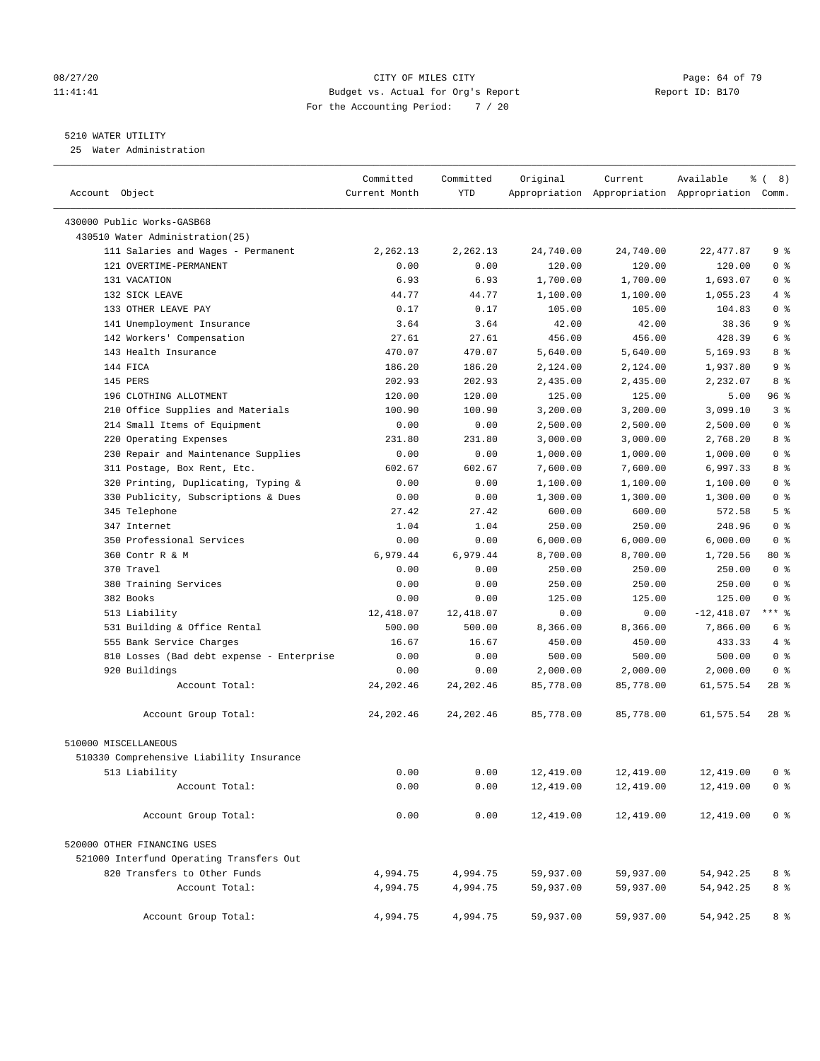#### 08/27/20 Page: 64 of 79 11:41:41 Budget vs. Actual for Org's Report Changer Report ID: B170 For the Accounting Period: 7 / 20

————————————————————————————————————————————————————————————————————————————————————————————————————————————————————————————————————

#### 5210 WATER UTILITY

25 Water Administration

|                                           | Committed     | Committed  | Original  | Current   | Available<br>ႜ                                  | 8)             |
|-------------------------------------------|---------------|------------|-----------|-----------|-------------------------------------------------|----------------|
| Account Object                            | Current Month | YTD        |           |           | Appropriation Appropriation Appropriation Comm. |                |
| 430000 Public Works-GASB68                |               |            |           |           |                                                 |                |
| 430510 Water Administration(25)           |               |            |           |           |                                                 |                |
| 111 Salaries and Wages - Permanent        | 2,262.13      | 2,262.13   | 24,740.00 | 24,740.00 | 22, 477.87                                      | 9%             |
| 121 OVERTIME-PERMANENT                    | 0.00          | 0.00       | 120.00    | 120.00    | 120.00                                          | 0 <sup>8</sup> |
| 131 VACATION                              | 6.93          | 6.93       | 1,700.00  | 1,700.00  | 1,693.07                                        | 0 <sup>8</sup> |
| 132 SICK LEAVE                            | 44.77         | 44.77      | 1,100.00  | 1,100.00  | 1,055.23                                        | 4%             |
| 133 OTHER LEAVE PAY                       | 0.17          | 0.17       | 105.00    | 105.00    | 104.83                                          | 0 <sup>8</sup> |
| 141 Unemployment Insurance                | 3.64          | 3.64       | 42.00     | 42.00     | 38.36                                           | 9 <sup>°</sup> |
| 142 Workers' Compensation                 | 27.61         | 27.61      | 456.00    | 456.00    | 428.39                                          | 6 %            |
| 143 Health Insurance                      | 470.07        | 470.07     | 5,640.00  | 5,640.00  | 5,169.93                                        | 8 %            |
| 144 FICA                                  | 186.20        | 186.20     | 2,124.00  | 2,124.00  | 1,937.80                                        | 9 <sup>°</sup> |
| 145 PERS                                  | 202.93        | 202.93     | 2,435.00  | 2,435.00  | 2,232.07                                        | 8 %            |
| 196 CLOTHING ALLOTMENT                    | 120.00        | 120.00     | 125.00    | 125.00    | 5.00                                            | 96 %           |
| 210 Office Supplies and Materials         | 100.90        | 100.90     | 3,200.00  | 3,200.00  | 3,099.10                                        | 3 <sup>°</sup> |
| 214 Small Items of Equipment              | 0.00          | 0.00       | 2,500.00  | 2,500.00  | 2,500.00                                        | 0 <sup>8</sup> |
| 220 Operating Expenses                    | 231.80        | 231.80     | 3,000.00  | 3,000.00  | 2,768.20                                        | 8 %            |
| 230 Repair and Maintenance Supplies       | 0.00          | 0.00       | 1,000.00  | 1,000.00  | 1,000.00                                        | 0 <sup>8</sup> |
| 311 Postage, Box Rent, Etc.               | 602.67        | 602.67     | 7,600.00  | 7,600.00  | 6,997.33                                        | 8 %            |
| 320 Printing, Duplicating, Typing &       | 0.00          | 0.00       | 1,100.00  | 1,100.00  | 1,100.00                                        | 0 <sup>8</sup> |
| 330 Publicity, Subscriptions & Dues       | 0.00          | 0.00       | 1,300.00  | 1,300.00  | 1,300.00                                        | 0 <sup>8</sup> |
| 345 Telephone                             | 27.42         | 27.42      | 600.00    | 600.00    | 572.58                                          | 5 <sup>°</sup> |
| 347 Internet                              | 1.04          | 1.04       | 250.00    | 250.00    | 248.96                                          | 0 <sup>8</sup> |
| 350 Professional Services                 | 0.00          | 0.00       | 6,000.00  | 6,000.00  | 6,000.00                                        | 0 <sup>8</sup> |
| 360 Contr R & M                           | 6,979.44      | 6,979.44   | 8,700.00  | 8,700.00  | 1,720.56                                        | 80 %           |
| 370 Travel                                | 0.00          | 0.00       | 250.00    | 250.00    | 250.00                                          | 0 <sup>8</sup> |
| 380 Training Services                     | 0.00          | 0.00       | 250.00    | 250.00    | 250.00                                          | 0 <sup>8</sup> |
| 382 Books                                 | 0.00          | 0.00       | 125.00    | 125.00    | 125.00                                          | 0 <sup>8</sup> |
| 513 Liability                             | 12,418.07     | 12,418.07  | 0.00      | 0.00      | $-12,418.07$                                    | $***$ $%$      |
| 531 Building & Office Rental              | 500.00        | 500.00     | 8,366.00  | 8,366.00  | 7,866.00                                        | 6 %            |
| 555 Bank Service Charges                  | 16.67         | 16.67      | 450.00    | 450.00    | 433.33                                          | 4%             |
| 810 Losses (Bad debt expense - Enterprise | 0.00          | 0.00       | 500.00    | 500.00    | 500.00                                          | 0 <sup>8</sup> |
| 920 Buildings                             | 0.00          | 0.00       | 2,000.00  | 2,000.00  | 2,000.00                                        | 0 <sup>8</sup> |
| Account Total:                            | 24, 202.46    | 24, 202.46 | 85,778.00 | 85,778.00 | 61,575.54                                       | 28 %           |
| Account Group Total:                      | 24, 202.46    | 24, 202.46 | 85,778.00 | 85,778.00 | 61,575.54                                       | 28 %           |
| 510000 MISCELLANEOUS                      |               |            |           |           |                                                 |                |
| 510330 Comprehensive Liability Insurance  |               |            |           |           |                                                 |                |
| 513 Liability                             | 0.00          | 0.00       | 12,419.00 | 12,419.00 | 12,419.00                                       | 0 %            |
| Account Total:                            | 0.00          | 0.00       | 12,419.00 | 12,419.00 | 12,419.00                                       | 0 <sup>8</sup> |
|                                           |               |            |           |           |                                                 |                |
| Account Group Total:                      | 0.00          | 0.00       | 12,419.00 | 12,419.00 | 12,419.00                                       | 0 <sup>8</sup> |
| 520000 OTHER FINANCING USES               |               |            |           |           |                                                 |                |
| 521000 Interfund Operating Transfers Out  |               |            |           |           |                                                 |                |
| 820 Transfers to Other Funds              | 4,994.75      | 4,994.75   | 59,937.00 | 59,937.00 | 54,942.25                                       | 8 %            |
| Account Total:                            | 4,994.75      | 4,994.75   | 59,937.00 | 59,937.00 | 54,942.25                                       | 8 %            |
| Account Group Total:                      | 4,994.75      | 4,994.75   | 59,937.00 | 59,937.00 | 54,942.25                                       | 8 %            |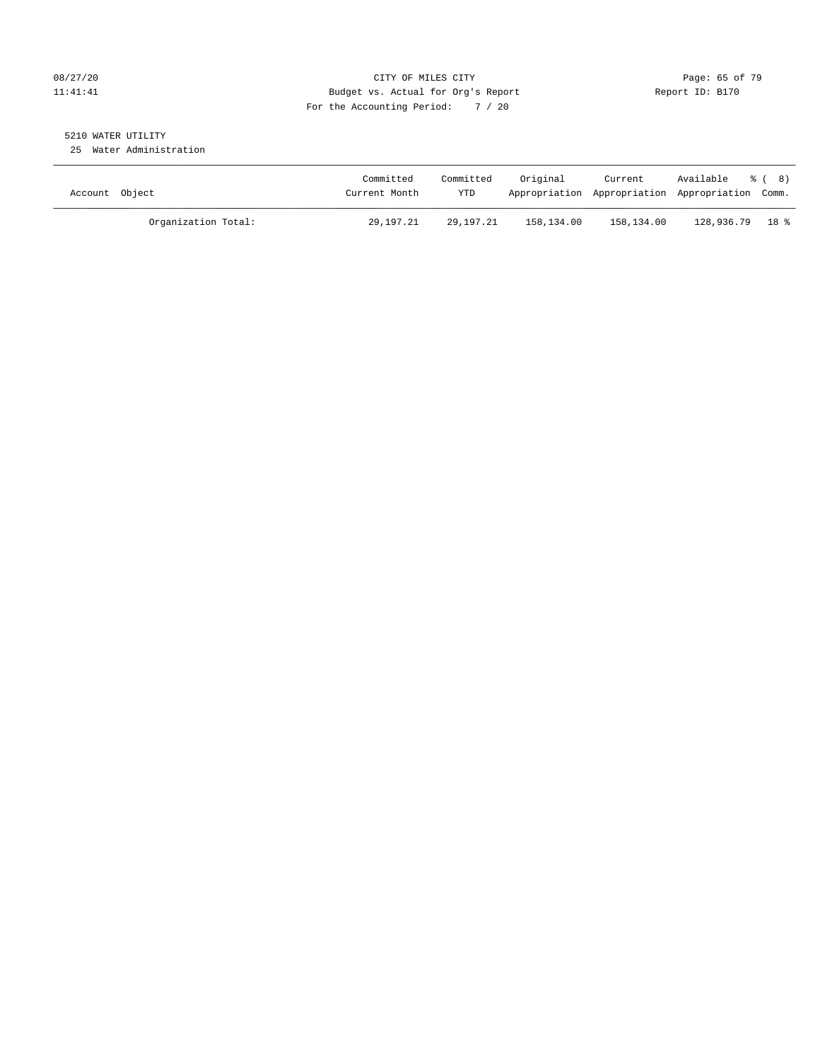#### 08/27/20 Page: 65 of 79 11:41:41 Budget vs. Actual for Org's Report Changer Report ID: B170 For the Accounting Period: 7 / 20

## 5210 WATER UTILITY

25 Water Administration

| Account Object      | Committed<br>Current Month | Committed<br><b>YTD</b> | Original   | Current    | Available % (8)<br>Appropriation Appropriation Appropriation Comm. |  |
|---------------------|----------------------------|-------------------------|------------|------------|--------------------------------------------------------------------|--|
| Organization Total: | 29,197.21                  | 29,197.21               | 158,134.00 | 158,134.00 | 128,936.79 18 %                                                    |  |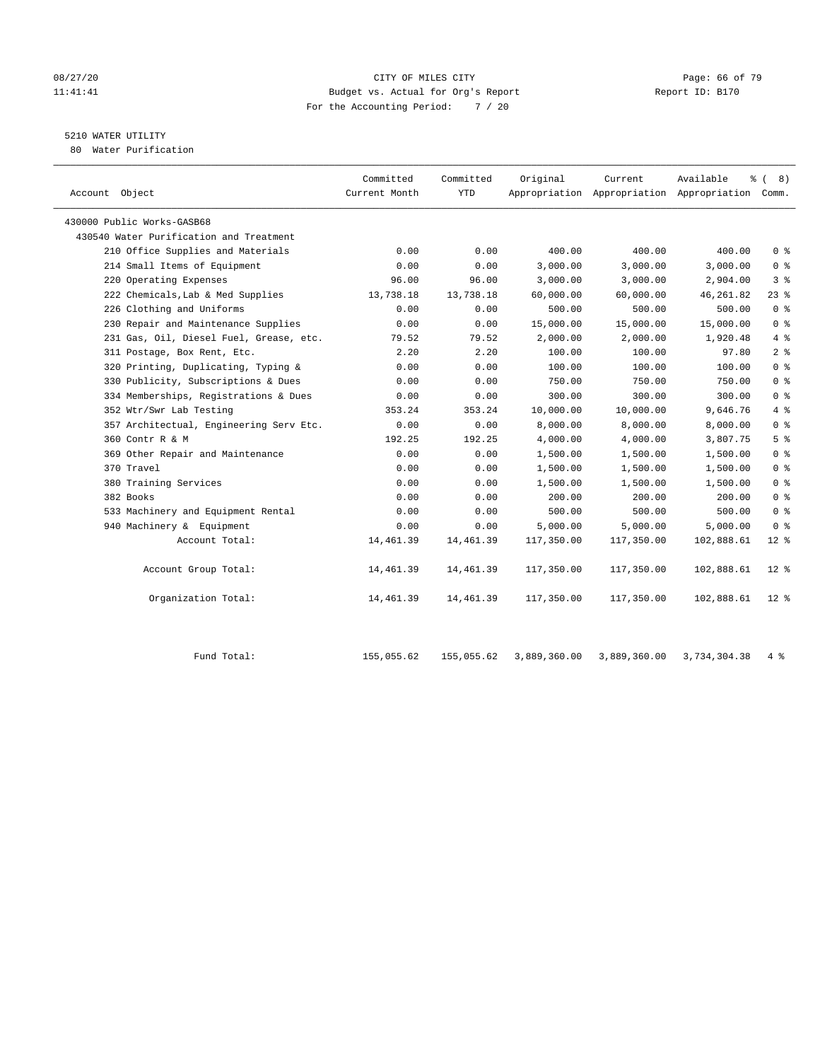#### 08/27/20 Page: 66 of 79 11:41:41 Budget vs. Actual for Org's Report Changer Report ID: B170 For the Accounting Period: 7 / 20

## 5210 WATER UTILITY

80 Water Purification

| Account Object                          | Committed<br>Current Month | Committed<br><b>YTD</b> | Original   | Current    | Available<br>Appropriation Appropriation Appropriation Comm. | <sub>රි</sub> ( 8 ) |
|-----------------------------------------|----------------------------|-------------------------|------------|------------|--------------------------------------------------------------|---------------------|
| 430000 Public Works-GASB68              |                            |                         |            |            |                                                              |                     |
| 430540 Water Purification and Treatment |                            |                         |            |            |                                                              |                     |
| 210 Office Supplies and Materials       | 0.00                       | 0.00                    | 400.00     | 400.00     | 400.00                                                       | 0 <sup>8</sup>      |
| 214 Small Items of Equipment            | 0.00                       | 0.00                    | 3,000.00   | 3,000.00   | 3,000.00                                                     | 0 <sup>8</sup>      |
| 220 Operating Expenses                  | 96.00                      | 96.00                   | 3,000.00   | 3,000.00   | 2,904.00                                                     | 3 <sup>8</sup>      |
| 222 Chemicals, Lab & Med Supplies       | 13,738.18                  | 13,738.18               | 60,000.00  | 60,000.00  | 46, 261.82                                                   | $23$ $%$            |
| 226 Clothing and Uniforms               | 0.00                       | 0.00                    | 500.00     | 500.00     | 500.00                                                       | 0 <sup>8</sup>      |
| 230 Repair and Maintenance Supplies     | 0.00                       | 0.00                    | 15,000.00  | 15,000.00  | 15,000.00                                                    | 0 <sup>8</sup>      |
| 231 Gas, Oil, Diesel Fuel, Grease, etc. | 79.52                      | 79.52                   | 2,000.00   | 2,000.00   | 1,920.48                                                     | 4%                  |
| 311 Postage, Box Rent, Etc.             | 2.20                       | 2.20                    | 100.00     | 100.00     | 97.80                                                        | 2 <sup>8</sup>      |
| 320 Printing, Duplicating, Typing &     | 0.00                       | 0.00                    | 100.00     | 100.00     | 100.00                                                       | 0 <sup>8</sup>      |
| 330 Publicity, Subscriptions & Dues     | 0.00                       | 0.00                    | 750.00     | 750.00     | 750.00                                                       | 0 <sup>8</sup>      |
| 334 Memberships, Registrations & Dues   | 0.00                       | 0.00                    | 300.00     | 300.00     | 300.00                                                       | 0 <sup>8</sup>      |
| 352 Wtr/Swr Lab Testing                 | 353.24                     | 353.24                  | 10,000.00  | 10,000.00  | 9,646.76                                                     | $4\degree$          |
| 357 Architectual, Engineering Serv Etc. | 0.00                       | 0.00                    | 8,000.00   | 8,000.00   | 8,000.00                                                     | 0 <sup>8</sup>      |
| 360 Contr R & M                         | 192.25                     | 192.25                  | 4,000.00   | 4,000.00   | 3,807.75                                                     | 5 <sup>°</sup>      |
| 369 Other Repair and Maintenance        | 0.00                       | 0.00                    | 1,500.00   | 1,500.00   | 1,500.00                                                     | 0 <sup>8</sup>      |
| 370 Travel                              | 0.00                       | 0.00                    | 1,500.00   | 1,500.00   | 1,500.00                                                     | 0 <sup>8</sup>      |
| 380 Training Services                   | 0.00                       | 0.00                    | 1,500.00   | 1,500.00   | 1,500.00                                                     | 0 <sup>8</sup>      |
| 382 Books                               | 0.00                       | 0.00                    | 200.00     | 200.00     | 200.00                                                       | 0 <sup>8</sup>      |
| 533 Machinery and Equipment Rental      | 0.00                       | 0.00                    | 500.00     | 500.00     | 500.00                                                       | 0 <sup>8</sup>      |
| 940 Machinery & Equipment               | 0.00                       | 0.00                    | 5,000.00   | 5,000.00   | 5,000.00                                                     | 0 <sup>8</sup>      |
| Account Total:                          | 14,461.39                  | 14,461.39               | 117,350.00 | 117,350.00 | 102,888.61                                                   | $12*$               |
| Account Group Total:                    | 14,461.39                  | 14,461.39               | 117,350.00 | 117,350.00 | 102,888.61                                                   | $12*$               |
| Organization Total:                     | 14,461.39                  | 14,461.39               | 117,350.00 | 117,350.00 | 102,888.61                                                   | $12$ %              |

| Fund Total: | 155,055.62 |  | 155,055.62  3,889,360.00  3,889,360.00  3,734,304.38  4 % |  |
|-------------|------------|--|-----------------------------------------------------------|--|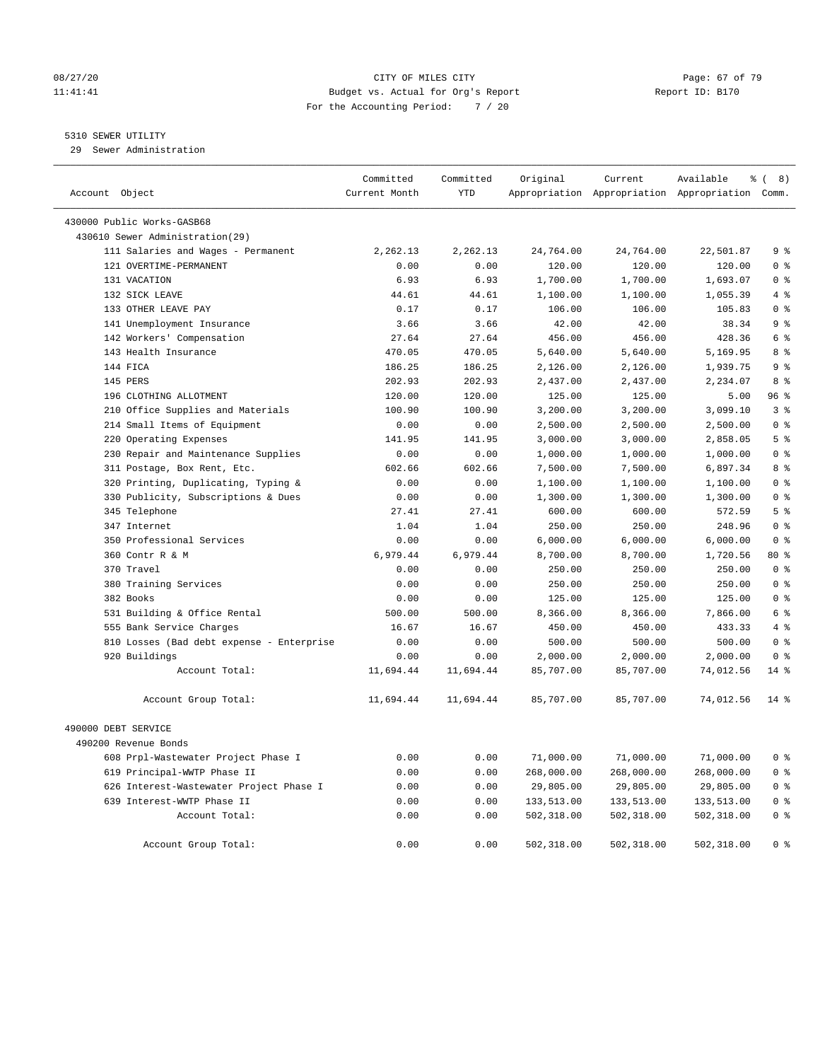#### 08/27/20 Page: 67 of 79 11:41:41 Budget vs. Actual for Org's Report Changer Report ID: B170 For the Accounting Period: 7 / 20

#### 5310 SEWER UTILITY

29 Sewer Administration

| Account Object                                               | Committed<br>Current Month | Committed<br><b>YTD</b> | Original            | Current             | Available<br>Appropriation Appropriation Appropriation Comm. | $\frac{6}{6}$ (<br>8)            |
|--------------------------------------------------------------|----------------------------|-------------------------|---------------------|---------------------|--------------------------------------------------------------|----------------------------------|
|                                                              |                            |                         |                     |                     |                                                              |                                  |
| 430000 Public Works-GASB68                                   |                            |                         |                     |                     |                                                              |                                  |
| 430610 Sewer Administration(29)                              |                            |                         |                     |                     |                                                              |                                  |
| 111 Salaries and Wages - Permanent<br>121 OVERTIME-PERMANENT | 2,262.13<br>0.00           | 2,262.13<br>0.00        | 24,764.00<br>120.00 | 24,764.00<br>120.00 | 22,501.87<br>120.00                                          | 9 <sup>8</sup><br>0 <sup>8</sup> |
| 131 VACATION                                                 | 6.93                       | 6.93                    | 1,700.00            | 1,700.00            | 1,693.07                                                     | 0 <sup>8</sup>                   |
| 132 SICK LEAVE                                               | 44.61                      | 44.61                   | 1,100.00            | 1,100.00            | 1,055.39                                                     | $4 \div$                         |
| 133 OTHER LEAVE PAY                                          | 0.17                       | 0.17                    | 106.00              | 106.00              | 105.83                                                       | 0 <sup>8</sup>                   |
| 141 Unemployment Insurance                                   | 3.66                       | 3.66                    | 42.00               | 42.00               | 38.34                                                        | 9%                               |
| 142 Workers' Compensation                                    | 27.64                      | 27.64                   | 456.00              | 456.00              | 428.36                                                       | 6 <sup>°</sup>                   |
| 143 Health Insurance                                         | 470.05                     | 470.05                  | 5,640.00            | 5,640.00            | 5,169.95                                                     | 8 %                              |
| 144 FICA                                                     | 186.25                     | 186.25                  | 2,126.00            | 2,126.00            | 1,939.75                                                     | 9 <sup>°</sup>                   |
| 145 PERS                                                     | 202.93                     | 202.93                  | 2,437.00            | 2,437.00            | 2,234.07                                                     | 8 %                              |
| 196 CLOTHING ALLOTMENT                                       | 120.00                     | 120.00                  | 125.00              | 125.00              | 5.00                                                         | 96%                              |
| 210 Office Supplies and Materials                            | 100.90                     | 100.90                  | 3,200.00            | 3,200.00            | 3,099.10                                                     | 3 <sup>8</sup>                   |
| 214 Small Items of Equipment                                 | 0.00                       | 0.00                    | 2,500.00            | 2,500.00            | 2,500.00                                                     | 0 <sup>8</sup>                   |
| 220 Operating Expenses                                       | 141.95                     | 141.95                  | 3,000.00            | 3,000.00            | 2,858.05                                                     | 5 <sup>8</sup>                   |
| 230 Repair and Maintenance Supplies                          | 0.00                       | 0.00                    | 1,000.00            | 1,000.00            | 1,000.00                                                     | 0 <sup>8</sup>                   |
| 311 Postage, Box Rent, Etc.                                  | 602.66                     | 602.66                  | 7,500.00            | 7,500.00            | 6,897.34                                                     | 8 %                              |
| 320 Printing, Duplicating, Typing &                          | 0.00                       | 0.00                    | 1,100.00            | 1,100.00            | 1,100.00                                                     | 0 <sup>8</sup>                   |
| 330 Publicity, Subscriptions & Dues                          | 0.00                       | 0.00                    | 1,300.00            | 1,300.00            | 1,300.00                                                     | 0 <sup>8</sup>                   |
| 345 Telephone                                                | 27.41                      | 27.41                   | 600.00              | 600.00              | 572.59                                                       | 5 <sup>8</sup>                   |
| 347 Internet                                                 | 1.04                       | 1.04                    | 250.00              | 250.00              | 248.96                                                       | 0 <sup>8</sup>                   |
| 350 Professional Services                                    | 0.00                       | 0.00                    | 6,000.00            | 6,000.00            | 6,000.00                                                     | 0 <sup>8</sup>                   |
| 360 Contr R & M                                              | 6,979.44                   | 6,979.44                | 8,700.00            | 8,700.00            | 1,720.56                                                     | $80*$                            |
| 370 Travel                                                   | 0.00                       | 0.00                    | 250.00              | 250.00              | 250.00                                                       | 0 <sup>8</sup>                   |
| 380 Training Services                                        | 0.00                       | 0.00                    | 250.00              | 250.00              | 250.00                                                       | 0 <sup>8</sup>                   |
| 382 Books                                                    | 0.00                       | 0.00                    | 125.00              | 125.00              | 125.00                                                       | 0 <sup>8</sup>                   |
| 531 Building & Office Rental                                 | 500.00                     | 500.00                  | 8,366.00            | 8,366.00            | 7,866.00                                                     | 6 %                              |
| 555 Bank Service Charges                                     | 16.67                      | 16.67                   | 450.00              | 450.00              | 433.33                                                       | 4%                               |
| 810 Losses (Bad debt expense - Enterprise                    | 0.00                       | 0.00                    | 500.00              | 500.00              | 500.00                                                       | 0 <sup>8</sup>                   |
| 920 Buildings                                                | 0.00                       | 0.00                    | 2,000.00            | 2,000.00            | 2,000.00                                                     | 0 <sup>8</sup>                   |
| Account Total:                                               | 11,694.44                  | 11,694.44               | 85,707.00           | 85,707.00           | 74,012.56                                                    | $14*$                            |
| Account Group Total:                                         | 11,694.44                  | 11,694.44               | 85,707.00           | 85,707.00           | 74,012.56                                                    | $14*$                            |
| 490000 DEBT SERVICE                                          |                            |                         |                     |                     |                                                              |                                  |
| 490200 Revenue Bonds                                         |                            |                         |                     |                     |                                                              |                                  |
| 608 Prpl-Wastewater Project Phase I                          | 0.00                       | 0.00                    | 71,000.00           | 71,000.00           | 71,000.00                                                    | 0 <sup>8</sup>                   |
| 619 Principal-WWTP Phase II                                  | 0.00                       | 0.00                    | 268,000.00          | 268,000.00          | 268,000.00                                                   | 0 <sup>8</sup>                   |
| 626 Interest-Wastewater Project Phase I                      | 0.00                       | 0.00                    | 29,805.00           | 29,805.00           | 29,805.00                                                    | 0 <sup>8</sup>                   |
| 639 Interest-WWTP Phase II                                   | 0.00                       | 0.00                    | 133,513.00          | 133,513.00          | 133,513.00                                                   | 0 <sup>8</sup>                   |
| Account Total:                                               | 0.00                       | 0.00                    | 502,318.00          | 502,318.00          | 502,318.00                                                   | 0 <sup>8</sup>                   |
| Account Group Total:                                         | 0.00                       | 0.00                    | 502,318.00          | 502,318.00          | 502,318.00                                                   | 0 <sup>8</sup>                   |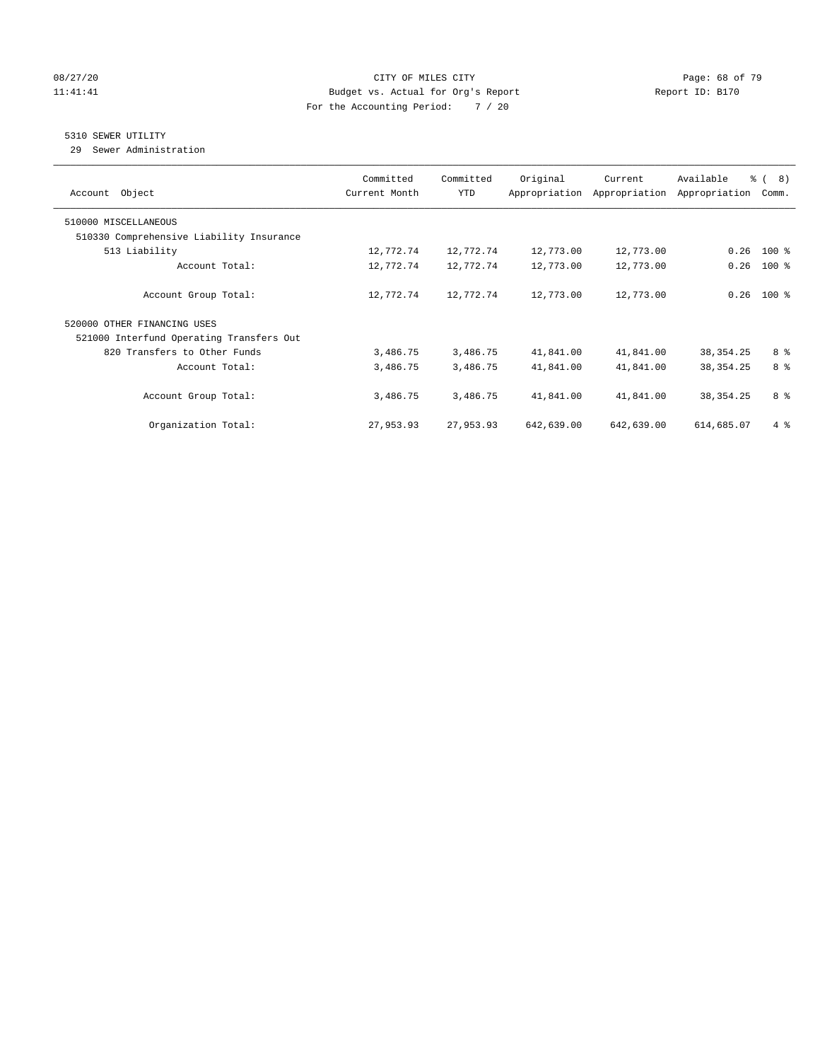#### 08/27/20 Page: 68 of 79 11:41:41 Budget vs. Actual for Org's Report Changer Report ID: B170 For the Accounting Period: 7 / 20

### 5310 SEWER UTILITY

29 Sewer Administration

| Object<br>Account                        | Committed<br>Current Month | Committed<br><b>YTD</b> | Original   | Current<br>Appropriation Appropriation | Available<br>Appropriation | $\frac{6}{6}$ ( 8)<br>Comm. |
|------------------------------------------|----------------------------|-------------------------|------------|----------------------------------------|----------------------------|-----------------------------|
| 510000 MISCELLANEOUS                     |                            |                         |            |                                        |                            |                             |
| 510330 Comprehensive Liability Insurance |                            |                         |            |                                        |                            |                             |
| 513 Liability                            | 12,772.74                  | 12,772.74               | 12,773.00  | 12,773.00                              | 0.26                       | $100$ %                     |
| Account Total:                           | 12,772.74                  | 12,772.74               | 12,773.00  | 12,773.00                              | 0.26                       | $100*$                      |
| Account Group Total:                     | 12,772.74                  | 12,772.74               | 12,773.00  | 12,773.00                              | 0.26                       | $100*$                      |
| 520000 OTHER FINANCING USES              |                            |                         |            |                                        |                            |                             |
| 521000 Interfund Operating Transfers Out |                            |                         |            |                                        |                            |                             |
| 820 Transfers to Other Funds             | 3,486.75                   | 3,486.75                | 41,841.00  | 41,841.00                              | 38, 354. 25                | 8 %                         |
| Account Total:                           | 3,486.75                   | 3,486.75                | 41,841.00  | 41,841.00                              | 38, 354. 25                | 8 %                         |
| Account Group Total:                     | 3,486.75                   | 3,486.75                | 41,841.00  | 41,841.00                              | 38, 354. 25                | 8 %                         |
| Organization Total:                      | 27,953.93                  | 27,953.93               | 642,639.00 | 642,639.00                             | 614,685.07                 | $4\degree$                  |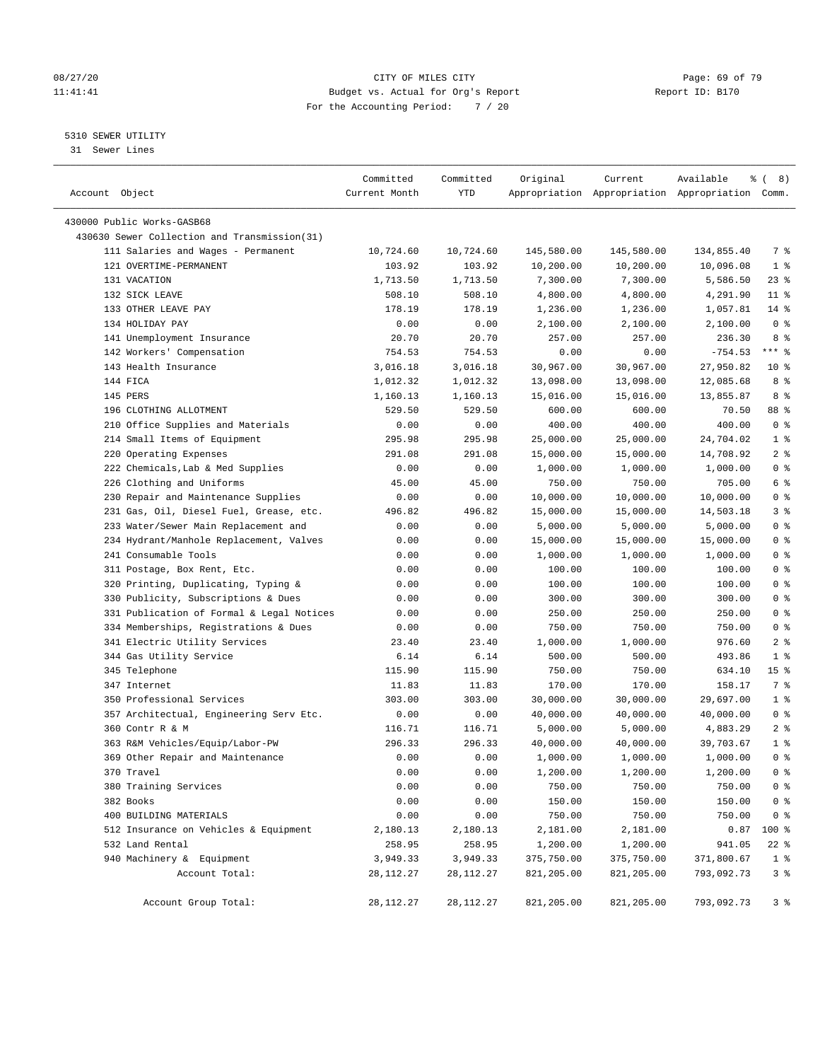#### 08/27/20 **Page: 69 of 79** CITY OF MILES CITY **CITY Page: 69 of 79** 11:41:41 Budget vs. Actual for Org's Report Changer Report ID: B170 For the Accounting Period: 7 / 20

————————————————————————————————————————————————————————————————————————————————————————————————————————————————————————————————————

### 5310 SEWER UTILITY

31 Sewer Lines

|                                              | Committed     | Committed     | Original           | Current            | Available                                       | ී (<br>8)       |
|----------------------------------------------|---------------|---------------|--------------------|--------------------|-------------------------------------------------|-----------------|
| Account Object                               | Current Month | YTD           |                    |                    | Appropriation Appropriation Appropriation Comm. |                 |
| 430000 Public Works-GASB68                   |               |               |                    |                    |                                                 |                 |
| 430630 Sewer Collection and Transmission(31) |               |               |                    |                    |                                                 |                 |
| 111 Salaries and Wages - Permanent           | 10,724.60     | 10,724.60     | 145,580.00         | 145,580.00         | 134,855.40                                      | 7 %             |
| 121 OVERTIME-PERMANENT                       | 103.92        | 103.92        | 10,200.00          | 10,200.00          | 10,096.08                                       | $1$ %           |
| 131 VACATION                                 | 1,713.50      | 1,713.50      | 7,300.00           | 7,300.00           | 5,586.50                                        | $23$ %          |
| 132 SICK LEAVE                               | 508.10        | 508.10        | 4,800.00           | 4,800.00           | 4,291.90                                        | $11$ %          |
| 133 OTHER LEAVE PAY                          | 178.19        | 178.19        |                    |                    |                                                 | $14*$           |
| 134 HOLIDAY PAY                              |               |               | 1,236.00           | 1,236.00           | 1,057.81<br>2,100.00                            | 0 <sup>8</sup>  |
| 141 Unemployment Insurance                   | 0.00<br>20.70 | 0.00<br>20.70 | 2,100.00<br>257.00 | 2,100.00<br>257.00 | 236.30                                          | 8 %             |
|                                              | 754.53        | 754.53        |                    |                    | $-754.53$                                       | $***$ $-$       |
| 142 Workers' Compensation                    |               |               | 0.00               | 0.00               |                                                 |                 |
| 143 Health Insurance                         | 3,016.18      | 3,016.18      | 30,967.00          | 30,967.00          | 27,950.82                                       | $10*$           |
| 144 FICA                                     | 1,012.32      | 1,012.32      | 13,098.00          | 13,098.00          | 12,085.68                                       | 8 %             |
| 145 PERS                                     | 1,160.13      | 1,160.13      | 15,016.00          | 15,016.00          | 13,855.87                                       | 8 %             |
| 196 CLOTHING ALLOTMENT                       | 529.50        | 529.50        | 600.00             | 600.00             | 70.50                                           | 88 %            |
| 210 Office Supplies and Materials            | 0.00          | 0.00          | 400.00             | 400.00             | 400.00                                          | 0 <sup>8</sup>  |
| 214 Small Items of Equipment                 | 295.98        | 295.98        | 25,000.00          | 25,000.00          | 24,704.02                                       | 1 <sup>8</sup>  |
| 220 Operating Expenses                       | 291.08        | 291.08        | 15,000.00          | 15,000.00          | 14,708.92                                       | 2 <sup>8</sup>  |
| 222 Chemicals, Lab & Med Supplies            | 0.00          | 0.00          | 1,000.00           | 1,000.00           | 1,000.00                                        | 0 <sup>°</sup>  |
| 226 Clothing and Uniforms                    | 45.00         | 45.00         | 750.00             | 750.00             | 705.00                                          | 6 %             |
| 230 Repair and Maintenance Supplies          | 0.00          | 0.00          | 10,000.00          | 10,000.00          | 10,000.00                                       | 0 <sup>°</sup>  |
| 231 Gas, Oil, Diesel Fuel, Grease, etc.      | 496.82        | 496.82        | 15,000.00          | 15,000.00          | 14,503.18                                       | 3%              |
| 233 Water/Sewer Main Replacement and         | 0.00          | 0.00          | 5,000.00           | 5,000.00           | 5,000.00                                        | 0 <sup>8</sup>  |
| 234 Hydrant/Manhole Replacement, Valves      | 0.00          | 0.00          | 15,000.00          | 15,000.00          | 15,000.00                                       | 0 <sup>8</sup>  |
| 241 Consumable Tools                         | 0.00          | 0.00          | 1,000.00           | 1,000.00           | 1,000.00                                        | 0 <sup>8</sup>  |
| 311 Postage, Box Rent, Etc.                  | 0.00          | 0.00          | 100.00             | 100.00             | 100.00                                          | 0 <sup>8</sup>  |
| 320 Printing, Duplicating, Typing &          | 0.00          | 0.00          | 100.00             | 100.00             | 100.00                                          | 0 <sup>8</sup>  |
| 330 Publicity, Subscriptions & Dues          | 0.00          | 0.00          | 300.00             | 300.00             | 300.00                                          | 0 <sup>8</sup>  |
| 331 Publication of Formal & Legal Notices    | 0.00          | 0.00          | 250.00             | 250.00             | 250.00                                          | 0 <sup>°</sup>  |
| 334 Memberships, Registrations & Dues        | 0.00          | 0.00          | 750.00             | 750.00             | 750.00                                          | 0 <sup>8</sup>  |
| 341 Electric Utility Services                | 23.40         | 23.40         | 1,000.00           | 1,000.00           | 976.60                                          | 2 <sup>8</sup>  |
| 344 Gas Utility Service                      | 6.14          | 6.14          | 500.00             | 500.00             | 493.86                                          | 1 <sup>°</sup>  |
| 345 Telephone                                | 115.90        | 115.90        | 750.00             | 750.00             | 634.10                                          | 15 <sup>8</sup> |
| 347 Internet                                 | 11.83         | 11.83         | 170.00             | 170.00             | 158.17                                          | 7 %             |
| 350 Professional Services                    | 303.00        | 303.00        | 30,000.00          | 30,000.00          | 29,697.00                                       | $1$ %           |
| 357 Architectual, Engineering Serv Etc.      | 0.00          | 0.00          | 40,000.00          | 40,000.00          | 40,000.00                                       | 0 <sup>8</sup>  |
| 360 Contr R & M                              | 116.71        | 116.71        | 5,000.00           | 5,000.00           | 4,883.29                                        | 2 <sup>8</sup>  |
| 363 R&M Vehicles/Equip/Labor-PW              | 296.33        | 296.33        | 40,000.00          | 40,000.00          | 39,703.67                                       | 1 <sup>8</sup>  |
| 369 Other Repair and Maintenance             | 0.00          | 0.00          | 1,000.00           | 1,000.00           | 1,000.00                                        | 0 <sup>8</sup>  |
| 370 Travel                                   | 0.00          | 0.00          | 1,200.00           | 1,200.00           | 1,200.00                                        | 0 <sup>8</sup>  |
| 380 Training Services                        | 0.00          | 0.00          | 750.00             | 750.00             | 750.00                                          | 0 <sup>8</sup>  |
| 382 Books                                    | 0.00          | 0.00          | 150.00             | 150.00             | 150.00                                          | 0 <sup>8</sup>  |
| 400 BUILDING MATERIALS                       | 0.00          | 0.00          | 750.00             | 750.00             | 750.00                                          | 0 <sup>8</sup>  |
| 512 Insurance on Vehicles & Equipment        | 2,180.13      | 2,180.13      | 2,181.00           | 2,181.00           | 0.87                                            | $100*$          |
| 532 Land Rental                              | 258.95        | 258.95        | 1,200.00           | 1,200.00           | 941.05                                          | 22 %            |
| 940 Machinery & Equipment                    | 3,949.33      | 3,949.33      | 375,750.00         | 375,750.00         | 371,800.67                                      | 1 <sup>8</sup>  |
| Account Total:                               | 28, 112. 27   | 28,112.27     | 821,205.00         | 821,205.00         | 793,092.73                                      | 3 <sup>°</sup>  |
| Account Group Total:                         | 28,112.27     | 28,112.27     | 821,205.00         | 821,205.00         | 793,092.73                                      | 3 %             |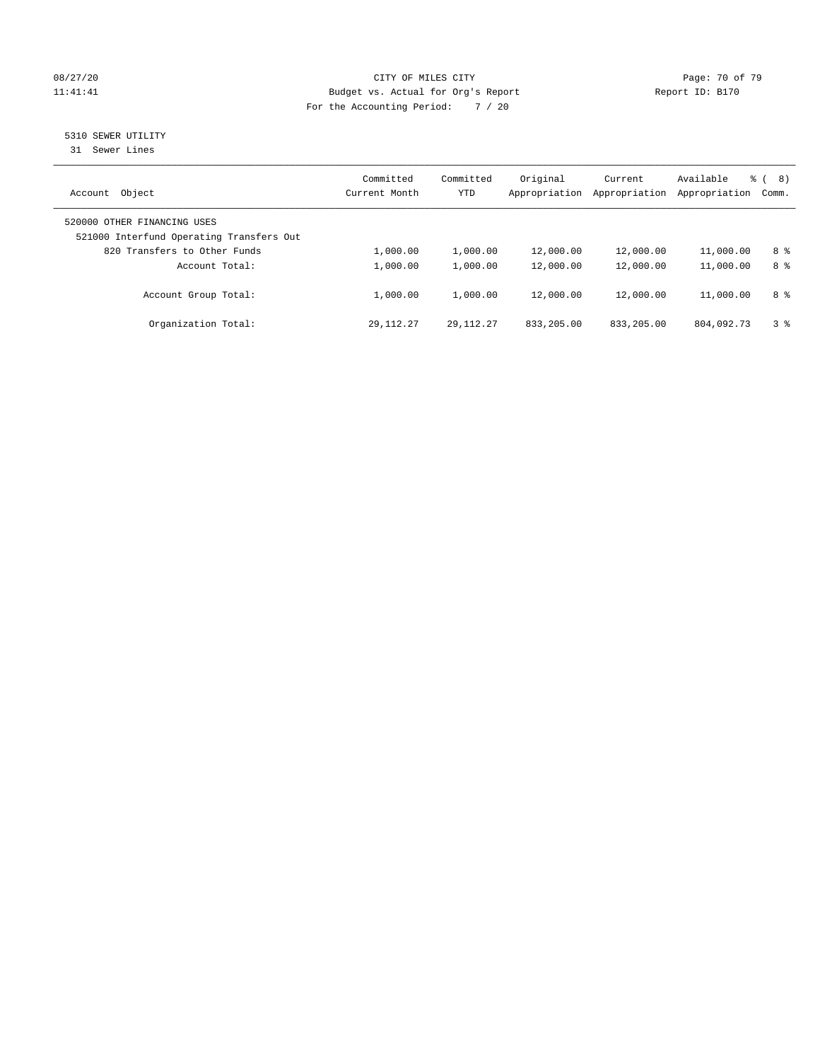#### 08/27/20 Page: 70 of 79 11:41:41 Budget vs. Actual for Org's Report Changer Report ID: B170 For the Accounting Period: 7 / 20

## 5310 SEWER UTILITY

31 Sewer Lines

| Object<br>Account                                                       | Committed<br>Current Month | Committed<br>YTD | Original<br>Appropriation | Current<br>Appropriation | Available<br>Appropriation | ී (<br>8)<br>Comm. |
|-------------------------------------------------------------------------|----------------------------|------------------|---------------------------|--------------------------|----------------------------|--------------------|
| 520000 OTHER FINANCING USES<br>521000 Interfund Operating Transfers Out |                            |                  |                           |                          |                            |                    |
| 820 Transfers to Other Funds                                            | 1,000.00                   | 1,000.00         | 12,000.00                 | 12,000.00                | 11,000.00                  | 8 %                |
| Account Total:                                                          | 1,000.00                   | 1,000.00         | 12,000.00                 | 12,000.00                | 11,000.00                  | 8 %                |
| Account Group Total:                                                    | 1,000.00                   | 1,000.00         | 12,000.00                 | 12,000.00                | 11,000.00                  | 8 %                |
| Organization Total:                                                     | 29, 112. 27                | 29, 112, 27      | 833, 205, 00              | 833, 205, 00             | 804,092.73                 | 3 <sup>8</sup>     |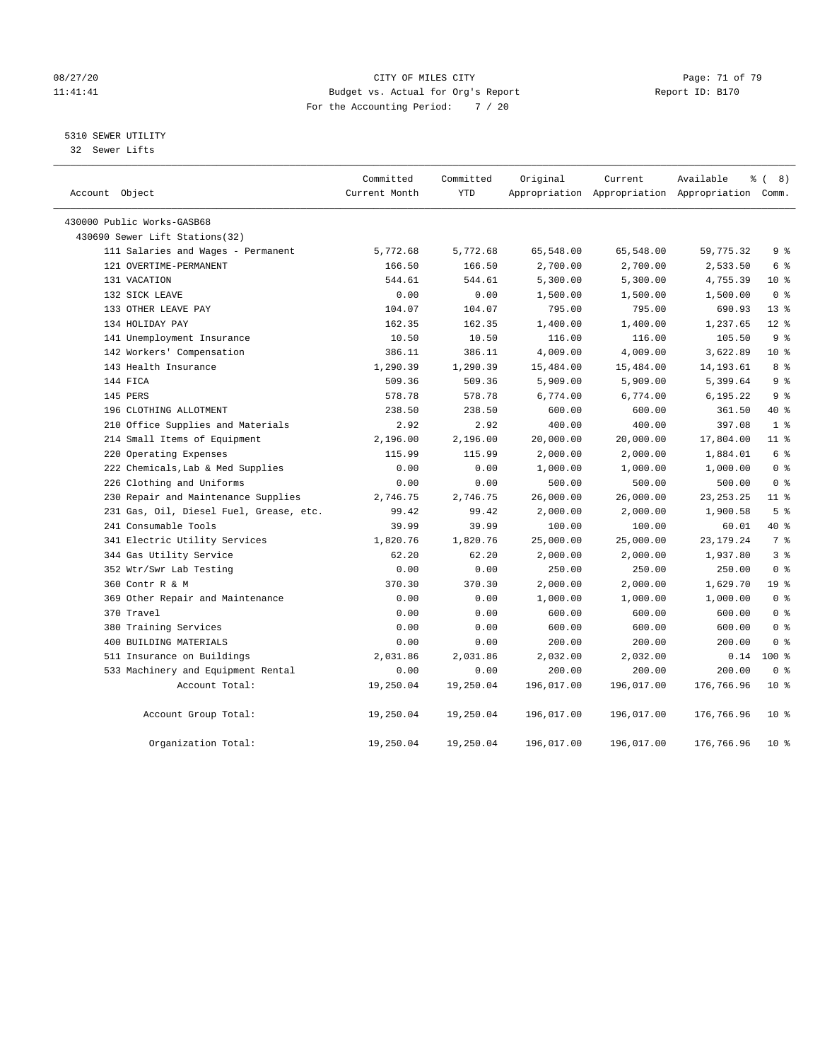#### 08/27/20 Page: 71 of 79 11:41:41 Budget vs. Actual for Org's Report Changer Report ID: B170 For the Accounting Period: 7 / 20

#### 5310 SEWER UTILITY

32 Sewer Lifts

| Account Object                          | Committed<br>Current Month | Committed<br><b>YTD</b> | Original   | Current<br>Appropriation Appropriation Appropriation Comm. | Available   | % (8)                              |
|-----------------------------------------|----------------------------|-------------------------|------------|------------------------------------------------------------|-------------|------------------------------------|
| 430000 Public Works-GASB68              |                            |                         |            |                                                            |             |                                    |
| 430690 Sewer Lift Stations(32)          |                            |                         |            |                                                            |             |                                    |
| 111 Salaries and Wages - Permanent      | 5,772.68                   | 5,772.68                | 65,548.00  | 65,548.00                                                  | 59,775.32   | 9 <sup>°</sup>                     |
| 121 OVERTIME-PERMANENT                  | 166.50                     | 166.50                  | 2,700.00   | 2,700.00                                                   | 2,533.50    | 6 %                                |
| 131 VACATION                            | 544.61                     | 544.61                  | 5,300.00   | 5,300.00                                                   | 4,755.39    | $10*$                              |
| 132 SICK LEAVE                          | 0.00                       | 0.00                    | 1,500.00   | 1,500.00                                                   | 1,500.00    | 0 <sup>8</sup>                     |
| 133 OTHER LEAVE PAY                     | 104.07                     | 104.07                  | 795.00     | 795.00                                                     | 690.93      | $13*$                              |
| 134 HOLIDAY PAY                         | 162.35                     | 162.35                  | 1,400.00   | 1,400.00                                                   | 1,237.65    | $12*$                              |
| 141 Unemployment Insurance              | 10.50                      | 10.50                   | 116.00     | 116.00                                                     | 105.50      | 9 <sup>°</sup>                     |
| 142 Workers' Compensation               | 386.11                     | 386.11                  | 4,009.00   | 4,009.00                                                   | 3,622.89    | $10*$                              |
| 143 Health Insurance                    | 1,290.39                   | 1,290.39                | 15,484.00  | 15,484.00                                                  | 14, 193.61  | 8 %                                |
| 144 FICA                                | 509.36                     | 509.36                  | 5,909.00   | 5,909.00                                                   | 5,399.64    | 9 <sup>°</sup>                     |
| 145 PERS                                | 578.78                     | 578.78                  | 6,774.00   | 6,774.00                                                   | 6,195.22    | 9 <sup>°</sup>                     |
| 196 CLOTHING ALLOTMENT                  | 238.50                     | 238.50                  | 600.00     | 600.00                                                     | 361.50      | $40*$                              |
| 210 Office Supplies and Materials       | 2.92                       | 2.92                    | 400.00     | 400.00                                                     | 397.08      | 1 <sup>°</sup>                     |
| 214 Small Items of Equipment            | 2,196.00                   | 2,196.00                | 20,000.00  | 20,000.00                                                  | 17,804.00   | 11 <sup>°</sup>                    |
| 220 Operating Expenses                  | 115.99                     | 115.99                  | 2,000.00   | 2,000.00                                                   | 1,884.01    | $6 \text{ }$ $\text{ }$ $\text{ }$ |
| 222 Chemicals, Lab & Med Supplies       | 0.00                       | 0.00                    | 1,000.00   | 1,000.00                                                   | 1,000.00    | 0 <sup>8</sup>                     |
| 226 Clothing and Uniforms               | 0.00                       | 0.00                    | 500.00     | 500.00                                                     | 500.00      | 0 <sup>8</sup>                     |
| 230 Repair and Maintenance Supplies     | 2,746.75                   | 2,746.75                | 26,000.00  | 26,000.00                                                  | 23, 253. 25 | 11 %                               |
| 231 Gas, Oil, Diesel Fuel, Grease, etc. | 99.42                      | 99.42                   | 2,000.00   | 2,000.00                                                   | 1,900.58    | 5 <sup>8</sup>                     |
| 241 Consumable Tools                    | 39.99                      | 39.99                   | 100.00     | 100.00                                                     | 60.01       | 40 %                               |
| 341 Electric Utility Services           | 1,820.76                   | 1,820.76                | 25,000.00  | 25,000.00                                                  | 23, 179. 24 | 7 <sup>°</sup>                     |
| 344 Gas Utility Service                 | 62.20                      | 62.20                   | 2,000.00   | 2,000.00                                                   | 1,937.80    | 3 <sup>°</sup>                     |
| 352 Wtr/Swr Lab Testing                 | 0.00                       | 0.00                    | 250.00     | 250.00                                                     | 250.00      | 0 <sup>8</sup>                     |
| 360 Contr R & M                         | 370.30                     | 370.30                  | 2,000.00   | 2,000.00                                                   | 1,629.70    | 19 <sup>°</sup>                    |
| 369 Other Repair and Maintenance        | 0.00                       | 0.00                    | 1,000.00   | 1,000.00                                                   | 1,000.00    | 0 <sup>8</sup>                     |
| 370 Travel                              | 0.00                       | 0.00                    | 600.00     | 600.00                                                     | 600.00      | 0 <sup>8</sup>                     |
| 380 Training Services                   | 0.00                       | 0.00                    | 600.00     | 600.00                                                     | 600.00      | 0 <sup>8</sup>                     |
| 400 BUILDING MATERIALS                  | 0.00                       | 0.00                    | 200.00     | 200.00                                                     | 200.00      | 0 <sup>8</sup>                     |
| 511 Insurance on Buildings              | 2,031.86                   | 2,031.86                | 2,032.00   | 2,032.00                                                   | 0.14        | 100 %                              |
| 533 Machinery and Equipment Rental      | 0.00                       | 0.00                    | 200.00     | 200.00                                                     | 200.00      | 0 <sup>8</sup>                     |
| Account Total:                          | 19,250.04                  | 19,250.04               | 196,017.00 | 196,017.00                                                 | 176,766.96  | $10*$                              |
| Account Group Total:                    | 19,250.04                  | 19,250.04               | 196,017.00 | 196,017.00                                                 | 176,766.96  | $10*$                              |
| Organization Total:                     | 19,250.04                  | 19,250.04               | 196,017.00 | 196,017.00                                                 | 176,766.96  | $10*$                              |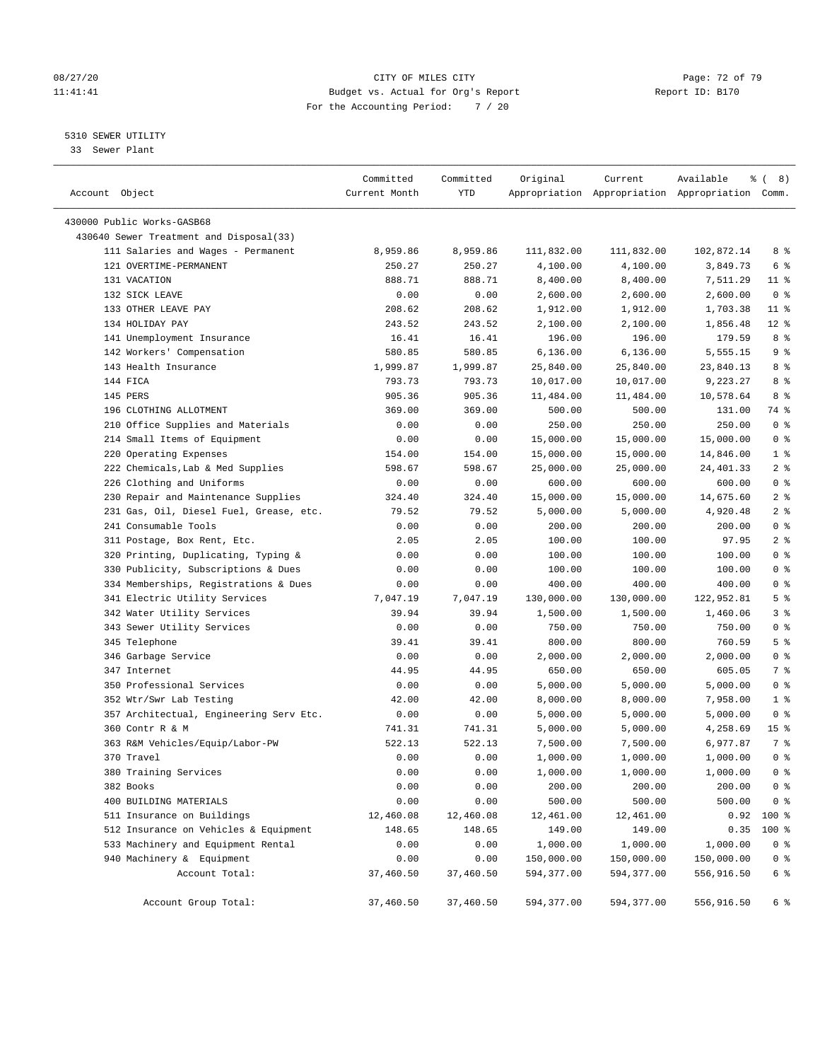#### 08/27/20 Page: 72 of 79 11:41:41 Budget vs. Actual for Org's Report Changer Report ID: B170 For the Accounting Period: 7 / 20

————————————————————————————————————————————————————————————————————————————————————————————————————————————————————————————————————

#### 5310 SEWER UTILITY

33 Sewer Plant

|                                                   | Committed          | Committed          | Original               | Current                | Available                                       | ී (<br>8)                          |
|---------------------------------------------------|--------------------|--------------------|------------------------|------------------------|-------------------------------------------------|------------------------------------|
| Account Object                                    | Current Month      | YTD                |                        |                        | Appropriation Appropriation Appropriation Comm. |                                    |
| 430000 Public Works-GASB68                        |                    |                    |                        |                        |                                                 |                                    |
| 430640 Sewer Treatment and Disposal(33)           |                    |                    |                        |                        |                                                 |                                    |
| 111 Salaries and Wages - Permanent                |                    |                    |                        |                        | 102,872.14                                      | 8 %                                |
| 121 OVERTIME-PERMANENT                            | 8,959.86<br>250.27 | 8,959.86<br>250.27 | 111,832.00<br>4,100.00 | 111,832.00<br>4,100.00 | 3,849.73                                        | 6 %                                |
| 131 VACATION                                      | 888.71             | 888.71             | 8,400.00               | 8,400.00               | 7,511.29                                        | $11$ %                             |
| 132 SICK LEAVE                                    | 0.00               | 0.00               | 2,600.00               | 2,600.00               | 2,600.00                                        | 0 <sup>8</sup>                     |
|                                                   |                    | 208.62             |                        |                        |                                                 | $11$ %                             |
| 133 OTHER LEAVE PAY<br>134 HOLIDAY PAY            | 208.62             |                    | 1,912.00               | 1,912.00               | 1,703.38                                        |                                    |
| 141 Unemployment Insurance                        | 243.52<br>16.41    | 243.52<br>16.41    | 2,100.00<br>196.00     | 2,100.00<br>196.00     | 1,856.48<br>179.59                              | $12*$<br>8 %                       |
|                                                   | 580.85             |                    |                        |                        |                                                 | 9%                                 |
| 142 Workers' Compensation<br>143 Health Insurance |                    | 580.85             | 6,136.00               | 6,136.00               | 5,555.15                                        | 8 %                                |
|                                                   | 1,999.87           | 1,999.87           | 25,840.00              | 25,840.00              | 23,840.13                                       |                                    |
| 144 FICA                                          | 793.73             | 793.73             | 10,017.00              | 10,017.00              | 9,223.27                                        | 8 %                                |
| 145 PERS                                          | 905.36             | 905.36             | 11,484.00              | 11,484.00              | 10,578.64                                       | 8 %                                |
| 196 CLOTHING ALLOTMENT                            | 369.00             | 369.00             | 500.00                 | 500.00                 | 131.00                                          | 74 %                               |
| 210 Office Supplies and Materials                 | 0.00               | 0.00               | 250.00                 | 250.00                 | 250.00                                          | 0 <sup>8</sup>                     |
| 214 Small Items of Equipment                      | 0.00               | 0.00               | 15,000.00              | 15,000.00              | 15,000.00                                       | 0 <sup>8</sup>                     |
| 220 Operating Expenses                            | 154.00             | 154.00             | 15,000.00              | 15,000.00              | 14,846.00                                       | 1 <sup>8</sup>                     |
| 222 Chemicals, Lab & Med Supplies                 | 598.67             | 598.67             | 25,000.00              | 25,000.00              | 24,401.33                                       | 2 <sup>8</sup>                     |
| 226 Clothing and Uniforms                         | 0.00               | 0.00               | 600.00                 | 600.00                 | 600.00                                          | 0 <sup>8</sup>                     |
| 230 Repair and Maintenance Supplies               | 324.40             | 324.40             | 15,000.00              | 15,000.00              | 14,675.60                                       | 2 <sup>8</sup>                     |
| 231 Gas, Oil, Diesel Fuel, Grease, etc.           | 79.52              | 79.52              | 5,000.00               | 5,000.00               | 4,920.48                                        | 2 <sub>8</sub>                     |
| 241 Consumable Tools                              | 0.00               | 0.00               | 200.00                 | 200.00                 | 200.00                                          | 0 <sup>8</sup>                     |
| 311 Postage, Box Rent, Etc.                       | 2.05               | 2.05               | 100.00                 | 100.00                 | 97.95                                           | 2 <sup>8</sup>                     |
| 320 Printing, Duplicating, Typing &               | 0.00               | 0.00               | 100.00                 | 100.00                 | 100.00                                          | 0 <sup>8</sup>                     |
| 330 Publicity, Subscriptions & Dues               | 0.00               | 0.00               | 100.00                 | 100.00                 | 100.00                                          | 0 <sup>8</sup>                     |
| 334 Memberships, Registrations & Dues             | 0.00               | 0.00               | 400.00                 | 400.00                 | 400.00                                          | 0 <sup>8</sup>                     |
| 341 Electric Utility Services                     | 7,047.19           | 7,047.19           | 130,000.00             | 130,000.00             | 122,952.81                                      | 5 <sup>°</sup>                     |
| 342 Water Utility Services                        | 39.94              | 39.94              | 1,500.00               | 1,500.00               | 1,460.06                                        | 3%                                 |
| 343 Sewer Utility Services                        | 0.00               | 0.00               | 750.00                 | 750.00                 | 750.00                                          | 0 <sup>8</sup>                     |
| 345 Telephone                                     | 39.41              | 39.41              | 800.00                 | 800.00                 | 760.59                                          | 5 <sup>°</sup>                     |
| 346 Garbage Service                               | 0.00               | 0.00               | 2,000.00               | 2,000.00               | 2,000.00                                        | 0 <sup>8</sup>                     |
| 347 Internet                                      | 44.95              | 44.95              | 650.00                 | 650.00                 | 605.05                                          | 7 %                                |
| 350 Professional Services                         | 0.00               | 0.00               | 5,000.00               | 5,000.00               | 5,000.00                                        | 0 <sup>8</sup>                     |
| 352 Wtr/Swr Lab Testing                           | 42.00              | 42.00              | 8,000.00               | 8,000.00               | 7,958.00                                        | $1$ %                              |
| 357 Architectual, Engineering Serv Etc.           | 0.00               | 0.00               | 5,000.00               | 5,000.00               | 5,000.00                                        | 0 <sup>8</sup>                     |
| 360 Contr R & M                                   | 741.31             | 741.31             | 5,000.00               | 5,000.00               | 4,258.69                                        | 15 <sup>8</sup>                    |
| 363 R&M Vehicles/Equip/Labor-PW                   | 522.13             | 522.13             | 7,500.00               | 7,500.00               | 6,977.87                                        | 7 %                                |
| 370 Travel                                        | 0.00               | 0.00               | 1,000.00               | 1,000.00               | 1,000.00                                        | 0 <sup>8</sup>                     |
| 380 Training Services                             | 0.00               | 0.00               | 1,000.00               | 1,000.00               | 1,000.00                                        | $0 \text{ }$ $\text{ }$ $\text{ }$ |
| 382 Books                                         | 0.00               | 0.00               | 200.00                 | 200.00                 | 200.00                                          | $0$ %                              |
| 400 BUILDING MATERIALS                            | 0.00               | 0.00               | 500.00                 | 500.00                 | 500.00                                          | $0$ %                              |
| 511 Insurance on Buildings                        | 12,460.08          | 12,460.08          | 12,461.00              | 12,461.00              | 0.92                                            | $100$ %                            |
| 512 Insurance on Vehicles & Equipment             | 148.65             | 148.65             | 149.00                 | 149.00                 | 0.35                                            | 100 %                              |
| 533 Machinery and Equipment Rental                | 0.00               | 0.00               | 1,000.00               | 1,000.00               | 1,000.00                                        | $0$ %                              |
| 940 Machinery & Equipment                         | 0.00               | 0.00               | 150,000.00             | 150,000.00             | 150,000.00                                      | $0$ %                              |
| Account Total:                                    | 37,460.50          | 37,460.50          | 594,377.00             | 594,377.00             | 556,916.50                                      | 6 %                                |
| Account Group Total:                              | 37,460.50          | 37,460.50          | 594,377.00             | 594,377.00             | 556,916.50                                      | 6 %                                |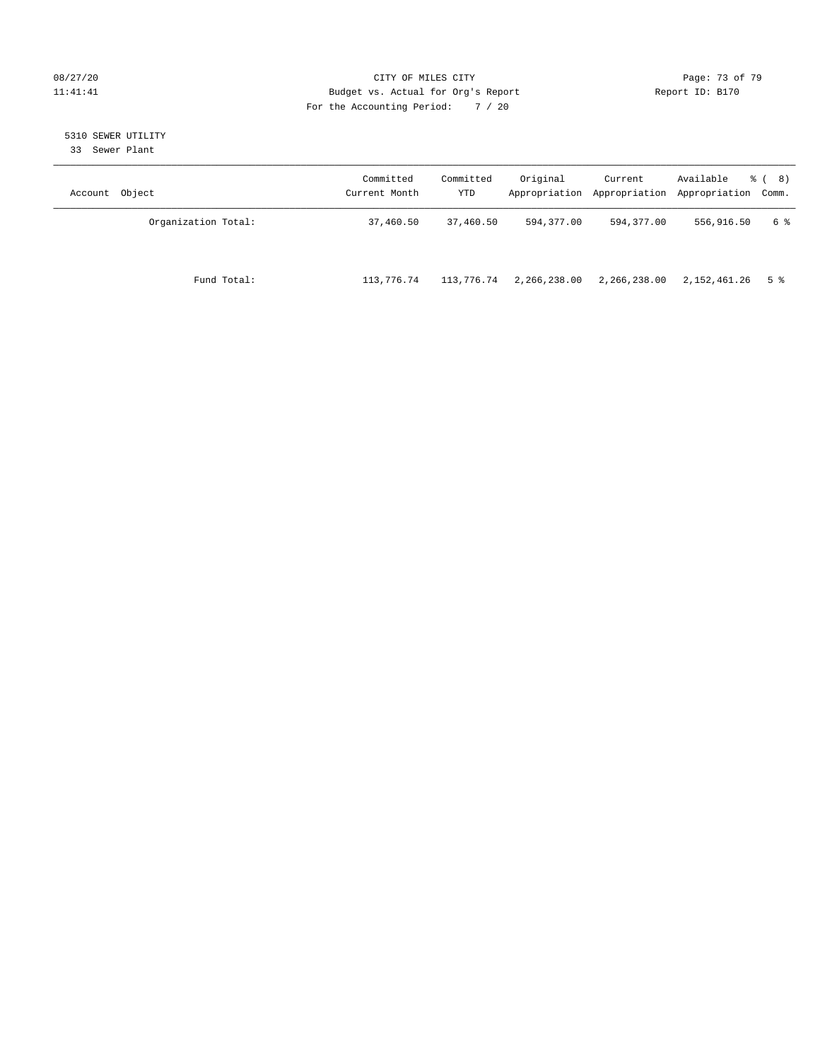### 08/27/20 Page: 73 of 79 11:41:41 Budget vs. Actual for Org's Report Changer Report ID: B170 For the Accounting Period: 7 / 20

# 5310 SEWER UTILITY

33 Sewer Plant

| Account Object      | Committed<br>Current Month | Committed<br>YTD | Original     | Current      | Available<br>Appropriation Appropriation Appropriation Comm. | <sub>රී</sub> ( 8 ) |
|---------------------|----------------------------|------------------|--------------|--------------|--------------------------------------------------------------|---------------------|
| Organization Total: | 37,460.50                  | 37,460.50        | 594,377.00   | 594,377.00   | 556,916.50                                                   | 6 %                 |
| Fund Total:         | 113,776.74                 | 113,776.74       | 2,266,238.00 | 2,266,238.00 | 2,152,461.26                                                 | 5 %                 |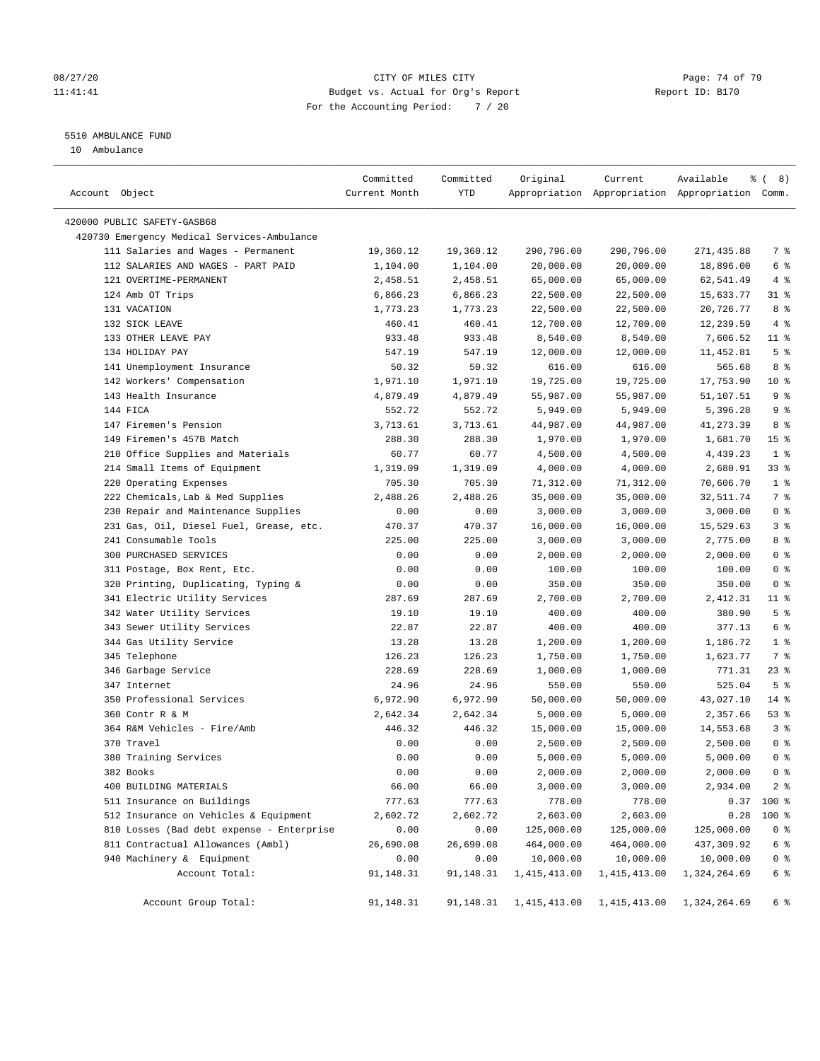### 08/27/20 Page: 74 of 79 11:41:41 Budget vs. Actual for Org's Report Changer Report ID: B170 For the Accounting Period: 7 / 20

————————————————————————————————————————————————————————————————————————————————————————————————————————————————————————————————————

# 5510 AMBULANCE FUND

10 Ambulance

|                                             | Committed     | Committed  | Original       | Current              | Available                                       | <sub>රි</sub> ( 8 ) |
|---------------------------------------------|---------------|------------|----------------|----------------------|-------------------------------------------------|---------------------|
| Account Object                              | Current Month | <b>YTD</b> |                |                      | Appropriation Appropriation Appropriation Comm. |                     |
|                                             |               |            |                |                      |                                                 |                     |
| 420000 PUBLIC SAFETY-GASB68                 |               |            |                |                      |                                                 |                     |
| 420730 Emergency Medical Services-Ambulance |               |            |                |                      |                                                 |                     |
| 111 Salaries and Wages - Permanent          | 19,360.12     | 19,360.12  | 290,796.00     | 290,796.00           | 271,435.88                                      | 7 %                 |
| 112 SALARIES AND WAGES - PART PAID          | 1,104.00      | 1,104.00   | 20,000.00      | 20,000.00            | 18,896.00                                       | $6\degree$          |
| 121 OVERTIME-PERMANENT                      | 2,458.51      | 2,458.51   | 65,000.00      | 65,000.00            | 62,541.49                                       | 4%                  |
| 124 Amb OT Trips                            | 6,866.23      | 6,866.23   | 22,500.00      | 22,500.00            | 15,633.77                                       | $31$ %              |
| 131 VACATION                                | 1,773.23      | 1,773.23   | 22,500.00      | 22,500.00            | 20,726.77                                       | 8 %                 |
| 132 SICK LEAVE                              | 460.41        | 460.41     | 12,700.00      | 12,700.00            | 12,239.59                                       | 4%                  |
| 133 OTHER LEAVE PAY                         | 933.48        | 933.48     | 8,540.00       | 8,540.00             | 7,606.52                                        | $11$ %              |
| 134 HOLIDAY PAY                             | 547.19        | 547.19     | 12,000.00      | 12,000.00            | 11,452.81                                       | 5 <sup>8</sup>      |
| 141 Unemployment Insurance                  | 50.32         | 50.32      | 616.00         | 616.00               | 565.68                                          | 8%                  |
| 142 Workers' Compensation                   | 1,971.10      | 1,971.10   | 19,725.00      | 19,725.00            | 17,753.90                                       | $10*$               |
| 143 Health Insurance                        | 4,879.49      | 4,879.49   | 55,987.00      | 55,987.00            | 51,107.51                                       | 9 <sup>°</sup>      |
| 144 FICA                                    | 552.72        | 552.72     | 5,949.00       | 5,949.00             | 5,396.28                                        | 9%                  |
| 147 Firemen's Pension                       | 3,713.61      | 3,713.61   | 44,987.00      | 44,987.00            | 41,273.39                                       | 8 %                 |
| 149 Firemen's 457B Match                    | 288.30        | 288.30     | 1,970.00       | 1,970.00             | 1,681.70                                        | 15 <sup>°</sup>     |
| 210 Office Supplies and Materials           | 60.77         | 60.77      | 4,500.00       | 4,500.00             | 4,439.23                                        | 1 <sup>°</sup>      |
| 214 Small Items of Equipment                | 1,319.09      | 1,319.09   | 4,000.00       | 4,000.00             | 2,680.91                                        | 33%                 |
| 220 Operating Expenses                      | 705.30        | 705.30     | 71,312.00      | 71,312.00            | 70,606.70                                       | 1 <sup>8</sup>      |
| 222 Chemicals, Lab & Med Supplies           | 2,488.26      | 2,488.26   | 35,000.00      | 35,000.00            | 32,511.74                                       | 7 %                 |
| 230 Repair and Maintenance Supplies         | 0.00          | 0.00       | 3,000.00       | 3,000.00             | 3,000.00                                        | 0 <sup>8</sup>      |
| 231 Gas, Oil, Diesel Fuel, Grease, etc.     | 470.37        | 470.37     | 16,000.00      | 16,000.00            | 15,529.63                                       | 3%                  |
| 241 Consumable Tools                        | 225.00        | 225.00     | 3,000.00       | 3,000.00             | 2,775.00                                        | 8%                  |
| 300 PURCHASED SERVICES                      | 0.00          | 0.00       | 2,000.00       | 2,000.00             | 2,000.00                                        | 0 <sup>°</sup>      |
| 311 Postage, Box Rent, Etc.                 | 0.00          | 0.00       | 100.00         | 100.00               | 100.00                                          | 0 <sup>8</sup>      |
| 320 Printing, Duplicating, Typing &         | 0.00          | 0.00       | 350.00         | 350.00               | 350.00                                          | 0 <sup>8</sup>      |
| 341 Electric Utility Services               | 287.69        | 287.69     | 2,700.00       | 2,700.00             | 2,412.31                                        | 11 %                |
| 342 Water Utility Services                  | 19.10         | 19.10      | 400.00         | 400.00               | 380.90                                          | 5 <sup>°</sup>      |
| 343 Sewer Utility Services                  | 22.87         | 22.87      | 400.00         | 400.00               | 377.13                                          | $6\degree$          |
| 344 Gas Utility Service                     | 13.28         | 13.28      | 1,200.00       | 1,200.00             | 1,186.72                                        | 1 <sup>°</sup>      |
| 345 Telephone                               | 126.23        | 126.23     | 1,750.00       | 1,750.00             | 1,623.77                                        | 7 %                 |
| 346 Garbage Service                         | 228.69        | 228.69     | 1,000.00       | 1,000.00             | 771.31                                          | $23$ $%$            |
| 347 Internet                                | 24.96         | 24.96      | 550.00         | 550.00               | 525.04                                          | 5 <sup>°</sup>      |
| 350 Professional Services                   | 6,972.90      | 6,972.90   | 50,000.00      | 50,000.00            | 43,027.10                                       | $14$ %              |
| 360 Contr R & M                             | 2,642.34      | 2,642.34   | 5,000.00       | 5,000.00             | 2,357.66                                        | 53%                 |
| 364 R&M Vehicles - Fire/Amb                 | 446.32        | 446.32     |                | 15,000.00            |                                                 | 3%                  |
| 370 Travel                                  |               |            | 15,000.00      |                      | 14,553.68<br>2,500.00                           | 0 <sup>8</sup>      |
|                                             | 0.00          | 0.00       | 2,500.00       | 2,500.00<br>5,000.00 |                                                 | 0 <sup>8</sup>      |
| 380 Training Services                       | 0.00          | 0.00       | 5,000.00       |                      | 5,000.00                                        |                     |
| 382 Books                                   | 0.00          | 0.00       | 2,000.00       | 2,000.00             | 2,000.00                                        | 0 <sup>8</sup>      |
| 400 BUILDING MATERIALS                      | 66.00         | 66.00      | 3,000.00       | 3,000.00             | 2,934.00                                        | 2 <sub>8</sub>      |
| 511 Insurance on Buildings                  | 777.63        | 777.63     | 778.00         | 778.00               | 0.37                                            | 100 %               |
| 512 Insurance on Vehicles & Equipment       | 2,602.72      | 2,602.72   | 2,603.00       | 2,603.00             | 0.28                                            | 100 %               |
| 810 Losses (Bad debt expense - Enterprise   | 0.00          | 0.00       | 125,000.00     | 125,000.00           | 125,000.00                                      | 0 <sup>8</sup>      |
| 811 Contractual Allowances (Ambl)           | 26,690.08     | 26,690.08  | 464,000.00     | 464,000.00           | 437,309.92                                      | $6\degree$          |
| 940 Machinery & Equipment                   | 0.00          | 0.00       | 10,000.00      | 10,000.00            | 10,000.00                                       | 0 <sub>8</sub>      |
| Account Total:                              | 91,148.31     | 91,148.31  | 1, 415, 413.00 | 1, 415, 413.00       | 1,324,264.69                                    | $6\degree$          |
| Account Group Total:                        | 91,148.31     | 91,148.31  | 1,415,413.00   | 1,415,413.00         | 1,324,264.69                                    | 6 %                 |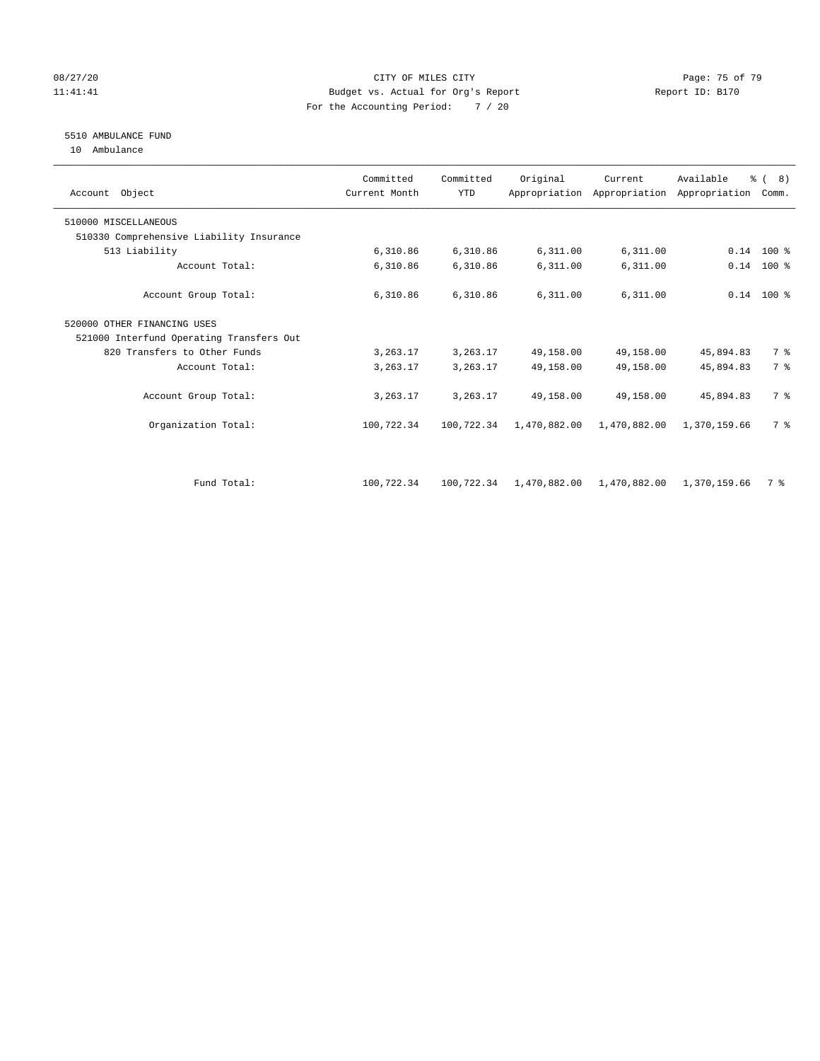### 08/27/20 Page: 75 of 79 11:41:41 Budget vs. Actual for Org's Report Changer Report ID: B170 For the Accounting Period: 7 / 20

# 5510 AMBULANCE FUND

10 Ambulance

| Account Object                           | Committed<br>Current Month | Committed<br><b>YTD</b> | Original     | Current      | Available<br>Appropriation Appropriation Appropriation | $\frac{6}{6}$ ( 8)<br>Comm. |  |
|------------------------------------------|----------------------------|-------------------------|--------------|--------------|--------------------------------------------------------|-----------------------------|--|
| 510000 MISCELLANEOUS                     |                            |                         |              |              |                                                        |                             |  |
| 510330 Comprehensive Liability Insurance |                            |                         |              |              |                                                        |                             |  |
| 513 Liability                            | 6,310.86                   | 6,310.86                | 6,311.00     | 6,311.00     |                                                        | $0.14$ 100 %                |  |
| Account Total:                           | 6,310.86                   | 6,310.86                | 6,311.00     | 6,311.00     | 0.14                                                   | 100 %                       |  |
| Account Group Total:                     | 6,310.86                   | 6,310.86                | 6,311.00     | 6,311.00     |                                                        | $0.14$ 100 %                |  |
| 520000 OTHER FINANCING USES              |                            |                         |              |              |                                                        |                             |  |
| 521000 Interfund Operating Transfers Out |                            |                         |              |              |                                                        |                             |  |
| 820 Transfers to Other Funds             | 3,263.17                   | 3,263.17                | 49,158.00    | 49,158.00    | 45,894.83                                              | 7 %                         |  |
| Account Total:                           | 3,263.17                   | 3,263.17                | 49,158.00    | 49,158.00    | 45,894.83                                              | 7 %                         |  |
| Account Group Total:                     | 3,263.17                   | 3,263.17                | 49,158.00    | 49,158.00    | 45,894.83                                              | 7 %                         |  |
| Organization Total:                      | 100,722.34                 | 100,722.34              | 1,470,882.00 | 1,470,882.00 | 1,370,159.66                                           | 7 %                         |  |
|                                          |                            |                         |              |              |                                                        |                             |  |
| Fund Total:                              | 100,722.34                 | 100,722.34              | 1,470,882.00 | 1,470,882.00 | 1,370,159.66                                           | 7 %                         |  |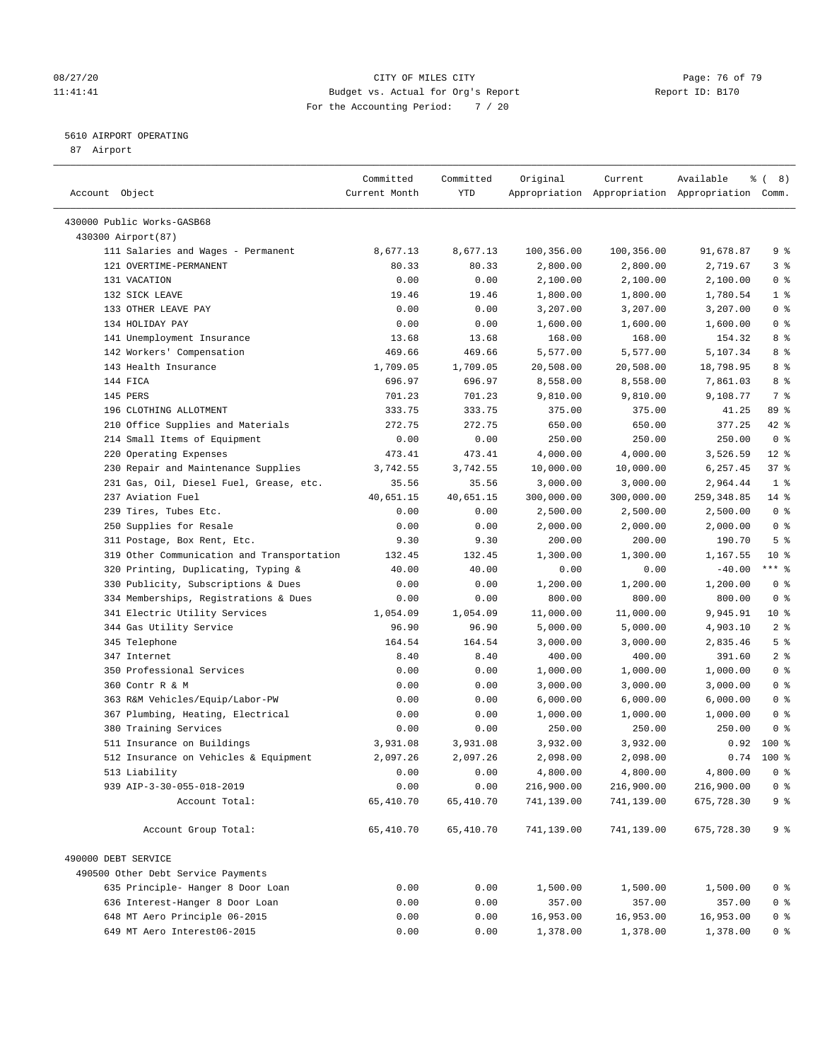### 08/27/20 Page: 76 of 79 11:41:41 Budget vs. Actual for Org's Report Changer Report ID: B170 For the Accounting Period: 7 / 20

————————————————————————————————————————————————————————————————————————————————————————————————————————————————————————————————————

#### 5610 AIRPORT OPERATING

87 Airport

| YTD<br>Account Object<br>Current Month<br>Appropriation Appropriation Appropriation Comm.<br>430000 Public Works-GASB68<br>430300 Airport (87)<br>100,356.00<br>9%<br>111 Salaries and Wages - Permanent<br>8,677.13<br>8,677.13<br>100,356.00<br>91,678.87<br>121 OVERTIME-PERMANENT<br>2,800.00<br>3%<br>80.33<br>80.33<br>2,800.00<br>2,719.67<br>131 VACATION<br>0.00<br>0.00<br>2,100.00<br>2,100.00<br>2,100.00<br>0 %<br>132 SICK LEAVE<br>19.46<br>19.46<br>1,800.00<br>1,800.00<br>1,780.54<br>1 %<br>133 OTHER LEAVE PAY<br>0.00<br>0 <sup>8</sup><br>0.00<br>3,207.00<br>3,207.00<br>3,207.00<br>0 <sup>8</sup><br>134 HOLIDAY PAY<br>0.00<br>1,600.00<br>0.00<br>1,600.00<br>1,600.00<br>141 Unemployment Insurance<br>8 %<br>13.68<br>13.68<br>168.00<br>168.00<br>154.32<br>142 Workers' Compensation<br>8 %<br>469.66<br>469.66<br>5,577.00<br>5,577.00<br>5,107.34<br>143 Health Insurance<br>8 %<br>1,709.05<br>1,709.05<br>20,508.00<br>20,508.00<br>18,798.95<br>144 FICA<br>8 %<br>696.97<br>696.97<br>8,558.00<br>8,558.00<br>7,861.03<br>7%<br>145 PERS<br>9,108.77<br>701.23<br>701.23<br>9,810.00<br>9,810.00<br>196 CLOTHING ALLOTMENT<br>89 %<br>333.75<br>333.75<br>375.00<br>375.00<br>41.25<br>210 Office Supplies and Materials<br>377.25<br>$42$ %<br>272.75<br>272.75<br>650.00<br>650.00<br>214 Small Items of Equipment<br>0 <sup>8</sup><br>0.00<br>0.00<br>250.00<br>250.00<br>250.00<br>220 Operating Expenses<br>4,000.00<br>$12*$<br>473.41<br>473.41<br>4,000.00<br>3,526.59<br>230 Repair and Maintenance Supplies<br>10,000.00<br>6,257.45<br>37%<br>3,742.55<br>3,742.55<br>10,000.00<br>231 Gas, Oil, Diesel Fuel, Grease, etc.<br>1 <sup>8</sup><br>35.56<br>35.56<br>3,000.00<br>3,000.00<br>2,964.44<br>237 Aviation Fuel<br>$14$ %<br>40,651.15<br>40,651.15<br>300,000.00<br>300,000.00<br>259, 348.85<br>239 Tires, Tubes Etc.<br>0 <sup>8</sup><br>0.00<br>0.00<br>2,500.00<br>2,500.00<br>2,500.00<br>250 Supplies for Resale<br>0 <sup>8</sup><br>0.00<br>0.00<br>2,000.00<br>2,000.00<br>2,000.00<br>5 <sup>°</sup><br>311 Postage, Box Rent, Etc.<br>9.30<br>9.30<br>200.00<br>200.00<br>190.70<br>319 Other Communication and Transportation<br>$10*$<br>132.45<br>1,300.00<br>1,300.00<br>1,167.55<br>132.45<br>*** %<br>$-40.00$<br>320 Printing, Duplicating, Typing &<br>40.00<br>40.00<br>0.00<br>0.00<br>330 Publicity, Subscriptions & Dues<br>0 <sup>8</sup><br>0.00<br>0.00<br>1,200.00<br>1,200.00<br>1,200.00<br>334 Memberships, Registrations & Dues<br>800.00<br>0 <sup>8</sup><br>0.00<br>0.00<br>800.00<br>800.00<br>341 Electric Utility Services<br>1,054.09<br>11,000.00<br>9,945.91<br>$10*$<br>1,054.09<br>11,000.00<br>344 Gas Utility Service<br>2 <sup>8</sup><br>96.90<br>96.90<br>5,000.00<br>5,000.00<br>4,903.10<br>5 <sup>8</sup><br>345 Telephone<br>164.54<br>164.54<br>3,000.00<br>3,000.00<br>2,835.46<br>2 <sub>8</sub><br>347 Internet<br>8.40<br>8.40<br>400.00<br>400.00<br>391.60<br>350 Professional Services<br>0.00<br>0.00<br>1,000.00<br>1,000.00<br>0 <sup>8</sup><br>1,000.00<br>0.00<br>3,000.00<br>0 <sup>8</sup><br>360 Contr R & M<br>0.00<br>3,000.00<br>3,000.00<br>363 R&M Vehicles/Equip/Labor-PW<br>0 <sup>8</sup><br>0.00<br>0.00<br>6,000.00<br>6,000.00<br>6,000.00<br>367 Plumbing, Heating, Electrical<br>0 <sup>8</sup><br>0.00<br>0.00<br>1,000.00<br>1,000.00<br>1,000.00<br>380 Training Services<br>0.00<br>0.00<br>250.00<br>250.00<br>250.00<br>0 %<br>511 Insurance on Buildings<br>$0.92$ 100 %<br>3,931.08<br>3,931.08<br>3,932.00<br>3,932.00<br>512 Insurance on Vehicles & Equipment<br>2,097.26<br>$0.74$ 100 %<br>2,097.26<br>2,098.00<br>2,098.00<br>4,800.00<br>513 Liability<br>0.00<br>0.00<br>4,800.00<br>4,800.00<br>0 <sup>8</sup><br>216,900.00<br>216,900.00<br>0 <sup>8</sup><br>939 AIP-3-30-055-018-2019<br>0.00<br>0.00<br>216,900.00<br>9 %<br>65,410.70<br>65,410.70<br>741,139.00<br>741,139.00<br>675,728.30<br>Account Total:<br>Account Group Total:<br>65,410.70<br>65,410.70<br>741,139.00<br>741,139.00<br>9%<br>675,728.30<br>490000 DEBT SERVICE<br>490500 Other Debt Service Payments<br>635 Principle- Hanger 8 Door Loan<br>0.00<br>0.00<br>1,500.00<br>1,500.00<br>0 <sup>8</sup><br>1,500.00<br>636 Interest-Hanger 8 Door Loan<br>0.00<br>0.00<br>357.00<br>357.00<br>357.00<br>0 <sup>8</sup><br>648 MT Aero Principle 06-2015<br>0.00<br>0.00<br>16,953.00<br>16,953.00<br>16,953.00<br>0 <sup>8</sup><br>649 MT Aero Interest06-2015<br>0.00<br>0.00<br>1,378.00<br>1,378.00<br>1,378.00<br>0 % | Committed | Committed | Original | Current | Available | ී (<br>8) |
|--------------------------------------------------------------------------------------------------------------------------------------------------------------------------------------------------------------------------------------------------------------------------------------------------------------------------------------------------------------------------------------------------------------------------------------------------------------------------------------------------------------------------------------------------------------------------------------------------------------------------------------------------------------------------------------------------------------------------------------------------------------------------------------------------------------------------------------------------------------------------------------------------------------------------------------------------------------------------------------------------------------------------------------------------------------------------------------------------------------------------------------------------------------------------------------------------------------------------------------------------------------------------------------------------------------------------------------------------------------------------------------------------------------------------------------------------------------------------------------------------------------------------------------------------------------------------------------------------------------------------------------------------------------------------------------------------------------------------------------------------------------------------------------------------------------------------------------------------------------------------------------------------------------------------------------------------------------------------------------------------------------------------------------------------------------------------------------------------------------------------------------------------------------------------------------------------------------------------------------------------------------------------------------------------------------------------------------------------------------------------------------------------------------------------------------------------------------------------------------------------------------------------------------------------------------------------------------------------------------------------------------------------------------------------------------------------------------------------------------------------------------------------------------------------------------------------------------------------------------------------------------------------------------------------------------------------------------------------------------------------------------------------------------------------------------------------------------------------------------------------------------------------------------------------------------------------------------------------------------------------------------------------------------------------------------------------------------------------------------------------------------------------------------------------------------------------------------------------------------------------------------------------------------------------------------------------------------------------------------------------------------------------------------------------------------------------------------------------------------------------------------------------------------------------------------------------------------------------------------------------------------------------------------------------------------------------------------------------------------------------------------------------------------------------------------------------------------------------------------------------------------------------------------------------------------------------------------------------------------------------------------------------------------------------------------------------------------------------------------------------------------------------------------------------------------------------------------------------------------------------------------------------------------------------------------------|-----------|-----------|----------|---------|-----------|-----------|
|                                                                                                                                                                                                                                                                                                                                                                                                                                                                                                                                                                                                                                                                                                                                                                                                                                                                                                                                                                                                                                                                                                                                                                                                                                                                                                                                                                                                                                                                                                                                                                                                                                                                                                                                                                                                                                                                                                                                                                                                                                                                                                                                                                                                                                                                                                                                                                                                                                                                                                                                                                                                                                                                                                                                                                                                                                                                                                                                                                                                                                                                                                                                                                                                                                                                                                                                                                                                                                                                                                                                                                                                                                                                                                                                                                                                                                                                                                                                                                                                                                                                                                                                                                                                                                                                                                                                                                                                                                                                                                                                                                    |           |           |          |         |           |           |
|                                                                                                                                                                                                                                                                                                                                                                                                                                                                                                                                                                                                                                                                                                                                                                                                                                                                                                                                                                                                                                                                                                                                                                                                                                                                                                                                                                                                                                                                                                                                                                                                                                                                                                                                                                                                                                                                                                                                                                                                                                                                                                                                                                                                                                                                                                                                                                                                                                                                                                                                                                                                                                                                                                                                                                                                                                                                                                                                                                                                                                                                                                                                                                                                                                                                                                                                                                                                                                                                                                                                                                                                                                                                                                                                                                                                                                                                                                                                                                                                                                                                                                                                                                                                                                                                                                                                                                                                                                                                                                                                                                    |           |           |          |         |           |           |
|                                                                                                                                                                                                                                                                                                                                                                                                                                                                                                                                                                                                                                                                                                                                                                                                                                                                                                                                                                                                                                                                                                                                                                                                                                                                                                                                                                                                                                                                                                                                                                                                                                                                                                                                                                                                                                                                                                                                                                                                                                                                                                                                                                                                                                                                                                                                                                                                                                                                                                                                                                                                                                                                                                                                                                                                                                                                                                                                                                                                                                                                                                                                                                                                                                                                                                                                                                                                                                                                                                                                                                                                                                                                                                                                                                                                                                                                                                                                                                                                                                                                                                                                                                                                                                                                                                                                                                                                                                                                                                                                                                    |           |           |          |         |           |           |
|                                                                                                                                                                                                                                                                                                                                                                                                                                                                                                                                                                                                                                                                                                                                                                                                                                                                                                                                                                                                                                                                                                                                                                                                                                                                                                                                                                                                                                                                                                                                                                                                                                                                                                                                                                                                                                                                                                                                                                                                                                                                                                                                                                                                                                                                                                                                                                                                                                                                                                                                                                                                                                                                                                                                                                                                                                                                                                                                                                                                                                                                                                                                                                                                                                                                                                                                                                                                                                                                                                                                                                                                                                                                                                                                                                                                                                                                                                                                                                                                                                                                                                                                                                                                                                                                                                                                                                                                                                                                                                                                                                    |           |           |          |         |           |           |
|                                                                                                                                                                                                                                                                                                                                                                                                                                                                                                                                                                                                                                                                                                                                                                                                                                                                                                                                                                                                                                                                                                                                                                                                                                                                                                                                                                                                                                                                                                                                                                                                                                                                                                                                                                                                                                                                                                                                                                                                                                                                                                                                                                                                                                                                                                                                                                                                                                                                                                                                                                                                                                                                                                                                                                                                                                                                                                                                                                                                                                                                                                                                                                                                                                                                                                                                                                                                                                                                                                                                                                                                                                                                                                                                                                                                                                                                                                                                                                                                                                                                                                                                                                                                                                                                                                                                                                                                                                                                                                                                                                    |           |           |          |         |           |           |
|                                                                                                                                                                                                                                                                                                                                                                                                                                                                                                                                                                                                                                                                                                                                                                                                                                                                                                                                                                                                                                                                                                                                                                                                                                                                                                                                                                                                                                                                                                                                                                                                                                                                                                                                                                                                                                                                                                                                                                                                                                                                                                                                                                                                                                                                                                                                                                                                                                                                                                                                                                                                                                                                                                                                                                                                                                                                                                                                                                                                                                                                                                                                                                                                                                                                                                                                                                                                                                                                                                                                                                                                                                                                                                                                                                                                                                                                                                                                                                                                                                                                                                                                                                                                                                                                                                                                                                                                                                                                                                                                                                    |           |           |          |         |           |           |
|                                                                                                                                                                                                                                                                                                                                                                                                                                                                                                                                                                                                                                                                                                                                                                                                                                                                                                                                                                                                                                                                                                                                                                                                                                                                                                                                                                                                                                                                                                                                                                                                                                                                                                                                                                                                                                                                                                                                                                                                                                                                                                                                                                                                                                                                                                                                                                                                                                                                                                                                                                                                                                                                                                                                                                                                                                                                                                                                                                                                                                                                                                                                                                                                                                                                                                                                                                                                                                                                                                                                                                                                                                                                                                                                                                                                                                                                                                                                                                                                                                                                                                                                                                                                                                                                                                                                                                                                                                                                                                                                                                    |           |           |          |         |           |           |
|                                                                                                                                                                                                                                                                                                                                                                                                                                                                                                                                                                                                                                                                                                                                                                                                                                                                                                                                                                                                                                                                                                                                                                                                                                                                                                                                                                                                                                                                                                                                                                                                                                                                                                                                                                                                                                                                                                                                                                                                                                                                                                                                                                                                                                                                                                                                                                                                                                                                                                                                                                                                                                                                                                                                                                                                                                                                                                                                                                                                                                                                                                                                                                                                                                                                                                                                                                                                                                                                                                                                                                                                                                                                                                                                                                                                                                                                                                                                                                                                                                                                                                                                                                                                                                                                                                                                                                                                                                                                                                                                                                    |           |           |          |         |           |           |
|                                                                                                                                                                                                                                                                                                                                                                                                                                                                                                                                                                                                                                                                                                                                                                                                                                                                                                                                                                                                                                                                                                                                                                                                                                                                                                                                                                                                                                                                                                                                                                                                                                                                                                                                                                                                                                                                                                                                                                                                                                                                                                                                                                                                                                                                                                                                                                                                                                                                                                                                                                                                                                                                                                                                                                                                                                                                                                                                                                                                                                                                                                                                                                                                                                                                                                                                                                                                                                                                                                                                                                                                                                                                                                                                                                                                                                                                                                                                                                                                                                                                                                                                                                                                                                                                                                                                                                                                                                                                                                                                                                    |           |           |          |         |           |           |
|                                                                                                                                                                                                                                                                                                                                                                                                                                                                                                                                                                                                                                                                                                                                                                                                                                                                                                                                                                                                                                                                                                                                                                                                                                                                                                                                                                                                                                                                                                                                                                                                                                                                                                                                                                                                                                                                                                                                                                                                                                                                                                                                                                                                                                                                                                                                                                                                                                                                                                                                                                                                                                                                                                                                                                                                                                                                                                                                                                                                                                                                                                                                                                                                                                                                                                                                                                                                                                                                                                                                                                                                                                                                                                                                                                                                                                                                                                                                                                                                                                                                                                                                                                                                                                                                                                                                                                                                                                                                                                                                                                    |           |           |          |         |           |           |
|                                                                                                                                                                                                                                                                                                                                                                                                                                                                                                                                                                                                                                                                                                                                                                                                                                                                                                                                                                                                                                                                                                                                                                                                                                                                                                                                                                                                                                                                                                                                                                                                                                                                                                                                                                                                                                                                                                                                                                                                                                                                                                                                                                                                                                                                                                                                                                                                                                                                                                                                                                                                                                                                                                                                                                                                                                                                                                                                                                                                                                                                                                                                                                                                                                                                                                                                                                                                                                                                                                                                                                                                                                                                                                                                                                                                                                                                                                                                                                                                                                                                                                                                                                                                                                                                                                                                                                                                                                                                                                                                                                    |           |           |          |         |           |           |
|                                                                                                                                                                                                                                                                                                                                                                                                                                                                                                                                                                                                                                                                                                                                                                                                                                                                                                                                                                                                                                                                                                                                                                                                                                                                                                                                                                                                                                                                                                                                                                                                                                                                                                                                                                                                                                                                                                                                                                                                                                                                                                                                                                                                                                                                                                                                                                                                                                                                                                                                                                                                                                                                                                                                                                                                                                                                                                                                                                                                                                                                                                                                                                                                                                                                                                                                                                                                                                                                                                                                                                                                                                                                                                                                                                                                                                                                                                                                                                                                                                                                                                                                                                                                                                                                                                                                                                                                                                                                                                                                                                    |           |           |          |         |           |           |
|                                                                                                                                                                                                                                                                                                                                                                                                                                                                                                                                                                                                                                                                                                                                                                                                                                                                                                                                                                                                                                                                                                                                                                                                                                                                                                                                                                                                                                                                                                                                                                                                                                                                                                                                                                                                                                                                                                                                                                                                                                                                                                                                                                                                                                                                                                                                                                                                                                                                                                                                                                                                                                                                                                                                                                                                                                                                                                                                                                                                                                                                                                                                                                                                                                                                                                                                                                                                                                                                                                                                                                                                                                                                                                                                                                                                                                                                                                                                                                                                                                                                                                                                                                                                                                                                                                                                                                                                                                                                                                                                                                    |           |           |          |         |           |           |
|                                                                                                                                                                                                                                                                                                                                                                                                                                                                                                                                                                                                                                                                                                                                                                                                                                                                                                                                                                                                                                                                                                                                                                                                                                                                                                                                                                                                                                                                                                                                                                                                                                                                                                                                                                                                                                                                                                                                                                                                                                                                                                                                                                                                                                                                                                                                                                                                                                                                                                                                                                                                                                                                                                                                                                                                                                                                                                                                                                                                                                                                                                                                                                                                                                                                                                                                                                                                                                                                                                                                                                                                                                                                                                                                                                                                                                                                                                                                                                                                                                                                                                                                                                                                                                                                                                                                                                                                                                                                                                                                                                    |           |           |          |         |           |           |
|                                                                                                                                                                                                                                                                                                                                                                                                                                                                                                                                                                                                                                                                                                                                                                                                                                                                                                                                                                                                                                                                                                                                                                                                                                                                                                                                                                                                                                                                                                                                                                                                                                                                                                                                                                                                                                                                                                                                                                                                                                                                                                                                                                                                                                                                                                                                                                                                                                                                                                                                                                                                                                                                                                                                                                                                                                                                                                                                                                                                                                                                                                                                                                                                                                                                                                                                                                                                                                                                                                                                                                                                                                                                                                                                                                                                                                                                                                                                                                                                                                                                                                                                                                                                                                                                                                                                                                                                                                                                                                                                                                    |           |           |          |         |           |           |
|                                                                                                                                                                                                                                                                                                                                                                                                                                                                                                                                                                                                                                                                                                                                                                                                                                                                                                                                                                                                                                                                                                                                                                                                                                                                                                                                                                                                                                                                                                                                                                                                                                                                                                                                                                                                                                                                                                                                                                                                                                                                                                                                                                                                                                                                                                                                                                                                                                                                                                                                                                                                                                                                                                                                                                                                                                                                                                                                                                                                                                                                                                                                                                                                                                                                                                                                                                                                                                                                                                                                                                                                                                                                                                                                                                                                                                                                                                                                                                                                                                                                                                                                                                                                                                                                                                                                                                                                                                                                                                                                                                    |           |           |          |         |           |           |
|                                                                                                                                                                                                                                                                                                                                                                                                                                                                                                                                                                                                                                                                                                                                                                                                                                                                                                                                                                                                                                                                                                                                                                                                                                                                                                                                                                                                                                                                                                                                                                                                                                                                                                                                                                                                                                                                                                                                                                                                                                                                                                                                                                                                                                                                                                                                                                                                                                                                                                                                                                                                                                                                                                                                                                                                                                                                                                                                                                                                                                                                                                                                                                                                                                                                                                                                                                                                                                                                                                                                                                                                                                                                                                                                                                                                                                                                                                                                                                                                                                                                                                                                                                                                                                                                                                                                                                                                                                                                                                                                                                    |           |           |          |         |           |           |
|                                                                                                                                                                                                                                                                                                                                                                                                                                                                                                                                                                                                                                                                                                                                                                                                                                                                                                                                                                                                                                                                                                                                                                                                                                                                                                                                                                                                                                                                                                                                                                                                                                                                                                                                                                                                                                                                                                                                                                                                                                                                                                                                                                                                                                                                                                                                                                                                                                                                                                                                                                                                                                                                                                                                                                                                                                                                                                                                                                                                                                                                                                                                                                                                                                                                                                                                                                                                                                                                                                                                                                                                                                                                                                                                                                                                                                                                                                                                                                                                                                                                                                                                                                                                                                                                                                                                                                                                                                                                                                                                                                    |           |           |          |         |           |           |
|                                                                                                                                                                                                                                                                                                                                                                                                                                                                                                                                                                                                                                                                                                                                                                                                                                                                                                                                                                                                                                                                                                                                                                                                                                                                                                                                                                                                                                                                                                                                                                                                                                                                                                                                                                                                                                                                                                                                                                                                                                                                                                                                                                                                                                                                                                                                                                                                                                                                                                                                                                                                                                                                                                                                                                                                                                                                                                                                                                                                                                                                                                                                                                                                                                                                                                                                                                                                                                                                                                                                                                                                                                                                                                                                                                                                                                                                                                                                                                                                                                                                                                                                                                                                                                                                                                                                                                                                                                                                                                                                                                    |           |           |          |         |           |           |
|                                                                                                                                                                                                                                                                                                                                                                                                                                                                                                                                                                                                                                                                                                                                                                                                                                                                                                                                                                                                                                                                                                                                                                                                                                                                                                                                                                                                                                                                                                                                                                                                                                                                                                                                                                                                                                                                                                                                                                                                                                                                                                                                                                                                                                                                                                                                                                                                                                                                                                                                                                                                                                                                                                                                                                                                                                                                                                                                                                                                                                                                                                                                                                                                                                                                                                                                                                                                                                                                                                                                                                                                                                                                                                                                                                                                                                                                                                                                                                                                                                                                                                                                                                                                                                                                                                                                                                                                                                                                                                                                                                    |           |           |          |         |           |           |
|                                                                                                                                                                                                                                                                                                                                                                                                                                                                                                                                                                                                                                                                                                                                                                                                                                                                                                                                                                                                                                                                                                                                                                                                                                                                                                                                                                                                                                                                                                                                                                                                                                                                                                                                                                                                                                                                                                                                                                                                                                                                                                                                                                                                                                                                                                                                                                                                                                                                                                                                                                                                                                                                                                                                                                                                                                                                                                                                                                                                                                                                                                                                                                                                                                                                                                                                                                                                                                                                                                                                                                                                                                                                                                                                                                                                                                                                                                                                                                                                                                                                                                                                                                                                                                                                                                                                                                                                                                                                                                                                                                    |           |           |          |         |           |           |
|                                                                                                                                                                                                                                                                                                                                                                                                                                                                                                                                                                                                                                                                                                                                                                                                                                                                                                                                                                                                                                                                                                                                                                                                                                                                                                                                                                                                                                                                                                                                                                                                                                                                                                                                                                                                                                                                                                                                                                                                                                                                                                                                                                                                                                                                                                                                                                                                                                                                                                                                                                                                                                                                                                                                                                                                                                                                                                                                                                                                                                                                                                                                                                                                                                                                                                                                                                                                                                                                                                                                                                                                                                                                                                                                                                                                                                                                                                                                                                                                                                                                                                                                                                                                                                                                                                                                                                                                                                                                                                                                                                    |           |           |          |         |           |           |
|                                                                                                                                                                                                                                                                                                                                                                                                                                                                                                                                                                                                                                                                                                                                                                                                                                                                                                                                                                                                                                                                                                                                                                                                                                                                                                                                                                                                                                                                                                                                                                                                                                                                                                                                                                                                                                                                                                                                                                                                                                                                                                                                                                                                                                                                                                                                                                                                                                                                                                                                                                                                                                                                                                                                                                                                                                                                                                                                                                                                                                                                                                                                                                                                                                                                                                                                                                                                                                                                                                                                                                                                                                                                                                                                                                                                                                                                                                                                                                                                                                                                                                                                                                                                                                                                                                                                                                                                                                                                                                                                                                    |           |           |          |         |           |           |
|                                                                                                                                                                                                                                                                                                                                                                                                                                                                                                                                                                                                                                                                                                                                                                                                                                                                                                                                                                                                                                                                                                                                                                                                                                                                                                                                                                                                                                                                                                                                                                                                                                                                                                                                                                                                                                                                                                                                                                                                                                                                                                                                                                                                                                                                                                                                                                                                                                                                                                                                                                                                                                                                                                                                                                                                                                                                                                                                                                                                                                                                                                                                                                                                                                                                                                                                                                                                                                                                                                                                                                                                                                                                                                                                                                                                                                                                                                                                                                                                                                                                                                                                                                                                                                                                                                                                                                                                                                                                                                                                                                    |           |           |          |         |           |           |
|                                                                                                                                                                                                                                                                                                                                                                                                                                                                                                                                                                                                                                                                                                                                                                                                                                                                                                                                                                                                                                                                                                                                                                                                                                                                                                                                                                                                                                                                                                                                                                                                                                                                                                                                                                                                                                                                                                                                                                                                                                                                                                                                                                                                                                                                                                                                                                                                                                                                                                                                                                                                                                                                                                                                                                                                                                                                                                                                                                                                                                                                                                                                                                                                                                                                                                                                                                                                                                                                                                                                                                                                                                                                                                                                                                                                                                                                                                                                                                                                                                                                                                                                                                                                                                                                                                                                                                                                                                                                                                                                                                    |           |           |          |         |           |           |
|                                                                                                                                                                                                                                                                                                                                                                                                                                                                                                                                                                                                                                                                                                                                                                                                                                                                                                                                                                                                                                                                                                                                                                                                                                                                                                                                                                                                                                                                                                                                                                                                                                                                                                                                                                                                                                                                                                                                                                                                                                                                                                                                                                                                                                                                                                                                                                                                                                                                                                                                                                                                                                                                                                                                                                                                                                                                                                                                                                                                                                                                                                                                                                                                                                                                                                                                                                                                                                                                                                                                                                                                                                                                                                                                                                                                                                                                                                                                                                                                                                                                                                                                                                                                                                                                                                                                                                                                                                                                                                                                                                    |           |           |          |         |           |           |
|                                                                                                                                                                                                                                                                                                                                                                                                                                                                                                                                                                                                                                                                                                                                                                                                                                                                                                                                                                                                                                                                                                                                                                                                                                                                                                                                                                                                                                                                                                                                                                                                                                                                                                                                                                                                                                                                                                                                                                                                                                                                                                                                                                                                                                                                                                                                                                                                                                                                                                                                                                                                                                                                                                                                                                                                                                                                                                                                                                                                                                                                                                                                                                                                                                                                                                                                                                                                                                                                                                                                                                                                                                                                                                                                                                                                                                                                                                                                                                                                                                                                                                                                                                                                                                                                                                                                                                                                                                                                                                                                                                    |           |           |          |         |           |           |
|                                                                                                                                                                                                                                                                                                                                                                                                                                                                                                                                                                                                                                                                                                                                                                                                                                                                                                                                                                                                                                                                                                                                                                                                                                                                                                                                                                                                                                                                                                                                                                                                                                                                                                                                                                                                                                                                                                                                                                                                                                                                                                                                                                                                                                                                                                                                                                                                                                                                                                                                                                                                                                                                                                                                                                                                                                                                                                                                                                                                                                                                                                                                                                                                                                                                                                                                                                                                                                                                                                                                                                                                                                                                                                                                                                                                                                                                                                                                                                                                                                                                                                                                                                                                                                                                                                                                                                                                                                                                                                                                                                    |           |           |          |         |           |           |
|                                                                                                                                                                                                                                                                                                                                                                                                                                                                                                                                                                                                                                                                                                                                                                                                                                                                                                                                                                                                                                                                                                                                                                                                                                                                                                                                                                                                                                                                                                                                                                                                                                                                                                                                                                                                                                                                                                                                                                                                                                                                                                                                                                                                                                                                                                                                                                                                                                                                                                                                                                                                                                                                                                                                                                                                                                                                                                                                                                                                                                                                                                                                                                                                                                                                                                                                                                                                                                                                                                                                                                                                                                                                                                                                                                                                                                                                                                                                                                                                                                                                                                                                                                                                                                                                                                                                                                                                                                                                                                                                                                    |           |           |          |         |           |           |
|                                                                                                                                                                                                                                                                                                                                                                                                                                                                                                                                                                                                                                                                                                                                                                                                                                                                                                                                                                                                                                                                                                                                                                                                                                                                                                                                                                                                                                                                                                                                                                                                                                                                                                                                                                                                                                                                                                                                                                                                                                                                                                                                                                                                                                                                                                                                                                                                                                                                                                                                                                                                                                                                                                                                                                                                                                                                                                                                                                                                                                                                                                                                                                                                                                                                                                                                                                                                                                                                                                                                                                                                                                                                                                                                                                                                                                                                                                                                                                                                                                                                                                                                                                                                                                                                                                                                                                                                                                                                                                                                                                    |           |           |          |         |           |           |
|                                                                                                                                                                                                                                                                                                                                                                                                                                                                                                                                                                                                                                                                                                                                                                                                                                                                                                                                                                                                                                                                                                                                                                                                                                                                                                                                                                                                                                                                                                                                                                                                                                                                                                                                                                                                                                                                                                                                                                                                                                                                                                                                                                                                                                                                                                                                                                                                                                                                                                                                                                                                                                                                                                                                                                                                                                                                                                                                                                                                                                                                                                                                                                                                                                                                                                                                                                                                                                                                                                                                                                                                                                                                                                                                                                                                                                                                                                                                                                                                                                                                                                                                                                                                                                                                                                                                                                                                                                                                                                                                                                    |           |           |          |         |           |           |
|                                                                                                                                                                                                                                                                                                                                                                                                                                                                                                                                                                                                                                                                                                                                                                                                                                                                                                                                                                                                                                                                                                                                                                                                                                                                                                                                                                                                                                                                                                                                                                                                                                                                                                                                                                                                                                                                                                                                                                                                                                                                                                                                                                                                                                                                                                                                                                                                                                                                                                                                                                                                                                                                                                                                                                                                                                                                                                                                                                                                                                                                                                                                                                                                                                                                                                                                                                                                                                                                                                                                                                                                                                                                                                                                                                                                                                                                                                                                                                                                                                                                                                                                                                                                                                                                                                                                                                                                                                                                                                                                                                    |           |           |          |         |           |           |
|                                                                                                                                                                                                                                                                                                                                                                                                                                                                                                                                                                                                                                                                                                                                                                                                                                                                                                                                                                                                                                                                                                                                                                                                                                                                                                                                                                                                                                                                                                                                                                                                                                                                                                                                                                                                                                                                                                                                                                                                                                                                                                                                                                                                                                                                                                                                                                                                                                                                                                                                                                                                                                                                                                                                                                                                                                                                                                                                                                                                                                                                                                                                                                                                                                                                                                                                                                                                                                                                                                                                                                                                                                                                                                                                                                                                                                                                                                                                                                                                                                                                                                                                                                                                                                                                                                                                                                                                                                                                                                                                                                    |           |           |          |         |           |           |
|                                                                                                                                                                                                                                                                                                                                                                                                                                                                                                                                                                                                                                                                                                                                                                                                                                                                                                                                                                                                                                                                                                                                                                                                                                                                                                                                                                                                                                                                                                                                                                                                                                                                                                                                                                                                                                                                                                                                                                                                                                                                                                                                                                                                                                                                                                                                                                                                                                                                                                                                                                                                                                                                                                                                                                                                                                                                                                                                                                                                                                                                                                                                                                                                                                                                                                                                                                                                                                                                                                                                                                                                                                                                                                                                                                                                                                                                                                                                                                                                                                                                                                                                                                                                                                                                                                                                                                                                                                                                                                                                                                    |           |           |          |         |           |           |
|                                                                                                                                                                                                                                                                                                                                                                                                                                                                                                                                                                                                                                                                                                                                                                                                                                                                                                                                                                                                                                                                                                                                                                                                                                                                                                                                                                                                                                                                                                                                                                                                                                                                                                                                                                                                                                                                                                                                                                                                                                                                                                                                                                                                                                                                                                                                                                                                                                                                                                                                                                                                                                                                                                                                                                                                                                                                                                                                                                                                                                                                                                                                                                                                                                                                                                                                                                                                                                                                                                                                                                                                                                                                                                                                                                                                                                                                                                                                                                                                                                                                                                                                                                                                                                                                                                                                                                                                                                                                                                                                                                    |           |           |          |         |           |           |
|                                                                                                                                                                                                                                                                                                                                                                                                                                                                                                                                                                                                                                                                                                                                                                                                                                                                                                                                                                                                                                                                                                                                                                                                                                                                                                                                                                                                                                                                                                                                                                                                                                                                                                                                                                                                                                                                                                                                                                                                                                                                                                                                                                                                                                                                                                                                                                                                                                                                                                                                                                                                                                                                                                                                                                                                                                                                                                                                                                                                                                                                                                                                                                                                                                                                                                                                                                                                                                                                                                                                                                                                                                                                                                                                                                                                                                                                                                                                                                                                                                                                                                                                                                                                                                                                                                                                                                                                                                                                                                                                                                    |           |           |          |         |           |           |
|                                                                                                                                                                                                                                                                                                                                                                                                                                                                                                                                                                                                                                                                                                                                                                                                                                                                                                                                                                                                                                                                                                                                                                                                                                                                                                                                                                                                                                                                                                                                                                                                                                                                                                                                                                                                                                                                                                                                                                                                                                                                                                                                                                                                                                                                                                                                                                                                                                                                                                                                                                                                                                                                                                                                                                                                                                                                                                                                                                                                                                                                                                                                                                                                                                                                                                                                                                                                                                                                                                                                                                                                                                                                                                                                                                                                                                                                                                                                                                                                                                                                                                                                                                                                                                                                                                                                                                                                                                                                                                                                                                    |           |           |          |         |           |           |
|                                                                                                                                                                                                                                                                                                                                                                                                                                                                                                                                                                                                                                                                                                                                                                                                                                                                                                                                                                                                                                                                                                                                                                                                                                                                                                                                                                                                                                                                                                                                                                                                                                                                                                                                                                                                                                                                                                                                                                                                                                                                                                                                                                                                                                                                                                                                                                                                                                                                                                                                                                                                                                                                                                                                                                                                                                                                                                                                                                                                                                                                                                                                                                                                                                                                                                                                                                                                                                                                                                                                                                                                                                                                                                                                                                                                                                                                                                                                                                                                                                                                                                                                                                                                                                                                                                                                                                                                                                                                                                                                                                    |           |           |          |         |           |           |
|                                                                                                                                                                                                                                                                                                                                                                                                                                                                                                                                                                                                                                                                                                                                                                                                                                                                                                                                                                                                                                                                                                                                                                                                                                                                                                                                                                                                                                                                                                                                                                                                                                                                                                                                                                                                                                                                                                                                                                                                                                                                                                                                                                                                                                                                                                                                                                                                                                                                                                                                                                                                                                                                                                                                                                                                                                                                                                                                                                                                                                                                                                                                                                                                                                                                                                                                                                                                                                                                                                                                                                                                                                                                                                                                                                                                                                                                                                                                                                                                                                                                                                                                                                                                                                                                                                                                                                                                                                                                                                                                                                    |           |           |          |         |           |           |
|                                                                                                                                                                                                                                                                                                                                                                                                                                                                                                                                                                                                                                                                                                                                                                                                                                                                                                                                                                                                                                                                                                                                                                                                                                                                                                                                                                                                                                                                                                                                                                                                                                                                                                                                                                                                                                                                                                                                                                                                                                                                                                                                                                                                                                                                                                                                                                                                                                                                                                                                                                                                                                                                                                                                                                                                                                                                                                                                                                                                                                                                                                                                                                                                                                                                                                                                                                                                                                                                                                                                                                                                                                                                                                                                                                                                                                                                                                                                                                                                                                                                                                                                                                                                                                                                                                                                                                                                                                                                                                                                                                    |           |           |          |         |           |           |
|                                                                                                                                                                                                                                                                                                                                                                                                                                                                                                                                                                                                                                                                                                                                                                                                                                                                                                                                                                                                                                                                                                                                                                                                                                                                                                                                                                                                                                                                                                                                                                                                                                                                                                                                                                                                                                                                                                                                                                                                                                                                                                                                                                                                                                                                                                                                                                                                                                                                                                                                                                                                                                                                                                                                                                                                                                                                                                                                                                                                                                                                                                                                                                                                                                                                                                                                                                                                                                                                                                                                                                                                                                                                                                                                                                                                                                                                                                                                                                                                                                                                                                                                                                                                                                                                                                                                                                                                                                                                                                                                                                    |           |           |          |         |           |           |
|                                                                                                                                                                                                                                                                                                                                                                                                                                                                                                                                                                                                                                                                                                                                                                                                                                                                                                                                                                                                                                                                                                                                                                                                                                                                                                                                                                                                                                                                                                                                                                                                                                                                                                                                                                                                                                                                                                                                                                                                                                                                                                                                                                                                                                                                                                                                                                                                                                                                                                                                                                                                                                                                                                                                                                                                                                                                                                                                                                                                                                                                                                                                                                                                                                                                                                                                                                                                                                                                                                                                                                                                                                                                                                                                                                                                                                                                                                                                                                                                                                                                                                                                                                                                                                                                                                                                                                                                                                                                                                                                                                    |           |           |          |         |           |           |
|                                                                                                                                                                                                                                                                                                                                                                                                                                                                                                                                                                                                                                                                                                                                                                                                                                                                                                                                                                                                                                                                                                                                                                                                                                                                                                                                                                                                                                                                                                                                                                                                                                                                                                                                                                                                                                                                                                                                                                                                                                                                                                                                                                                                                                                                                                                                                                                                                                                                                                                                                                                                                                                                                                                                                                                                                                                                                                                                                                                                                                                                                                                                                                                                                                                                                                                                                                                                                                                                                                                                                                                                                                                                                                                                                                                                                                                                                                                                                                                                                                                                                                                                                                                                                                                                                                                                                                                                                                                                                                                                                                    |           |           |          |         |           |           |
|                                                                                                                                                                                                                                                                                                                                                                                                                                                                                                                                                                                                                                                                                                                                                                                                                                                                                                                                                                                                                                                                                                                                                                                                                                                                                                                                                                                                                                                                                                                                                                                                                                                                                                                                                                                                                                                                                                                                                                                                                                                                                                                                                                                                                                                                                                                                                                                                                                                                                                                                                                                                                                                                                                                                                                                                                                                                                                                                                                                                                                                                                                                                                                                                                                                                                                                                                                                                                                                                                                                                                                                                                                                                                                                                                                                                                                                                                                                                                                                                                                                                                                                                                                                                                                                                                                                                                                                                                                                                                                                                                                    |           |           |          |         |           |           |
|                                                                                                                                                                                                                                                                                                                                                                                                                                                                                                                                                                                                                                                                                                                                                                                                                                                                                                                                                                                                                                                                                                                                                                                                                                                                                                                                                                                                                                                                                                                                                                                                                                                                                                                                                                                                                                                                                                                                                                                                                                                                                                                                                                                                                                                                                                                                                                                                                                                                                                                                                                                                                                                                                                                                                                                                                                                                                                                                                                                                                                                                                                                                                                                                                                                                                                                                                                                                                                                                                                                                                                                                                                                                                                                                                                                                                                                                                                                                                                                                                                                                                                                                                                                                                                                                                                                                                                                                                                                                                                                                                                    |           |           |          |         |           |           |
|                                                                                                                                                                                                                                                                                                                                                                                                                                                                                                                                                                                                                                                                                                                                                                                                                                                                                                                                                                                                                                                                                                                                                                                                                                                                                                                                                                                                                                                                                                                                                                                                                                                                                                                                                                                                                                                                                                                                                                                                                                                                                                                                                                                                                                                                                                                                                                                                                                                                                                                                                                                                                                                                                                                                                                                                                                                                                                                                                                                                                                                                                                                                                                                                                                                                                                                                                                                                                                                                                                                                                                                                                                                                                                                                                                                                                                                                                                                                                                                                                                                                                                                                                                                                                                                                                                                                                                                                                                                                                                                                                                    |           |           |          |         |           |           |
|                                                                                                                                                                                                                                                                                                                                                                                                                                                                                                                                                                                                                                                                                                                                                                                                                                                                                                                                                                                                                                                                                                                                                                                                                                                                                                                                                                                                                                                                                                                                                                                                                                                                                                                                                                                                                                                                                                                                                                                                                                                                                                                                                                                                                                                                                                                                                                                                                                                                                                                                                                                                                                                                                                                                                                                                                                                                                                                                                                                                                                                                                                                                                                                                                                                                                                                                                                                                                                                                                                                                                                                                                                                                                                                                                                                                                                                                                                                                                                                                                                                                                                                                                                                                                                                                                                                                                                                                                                                                                                                                                                    |           |           |          |         |           |           |
|                                                                                                                                                                                                                                                                                                                                                                                                                                                                                                                                                                                                                                                                                                                                                                                                                                                                                                                                                                                                                                                                                                                                                                                                                                                                                                                                                                                                                                                                                                                                                                                                                                                                                                                                                                                                                                                                                                                                                                                                                                                                                                                                                                                                                                                                                                                                                                                                                                                                                                                                                                                                                                                                                                                                                                                                                                                                                                                                                                                                                                                                                                                                                                                                                                                                                                                                                                                                                                                                                                                                                                                                                                                                                                                                                                                                                                                                                                                                                                                                                                                                                                                                                                                                                                                                                                                                                                                                                                                                                                                                                                    |           |           |          |         |           |           |
|                                                                                                                                                                                                                                                                                                                                                                                                                                                                                                                                                                                                                                                                                                                                                                                                                                                                                                                                                                                                                                                                                                                                                                                                                                                                                                                                                                                                                                                                                                                                                                                                                                                                                                                                                                                                                                                                                                                                                                                                                                                                                                                                                                                                                                                                                                                                                                                                                                                                                                                                                                                                                                                                                                                                                                                                                                                                                                                                                                                                                                                                                                                                                                                                                                                                                                                                                                                                                                                                                                                                                                                                                                                                                                                                                                                                                                                                                                                                                                                                                                                                                                                                                                                                                                                                                                                                                                                                                                                                                                                                                                    |           |           |          |         |           |           |
|                                                                                                                                                                                                                                                                                                                                                                                                                                                                                                                                                                                                                                                                                                                                                                                                                                                                                                                                                                                                                                                                                                                                                                                                                                                                                                                                                                                                                                                                                                                                                                                                                                                                                                                                                                                                                                                                                                                                                                                                                                                                                                                                                                                                                                                                                                                                                                                                                                                                                                                                                                                                                                                                                                                                                                                                                                                                                                                                                                                                                                                                                                                                                                                                                                                                                                                                                                                                                                                                                                                                                                                                                                                                                                                                                                                                                                                                                                                                                                                                                                                                                                                                                                                                                                                                                                                                                                                                                                                                                                                                                                    |           |           |          |         |           |           |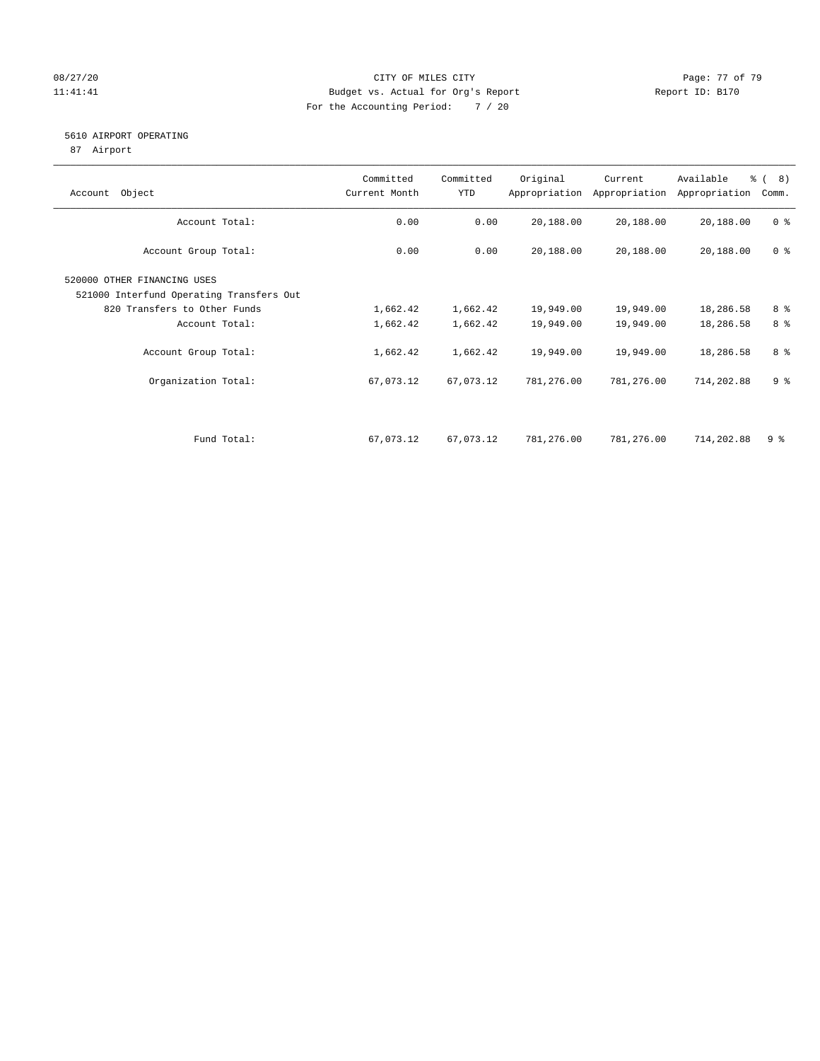### 08/27/20 Page: 77 of 79 11:41:41 Budget vs. Actual for Org's Report Changer Report ID: B170 For the Accounting Period: 7 / 20

#### 5610 AIRPORT OPERATING

87 Airport

| Object<br>Account                        | Committed<br>Current Month | Committed<br>YTD | Original   | Current<br>Appropriation Appropriation | Available<br>Appropriation | % (8)<br>Comm. |
|------------------------------------------|----------------------------|------------------|------------|----------------------------------------|----------------------------|----------------|
|                                          |                            |                  |            |                                        |                            |                |
| Account Total:                           | 0.00                       | 0.00             | 20,188.00  | 20,188.00                              | 20,188.00                  | 0 <sup>8</sup> |
| Account Group Total:                     | 0.00                       | 0.00             | 20,188.00  | 20,188.00                              | 20,188.00                  | 0 <sup>8</sup> |
| 520000 OTHER FINANCING USES              |                            |                  |            |                                        |                            |                |
| 521000 Interfund Operating Transfers Out |                            |                  |            |                                        |                            |                |
| 820 Transfers to Other Funds             | 1,662.42                   | 1,662.42         | 19,949.00  | 19,949.00                              | 18,286.58                  | 8 %            |
| Account Total:                           | 1,662.42                   | 1,662.42         | 19,949.00  | 19,949.00                              | 18,286.58                  | 8 %            |
| Account Group Total:                     | 1,662.42                   | 1,662.42         | 19,949.00  | 19,949.00                              | 18,286.58                  | 8 %            |
| Organization Total:                      | 67,073.12                  | 67,073.12        | 781,276.00 | 781,276.00                             | 714,202.88                 | 9 <sup>8</sup> |
|                                          |                            |                  |            |                                        |                            |                |
| Fund Total:                              | 67,073.12                  | 67,073.12        | 781,276.00 | 781,276.00                             | 714,202.88                 | 9 %            |